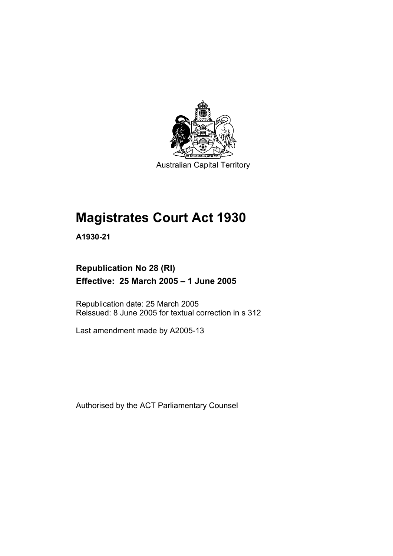

Australian Capital Territory

# **Magistrates Court Act 1930**

**A1930-21** 

# **Republication No 28 (RI) Effective: 25 March 2005 – 1 June 2005**

Republication date: 25 March 2005 Reissued: 8 June 2005 for textual correction in s 312

Last amendment made by A2005-13

Authorised by the ACT Parliamentary Counsel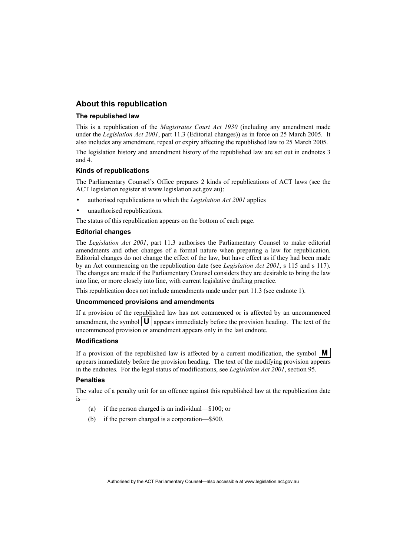#### **About this republication**

#### **The republished law**

This is a republication of the *Magistrates Court Act 1930* (including any amendment made under the *Legislation Act 2001*, part 11.3 (Editorial changes)) as in force on 25 March 2005*.* It also includes any amendment, repeal or expiry affecting the republished law to 25 March 2005.

The legislation history and amendment history of the republished law are set out in endnotes 3 and 4.

#### **Kinds of republications**

The Parliamentary Counsel's Office prepares 2 kinds of republications of ACT laws (see the ACT legislation register at www.legislation.act.gov.au):

- authorised republications to which the *Legislation Act 2001* applies
- unauthorised republications.

The status of this republication appears on the bottom of each page.

#### **Editorial changes**

The *Legislation Act 2001*, part 11.3 authorises the Parliamentary Counsel to make editorial amendments and other changes of a formal nature when preparing a law for republication. Editorial changes do not change the effect of the law, but have effect as if they had been made by an Act commencing on the republication date (see *Legislation Act 2001*, s 115 and s 117). The changes are made if the Parliamentary Counsel considers they are desirable to bring the law into line, or more closely into line, with current legislative drafting practice.

This republication does not include amendments made under part 11.3 (see endnote 1).

#### **Uncommenced provisions and amendments**

If a provision of the republished law has not commenced or is affected by an uncommenced amendment, the symbol  $\mathbf{U}$  appears immediately before the provision heading. The text of the uncommenced provision or amendment appears only in the last endnote.

#### **Modifications**

If a provision of the republished law is affected by a current modification, the symbol  $\mathbf{M}$ appears immediately before the provision heading. The text of the modifying provision appears in the endnotes. For the legal status of modifications, see *Legislation Act 2001*, section 95.

#### **Penalties**

The value of a penalty unit for an offence against this republished law at the republication date is—

- (a) if the person charged is an individual—\$100; or
- (b) if the person charged is a corporation—\$500.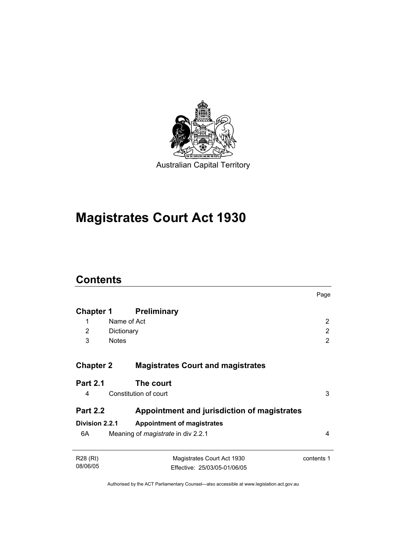

# **Magistrates Court Act 1930**

# **Contents**

|                  |                                             | Page           |
|------------------|---------------------------------------------|----------------|
| Chapter 1        | <b>Preliminary</b>                          |                |
| 1                | Name of Act                                 | $\overline{2}$ |
| 2                | Dictionary                                  | $\overline{2}$ |
| 3                | <b>Notes</b>                                | 2              |
|                  |                                             |                |
| <b>Chapter 2</b> | <b>Magistrates Court and magistrates</b>    |                |
| <b>Part 2.1</b>  | The court                                   |                |
| 4                | Constitution of court                       | 3              |
| <b>Part 2.2</b>  | Appointment and jurisdiction of magistrates |                |
| Division 2.2.1   | <b>Appointment of magistrates</b>           |                |
| 6A               | Meaning of <i>magistrate</i> in div 2.2.1   | 4              |
| R28 (RI)         | Magistrates Court Act 1930                  | contents 1     |
| 08/06/05         | Effective: 25/03/05-01/06/05                |                |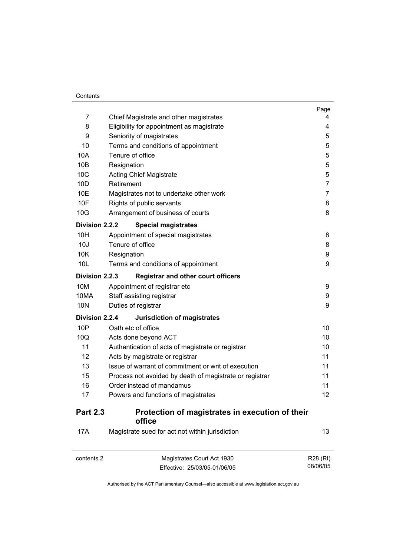$\overline{a}$ 

| 7                 | Chief Magistrate and other magistrates                          | Page<br>4 |  |
|-------------------|-----------------------------------------------------------------|-----------|--|
| 8                 | Eligibility for appointment as magistrate                       | 4         |  |
| 9                 |                                                                 |           |  |
| 10                | Seniority of magistrates<br>Terms and conditions of appointment |           |  |
| 10A               | Tenure of office                                                | 5<br>5    |  |
| 10B               | Resignation                                                     | 5         |  |
| 10 <sub>C</sub>   | <b>Acting Chief Magistrate</b>                                  |           |  |
| 10 <sub>D</sub>   | Retirement                                                      | 5<br>7    |  |
| 10E               | Magistrates not to undertake other work                         | 7         |  |
| 10F               | Rights of public servants                                       | 8         |  |
| 10G               | Arrangement of business of courts                               | 8         |  |
| Division 2.2.2    | <b>Special magistrates</b>                                      |           |  |
| 10H               | Appointment of special magistrates                              | 8         |  |
| 10J               | Tenure of office                                                | 8         |  |
| 10K               | Resignation                                                     | 9         |  |
| 10L               | Terms and conditions of appointment                             | 9         |  |
| Division 2.2.3    | <b>Registrar and other court officers</b>                       |           |  |
| 10M               | Appointment of registrar etc                                    | 9         |  |
| 10MA              | Staff assisting registrar                                       | 9         |  |
| 10N               | Duties of registrar                                             | 9         |  |
| Division 2.2.4    | Jurisdiction of magistrates                                     |           |  |
| 10P               | Oath etc of office                                              | 10        |  |
| 10Q               | Acts done beyond ACT                                            | 10        |  |
| 11                | Authentication of acts of magistrate or registrar               | 10        |  |
| $12 \overline{ }$ | Acts by magistrate or registrar                                 | 11        |  |
| 13                | Issue of warrant of commitment or writ of execution             | 11        |  |
| 15                | Process not avoided by death of magistrate or registrar         | 11        |  |
| 16                | Order instead of mandamus                                       | 11        |  |
| 17                | Powers and functions of magistrates                             | 12        |  |
| <b>Part 2.3</b>   | Protection of magistrates in execution of their<br>office       |           |  |
| 17A               | Magistrate sued for act not within jurisdiction                 | 13        |  |
| contents 2        | Magistrates Court Act 1930                                      | R28 (RI)  |  |

08/06/05

Effective: 25/03/05-01/06/05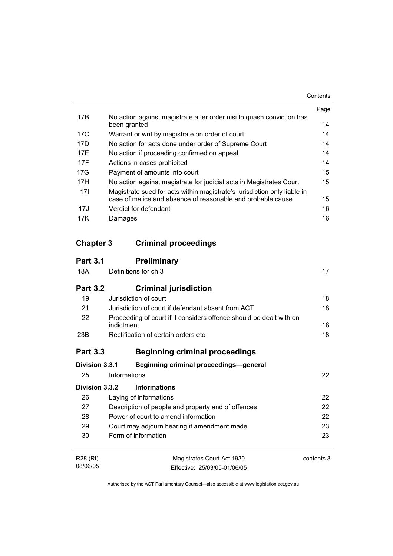|                 |                                                                                       | Page |
|-----------------|---------------------------------------------------------------------------------------|------|
| 17 <sub>B</sub> | No action against magistrate after order nisi to quash conviction has<br>been granted | 14   |
| 17C             | Warrant or writ by magistrate on order of court                                       | 14   |
| 17D             | No action for acts done under order of Supreme Court                                  | 14   |
| 17F             | No action if proceeding confirmed on appeal                                           | 14   |
| 17F             | Actions in cases prohibited                                                           | 14   |
| 17G             | Payment of amounts into court                                                         | 15   |
| 17H             | No action against magistrate for judicial acts in Magistrates Court                   | 15   |
| 171             | Magistrate sued for acts within magistrate's jurisdiction only liable in              |      |
|                 | case of malice and absence of reasonable and probable cause                           | 15   |
| 17J             | Verdict for defendant                                                                 | 16   |
| 17K             | Damages                                                                               | 16   |

# **Chapter 3 Criminal proceedings**

| <b>Part 3.1</b> | <b>Preliminary</b>                                                                |            |  |
|-----------------|-----------------------------------------------------------------------------------|------------|--|
| 18A             | Definitions for ch 3                                                              | 17         |  |
| <b>Part 3.2</b> | <b>Criminal jurisdiction</b>                                                      |            |  |
| 19              | Jurisdiction of court                                                             | 18         |  |
| 21              | Jurisdiction of court if defendant absent from ACT                                | 18         |  |
| 22              | Proceeding of court if it considers offence should be dealt with on<br>indictment |            |  |
| 23B             | Rectification of certain orders etc                                               | 18         |  |
| <b>Part 3.3</b> | <b>Beginning criminal proceedings</b>                                             |            |  |
| Division 3.3.1  | <b>Beginning criminal proceedings-general</b>                                     |            |  |
| 25              | Informations                                                                      | 22         |  |
| Division 3.3.2  | <b>Informations</b>                                                               |            |  |
| 26              | Laying of informations                                                            | 22         |  |
| 27              | 22<br>Description of people and property and of offences                          |            |  |
| 28              | 22<br>Power of court to amend information                                         |            |  |
| 29              | 23<br>Court may adjourn hearing if amendment made                                 |            |  |
| 30              | Form of information                                                               | 23         |  |
| R28 (RI)        | Magistrates Court Act 1930                                                        | contents 3 |  |
| 08/06/05        | Effective: 25/03/05-01/06/05                                                      |            |  |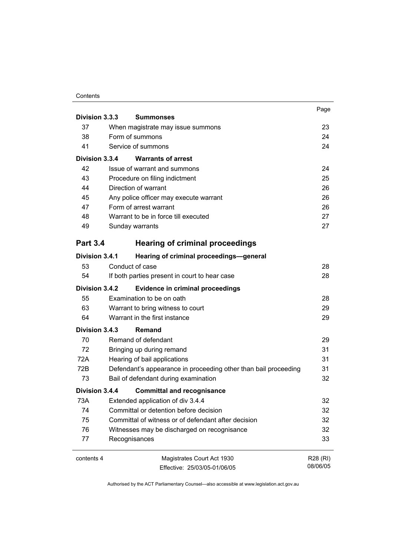|                 |                                                                 | Page     |  |
|-----------------|-----------------------------------------------------------------|----------|--|
| Division 3.3.3  | <b>Summonses</b>                                                |          |  |
| 37              | When magistrate may issue summons                               | 23       |  |
| 38              | Form of summons                                                 | 24       |  |
| 41              | Service of summons                                              |          |  |
| Division 3.3.4  | <b>Warrants of arrest</b>                                       |          |  |
| 42              | Issue of warrant and summons                                    | 24       |  |
| 43              | Procedure on filing indictment                                  | 25       |  |
| 44              | Direction of warrant                                            | 26       |  |
| 45              | Any police officer may execute warrant                          | 26       |  |
| 47              | Form of arrest warrant                                          | 26       |  |
| 48              | Warrant to be in force till executed                            | 27       |  |
| 49              | Sunday warrants                                                 | 27       |  |
| <b>Part 3.4</b> | <b>Hearing of criminal proceedings</b>                          |          |  |
| Division 3.4.1  | Hearing of criminal proceedings-general                         |          |  |
| 53              | Conduct of case                                                 | 28       |  |
| 54              | If both parties present in court to hear case                   | 28       |  |
| Division 3.4.2  | <b>Evidence in criminal proceedings</b>                         |          |  |
| 55              | Examination to be on oath                                       | 28       |  |
| 63              | Warrant to bring witness to court                               | 29       |  |
| 64              | Warrant in the first instance                                   | 29       |  |
| Division 3.4.3  | Remand                                                          |          |  |
| 70              | Remand of defendant                                             | 29       |  |
| 72              | Bringing up during remand                                       | 31       |  |
| 72A             | Hearing of bail applications                                    | 31       |  |
| 72B             | Defendant's appearance in proceeding other than bail proceeding | 31       |  |
| 73              | Bail of defendant during examination                            | 32       |  |
| Division 3.4.4  | <b>Committal and recognisance</b>                               |          |  |
| 73A             | Extended application of div 3.4.4                               | 32       |  |
| 74              | Committal or detention before decision                          | 32       |  |
| 75              | Committal of witness or of defendant after decision             | 32       |  |
| 76              | Witnesses may be discharged on recognisance                     | 32       |  |
| 77              | Recognisances                                                   | 33       |  |
| contents 4      | Magistrates Court Act 1930                                      | R28 (RI) |  |
|                 | Effective: 25/03/05-01/06/05                                    | 08/06/05 |  |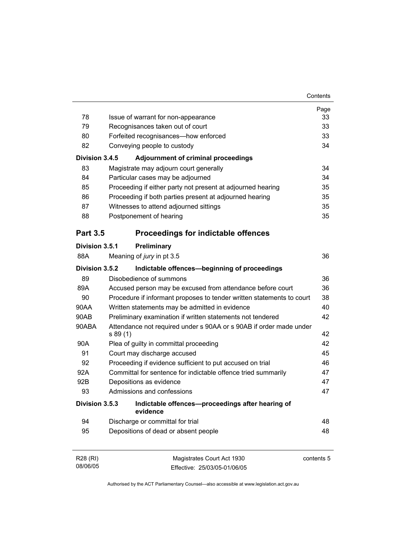|                                   |                                                                       |                                                                    | Page<br>33 |  |  |
|-----------------------------------|-----------------------------------------------------------------------|--------------------------------------------------------------------|------------|--|--|
| 78                                | Issue of warrant for non-appearance                                   |                                                                    |            |  |  |
| 79                                | Recognisances taken out of court                                      |                                                                    |            |  |  |
| 80                                | Forfeited recognisances-how enforced                                  |                                                                    |            |  |  |
| 82<br>Conveying people to custody |                                                                       |                                                                    |            |  |  |
| Division 3.4.5                    |                                                                       | <b>Adjournment of criminal proceedings</b>                         |            |  |  |
| 83                                |                                                                       | Magistrate may adjourn court generally                             | 34         |  |  |
| 84                                |                                                                       | Particular cases may be adjourned                                  | 34         |  |  |
| 85                                |                                                                       | Proceeding if either party not present at adjourned hearing        | 35         |  |  |
| 86                                |                                                                       | Proceeding if both parties present at adjourned hearing            | 35         |  |  |
| 87                                |                                                                       | Witnesses to attend adjourned sittings                             | 35         |  |  |
| 88                                |                                                                       | Postponement of hearing                                            | 35         |  |  |
| <b>Part 3.5</b>                   |                                                                       | <b>Proceedings for indictable offences</b>                         |            |  |  |
| Division 3.5.1                    |                                                                       | Preliminary                                                        |            |  |  |
| 88A                               |                                                                       | Meaning of jury in pt 3.5                                          | 36         |  |  |
| Division 3.5.2                    |                                                                       | Indictable offences-beginning of proceedings                       |            |  |  |
| 89                                |                                                                       | Disobedience of summons                                            | 36         |  |  |
| 89A                               |                                                                       | Accused person may be excused from attendance before court         | 36         |  |  |
| 90                                | Procedure if informant proposes to tender written statements to court |                                                                    |            |  |  |
| 90AA                              |                                                                       | Written statements may be admitted in evidence                     | 40         |  |  |
| 90AB                              | Preliminary examination if written statements not tendered            |                                                                    |            |  |  |
| 90ABA                             | s 89 (1)                                                              | Attendance not required under s 90AA or s 90AB if order made under | 42         |  |  |
| 90A                               | Plea of guilty in committal proceeding                                |                                                                    |            |  |  |
| 91                                |                                                                       | Court may discharge accused                                        | 45         |  |  |
| 92                                |                                                                       | Proceeding if evidence sufficient to put accused on trial          | 46         |  |  |
| 92A                               | Committal for sentence for indictable offence tried summarily         |                                                                    |            |  |  |
| 92B                               |                                                                       | Depositions as evidence                                            | 47         |  |  |
| 93                                |                                                                       | Admissions and confessions                                         | 47         |  |  |
| Division 3.5.3                    |                                                                       | Indictable offences-proceedings after hearing of<br>evidence       |            |  |  |
| 94                                |                                                                       | Discharge or committal for trial                                   | 48         |  |  |
| 95                                |                                                                       | Depositions of dead or absent people                               | 48         |  |  |
| R28 (RI)<br>08/06/05              |                                                                       | Magistrates Court Act 1930<br>Effective: 25/03/05-01/06/05         | contents 5 |  |  |
|                                   |                                                                       |                                                                    |            |  |  |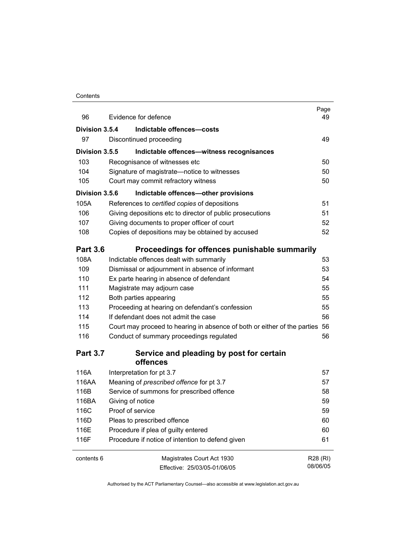| 96              | Evidence for defence                                                        | Page<br>49 |
|-----------------|-----------------------------------------------------------------------------|------------|
| Division 3.5.4  | Indictable offences-costs                                                   |            |
| 97              | Discontinued proceeding                                                     | 49         |
| Division 3.5.5  | Indictable offences-witness recognisances                                   |            |
| 103             | Recognisance of witnesses etc                                               | 50         |
| 104             | Signature of magistrate-notice to witnesses                                 | 50         |
| 105             | Court may commit refractory witness                                         | 50         |
| Division 3.5.6  | Indictable offences-other provisions                                        |            |
| 105A            | References to certified copies of depositions                               | 51         |
| 106             | Giving depositions etc to director of public prosecutions                   | 51         |
| 107             | Giving documents to proper officer of court                                 | 52         |
| 108             | Copies of depositions may be obtained by accused                            | 52         |
| <b>Part 3.6</b> | Proceedings for offences punishable summarily                               |            |
| 108A            | Indictable offences dealt with summarily                                    | 53         |
| 109             | Dismissal or adjournment in absence of informant                            | 53         |
| 110             | Ex parte hearing in absence of defendant                                    | 54         |
| 111             | Magistrate may adjourn case                                                 | 55         |
| 112             | Both parties appearing                                                      | 55         |
| 113             | Proceeding at hearing on defendant's confession                             | 55         |
| 114             | If defendant does not admit the case                                        | 56         |
| 115             | Court may proceed to hearing in absence of both or either of the parties 56 |            |
| 116             | Conduct of summary proceedings regulated                                    | 56         |
| <b>Part 3.7</b> | Service and pleading by post for certain<br>offences                        |            |
| 116A            | Interpretation for pt 3.7                                                   | 57         |
| 116AA           | Meaning of prescribed offence for pt 3.7                                    | 57         |
| 116B            | Service of summons for prescribed offence                                   | 58         |
| 116BA           | Giving of notice                                                            | 59         |
| 116C            | Proof of service                                                            | 59         |
| 116D            | Pleas to prescribed offence                                                 | 60         |
| 116E            | Procedure if plea of guilty entered                                         | 60         |
| 116F            | Procedure if notice of intention to defend given                            | 61         |
| contents 6      | Magistrates Court Act 1930                                                  | R28 (RI)   |
|                 | Effective: 25/03/05-01/06/05                                                | 08/06/05   |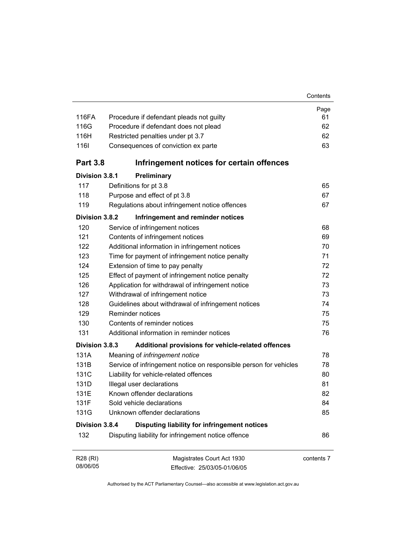| 116FA                | Procedure if defendant pleads not guilty                          | Page<br>61 |  |  |  |
|----------------------|-------------------------------------------------------------------|------------|--|--|--|
| 116G                 | Procedure if defendant does not plead                             |            |  |  |  |
| 116H                 | Restricted penalties under pt 3.7                                 |            |  |  |  |
| 1161                 | Consequences of conviction ex parte                               | 62<br>63   |  |  |  |
| <b>Part 3.8</b>      | Infringement notices for certain offences                         |            |  |  |  |
| Division 3.8.1       | Preliminary                                                       |            |  |  |  |
| 117                  | Definitions for pt 3.8                                            | 65         |  |  |  |
| 118                  | Purpose and effect of pt 3.8                                      | 67         |  |  |  |
| 119                  | Regulations about infringement notice offences                    | 67         |  |  |  |
| Division 3.8.2       | Infringement and reminder notices                                 |            |  |  |  |
| 120                  | Service of infringement notices                                   | 68         |  |  |  |
| 121                  | Contents of infringement notices                                  | 69         |  |  |  |
| 122                  | Additional information in infringement notices                    | 70         |  |  |  |
| 123                  | Time for payment of infringement notice penalty                   | 71         |  |  |  |
| 124                  | Extension of time to pay penalty                                  |            |  |  |  |
| 125                  | Effect of payment of infringement notice penalty                  |            |  |  |  |
| 126                  | Application for withdrawal of infringement notice                 | 73         |  |  |  |
| 127                  | Withdrawal of infringement notice                                 | 73         |  |  |  |
| 128                  | Guidelines about withdrawal of infringement notices               | 74         |  |  |  |
| 129                  | <b>Reminder notices</b>                                           | 75         |  |  |  |
| 130                  | Contents of reminder notices                                      | 75         |  |  |  |
| 131                  | Additional information in reminder notices                        | 76         |  |  |  |
| Division 3.8.3       | Additional provisions for vehicle-related offences                |            |  |  |  |
| 131A                 | Meaning of infringement notice                                    | 78         |  |  |  |
| 131B                 | Service of infringement notice on responsible person for vehicles | 78         |  |  |  |
| 131C                 | Liability for vehicle-related offences                            | 80         |  |  |  |
| 131D                 | Illegal user declarations                                         | 81         |  |  |  |
| 131E                 | Known offender declarations                                       | 82         |  |  |  |
| 131F                 | Sold vehicle declarations                                         | 84         |  |  |  |
| 131G                 | Unknown offender declarations                                     | 85         |  |  |  |
| Division 3.8.4       | Disputing liability for infringement notices                      |            |  |  |  |
| 132                  | Disputing liability for infringement notice offence               | 86         |  |  |  |
| R28 (RI)<br>08/06/05 | Magistrates Court Act 1930<br>Fffective: 25/03/05-01/06/05        | contents 7 |  |  |  |

Authorised by the ACT Parliamentary Counsel—also accessible at www.legislation.act.gov.au

Effective: 25/03/05-01/06/05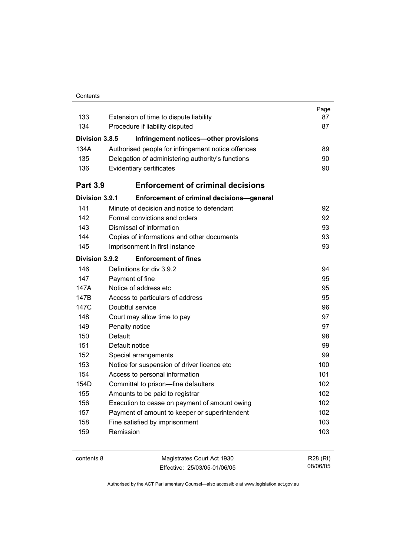|                 |                                                    | Page |
|-----------------|----------------------------------------------------|------|
| 133             | Extension of time to dispute liability             | 87   |
| 134             | Procedure if liability disputed                    | 87   |
| Division 3.8.5  | Infringement notices-other provisions              |      |
| 134A            | Authorised people for infringement notice offences | 89   |
| 135             | Delegation of administering authority's functions  | 90   |
| 136             | Evidentiary certificates                           | 90   |
| <b>Part 3.9</b> | <b>Enforcement of criminal decisions</b>           |      |
| Division 3.9.1  | <b>Enforcement of criminal decisions-general</b>   |      |
| 141             | Minute of decision and notice to defendant         | 92   |
| 142             | Formal convictions and orders                      | 92   |
| 143             | Dismissal of information                           | 93   |
| 144             | Copies of informations and other documents         | 93   |
| 145             | Imprisonment in first instance                     | 93   |
| Division 3.9.2  | <b>Enforcement of fines</b>                        |      |
| 146             | Definitions for div 3.9.2                          | 94   |
| 147             | Payment of fine                                    | 95   |
| 147A            | Notice of address etc.                             | 95   |
| 147B            | Access to particulars of address                   | 95   |
| 147C            | Doubtful service                                   | 96   |
| 148             | Court may allow time to pay                        | 97   |
| 149             | Penalty notice                                     | 97   |
| 150             | <b>Default</b>                                     | 98   |
| 151             | Default notice                                     | 99   |
| 152             | Special arrangements                               | 99   |
| 153             | Notice for suspension of driver licence etc        | 100  |
| 154             | Access to personal information                     | 101  |
| 154D            | Committal to prison-fine defaulters                | 102  |
| 155             | Amounts to be paid to registrar                    | 102  |
| 156             | Execution to cease on payment of amount owing      | 102  |
| 157             | Payment of amount to keeper or superintendent      | 102  |
| 158             | Fine satisfied by imprisonment                     | 103  |
| 159             | Remission                                          | 103  |
|                 |                                                    |      |

contents 8 Magistrates Court Act 1930 Effective: 25/03/05-01/06/05

R28 (RI) 08/06/05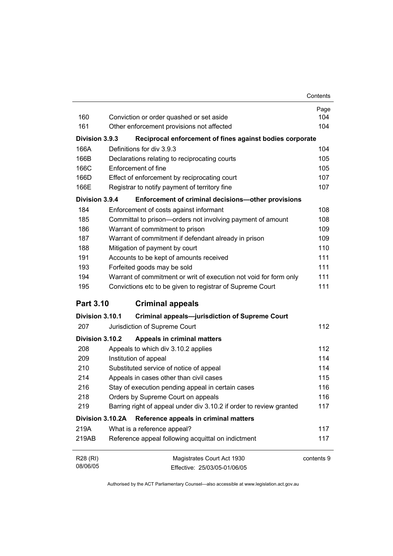| Contents |
|----------|
|          |

|                                             |                                                                     | Page       |
|---------------------------------------------|---------------------------------------------------------------------|------------|
| 160                                         | Conviction or order quashed or set aside                            | 104        |
| 161                                         | Other enforcement provisions not affected                           | 104        |
| Division 3.9.3                              | Reciprocal enforcement of fines against bodies corporate            |            |
| 166A                                        | Definitions for div 3.9.3                                           | 104        |
| 166B                                        | Declarations relating to reciprocating courts                       | 105        |
| 166C                                        | Enforcement of fine                                                 | 105        |
| 166D                                        | Effect of enforcement by reciprocating court                        | 107        |
| 166E                                        | Registrar to notify payment of territory fine                       | 107        |
| Division 3.9.4                              | Enforcement of criminal decisions-other provisions                  |            |
| 184                                         | Enforcement of costs against informant                              | 108        |
| 185                                         | Committal to prison-orders not involving payment of amount          | 108        |
| 186                                         | Warrant of commitment to prison                                     | 109        |
| 187                                         | Warrant of commitment if defendant already in prison                | 109        |
| 188                                         | Mitigation of payment by court                                      | 110        |
| 191                                         | Accounts to be kept of amounts received                             | 111        |
| 193                                         | Forfeited goods may be sold                                         | 111        |
| 194                                         | Warrant of commitment or writ of execution not void for form only   | 111        |
| 195                                         | Convictions etc to be given to registrar of Supreme Court           | 111        |
| <b>Part 3.10</b><br><b>Criminal appeals</b> |                                                                     |            |
| Division 3.10.1                             | <b>Criminal appeals-jurisdiction of Supreme Court</b>               |            |
| 207                                         | Jurisdiction of Supreme Court                                       | 112        |
| Division 3.10.2                             | Appeals in criminal matters                                         |            |
| 208                                         | Appeals to which div 3.10.2 applies                                 | 112        |
| 209                                         | Institution of appeal                                               | 114        |
| 210                                         | Substituted service of notice of appeal                             | 114        |
| 214                                         | Appeals in cases other than civil cases                             | 115        |
| 216                                         | Stay of execution pending appeal in certain cases                   | 116        |
| 218                                         | Orders by Supreme Court on appeals                                  | 116        |
| 219                                         | Barring right of appeal under div 3.10.2 if order to review granted | 117        |
| Division 3.10.2A                            | Reference appeals in criminal matters                               |            |
| 219A                                        | What is a reference appeal?                                         | 117        |
| 219AB                                       | Reference appeal following acquittal on indictment                  | 117        |
| R28 (RI)                                    | Magistrates Court Act 1930                                          | contents 9 |
| 08/06/05                                    | Effective: 25/03/05-01/06/05                                        |            |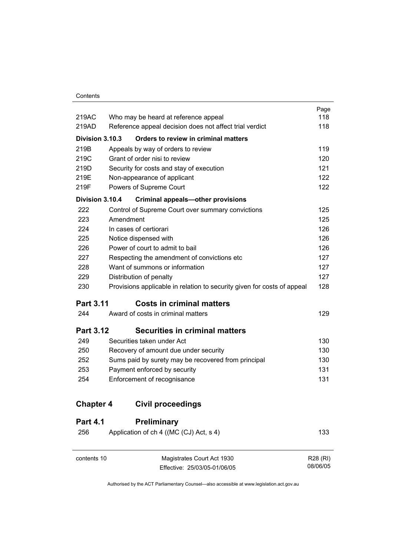| contents 10      | Magistrates Court Act 1930                                              | R28 (RI) |
|------------------|-------------------------------------------------------------------------|----------|
| 256              | Application of ch 4 ((MC (CJ) Act, s 4)                                 | 133      |
| <b>Part 4.1</b>  | Preliminary                                                             |          |
| <b>Chapter 4</b> | <b>Civil proceedings</b>                                                |          |
| 254              | Enforcement of recognisance                                             | 131      |
| 253              | Payment enforced by security                                            | 131      |
| 252              | Sums paid by surety may be recovered from principal                     | 130      |
| 250              | Recovery of amount due under security                                   | 130      |
| 249              | Securities taken under Act                                              | 130      |
| <b>Part 3.12</b> | <b>Securities in criminal matters</b>                                   |          |
| 244              | Award of costs in criminal matters                                      | 129      |
| <b>Part 3.11</b> | <b>Costs in criminal matters</b>                                        |          |
| 230              | Provisions applicable in relation to security given for costs of appeal | 128      |
| 229              | Distribution of penalty                                                 | 127      |
| 228              | Want of summons or information                                          | 127      |
| 227              | Respecting the amendment of convictions etc                             | 127      |
| 226              | Power of court to admit to bail                                         | 126      |
| 225              | Notice dispensed with                                                   | 126      |
| 224              | In cases of certiorari                                                  | 126      |
| 223              | Amendment                                                               | 125      |
| 222              | Control of Supreme Court over summary convictions                       | 125      |
| Division 3.10.4  | <b>Criminal appeals-other provisions</b>                                |          |
| 219F             | Powers of Supreme Court                                                 | 122      |
| 219E             | Non-appearance of applicant                                             | 122      |
| 219D             | Security for costs and stay of execution                                | 121      |
| 219C             | Grant of order nisi to review                                           | 120      |
| 219B             | Appeals by way of orders to review                                      | 119      |
| Division 3.10.3  | Orders to review in criminal matters                                    |          |
| 219AD            | Reference appeal decision does not affect trial verdict                 | 118      |
| 219AC            | Who may be heard at reference appeal                                    | 118      |
|                  |                                                                         | Page     |

Authorised by the ACT Parliamentary Counsel—also accessible at www.legislation.act.gov.au

08/06/05

Effective: 25/03/05-01/06/05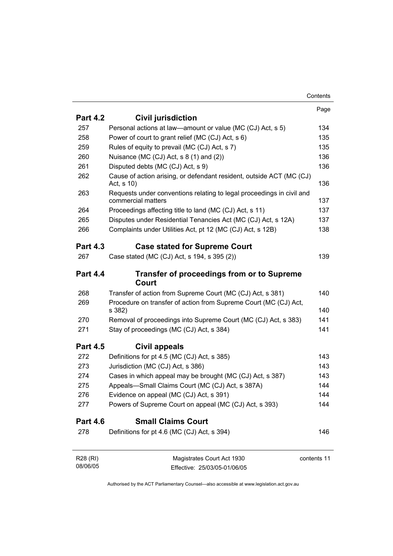|                      |                                                                                             | Page        |
|----------------------|---------------------------------------------------------------------------------------------|-------------|
| <b>Part 4.2</b>      | <b>Civil jurisdiction</b>                                                                   |             |
| 257                  | Personal actions at law—amount or value (MC (CJ) Act, s 5)                                  | 134         |
| 258                  | Power of court to grant relief (MC (CJ) Act, s 6)                                           | 135         |
| 259                  | Rules of equity to prevail (MC (CJ) Act, s 7)                                               | 135         |
| 260                  | Nuisance (MC (CJ) Act, s 8 (1) and (2))                                                     | 136         |
| 261                  | Disputed debts (MC (CJ) Act, s 9)                                                           | 136         |
| 262                  | Cause of action arising, or defendant resident, outside ACT (MC (CJ)<br>Act, s 10)          | 136         |
| 263                  | Requests under conventions relating to legal proceedings in civil and<br>commercial matters | 137         |
| 264                  | Proceedings affecting title to land (MC (CJ) Act, s 11)                                     | 137         |
| 265                  | Disputes under Residential Tenancies Act (MC (CJ) Act, s 12A)                               | 137         |
| 266                  | Complaints under Utilities Act, pt 12 (MC (CJ) Act, s 12B)                                  | 138         |
| <b>Part 4.3</b>      | <b>Case stated for Supreme Court</b>                                                        |             |
| 267                  | Case stated (MC (CJ) Act, s 194, s 395 (2))                                                 | 139         |
| <b>Part 4.4</b>      | <b>Transfer of proceedings from or to Supreme</b><br>Court                                  |             |
| 268                  | Transfer of action from Supreme Court (MC (CJ) Act, s 381)                                  | 140         |
| 269                  | Procedure on transfer of action from Supreme Court (MC (CJ) Act,<br>s 382)                  | 140         |
| 270                  | Removal of proceedings into Supreme Court (MC (CJ) Act, s 383)                              | 141         |
| 271                  | Stay of proceedings (MC (CJ) Act, s 384)                                                    | 141         |
| <b>Part 4.5</b>      | Civil appeals                                                                               |             |
| 272                  | Definitions for pt 4.5 (MC (CJ) Act, s 385)                                                 | 143         |
| 273                  | Jurisdiction (MC (CJ) Act, s 386)                                                           | 143         |
| 274                  | Cases in which appeal may be brought (MC (CJ) Act, s 387)                                   | 143         |
| 275                  | Appeals-Small Claims Court (MC (CJ) Act, s 387A)                                            | 144         |
| 276                  | Evidence on appeal (MC (CJ) Act, s 391)                                                     | 144         |
| 277                  | Powers of Supreme Court on appeal (MC (CJ) Act, s 393)                                      | 144         |
| <b>Part 4.6</b>      | <b>Small Claims Court</b>                                                                   |             |
| 278                  | Definitions for pt 4.6 (MC (CJ) Act, s 394)                                                 | 146         |
| R28 (RI)<br>08/06/05 | Magistrates Court Act 1930<br>Effective: 25/03/05-01/06/05                                  | contents 11 |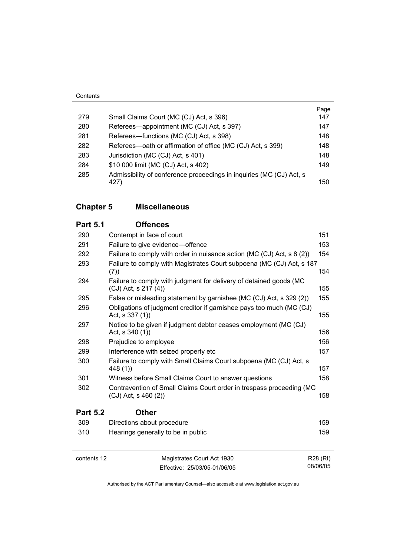|     |                                                                      | Page |
|-----|----------------------------------------------------------------------|------|
| 279 | Small Claims Court (MC (CJ) Act, s 396)                              | 147  |
| 280 | Referees—appointment (MC (CJ) Act, s 397)                            | 147  |
| 281 | Referees—functions (MC (CJ) Act, s 398)                              | 148  |
| 282 | Referees—oath or affirmation of office (MC (CJ) Act, s 399)          | 148  |
| 283 | Jurisdiction (MC (CJ) Act, s 401)                                    | 148  |
| 284 | \$10 000 limit (MC (CJ) Act, s 402)                                  | 149  |
| 285 | Admissibility of conference proceedings in inquiries (MC (CJ) Act, s |      |
|     | 427)                                                                 | 150  |
|     |                                                                      |      |

#### **Chapter 5 Miscellaneous**

## **Part 5.1 Offences** 290 Contempt in face of court 151 291 Failure to give evidence—offence 153 292 Failure to comply with order in nuisance action (MC (CJ) Act, s 8 (2)) 154 293 Failure to comply with Magistrates Court subpoena (MC (CJ) Act, s 187 (7)) 154 294 Failure to comply with judgment for delivery of detained goods (MC  $(CJ)$  Act, s 217 (4)) 155 295 False or misleading statement by garnishee (MC (CJ) Act, s 329 (2)) 155 296 Obligations of judgment creditor if garnishee pays too much (MC (CJ) Act, s 337 (1)) 155 297 Notice to be given if judgment debtor ceases employment (MC (CJ) Act, s  $340 (1)$  156 298 Prejudice to employee 298 and the 156 299 Interference with seized property etc 157 300 Failure to comply with Small Claims Court subpoena (MC (CJ) Act, s 448 (1)) 157 301 Witness before Small Claims Court to answer questions 158 302 Contravention of Small Claims Court order in trespass proceeding (MC  $(CJ)$  Act, s 460 (2)) 158 **Part 5.2 Other** 309 Directions about procedure 159 310 Hearings generally to be in public 159

| contents 12 | Magistrates Court Act 1930   | R28 (RI) |
|-------------|------------------------------|----------|
|             | Effective: 25/03/05-01/06/05 | 08/06/05 |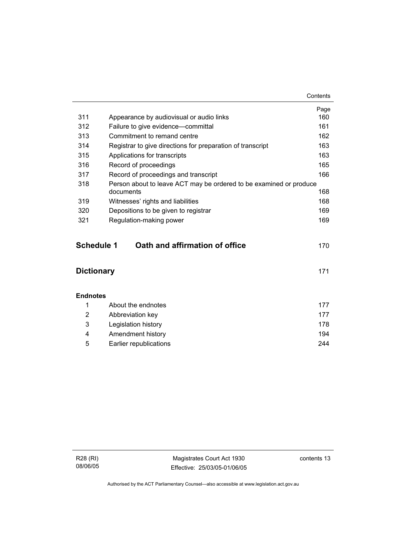|                                                     |                                                                    | Page |  |
|-----------------------------------------------------|--------------------------------------------------------------------|------|--|
| 311                                                 | Appearance by audiovisual or audio links                           | 160  |  |
| 312                                                 | Failure to give evidence-committal                                 | 161  |  |
| 313                                                 | Commitment to remand centre                                        | 162  |  |
| 314                                                 | Registrar to give directions for preparation of transcript         | 163  |  |
| 315                                                 | Applications for transcripts                                       | 163  |  |
| 316                                                 | Record of proceedings                                              | 165  |  |
| 317                                                 | Record of proceedings and transcript                               | 166  |  |
| 318                                                 | Person about to leave ACT may be ordered to be examined or produce |      |  |
|                                                     | documents                                                          | 168  |  |
| 319                                                 | Witnesses' rights and liabilities                                  | 168  |  |
| 320                                                 | Depositions to be given to registrar                               | 169  |  |
| 321                                                 | Regulation-making power                                            | 169  |  |
|                                                     |                                                                    |      |  |
| <b>Schedule 1</b><br>Oath and affirmation of office |                                                                    |      |  |
|                                                     |                                                                    | 170  |  |
|                                                     |                                                                    |      |  |
| <b>Dictionary</b><br>171                            |                                                                    |      |  |
|                                                     |                                                                    |      |  |
|                                                     |                                                                    |      |  |
| <b>Endnotes</b>                                     |                                                                    |      |  |
| 1                                                   | About the endnotes                                                 | 177  |  |
| 2                                                   | Abbreviation key                                                   | 177  |  |
| 3                                                   | Legislation history                                                | 178  |  |
| 4                                                   | Amendment history                                                  | 194  |  |
| 5                                                   | <b>Earlier republications</b>                                      | 244  |  |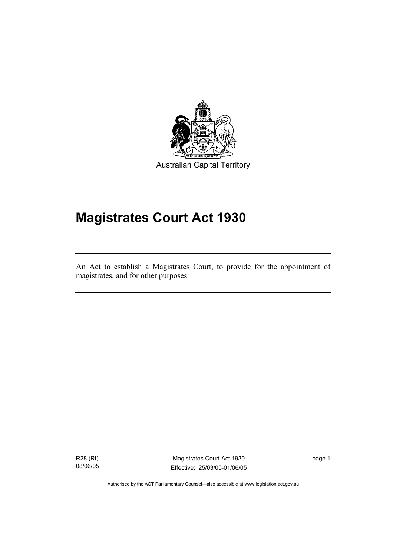

Australian Capital Territory

# **Magistrates Court Act 1930**

An Act to establish a Magistrates Court, to provide for the appointment of magistrates, and for other purposes

R28 (RI) 08/06/05

I

Magistrates Court Act 1930 Effective: 25/03/05-01/06/05 page 1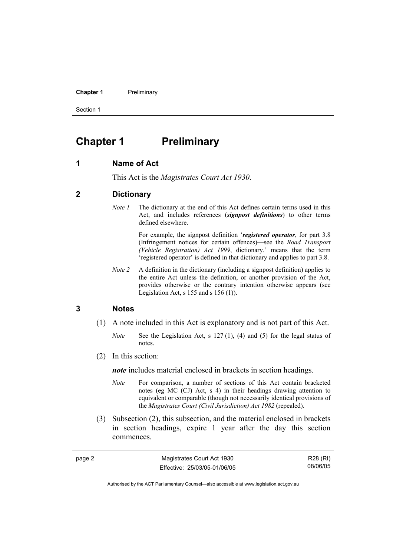**Chapter 1** Preliminary

Section 1

# **Chapter 1 Preliminary**

#### **1 Name of Act**

This Act is the *Magistrates Court Act 1930*.

#### **2 Dictionary**

*Note 1* The dictionary at the end of this Act defines certain terms used in this Act, and includes references (*signpost definitions*) to other terms defined elsewhere.

> For example, the signpost definition '*registered operator*, for part 3.8 (Infringement notices for certain offences)—see the *Road Transport (Vehicle Registration) Act 1999*, dictionary.' means that the term 'registered operator' is defined in that dictionary and applies to part 3.8.

*Note 2* A definition in the dictionary (including a signpost definition) applies to the entire Act unless the definition, or another provision of the Act, provides otherwise or the contrary intention otherwise appears (see Legislation Act,  $s$  155 and  $s$  156 (1)).

#### **3 Notes**

page 2

- (1) A note included in this Act is explanatory and is not part of this Act.
	- *Note* See the Legislation Act, s 127 (1), (4) and (5) for the legal status of notes.
- (2) In this section:

*note* includes material enclosed in brackets in section headings.

- *Note* For comparison, a number of sections of this Act contain bracketed notes (eg MC (CJ) Act, s 4) in their headings drawing attention to equivalent or comparable (though not necessarily identical provisions of the *Magistrates Court (Civil Jurisdiction) Act 1982* (repealed).
- (3) Subsection (2), this subsection, and the material enclosed in brackets in section headings, expire 1 year after the day this section commences.

| Magistrates Court Act 1930   | R28 (RI) |
|------------------------------|----------|
| Effective: 25/03/05-01/06/05 | 08/06/05 |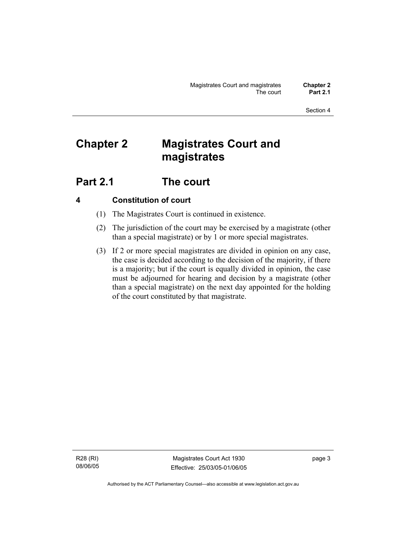# **Chapter 2 Magistrates Court and magistrates**

# **Part 2.1 The court**

## **4 Constitution of court**

- (1) The Magistrates Court is continued in existence.
- (2) The jurisdiction of the court may be exercised by a magistrate (other than a special magistrate) or by 1 or more special magistrates.
- (3) If 2 or more special magistrates are divided in opinion on any case, the case is decided according to the decision of the majority, if there is a majority; but if the court is equally divided in opinion, the case must be adjourned for hearing and decision by a magistrate (other than a special magistrate) on the next day appointed for the holding of the court constituted by that magistrate.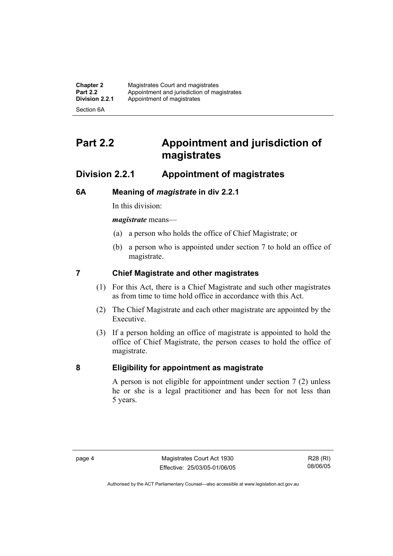| <b>Chapter 2</b> | Magistrates Court and magistrates           |
|------------------|---------------------------------------------|
| <b>Part 2.2</b>  | Appointment and jurisdiction of magistrates |
| Division 2.2.1   | Appointment of magistrates                  |
| Section 6A       |                                             |

# **Part 2.2 Appointment and jurisdiction of magistrates**

## **Division 2.2.1 Appointment of magistrates**

## **6A Meaning of** *magistrate* **in div 2.2.1**

In this division:

*magistrate* means—

- (a) a person who holds the office of Chief Magistrate; or
- (b) a person who is appointed under section 7 to hold an office of magistrate.

## **7 Chief Magistrate and other magistrates**

- (1) For this Act, there is a Chief Magistrate and such other magistrates as from time to time hold office in accordance with this Act.
- (2) The Chief Magistrate and each other magistrate are appointed by the Executive.
- (3) If a person holding an office of magistrate is appointed to hold the office of Chief Magistrate, the person ceases to hold the office of magistrate.

## **8 Eligibility for appointment as magistrate**

A person is not eligible for appointment under section 7 (2) unless he or she is a legal practitioner and has been for not less than 5 years.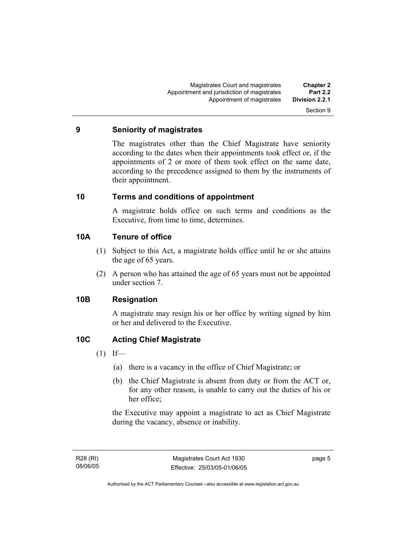#### **9 Seniority of magistrates**

The magistrates other than the Chief Magistrate have seniority according to the dates when their appointments took effect or, if the appointments of 2 or more of them took effect on the same date, according to the precedence assigned to them by the instruments of their appointment.

#### **10 Terms and conditions of appointment**

A magistrate holds office on such terms and conditions as the Executive, from time to time, determines.

#### **10A Tenure of office**

- (1) Subject to this Act, a magistrate holds office until he or she attains the age of 65 years.
- (2) A person who has attained the age of 65 years must not be appointed under section 7.

## **10B Resignation**

A magistrate may resign his or her office by writing signed by him or her and delivered to the Executive.

## **10C Acting Chief Magistrate**

- $(1)$  If—
	- (a) there is a vacancy in the office of Chief Magistrate; or
	- (b) the Chief Magistrate is absent from duty or from the ACT or, for any other reason, is unable to carry out the duties of his or her office;

the Executive may appoint a magistrate to act as Chief Magistrate during the vacancy, absence or inability.

page 5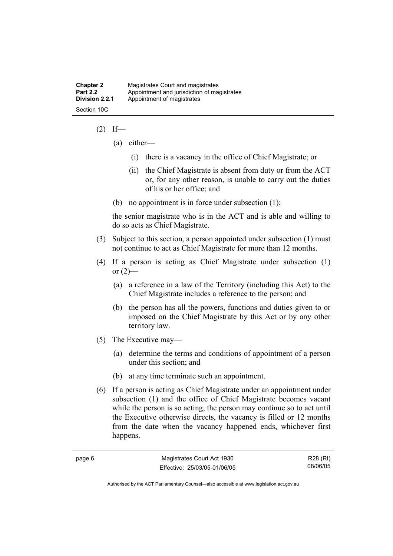| <b>Chapter 2</b> | Magistrates Court and magistrates           |
|------------------|---------------------------------------------|
| <b>Part 2.2</b>  | Appointment and jurisdiction of magistrates |
| Division 2.2.1   | Appointment of magistrates                  |
| Section 10C      |                                             |

#### $(2)$  If—

- (a) either—
	- (i) there is a vacancy in the office of Chief Magistrate; or
	- (ii) the Chief Magistrate is absent from duty or from the ACT or, for any other reason, is unable to carry out the duties of his or her office; and
- (b) no appointment is in force under subsection (1);

the senior magistrate who is in the ACT and is able and willing to do so acts as Chief Magistrate.

- (3) Subject to this section, a person appointed under subsection (1) must not continue to act as Chief Magistrate for more than 12 months.
- (4) If a person is acting as Chief Magistrate under subsection (1) or  $(2)$ —
	- (a) a reference in a law of the Territory (including this Act) to the Chief Magistrate includes a reference to the person; and
	- (b) the person has all the powers, functions and duties given to or imposed on the Chief Magistrate by this Act or by any other territory law.
- (5) The Executive may—
	- (a) determine the terms and conditions of appointment of a person under this section; and
	- (b) at any time terminate such an appointment.
- (6) If a person is acting as Chief Magistrate under an appointment under subsection (1) and the office of Chief Magistrate becomes vacant while the person is so acting, the person may continue so to act until the Executive otherwise directs, the vacancy is filled or 12 months from the date when the vacancy happened ends, whichever first happens.

R28 (RI) 08/06/05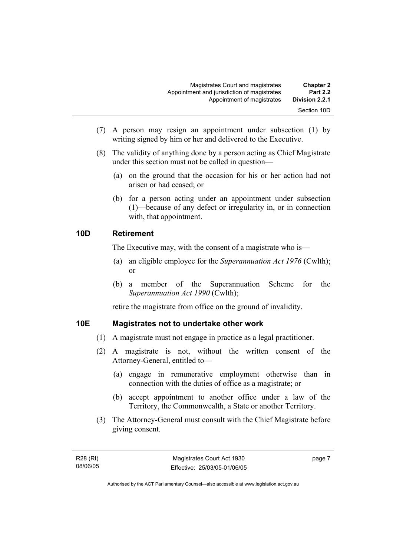| <b>Chapter 2</b><br><b>Part 2.2</b> | Magistrates Court and magistrates<br>Appointment and jurisdiction of magistrates |
|-------------------------------------|----------------------------------------------------------------------------------|
| Division 2.2.1                      | Appointment of magistrates                                                       |
| Section 10D                         |                                                                                  |

- (7) A person may resign an appointment under subsection (1) by writing signed by him or her and delivered to the Executive.
- (8) The validity of anything done by a person acting as Chief Magistrate under this section must not be called in question—
	- (a) on the ground that the occasion for his or her action had not arisen or had ceased; or
	- (b) for a person acting under an appointment under subsection (1)—because of any defect or irregularity in, or in connection with, that appointment.

#### **10D Retirement**

The Executive may, with the consent of a magistrate who is—

- (a) an eligible employee for the *Superannuation Act 1976* (Cwlth); or
- (b) a member of the Superannuation Scheme for the *Superannuation Act 1990* (Cwlth);

retire the magistrate from office on the ground of invalidity.

#### **10E Magistrates not to undertake other work**

- (1) A magistrate must not engage in practice as a legal practitioner.
- (2) A magistrate is not, without the written consent of the Attorney-General, entitled to—
	- (a) engage in remunerative employment otherwise than in connection with the duties of office as a magistrate; or
	- (b) accept appointment to another office under a law of the Territory, the Commonwealth, a State or another Territory.
- (3) The Attorney-General must consult with the Chief Magistrate before giving consent.

page 7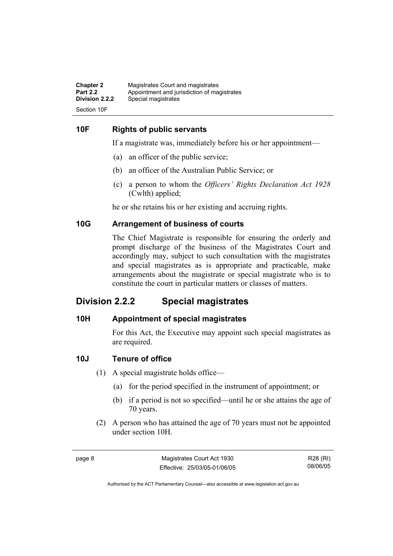| <b>Chapter 2</b> | Magistrates Court and magistrates           |
|------------------|---------------------------------------------|
| <b>Part 2.2</b>  | Appointment and jurisdiction of magistrates |
| Division 2.2.2   | Special magistrates                         |
| Section 10F      |                                             |

#### **10F Rights of public servants**

If a magistrate was, immediately before his or her appointment—

- (a) an officer of the public service;
- (b) an officer of the Australian Public Service; or
- (c) a person to whom the *Officers' Rights Declaration Act 1928* (Cwlth) applied;

he or she retains his or her existing and accruing rights.

#### **10G Arrangement of business of courts**

The Chief Magistrate is responsible for ensuring the orderly and prompt discharge of the business of the Magistrates Court and accordingly may, subject to such consultation with the magistrates and special magistrates as is appropriate and practicable, make arrangements about the magistrate or special magistrate who is to constitute the court in particular matters or classes of matters.

## **Division 2.2.2 Special magistrates**

#### **10H Appointment of special magistrates**

For this Act, the Executive may appoint such special magistrates as are required.

#### **10J Tenure of office**

- (1) A special magistrate holds office—
	- (a) for the period specified in the instrument of appointment; or
	- (b) if a period is not so specified—until he or she attains the age of 70 years.
- (2) A person who has attained the age of 70 years must not be appointed under section 10H.

R28 (RI) 08/06/05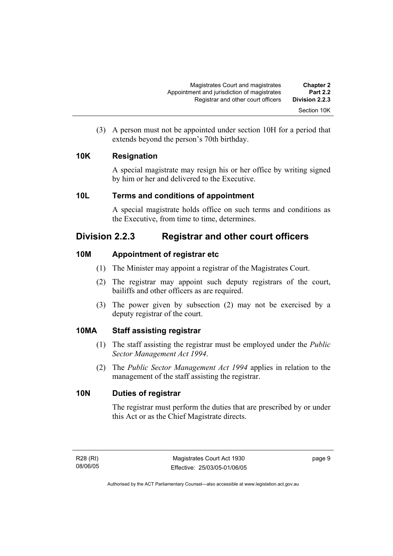(3) A person must not be appointed under section 10H for a period that extends beyond the person's 70th birthday.

## **10K Resignation**

A special magistrate may resign his or her office by writing signed by him or her and delivered to the Executive.

## **10L Terms and conditions of appointment**

A special magistrate holds office on such terms and conditions as the Executive, from time to time, determines.

## **Division 2.2.3 Registrar and other court officers**

## **10M Appointment of registrar etc**

- (1) The Minister may appoint a registrar of the Magistrates Court.
- (2) The registrar may appoint such deputy registrars of the court, bailiffs and other officers as are required.
- (3) The power given by subsection (2) may not be exercised by a deputy registrar of the court.

## **10MA Staff assisting registrar**

- (1) The staff assisting the registrar must be employed under the *Public Sector Management Act 1994*.
- (2) The *Public Sector Management Act 1994* applies in relation to the management of the staff assisting the registrar.

## **10N Duties of registrar**

The registrar must perform the duties that are prescribed by or under this Act or as the Chief Magistrate directs.

page 9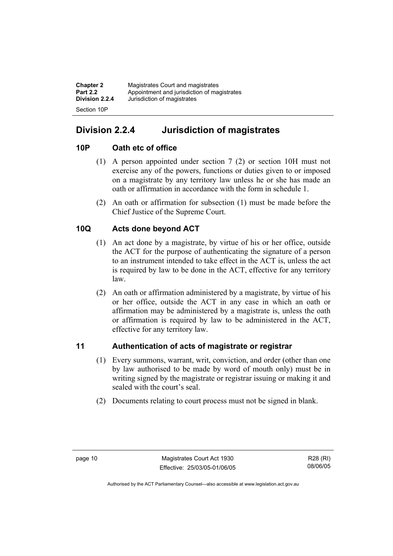| <b>Chapter 2</b> | Magistrates Court and magistrates           |
|------------------|---------------------------------------------|
| <b>Part 2.2</b>  | Appointment and jurisdiction of magistrates |
| Division 2.2.4   | Jurisdiction of magistrates                 |
| Section 10P      |                                             |

## **Division 2.2.4 Jurisdiction of magistrates**

## **10P Oath etc of office**

- (1) A person appointed under section 7 (2) or section 10H must not exercise any of the powers, functions or duties given to or imposed on a magistrate by any territory law unless he or she has made an oath or affirmation in accordance with the form in schedule 1.
- (2) An oath or affirmation for subsection (1) must be made before the Chief Justice of the Supreme Court.

## **10Q Acts done beyond ACT**

- (1) An act done by a magistrate, by virtue of his or her office, outside the ACT for the purpose of authenticating the signature of a person to an instrument intended to take effect in the ACT is, unless the act is required by law to be done in the ACT, effective for any territory law.
- (2) An oath or affirmation administered by a magistrate, by virtue of his or her office, outside the ACT in any case in which an oath or affirmation may be administered by a magistrate is, unless the oath or affirmation is required by law to be administered in the ACT, effective for any territory law.

## **11 Authentication of acts of magistrate or registrar**

- (1) Every summons, warrant, writ, conviction, and order (other than one by law authorised to be made by word of mouth only) must be in writing signed by the magistrate or registrar issuing or making it and sealed with the court's seal.
- (2) Documents relating to court process must not be signed in blank.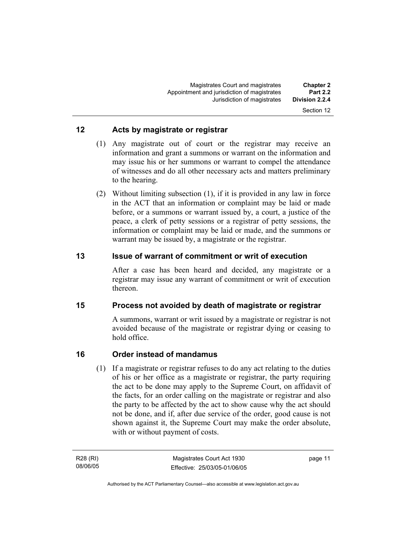#### **12 Acts by magistrate or registrar**

- (1) Any magistrate out of court or the registrar may receive an information and grant a summons or warrant on the information and may issue his or her summons or warrant to compel the attendance of witnesses and do all other necessary acts and matters preliminary to the hearing.
- (2) Without limiting subsection (1), if it is provided in any law in force in the ACT that an information or complaint may be laid or made before, or a summons or warrant issued by, a court, a justice of the peace, a clerk of petty sessions or a registrar of petty sessions, the information or complaint may be laid or made, and the summons or warrant may be issued by, a magistrate or the registrar.

#### **13 Issue of warrant of commitment or writ of execution**

After a case has been heard and decided, any magistrate or a registrar may issue any warrant of commitment or writ of execution thereon.

## **15 Process not avoided by death of magistrate or registrar**

A summons, warrant or writ issued by a magistrate or registrar is not avoided because of the magistrate or registrar dying or ceasing to hold office.

## **16 Order instead of mandamus**

 (1) If a magistrate or registrar refuses to do any act relating to the duties of his or her office as a magistrate or registrar, the party requiring the act to be done may apply to the Supreme Court, on affidavit of the facts, for an order calling on the magistrate or registrar and also the party to be affected by the act to show cause why the act should not be done, and if, after due service of the order, good cause is not shown against it, the Supreme Court may make the order absolute, with or without payment of costs.

R28 (RI) 08/06/05 page 11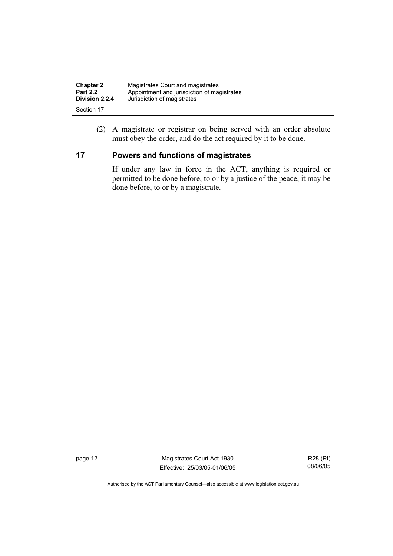| <b>Chapter 2</b> | Magistrates Court and magistrates           |
|------------------|---------------------------------------------|
| <b>Part 2.2</b>  | Appointment and jurisdiction of magistrates |
| Division 2.2.4   | Jurisdiction of magistrates                 |
| Section 17       |                                             |

 (2) A magistrate or registrar on being served with an order absolute must obey the order, and do the act required by it to be done.

## **17 Powers and functions of magistrates**

If under any law in force in the ACT, anything is required or permitted to be done before, to or by a justice of the peace, it may be done before, to or by a magistrate.

page 12 Magistrates Court Act 1930 Effective: 25/03/05-01/06/05

R28 (RI) 08/06/05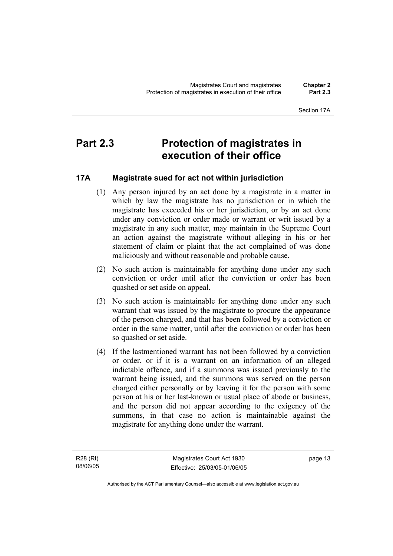#### Section 17A

# **Part 2.3 Protection of magistrates in execution of their office**

## **17A Magistrate sued for act not within jurisdiction**

- (1) Any person injured by an act done by a magistrate in a matter in which by law the magistrate has no jurisdiction or in which the magistrate has exceeded his or her jurisdiction, or by an act done under any conviction or order made or warrant or writ issued by a magistrate in any such matter, may maintain in the Supreme Court an action against the magistrate without alleging in his or her statement of claim or plaint that the act complained of was done maliciously and without reasonable and probable cause.
- (2) No such action is maintainable for anything done under any such conviction or order until after the conviction or order has been quashed or set aside on appeal.
- (3) No such action is maintainable for anything done under any such warrant that was issued by the magistrate to procure the appearance of the person charged, and that has been followed by a conviction or order in the same matter, until after the conviction or order has been so quashed or set aside.
- (4) If the lastmentioned warrant has not been followed by a conviction or order, or if it is a warrant on an information of an alleged indictable offence, and if a summons was issued previously to the warrant being issued, and the summons was served on the person charged either personally or by leaving it for the person with some person at his or her last-known or usual place of abode or business, and the person did not appear according to the exigency of the summons, in that case no action is maintainable against the magistrate for anything done under the warrant.

R28 (RI) 08/06/05 page 13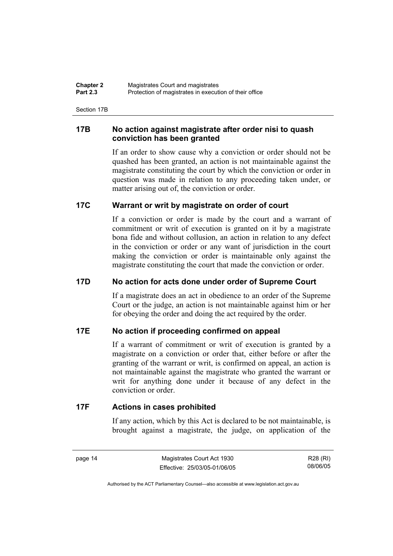| <b>Chapter 2</b> | Magistrates Court and magistrates                      |
|------------------|--------------------------------------------------------|
| <b>Part 2.3</b>  | Protection of magistrates in execution of their office |

Section 17B

#### **17B No action against magistrate after order nisi to quash conviction has been granted**

If an order to show cause why a conviction or order should not be quashed has been granted, an action is not maintainable against the magistrate constituting the court by which the conviction or order in question was made in relation to any proceeding taken under, or matter arising out of, the conviction or order.

#### **17C Warrant or writ by magistrate on order of court**

If a conviction or order is made by the court and a warrant of commitment or writ of execution is granted on it by a magistrate bona fide and without collusion, an action in relation to any defect in the conviction or order or any want of jurisdiction in the court making the conviction or order is maintainable only against the magistrate constituting the court that made the conviction or order.

### **17D No action for acts done under order of Supreme Court**

If a magistrate does an act in obedience to an order of the Supreme Court or the judge, an action is not maintainable against him or her for obeying the order and doing the act required by the order.

#### **17E No action if proceeding confirmed on appeal**

If a warrant of commitment or writ of execution is granted by a magistrate on a conviction or order that, either before or after the granting of the warrant or writ, is confirmed on appeal, an action is not maintainable against the magistrate who granted the warrant or writ for anything done under it because of any defect in the conviction or order.

#### **17F Actions in cases prohibited**

If any action, which by this Act is declared to be not maintainable, is brought against a magistrate, the judge, on application of the

page 14 Magistrates Court Act 1930 Effective: 25/03/05-01/06/05

R28 (RI) 08/06/05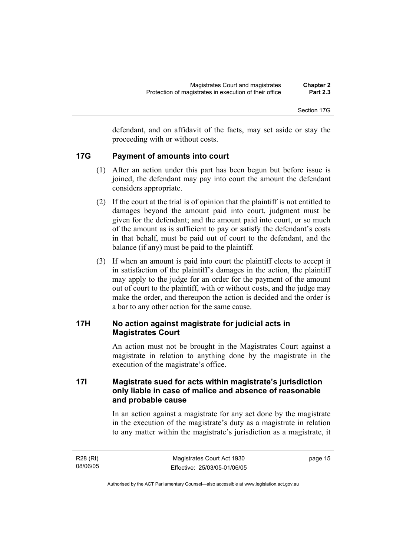Section 17G

defendant, and on affidavit of the facts, may set aside or stay the proceeding with or without costs.

#### **17G Payment of amounts into court**

- (1) After an action under this part has been begun but before issue is joined, the defendant may pay into court the amount the defendant considers appropriate.
- (2) If the court at the trial is of opinion that the plaintiff is not entitled to damages beyond the amount paid into court, judgment must be given for the defendant; and the amount paid into court, or so much of the amount as is sufficient to pay or satisfy the defendant's costs in that behalf, must be paid out of court to the defendant, and the balance (if any) must be paid to the plaintiff.
- (3) If when an amount is paid into court the plaintiff elects to accept it in satisfaction of the plaintiff's damages in the action, the plaintiff may apply to the judge for an order for the payment of the amount out of court to the plaintiff, with or without costs, and the judge may make the order, and thereupon the action is decided and the order is a bar to any other action for the same cause.

#### **17H No action against magistrate for judicial acts in Magistrates Court**

An action must not be brought in the Magistrates Court against a magistrate in relation to anything done by the magistrate in the execution of the magistrate's office.

## **17I Magistrate sued for acts within magistrate's jurisdiction only liable in case of malice and absence of reasonable and probable cause**

In an action against a magistrate for any act done by the magistrate in the execution of the magistrate's duty as a magistrate in relation to any matter within the magistrate's jurisdiction as a magistrate, it

| R28 (RI) | Magistrates Court Act 1930   | page 15 |
|----------|------------------------------|---------|
| 08/06/05 | Effective: 25/03/05-01/06/05 |         |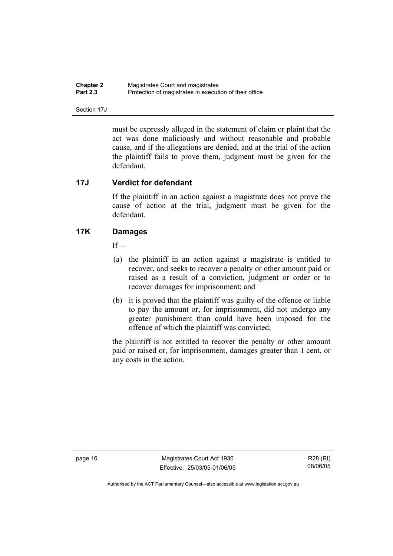| <b>Chapter 2</b> | Magistrates Court and magistrates                      |
|------------------|--------------------------------------------------------|
| <b>Part 2.3</b>  | Protection of magistrates in execution of their office |

Section 17J

must be expressly alleged in the statement of claim or plaint that the act was done maliciously and without reasonable and probable cause, and if the allegations are denied, and at the trial of the action the plaintiff fails to prove them, judgment must be given for the defendant.

#### **17J Verdict for defendant**

If the plaintiff in an action against a magistrate does not prove the cause of action at the trial, judgment must be given for the defendant.

#### **17K Damages**

If—

- (a) the plaintiff in an action against a magistrate is entitled to recover, and seeks to recover a penalty or other amount paid or raised as a result of a conviction, judgment or order or to recover damages for imprisonment; and
- (b) it is proved that the plaintiff was guilty of the offence or liable to pay the amount or, for imprisonment, did not undergo any greater punishment than could have been imposed for the offence of which the plaintiff was convicted;

the plaintiff is not entitled to recover the penalty or other amount paid or raised or, for imprisonment, damages greater than 1 cent, or any costs in the action.

page 16 Magistrates Court Act 1930 Effective: 25/03/05-01/06/05

R28 (RI) 08/06/05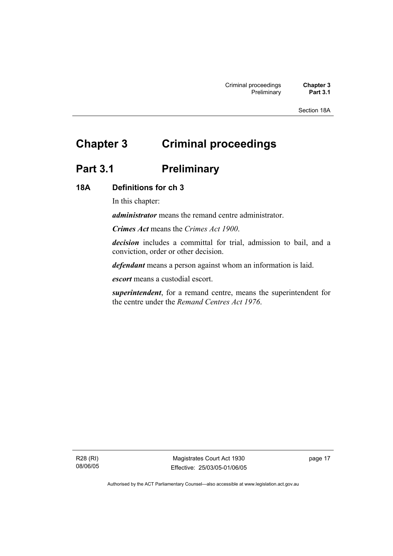Section 18A

# **Chapter 3 Criminal proceedings**

# Part 3.1 **Preliminary**

#### **18A Definitions for ch 3**

In this chapter:

*administrator* means the remand centre administrator.

*Crimes Act* means the *Crimes Act 1900*.

*decision* includes a committal for trial, admission to bail, and a conviction, order or other decision.

*defendant* means a person against whom an information is laid.

*escort* means a custodial escort.

*superintendent*, for a remand centre, means the superintendent for the centre under the *Remand Centres Act 1976*.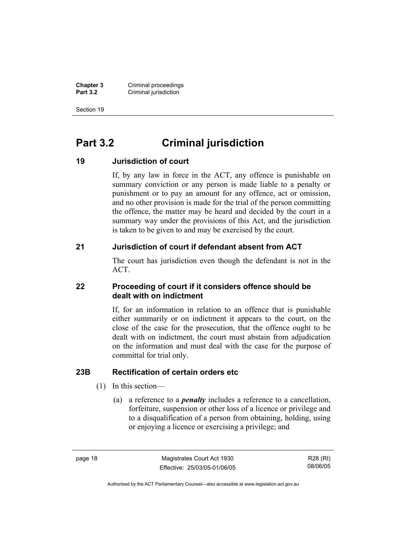**Chapter 3 Criminal proceedings**<br>**Part 3.2 Criminal jurisdiction Criminal jurisdiction** 

Section 19

# **Part 3.2 Criminal jurisdiction**

#### **19 Jurisdiction of court**

If, by any law in force in the ACT, any offence is punishable on summary conviction or any person is made liable to a penalty or punishment or to pay an amount for any offence, act or omission, and no other provision is made for the trial of the person committing the offence, the matter may be heard and decided by the court in a summary way under the provisions of this Act, and the jurisdiction is taken to be given to and may be exercised by the court.

#### **21 Jurisdiction of court if defendant absent from ACT**

The court has jurisdiction even though the defendant is not in the ACT.

#### **22 Proceeding of court if it considers offence should be dealt with on indictment**

If, for an information in relation to an offence that is punishable either summarily or on indictment it appears to the court, on the close of the case for the prosecution, that the offence ought to be dealt with on indictment, the court must abstain from adjudication on the information and must deal with the case for the purpose of committal for trial only.

### **23B Rectification of certain orders etc**

- (1) In this section—
	- (a) a reference to a *penalty* includes a reference to a cancellation, forfeiture, suspension or other loss of a licence or privilege and to a disqualification of a person from obtaining, holding, using or enjoying a licence or exercising a privilege; and

page 18 Magistrates Court Act 1930 Effective: 25/03/05-01/06/05

R28 (RI) 08/06/05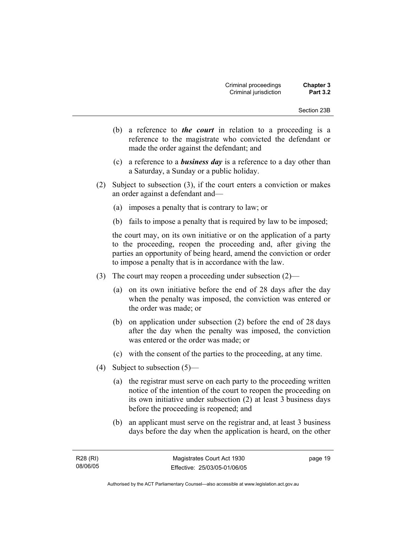- (b) a reference to *the court* in relation to a proceeding is a reference to the magistrate who convicted the defendant or made the order against the defendant; and
- (c) a reference to a *business day* is a reference to a day other than a Saturday, a Sunday or a public holiday.
- (2) Subject to subsection (3), if the court enters a conviction or makes an order against a defendant and—
	- (a) imposes a penalty that is contrary to law; or
	- (b) fails to impose a penalty that is required by law to be imposed;

the court may, on its own initiative or on the application of a party to the proceeding, reopen the proceeding and, after giving the parties an opportunity of being heard, amend the conviction or order to impose a penalty that is in accordance with the law.

- (3) The court may reopen a proceeding under subsection (2)—
	- (a) on its own initiative before the end of 28 days after the day when the penalty was imposed, the conviction was entered or the order was made; or
	- (b) on application under subsection (2) before the end of 28 days after the day when the penalty was imposed, the conviction was entered or the order was made; or
	- (c) with the consent of the parties to the proceeding, at any time.
- (4) Subject to subsection (5)—
	- (a) the registrar must serve on each party to the proceeding written notice of the intention of the court to reopen the proceeding on its own initiative under subsection (2) at least 3 business days before the proceeding is reopened; and
	- (b) an applicant must serve on the registrar and, at least 3 business days before the day when the application is heard, on the other

page 19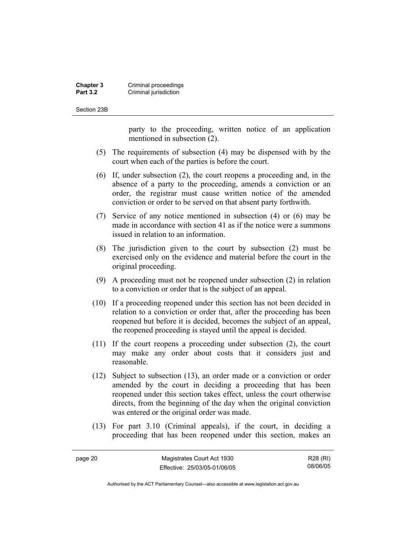#### **Chapter 3 Criminal proceedings**<br>**Part 3.2 Criminal jurisdiction Criminal jurisdiction**

Section 23B

page 20

party to the proceeding, written notice of an application mentioned in subsection (2).

- (5) The requirements of subsection (4) may be dispensed with by the court when each of the parties is before the court.
- (6) If, under subsection (2), the court reopens a proceeding and, in the absence of a party to the proceeding, amends a conviction or an order, the registrar must cause written notice of the amended conviction or order to be served on that absent party forthwith.
- (7) Service of any notice mentioned in subsection (4) or (6) may be made in accordance with section 41 as if the notice were a summons issued in relation to an information.
- (8) The jurisdiction given to the court by subsection (2) must be exercised only on the evidence and material before the court in the original proceeding.
- (9) A proceeding must not be reopened under subsection (2) in relation to a conviction or order that is the subject of an appeal.
- (10) If a proceeding reopened under this section has not been decided in relation to a conviction or order that, after the proceeding has been reopened but before it is decided, becomes the subject of an appeal, the reopened proceeding is stayed until the appeal is decided.
- (11) If the court reopens a proceeding under subsection (2), the court may make any order about costs that it considers just and reasonable.
- (12) Subject to subsection (13), an order made or a conviction or order amended by the court in deciding a proceeding that has been reopened under this section takes effect, unless the court otherwise directs, from the beginning of the day when the original conviction was entered or the original order was made.
- (13) For part 3.10 (Criminal appeals), if the court, in deciding a proceeding that has been reopened under this section, makes an

| Magistrates Court Act 1930   | R28 (RI) |
|------------------------------|----------|
| Effective: 25/03/05-01/06/05 | 08/06/05 |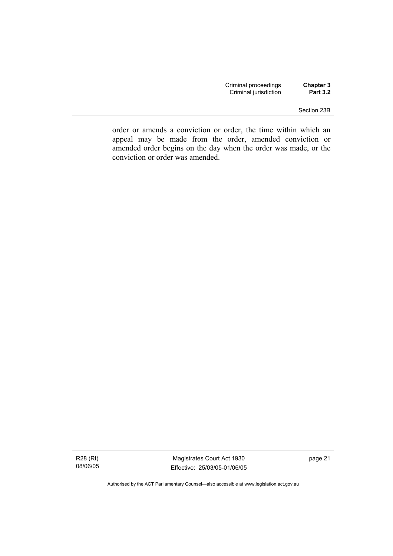| Criminal proceedings  | Chapter 3       |
|-----------------------|-----------------|
| Criminal jurisdiction | <b>Part 3.2</b> |

#### Section 23B

order or amends a conviction or order, the time within which an appeal may be made from the order, amended conviction or amended order begins on the day when the order was made, or the conviction or order was amended.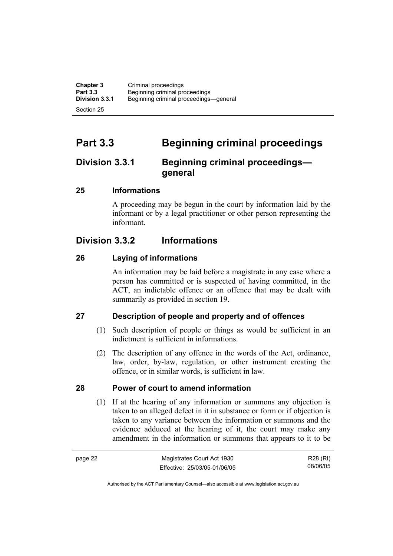**Chapter 3** Criminal proceedings<br> **Part 3.3** Beginning criminal pro-**Part 3.3 Beginning criminal proceedings**<br>**Division 3.3.1** Beginning criminal proceedings **Division 3.3.1** Beginning criminal proceedings—general Section 25

**Part 3.3 Beginning criminal proceedings** 

# **Division 3.3.1 Beginning criminal proceedings general**

# **25 Informations**

A proceeding may be begun in the court by information laid by the informant or by a legal practitioner or other person representing the informant.

# **Division 3.3.2 Informations**

# **26 Laying of informations**

An information may be laid before a magistrate in any case where a person has committed or is suspected of having committed, in the ACT, an indictable offence or an offence that may be dealt with summarily as provided in section 19.

# **27 Description of people and property and of offences**

- (1) Such description of people or things as would be sufficient in an indictment is sufficient in informations.
- (2) The description of any offence in the words of the Act, ordinance, law, order, by-law, regulation, or other instrument creating the offence, or in similar words, is sufficient in law.

### **28 Power of court to amend information**

 (1) If at the hearing of any information or summons any objection is taken to an alleged defect in it in substance or form or if objection is taken to any variance between the information or summons and the evidence adduced at the hearing of it, the court may make any amendment in the information or summons that appears to it to be

page 22 Magistrates Court Act 1930 Effective: 25/03/05-01/06/05 R28 (RI) 08/06/05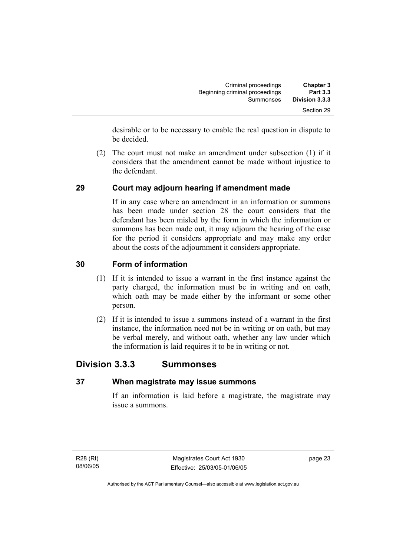| <b>Chapter 3</b> | Criminal proceedings           |
|------------------|--------------------------------|
| <b>Part 3.3</b>  | Beginning criminal proceedings |
| Division 3.3.3   | Summonses                      |
| Section 29       |                                |

desirable or to be necessary to enable the real question in dispute to be decided.

 (2) The court must not make an amendment under subsection (1) if it considers that the amendment cannot be made without injustice to the defendant.

# **29 Court may adjourn hearing if amendment made**

If in any case where an amendment in an information or summons has been made under section 28 the court considers that the defendant has been misled by the form in which the information or summons has been made out, it may adjourn the hearing of the case for the period it considers appropriate and may make any order about the costs of the adjournment it considers appropriate.

### **30 Form of information**

- (1) If it is intended to issue a warrant in the first instance against the party charged, the information must be in writing and on oath, which oath may be made either by the informant or some other person.
- (2) If it is intended to issue a summons instead of a warrant in the first instance, the information need not be in writing or on oath, but may be verbal merely, and without oath, whether any law under which the information is laid requires it to be in writing or not.

# **Division 3.3.3 Summonses**

### **37 When magistrate may issue summons**

If an information is laid before a magistrate, the magistrate may issue a summons.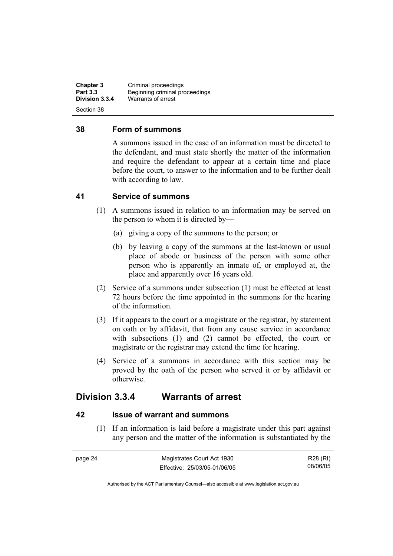**Chapter 3** Criminal proceedings<br> **Part 3.3** Beginning criminal pro-**Part 3.3 Beginning criminal proceedings**<br>**Division 3.3.4** *Marrants of arrest* **Division 3.3.4** Warrants of arrest Section 38

### **38 Form of summons**

A summons issued in the case of an information must be directed to the defendant, and must state shortly the matter of the information and require the defendant to appear at a certain time and place before the court, to answer to the information and to be further dealt with according to law.

### **41 Service of summons**

- (1) A summons issued in relation to an information may be served on the person to whom it is directed by—
	- (a) giving a copy of the summons to the person; or
	- (b) by leaving a copy of the summons at the last-known or usual place of abode or business of the person with some other person who is apparently an inmate of, or employed at, the place and apparently over 16 years old.
- (2) Service of a summons under subsection (1) must be effected at least 72 hours before the time appointed in the summons for the hearing of the information.
- (3) If it appears to the court or a magistrate or the registrar, by statement on oath or by affidavit, that from any cause service in accordance with subsections (1) and (2) cannot be effected, the court or magistrate or the registrar may extend the time for hearing.
- (4) Service of a summons in accordance with this section may be proved by the oath of the person who served it or by affidavit or otherwise.

# **Division 3.3.4 Warrants of arrest**

### **42 Issue of warrant and summons**

 (1) If an information is laid before a magistrate under this part against any person and the matter of the information is substantiated by the

| page 24 | Magistrates Court Act 1930   | R28 (RI) |
|---------|------------------------------|----------|
|         | Effective: 25/03/05-01/06/05 | 08/06/05 |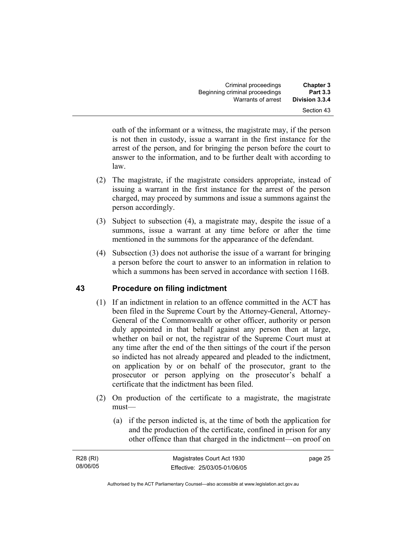| <b>Chapter 3</b> | Criminal proceedings           |
|------------------|--------------------------------|
| <b>Part 3.3</b>  | Beginning criminal proceedings |
| Division 3.3.4   | Warrants of arrest             |
| Section 43       |                                |

oath of the informant or a witness, the magistrate may, if the person is not then in custody, issue a warrant in the first instance for the arrest of the person, and for bringing the person before the court to answer to the information, and to be further dealt with according to law.

- (2) The magistrate, if the magistrate considers appropriate, instead of issuing a warrant in the first instance for the arrest of the person charged, may proceed by summons and issue a summons against the person accordingly.
- (3) Subject to subsection (4), a magistrate may, despite the issue of a summons, issue a warrant at any time before or after the time mentioned in the summons for the appearance of the defendant.
- (4) Subsection (3) does not authorise the issue of a warrant for bringing a person before the court to answer to an information in relation to which a summons has been served in accordance with section 116B.

# **43 Procedure on filing indictment**

- (1) If an indictment in relation to an offence committed in the ACT has been filed in the Supreme Court by the Attorney-General, Attorney-General of the Commonwealth or other officer, authority or person duly appointed in that behalf against any person then at large, whether on bail or not, the registrar of the Supreme Court must at any time after the end of the then sittings of the court if the person so indicted has not already appeared and pleaded to the indictment, on application by or on behalf of the prosecutor, grant to the prosecutor or person applying on the prosecutor's behalf a certificate that the indictment has been filed.
- (2) On production of the certificate to a magistrate, the magistrate must—
	- (a) if the person indicted is, at the time of both the application for and the production of the certificate, confined in prison for any other offence than that charged in the indictment—on proof on

| R28 (RI) | Magistrates Court Act 1930   | page 25 |
|----------|------------------------------|---------|
| 08/06/05 | Effective: 25/03/05-01/06/05 |         |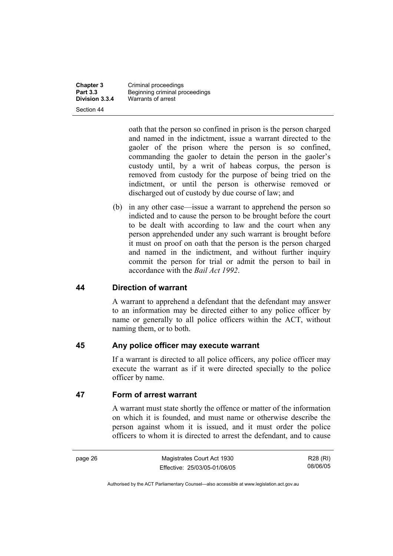Section 44

**Chapter 3** Criminal proceedings<br> **Part 3.3** Beginning criminal pro-**Part 3.3 Beginning criminal proceedings**<br>**Division 3.3.4** Warrants of arrest **Division 3.3.4** Warrants of arrest

> oath that the person so confined in prison is the person charged and named in the indictment, issue a warrant directed to the gaoler of the prison where the person is so confined, commanding the gaoler to detain the person in the gaoler's custody until, by a writ of habeas corpus, the person is removed from custody for the purpose of being tried on the indictment, or until the person is otherwise removed or discharged out of custody by due course of law; and

 (b) in any other case—issue a warrant to apprehend the person so indicted and to cause the person to be brought before the court to be dealt with according to law and the court when any person apprehended under any such warrant is brought before it must on proof on oath that the person is the person charged and named in the indictment, and without further inquiry commit the person for trial or admit the person to bail in accordance with the *Bail Act 1992*.

### **44 Direction of warrant**

A warrant to apprehend a defendant that the defendant may answer to an information may be directed either to any police officer by name or generally to all police officers within the ACT, without naming them, or to both.

### **45 Any police officer may execute warrant**

If a warrant is directed to all police officers, any police officer may execute the warrant as if it were directed specially to the police officer by name.

### **47 Form of arrest warrant**

A warrant must state shortly the offence or matter of the information on which it is founded, and must name or otherwise describe the person against whom it is issued, and it must order the police officers to whom it is directed to arrest the defendant, and to cause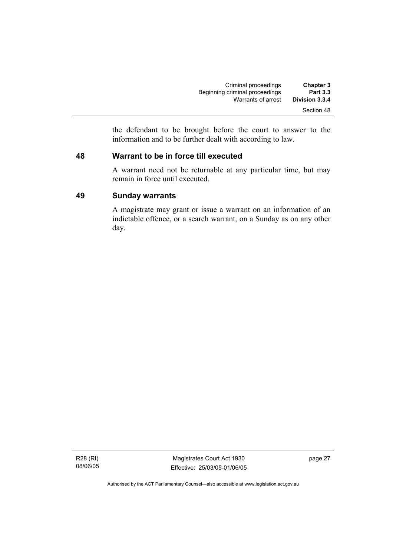| <b>Chapter 3</b> | Criminal proceedings           |
|------------------|--------------------------------|
| <b>Part 3.3</b>  | Beginning criminal proceedings |
| Division 3.3.4   | Warrants of arrest             |
| Section 48       |                                |

the defendant to be brought before the court to answer to the information and to be further dealt with according to law.

### **48 Warrant to be in force till executed**

A warrant need not be returnable at any particular time, but may remain in force until executed.

### **49 Sunday warrants**

A magistrate may grant or issue a warrant on an information of an indictable offence, or a search warrant, on a Sunday as on any other day.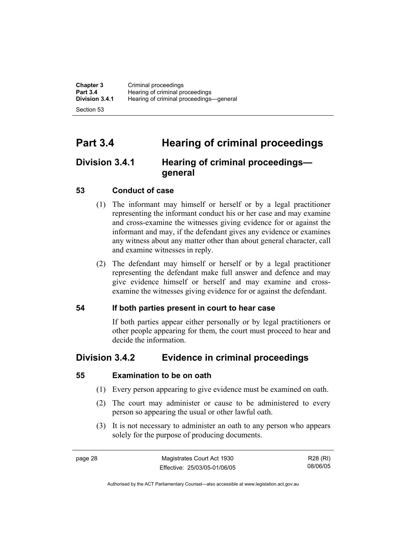**Chapter 3** Criminal proceedings<br> **Part 3.4** Hearing of criminal pro **Part 3.4 Hearing of criminal proceedings**<br>**Division 3.4.1** Hearing of criminal proceedings **Division 3.4.1** Hearing of criminal proceedings—general Section 53

# **Part 3.4 Hearing of criminal proceedings**

# **Division 3.4.1 Hearing of criminal proceedings general**

# **53 Conduct of case**

- (1) The informant may himself or herself or by a legal practitioner representing the informant conduct his or her case and may examine and cross-examine the witnesses giving evidence for or against the informant and may, if the defendant gives any evidence or examines any witness about any matter other than about general character, call and examine witnesses in reply.
- (2) The defendant may himself or herself or by a legal practitioner representing the defendant make full answer and defence and may give evidence himself or herself and may examine and crossexamine the witnesses giving evidence for or against the defendant.

# **54 If both parties present in court to hear case**

If both parties appear either personally or by legal practitioners or other people appearing for them, the court must proceed to hear and decide the information.

# **Division 3.4.2 Evidence in criminal proceedings**

# **55 Examination to be on oath**

- (1) Every person appearing to give evidence must be examined on oath.
- (2) The court may administer or cause to be administered to every person so appearing the usual or other lawful oath.
- (3) It is not necessary to administer an oath to any person who appears solely for the purpose of producing documents.

page 28 Magistrates Court Act 1930 Effective: 25/03/05-01/06/05

R28 (RI) 08/06/05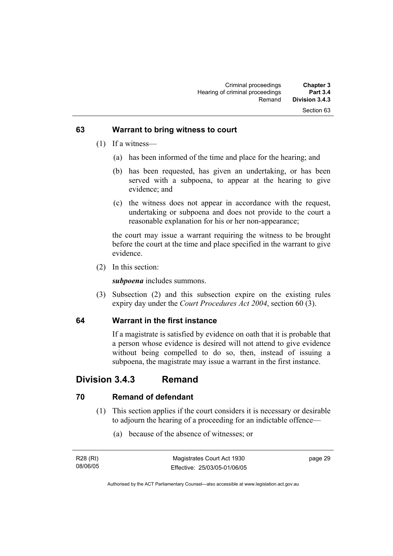### **63 Warrant to bring witness to court**

- (1) If a witness—
	- (a) has been informed of the time and place for the hearing; and
	- (b) has been requested, has given an undertaking, or has been served with a subpoena, to appear at the hearing to give evidence; and
	- (c) the witness does not appear in accordance with the request, undertaking or subpoena and does not provide to the court a reasonable explanation for his or her non-appearance;

the court may issue a warrant requiring the witness to be brought before the court at the time and place specified in the warrant to give evidence.

(2) In this section:

*subpoena* includes summons.

 (3) Subsection (2) and this subsection expire on the existing rules expiry day under the *Court Procedures Act 2004*, section 60 (3).

# **64 Warrant in the first instance**

If a magistrate is satisfied by evidence on oath that it is probable that a person whose evidence is desired will not attend to give evidence without being compelled to do so, then, instead of issuing a subpoena, the magistrate may issue a warrant in the first instance.

# **Division 3.4.3 Remand**

# **70 Remand of defendant**

- (1) This section applies if the court considers it is necessary or desirable to adjourn the hearing of a proceeding for an indictable offence—
	- (a) because of the absence of witnesses; or

| R28 (RI) | Magistrates Court Act 1930   | page 29 |
|----------|------------------------------|---------|
| 08/06/05 | Effective: 25/03/05-01/06/05 |         |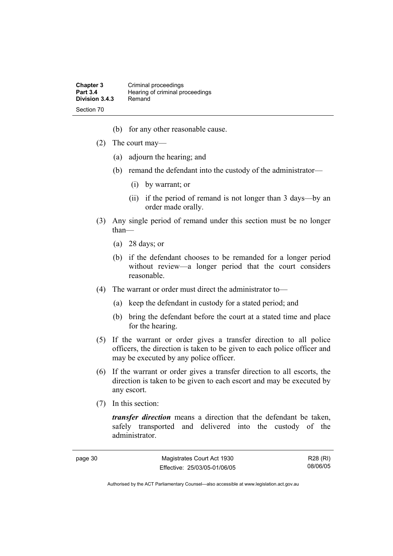| <b>Chapter 3</b> | Criminal proceedings            |
|------------------|---------------------------------|
| <b>Part 3.4</b>  | Hearing of criminal proceedings |
| Division 3.4.3   | Remand                          |
| Section 70       |                                 |

- (b) for any other reasonable cause.
- (2) The court may—
	- (a) adjourn the hearing; and
	- (b) remand the defendant into the custody of the administrator—
		- (i) by warrant; or
		- (ii) if the period of remand is not longer than 3 days—by an order made orally.
- (3) Any single period of remand under this section must be no longer than—
	- (a) 28 days; or
	- (b) if the defendant chooses to be remanded for a longer period without review—a longer period that the court considers reasonable.
- (4) The warrant or order must direct the administrator to—
	- (a) keep the defendant in custody for a stated period; and
	- (b) bring the defendant before the court at a stated time and place for the hearing.
- (5) If the warrant or order gives a transfer direction to all police officers, the direction is taken to be given to each police officer and may be executed by any police officer.
- (6) If the warrant or order gives a transfer direction to all escorts, the direction is taken to be given to each escort and may be executed by any escort.
- (7) In this section:

*transfer direction* means a direction that the defendant be taken, safely transported and delivered into the custody of the administrator.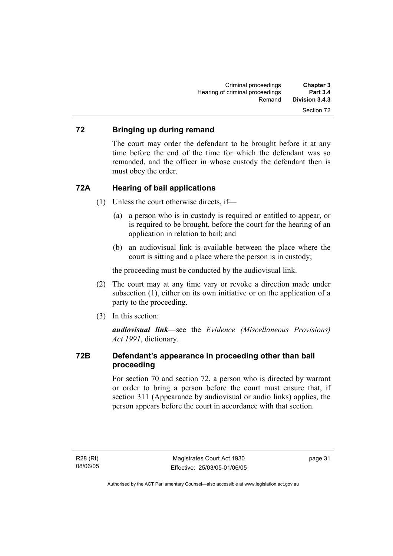# **72 Bringing up during remand**

The court may order the defendant to be brought before it at any time before the end of the time for which the defendant was so remanded, and the officer in whose custody the defendant then is must obey the order.

### **72A Hearing of bail applications**

- (1) Unless the court otherwise directs, if—
	- (a) a person who is in custody is required or entitled to appear, or is required to be brought, before the court for the hearing of an application in relation to bail; and
	- (b) an audiovisual link is available between the place where the court is sitting and a place where the person is in custody;

the proceeding must be conducted by the audiovisual link.

- (2) The court may at any time vary or revoke a direction made under subsection (1), either on its own initiative or on the application of a party to the proceeding.
- (3) In this section:

*audiovisual link*—see the *Evidence (Miscellaneous Provisions) Act 1991*, dictionary.

# **72B Defendant's appearance in proceeding other than bail proceeding**

For section 70 and section 72, a person who is directed by warrant or order to bring a person before the court must ensure that, if section 311 (Appearance by audiovisual or audio links) applies, the person appears before the court in accordance with that section.

R28 (RI) 08/06/05 page 31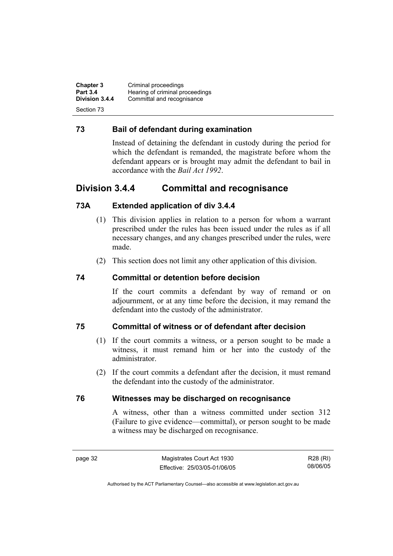**Chapter 3** Criminal proceedings<br> **Part 3.4** Hearing of criminal pro **Part 3.4 Hearing of criminal proceedings**<br>**Division 3.4.4** Committal and recognisance Committal and recognisance Section 73

## **73 Bail of defendant during examination**

Instead of detaining the defendant in custody during the period for which the defendant is remanded, the magistrate before whom the defendant appears or is brought may admit the defendant to bail in accordance with the *Bail Act 1992*.

# **Division 3.4.4 Committal and recognisance**

# **73A Extended application of div 3.4.4**

- (1) This division applies in relation to a person for whom a warrant prescribed under the rules has been issued under the rules as if all necessary changes, and any changes prescribed under the rules, were made.
- (2) This section does not limit any other application of this division.

## **74 Committal or detention before decision**

If the court commits a defendant by way of remand or on adjournment, or at any time before the decision, it may remand the defendant into the custody of the administrator.

### **75 Committal of witness or of defendant after decision**

- (1) If the court commits a witness, or a person sought to be made a witness, it must remand him or her into the custody of the administrator.
- (2) If the court commits a defendant after the decision, it must remand the defendant into the custody of the administrator.

### **76 Witnesses may be discharged on recognisance**

A witness, other than a witness committed under section 312 (Failure to give evidence—committal), or person sought to be made a witness may be discharged on recognisance.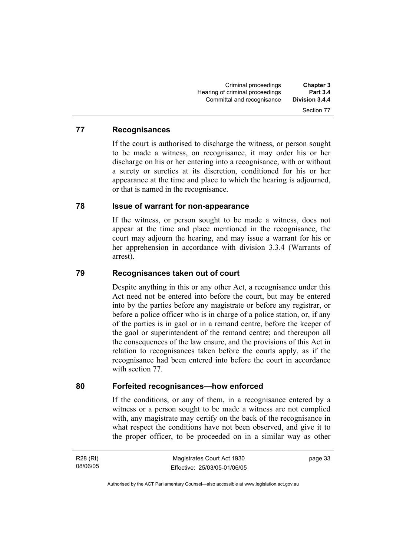### **77 Recognisances**

If the court is authorised to discharge the witness, or person sought to be made a witness, on recognisance, it may order his or her discharge on his or her entering into a recognisance, with or without a surety or sureties at its discretion, conditioned for his or her appearance at the time and place to which the hearing is adjourned, or that is named in the recognisance.

### **78 Issue of warrant for non-appearance**

If the witness, or person sought to be made a witness, does not appear at the time and place mentioned in the recognisance, the court may adjourn the hearing, and may issue a warrant for his or her apprehension in accordance with division 3.3.4 (Warrants of arrest).

### **79 Recognisances taken out of court**

Despite anything in this or any other Act, a recognisance under this Act need not be entered into before the court, but may be entered into by the parties before any magistrate or before any registrar, or before a police officer who is in charge of a police station, or, if any of the parties is in gaol or in a remand centre, before the keeper of the gaol or superintendent of the remand centre; and thereupon all the consequences of the law ensure, and the provisions of this Act in relation to recognisances taken before the courts apply, as if the recognisance had been entered into before the court in accordance with section 77.

### **80 Forfeited recognisances—how enforced**

If the conditions, or any of them, in a recognisance entered by a witness or a person sought to be made a witness are not complied with, any magistrate may certify on the back of the recognisance in what respect the conditions have not been observed, and give it to the proper officer, to be proceeded on in a similar way as other

R28 (RI) 08/06/05 page 33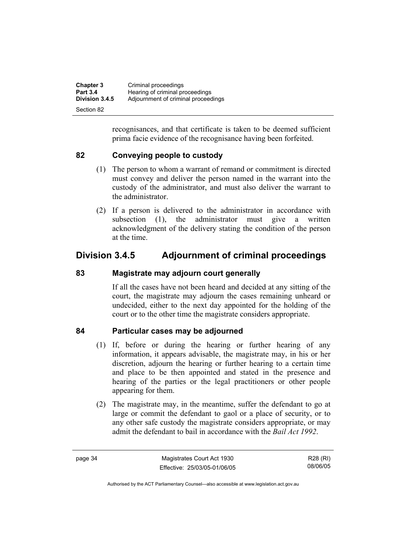| <b>Chapter 3</b> | Criminal proceedings                |
|------------------|-------------------------------------|
| <b>Part 3.4</b>  | Hearing of criminal proceedings     |
| Division 3.4.5   | Adjournment of criminal proceedings |
| Section 82       |                                     |

recognisances, and that certificate is taken to be deemed sufficient prima facie evidence of the recognisance having been forfeited.

# **82 Conveying people to custody**

- (1) The person to whom a warrant of remand or commitment is directed must convey and deliver the person named in the warrant into the custody of the administrator, and must also deliver the warrant to the administrator.
- (2) If a person is delivered to the administrator in accordance with subsection (1), the administrator must give a written acknowledgment of the delivery stating the condition of the person at the time.

# **Division 3.4.5 Adjournment of criminal proceedings**

### **83 Magistrate may adjourn court generally**

If all the cases have not been heard and decided at any sitting of the court, the magistrate may adjourn the cases remaining unheard or undecided, either to the next day appointed for the holding of the court or to the other time the magistrate considers appropriate.

### **84 Particular cases may be adjourned**

- (1) If, before or during the hearing or further hearing of any information, it appears advisable, the magistrate may, in his or her discretion, adjourn the hearing or further hearing to a certain time and place to be then appointed and stated in the presence and hearing of the parties or the legal practitioners or other people appearing for them.
- (2) The magistrate may, in the meantime, suffer the defendant to go at large or commit the defendant to gaol or a place of security, or to any other safe custody the magistrate considers appropriate, or may admit the defendant to bail in accordance with the *Bail Act 1992*.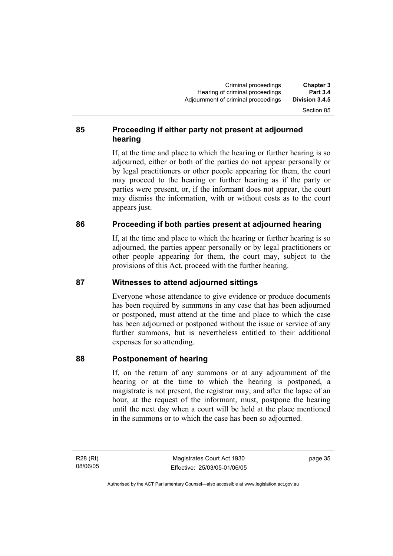# **85 Proceeding if either party not present at adjourned hearing**

If, at the time and place to which the hearing or further hearing is so adjourned, either or both of the parties do not appear personally or by legal practitioners or other people appearing for them, the court may proceed to the hearing or further hearing as if the party or parties were present, or, if the informant does not appear, the court may dismiss the information, with or without costs as to the court appears just.

# **86 Proceeding if both parties present at adjourned hearing**

If, at the time and place to which the hearing or further hearing is so adjourned, the parties appear personally or by legal practitioners or other people appearing for them, the court may, subject to the provisions of this Act, proceed with the further hearing.

# **87 Witnesses to attend adjourned sittings**

Everyone whose attendance to give evidence or produce documents has been required by summons in any case that has been adjourned or postponed, must attend at the time and place to which the case has been adjourned or postponed without the issue or service of any further summons, but is nevertheless entitled to their additional expenses for so attending.

# **88 Postponement of hearing**

If, on the return of any summons or at any adjournment of the hearing or at the time to which the hearing is postponed, a magistrate is not present, the registrar may, and after the lapse of an hour, at the request of the informant, must, postpone the hearing until the next day when a court will be held at the place mentioned in the summons or to which the case has been so adjourned.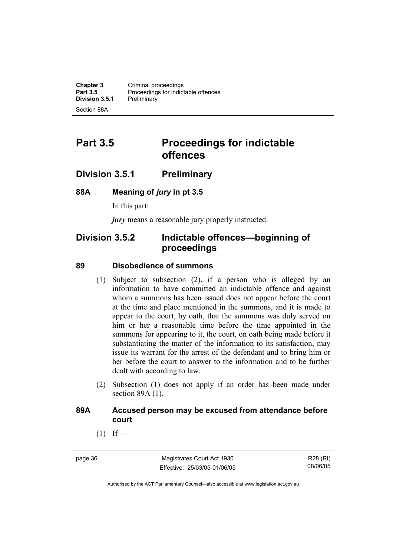**Chapter 3 Criminal proceedings**<br>**Part 3.5 Proceedings for indict** Proceedings for indictable offences<br>Preliminary **Division 3.5.1** Section 88A

# **Part 3.5** Proceedings for indictable **offences**

# **Division 3.5.1 Preliminary**

### **88A Meaning of** *jury* **in pt 3.5**

In this part:

*jury* means a reasonable jury properly instructed.

# **Division 3.5.2 Indictable offences—beginning of proceedings**

### **89 Disobedience of summons**

- (1) Subject to subsection (2), if a person who is alleged by an information to have committed an indictable offence and against whom a summons has been issued does not appear before the court at the time and place mentioned in the summons, and it is made to appear to the court, by oath, that the summons was duly served on him or her a reasonable time before the time appointed in the summons for appearing to it, the court, on oath being made before it substantiating the matter of the information to its satisfaction, may issue its warrant for the arrest of the defendant and to bring him or her before the court to answer to the information and to be further dealt with according to law.
- (2) Subsection (1) does not apply if an order has been made under section 89A (1).

### **89A Accused person may be excused from attendance before court**

 $(1)$  If—

page 36 Magistrates Court Act 1930 Effective: 25/03/05-01/06/05

R28 (RI) 08/06/05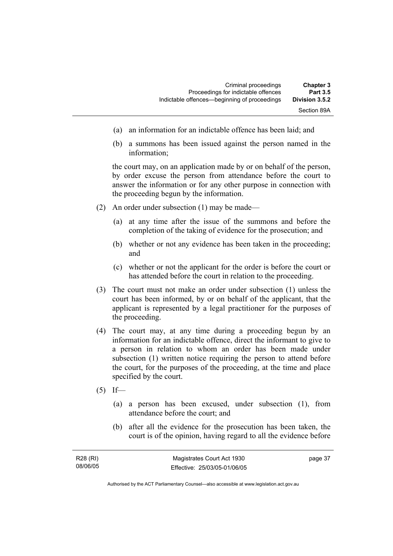- (a) an information for an indictable offence has been laid; and
- (b) a summons has been issued against the person named in the information;

the court may, on an application made by or on behalf of the person, by order excuse the person from attendance before the court to answer the information or for any other purpose in connection with the proceeding begun by the information.

- (2) An order under subsection (1) may be made—
	- (a) at any time after the issue of the summons and before the completion of the taking of evidence for the prosecution; and
	- (b) whether or not any evidence has been taken in the proceeding; and
	- (c) whether or not the applicant for the order is before the court or has attended before the court in relation to the proceeding.
- (3) The court must not make an order under subsection (1) unless the court has been informed, by or on behalf of the applicant, that the applicant is represented by a legal practitioner for the purposes of the proceeding.
- (4) The court may, at any time during a proceeding begun by an information for an indictable offence, direct the informant to give to a person in relation to whom an order has been made under subsection (1) written notice requiring the person to attend before the court, for the purposes of the proceeding, at the time and place specified by the court.
- $(5)$  If—
	- (a) a person has been excused, under subsection (1), from attendance before the court; and
	- (b) after all the evidence for the prosecution has been taken, the court is of the opinion, having regard to all the evidence before

| R28 (RI) | Magistrates Court Act 1930   | page 37 |
|----------|------------------------------|---------|
| 08/06/05 | Effective: 25/03/05-01/06/05 |         |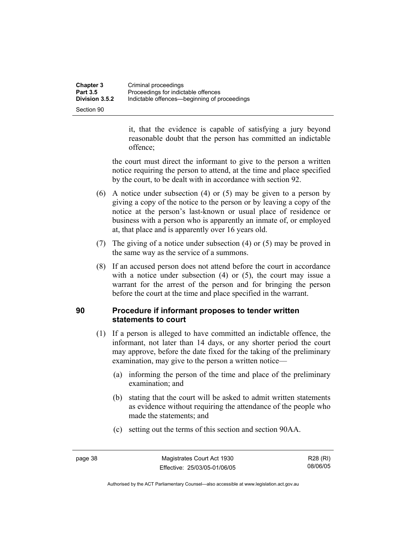| Chapter 3             | Criminal proceedings                         |
|-----------------------|----------------------------------------------|
| <b>Part 3.5</b>       | Proceedings for indictable offences          |
| <b>Division 3.5.2</b> | Indictable offences—beginning of proceedings |
| Section 90            |                                              |

it, that the evidence is capable of satisfying a jury beyond reasonable doubt that the person has committed an indictable offence;

the court must direct the informant to give to the person a written notice requiring the person to attend, at the time and place specified by the court, to be dealt with in accordance with section 92.

- (6) A notice under subsection (4) or (5) may be given to a person by giving a copy of the notice to the person or by leaving a copy of the notice at the person's last-known or usual place of residence or business with a person who is apparently an inmate of, or employed at, that place and is apparently over 16 years old.
- (7) The giving of a notice under subsection (4) or (5) may be proved in the same way as the service of a summons.
- (8) If an accused person does not attend before the court in accordance with a notice under subsection (4) or (5), the court may issue a warrant for the arrest of the person and for bringing the person before the court at the time and place specified in the warrant.

# **90 Procedure if informant proposes to tender written statements to court**

- (1) If a person is alleged to have committed an indictable offence, the informant, not later than 14 days, or any shorter period the court may approve, before the date fixed for the taking of the preliminary examination, may give to the person a written notice—
	- (a) informing the person of the time and place of the preliminary examination; and
	- (b) stating that the court will be asked to admit written statements as evidence without requiring the attendance of the people who made the statements; and
	- (c) setting out the terms of this section and section 90AA.

R28 (RI) 08/06/05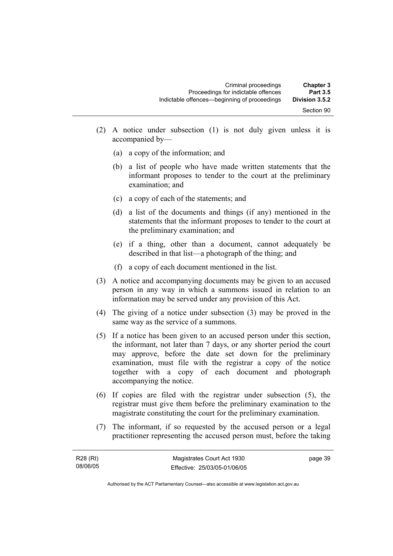- (2) A notice under subsection (1) is not duly given unless it is accompanied by—
	- (a) a copy of the information; and
	- (b) a list of people who have made written statements that the informant proposes to tender to the court at the preliminary examination; and
	- (c) a copy of each of the statements; and
	- (d) a list of the documents and things (if any) mentioned in the statements that the informant proposes to tender to the court at the preliminary examination; and
	- (e) if a thing, other than a document, cannot adequately be described in that list—a photograph of the thing; and
	- (f) a copy of each document mentioned in the list.
- (3) A notice and accompanying documents may be given to an accused person in any way in which a summons issued in relation to an information may be served under any provision of this Act.
- (4) The giving of a notice under subsection (3) may be proved in the same way as the service of a summons.
- (5) If a notice has been given to an accused person under this section, the informant, not later than 7 days, or any shorter period the court may approve, before the date set down for the preliminary examination, must file with the registrar a copy of the notice together with a copy of each document and photograph accompanying the notice.
- (6) If copies are filed with the registrar under subsection (5), the registrar must give them before the preliminary examination to the magistrate constituting the court for the preliminary examination.
- (7) The informant, if so requested by the accused person or a legal practitioner representing the accused person must, before the taking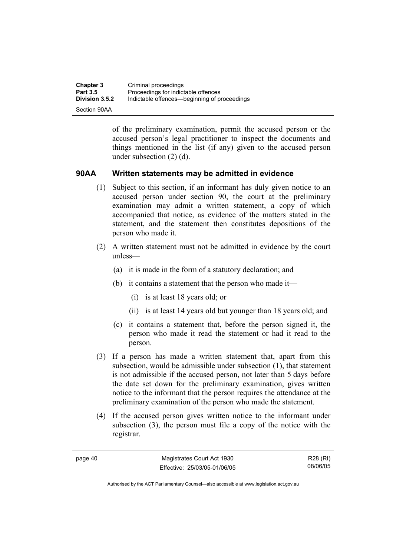| <b>Chapter 3</b>      | Criminal proceedings                         |
|-----------------------|----------------------------------------------|
| <b>Part 3.5</b>       | Proceedings for indictable offences          |
| <b>Division 3.5.2</b> | Indictable offences—beginning of proceedings |
| Section 90AA          |                                              |

of the preliminary examination, permit the accused person or the accused person's legal practitioner to inspect the documents and things mentioned in the list (if any) given to the accused person under subsection (2) (d).

### **90AA Written statements may be admitted in evidence**

- (1) Subject to this section, if an informant has duly given notice to an accused person under section 90, the court at the preliminary examination may admit a written statement, a copy of which accompanied that notice, as evidence of the matters stated in the statement, and the statement then constitutes depositions of the person who made it.
- (2) A written statement must not be admitted in evidence by the court unless—
	- (a) it is made in the form of a statutory declaration; and
	- (b) it contains a statement that the person who made it—
		- (i) is at least 18 years old; or
		- (ii) is at least 14 years old but younger than 18 years old; and
	- (c) it contains a statement that, before the person signed it, the person who made it read the statement or had it read to the person.
- (3) If a person has made a written statement that, apart from this subsection, would be admissible under subsection (1), that statement is not admissible if the accused person, not later than 5 days before the date set down for the preliminary examination, gives written notice to the informant that the person requires the attendance at the preliminary examination of the person who made the statement.
- (4) If the accused person gives written notice to the informant under subsection (3), the person must file a copy of the notice with the registrar.

page 40 Magistrates Court Act 1930 Effective: 25/03/05-01/06/05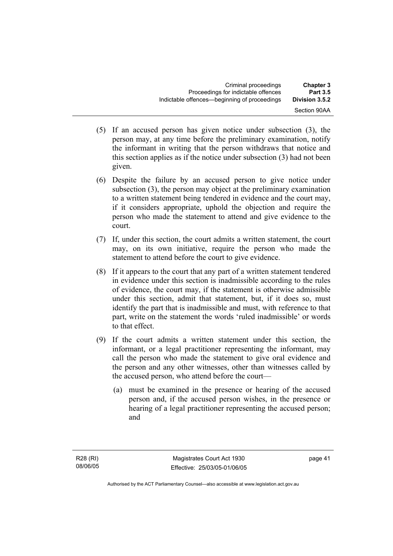- (5) If an accused person has given notice under subsection (3), the person may, at any time before the preliminary examination, notify the informant in writing that the person withdraws that notice and this section applies as if the notice under subsection (3) had not been given.
- (6) Despite the failure by an accused person to give notice under subsection (3), the person may object at the preliminary examination to a written statement being tendered in evidence and the court may, if it considers appropriate, uphold the objection and require the person who made the statement to attend and give evidence to the court.
- (7) If, under this section, the court admits a written statement, the court may, on its own initiative, require the person who made the statement to attend before the court to give evidence.
- (8) If it appears to the court that any part of a written statement tendered in evidence under this section is inadmissible according to the rules of evidence, the court may, if the statement is otherwise admissible under this section, admit that statement, but, if it does so, must identify the part that is inadmissible and must, with reference to that part, write on the statement the words 'ruled inadmissible' or words to that effect.
- (9) If the court admits a written statement under this section, the informant, or a legal practitioner representing the informant, may call the person who made the statement to give oral evidence and the person and any other witnesses, other than witnesses called by the accused person, who attend before the court—
	- (a) must be examined in the presence or hearing of the accused person and, if the accused person wishes, in the presence or hearing of a legal practitioner representing the accused person; and

page 41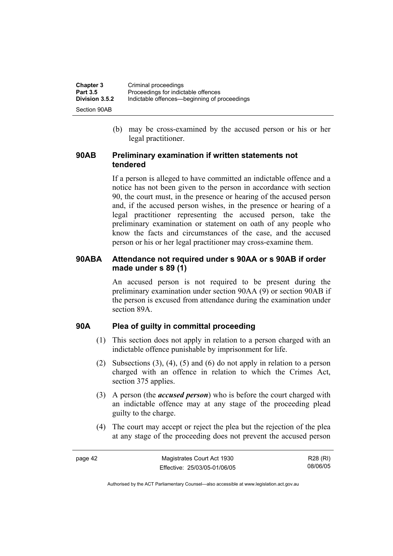| <b>Chapter 3</b> | Criminal proceedings                         |
|------------------|----------------------------------------------|
| <b>Part 3.5</b>  | Proceedings for indictable offences          |
| Division 3.5.2   | Indictable offences—beginning of proceedings |
| Section 90AB     |                                              |

 (b) may be cross-examined by the accused person or his or her legal practitioner.

### **90AB Preliminary examination if written statements not tendered**

If a person is alleged to have committed an indictable offence and a notice has not been given to the person in accordance with section 90, the court must, in the presence or hearing of the accused person and, if the accused person wishes, in the presence or hearing of a legal practitioner representing the accused person, take the preliminary examination or statement on oath of any people who know the facts and circumstances of the case, and the accused person or his or her legal practitioner may cross-examine them.

### **90ABA Attendance not required under s 90AA or s 90AB if order made under s 89 (1)**

An accused person is not required to be present during the preliminary examination under section 90AA (9) or section 90AB if the person is excused from attendance during the examination under section 89A.

### **90A Plea of guilty in committal proceeding**

- (1) This section does not apply in relation to a person charged with an indictable offence punishable by imprisonment for life.
- (2) Subsections (3), (4), (5) and (6) do not apply in relation to a person charged with an offence in relation to which the Crimes Act, section 375 applies.
- (3) A person (the *accused person*) who is before the court charged with an indictable offence may at any stage of the proceeding plead guilty to the charge.
- (4) The court may accept or reject the plea but the rejection of the plea at any stage of the proceeding does not prevent the accused person

R28 (RI) 08/06/05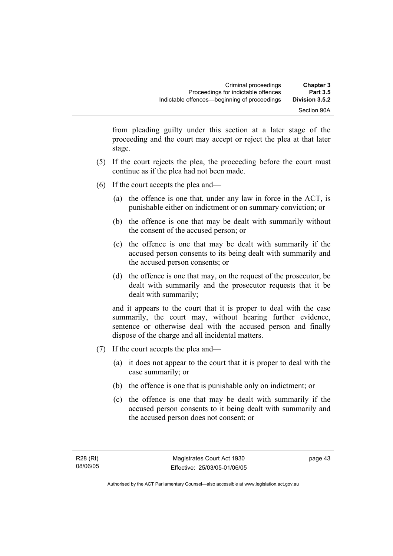from pleading guilty under this section at a later stage of the proceeding and the court may accept or reject the plea at that later stage.

- (5) If the court rejects the plea, the proceeding before the court must continue as if the plea had not been made.
- (6) If the court accepts the plea and—
	- (a) the offence is one that, under any law in force in the ACT, is punishable either on indictment or on summary conviction; or
	- (b) the offence is one that may be dealt with summarily without the consent of the accused person; or
	- (c) the offence is one that may be dealt with summarily if the accused person consents to its being dealt with summarily and the accused person consents; or
	- (d) the offence is one that may, on the request of the prosecutor, be dealt with summarily and the prosecutor requests that it be dealt with summarily;

and it appears to the court that it is proper to deal with the case summarily, the court may, without hearing further evidence, sentence or otherwise deal with the accused person and finally dispose of the charge and all incidental matters.

- (7) If the court accepts the plea and—
	- (a) it does not appear to the court that it is proper to deal with the case summarily; or
	- (b) the offence is one that is punishable only on indictment; or
	- (c) the offence is one that may be dealt with summarily if the accused person consents to it being dealt with summarily and the accused person does not consent; or

page 43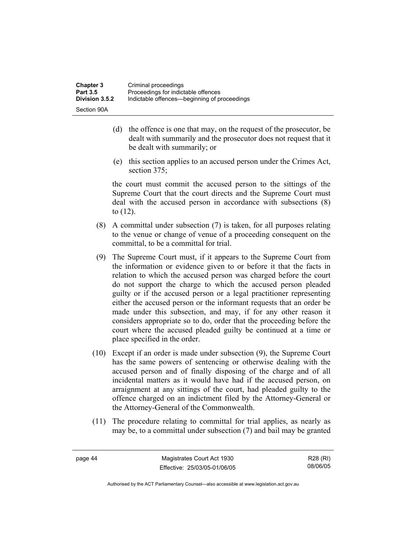- (d) the offence is one that may, on the request of the prosecutor, be dealt with summarily and the prosecutor does not request that it be dealt with summarily; or
- (e) this section applies to an accused person under the Crimes Act, section 375:

the court must commit the accused person to the sittings of the Supreme Court that the court directs and the Supreme Court must deal with the accused person in accordance with subsections (8) to (12).

- (8) A committal under subsection (7) is taken, for all purposes relating to the venue or change of venue of a proceeding consequent on the committal, to be a committal for trial.
- (9) The Supreme Court must, if it appears to the Supreme Court from the information or evidence given to or before it that the facts in relation to which the accused person was charged before the court do not support the charge to which the accused person pleaded guilty or if the accused person or a legal practitioner representing either the accused person or the informant requests that an order be made under this subsection, and may, if for any other reason it considers appropriate so to do, order that the proceeding before the court where the accused pleaded guilty be continued at a time or place specified in the order.
- (10) Except if an order is made under subsection (9), the Supreme Court has the same powers of sentencing or otherwise dealing with the accused person and of finally disposing of the charge and of all incidental matters as it would have had if the accused person, on arraignment at any sittings of the court, had pleaded guilty to the offence charged on an indictment filed by the Attorney-General or the Attorney-General of the Commonwealth.
- (11) The procedure relating to committal for trial applies, as nearly as may be, to a committal under subsection (7) and bail may be granted

R28 (RI) 08/06/05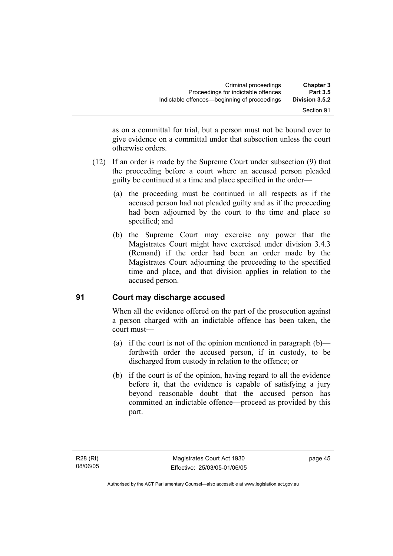| <b>Chapter 3</b>                  | Criminal proceedings                                                                |  |
|-----------------------------------|-------------------------------------------------------------------------------------|--|
| <b>Part 3.5</b><br>Division 3.5.2 | Proceedings for indictable offences<br>Indictable offences—beginning of proceedings |  |
| Section 91                        |                                                                                     |  |

as on a committal for trial, but a person must not be bound over to give evidence on a committal under that subsection unless the court otherwise orders.

- (12) If an order is made by the Supreme Court under subsection (9) that the proceeding before a court where an accused person pleaded guilty be continued at a time and place specified in the order—
	- (a) the proceeding must be continued in all respects as if the accused person had not pleaded guilty and as if the proceeding had been adjourned by the court to the time and place so specified; and
	- (b) the Supreme Court may exercise any power that the Magistrates Court might have exercised under division 3.4.3 (Remand) if the order had been an order made by the Magistrates Court adjourning the proceeding to the specified time and place, and that division applies in relation to the accused person.

# **91 Court may discharge accused**

When all the evidence offered on the part of the prosecution against a person charged with an indictable offence has been taken, the court must—

- (a) if the court is not of the opinion mentioned in paragraph  $(b)$  forthwith order the accused person, if in custody, to be discharged from custody in relation to the offence; or
- (b) if the court is of the opinion, having regard to all the evidence before it, that the evidence is capable of satisfying a jury beyond reasonable doubt that the accused person has committed an indictable offence—proceed as provided by this part.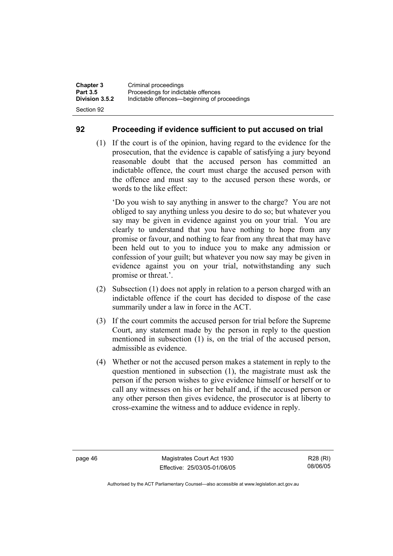## **92 Proceeding if evidence sufficient to put accused on trial**

 (1) If the court is of the opinion, having regard to the evidence for the prosecution, that the evidence is capable of satisfying a jury beyond reasonable doubt that the accused person has committed an indictable offence, the court must charge the accused person with the offence and must say to the accused person these words, or words to the like effect:

'Do you wish to say anything in answer to the charge? You are not obliged to say anything unless you desire to do so; but whatever you say may be given in evidence against you on your trial. You are clearly to understand that you have nothing to hope from any promise or favour, and nothing to fear from any threat that may have been held out to you to induce you to make any admission or confession of your guilt; but whatever you now say may be given in evidence against you on your trial, notwithstanding any such promise or threat.'.

- (2) Subsection (1) does not apply in relation to a person charged with an indictable offence if the court has decided to dispose of the case summarily under a law in force in the ACT.
- (3) If the court commits the accused person for trial before the Supreme Court, any statement made by the person in reply to the question mentioned in subsection (1) is, on the trial of the accused person, admissible as evidence.
- (4) Whether or not the accused person makes a statement in reply to the question mentioned in subsection (1), the magistrate must ask the person if the person wishes to give evidence himself or herself or to call any witnesses on his or her behalf and, if the accused person or any other person then gives evidence, the prosecutor is at liberty to cross-examine the witness and to adduce evidence in reply.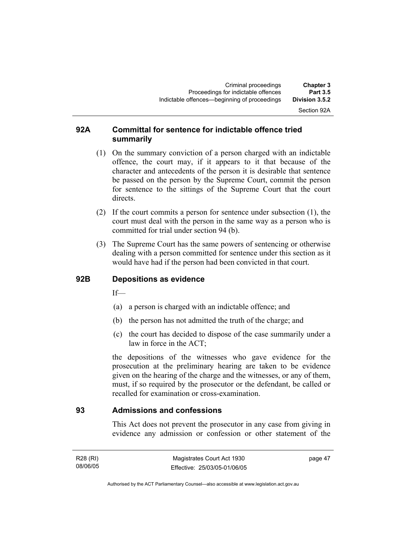# Section 92A

### **92A Committal for sentence for indictable offence tried summarily**

- (1) On the summary conviction of a person charged with an indictable offence, the court may, if it appears to it that because of the character and antecedents of the person it is desirable that sentence be passed on the person by the Supreme Court, commit the person for sentence to the sittings of the Supreme Court that the court directs.
- (2) If the court commits a person for sentence under subsection (1), the court must deal with the person in the same way as a person who is committed for trial under section 94 (b).
- (3) The Supreme Court has the same powers of sentencing or otherwise dealing with a person committed for sentence under this section as it would have had if the person had been convicted in that court.

### **92B Depositions as evidence**

 $If$ —

- (a) a person is charged with an indictable offence; and
- (b) the person has not admitted the truth of the charge; and
- (c) the court has decided to dispose of the case summarily under a law in force in the ACT;

the depositions of the witnesses who gave evidence for the prosecution at the preliminary hearing are taken to be evidence given on the hearing of the charge and the witnesses, or any of them, must, if so required by the prosecutor or the defendant, be called or recalled for examination or cross-examination.

### **93 Admissions and confessions**

This Act does not prevent the prosecutor in any case from giving in evidence any admission or confession or other statement of the

R28 (RI) 08/06/05 page 47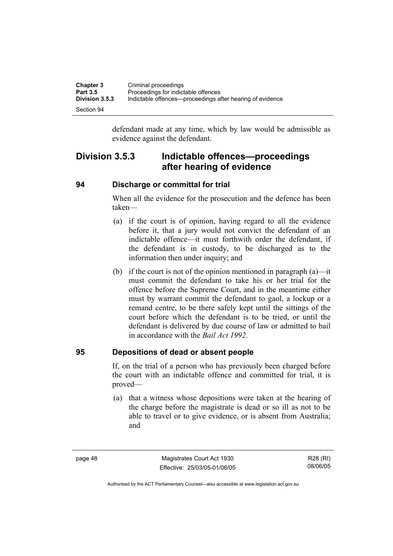| <b>Chapter 3</b>      | Criminal proceedings                                      |
|-----------------------|-----------------------------------------------------------|
| <b>Part 3.5</b>       | Proceedings for indictable offences                       |
| <b>Division 3.5.3</b> | Indictable offences—proceedings after hearing of evidence |
| Section 94            |                                                           |

defendant made at any time, which by law would be admissible as evidence against the defendant.

# **Division 3.5.3 Indictable offences—proceedings after hearing of evidence**

### **94 Discharge or committal for trial**

When all the evidence for the prosecution and the defence has been taken—

- (a) if the court is of opinion, having regard to all the evidence before it, that a jury would not convict the defendant of an indictable offence—it must forthwith order the defendant, if the defendant is in custody, to be discharged as to the information then under inquiry; and
- (b) if the court is not of the opinion mentioned in paragraph  $(a)$ —it must commit the defendant to take his or her trial for the offence before the Supreme Court, and in the meantime either must by warrant commit the defendant to gaol, a lockup or a remand centre, to be there safely kept until the sittings of the court before which the defendant is to be tried, or until the defendant is delivered by due course of law or admitted to bail in accordance with the *Bail Act 1992*.

### **95 Depositions of dead or absent people**

If, on the trial of a person who has previously been charged before the court with an indictable offence and committed for trial, it is proved—

 (a) that a witness whose depositions were taken at the hearing of the charge before the magistrate is dead or so ill as not to be able to travel or to give evidence, or is absent from Australia; and

page 48 Magistrates Court Act 1930 Effective: 25/03/05-01/06/05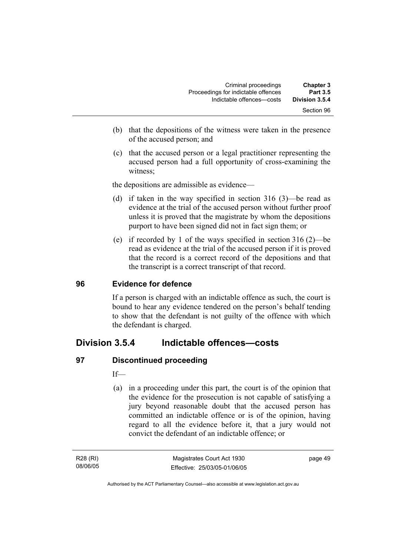| <b>Chapter 3</b><br><b>Part 3.5</b> | Criminal proceedings<br>Proceedings for indictable offences |
|-------------------------------------|-------------------------------------------------------------|
| Division 3.5.4                      | Indictable offences--costs                                  |
| Section 96                          |                                                             |

- (b) that the depositions of the witness were taken in the presence of the accused person; and
- (c) that the accused person or a legal practitioner representing the accused person had a full opportunity of cross-examining the witness;

the depositions are admissible as evidence—

- (d) if taken in the way specified in section 316 (3)—be read as evidence at the trial of the accused person without further proof unless it is proved that the magistrate by whom the depositions purport to have been signed did not in fact sign them; or
- (e) if recorded by 1 of the ways specified in section 316 (2)—be read as evidence at the trial of the accused person if it is proved that the record is a correct record of the depositions and that the transcript is a correct transcript of that record.

### **96 Evidence for defence**

If a person is charged with an indictable offence as such, the court is bound to hear any evidence tendered on the person's behalf tending to show that the defendant is not guilty of the offence with which the defendant is charged.

# **Division 3.5.4 Indictable offences—costs**

### **97 Discontinued proceeding**

If—

 (a) in a proceeding under this part, the court is of the opinion that the evidence for the prosecution is not capable of satisfying a jury beyond reasonable doubt that the accused person has committed an indictable offence or is of the opinion, having regard to all the evidence before it, that a jury would not convict the defendant of an indictable offence; or

page 49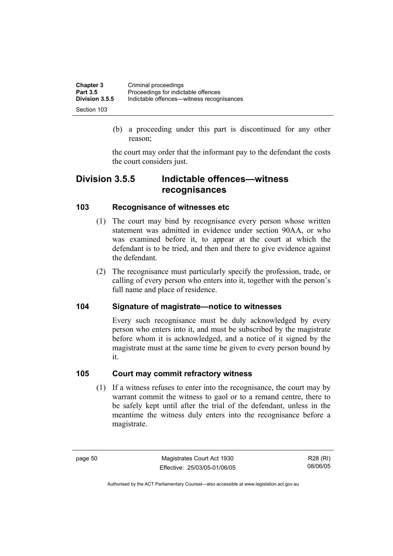| <b>Chapter 3</b> | Criminal proceedings                      |
|------------------|-------------------------------------------|
| <b>Part 3.5</b>  | Proceedings for indictable offences       |
| Division 3.5.5   | Indictable offences—witness recognisances |
| Section 103      |                                           |

 (b) a proceeding under this part is discontinued for any other reason;

the court may order that the informant pay to the defendant the costs the court considers just.

# **Division 3.5.5 Indictable offences—witness recognisances**

# **103 Recognisance of witnesses etc**

- (1) The court may bind by recognisance every person whose written statement was admitted in evidence under section 90AA, or who was examined before it, to appear at the court at which the defendant is to be tried, and then and there to give evidence against the defendant.
- (2) The recognisance must particularly specify the profession, trade, or calling of every person who enters into it, together with the person's full name and place of residence.

# **104 Signature of magistrate—notice to witnesses**

Every such recognisance must be duly acknowledged by every person who enters into it, and must be subscribed by the magistrate before whom it is acknowledged, and a notice of it signed by the magistrate must at the same time be given to every person bound by it.

## **105 Court may commit refractory witness**

 (1) If a witness refuses to enter into the recognisance, the court may by warrant commit the witness to gaol or to a remand centre, there to be safely kept until after the trial of the defendant, unless in the meantime the witness duly enters into the recognisance before a magistrate.

page 50 Magistrates Court Act 1930 Effective: 25/03/05-01/06/05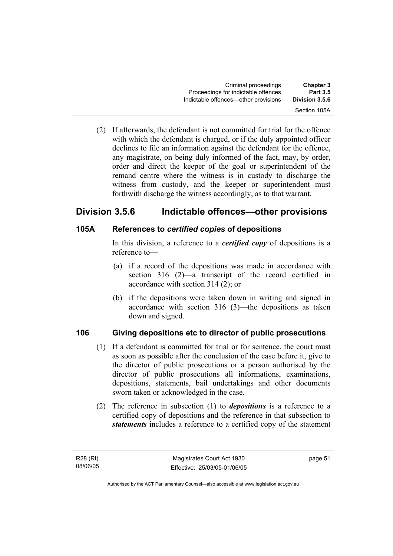(2) If afterwards, the defendant is not committed for trial for the offence with which the defendant is charged, or if the duly appointed officer declines to file an information against the defendant for the offence, any magistrate, on being duly informed of the fact, may, by order, order and direct the keeper of the goal or superintendent of the remand centre where the witness is in custody to discharge the witness from custody, and the keeper or superintendent must forthwith discharge the witness accordingly, as to that warrant.

# **Division 3.5.6 Indictable offences—other provisions**

# **105A References to** *certified copies* **of depositions**

In this division, a reference to a *certified copy* of depositions is a reference to—

- (a) if a record of the depositions was made in accordance with section 316 (2)—a transcript of the record certified in accordance with section 314 (2); or
- (b) if the depositions were taken down in writing and signed in accordance with section 316 (3)—the depositions as taken down and signed.

# **106 Giving depositions etc to director of public prosecutions**

- (1) If a defendant is committed for trial or for sentence, the court must as soon as possible after the conclusion of the case before it, give to the director of public prosecutions or a person authorised by the director of public prosecutions all informations, examinations, depositions, statements, bail undertakings and other documents sworn taken or acknowledged in the case.
- (2) The reference in subsection (1) to *depositions* is a reference to a certified copy of depositions and the reference in that subsection to *statements* includes a reference to a certified copy of the statement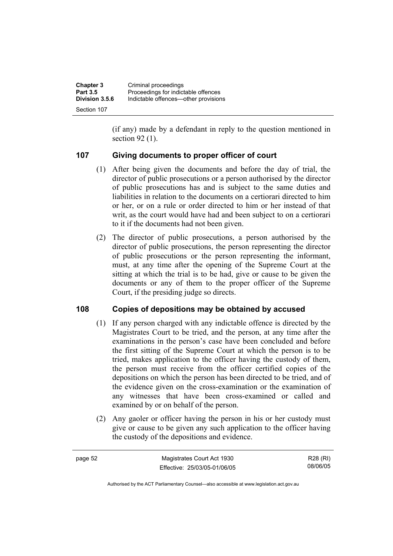| <b>Chapter 3</b> | Criminal proceedings                 |
|------------------|--------------------------------------|
| <b>Part 3.5</b>  | Proceedings for indictable offences  |
| Division 3.5.6   | Indictable offences—other provisions |
| Section 107      |                                      |

(if any) made by a defendant in reply to the question mentioned in section 92 (1).

### **107 Giving documents to proper officer of court**

- (1) After being given the documents and before the day of trial, the director of public prosecutions or a person authorised by the director of public prosecutions has and is subject to the same duties and liabilities in relation to the documents on a certiorari directed to him or her, or on a rule or order directed to him or her instead of that writ, as the court would have had and been subject to on a certiorari to it if the documents had not been given.
- (2) The director of public prosecutions, a person authorised by the director of public prosecutions, the person representing the director of public prosecutions or the person representing the informant, must, at any time after the opening of the Supreme Court at the sitting at which the trial is to be had, give or cause to be given the documents or any of them to the proper officer of the Supreme Court, if the presiding judge so directs.

## **108 Copies of depositions may be obtained by accused**

- (1) If any person charged with any indictable offence is directed by the Magistrates Court to be tried, and the person, at any time after the examinations in the person's case have been concluded and before the first sitting of the Supreme Court at which the person is to be tried, makes application to the officer having the custody of them, the person must receive from the officer certified copies of the depositions on which the person has been directed to be tried, and of the evidence given on the cross-examination or the examination of any witnesses that have been cross-examined or called and examined by or on behalf of the person.
- (2) Any gaoler or officer having the person in his or her custody must give or cause to be given any such application to the officer having the custody of the depositions and evidence.

| page 52 | Magistrates Court Act 1930   | R28 (RI) |
|---------|------------------------------|----------|
|         | Effective: 25/03/05-01/06/05 | 08/06/05 |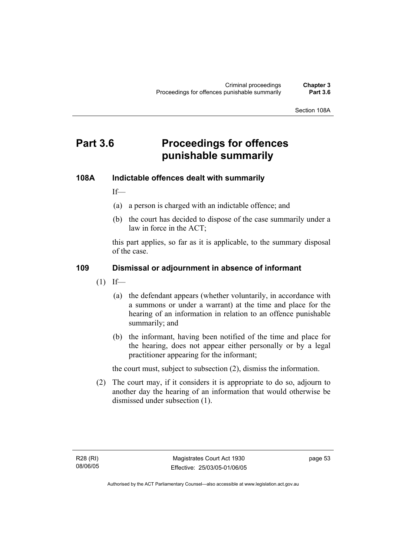Section 108A

# **Part 3.6 Proceedings for offences punishable summarily**

### **108A Indictable offences dealt with summarily**

If—

- (a) a person is charged with an indictable offence; and
- (b) the court has decided to dispose of the case summarily under a law in force in the ACT;

this part applies, so far as it is applicable, to the summary disposal of the case.

### **109 Dismissal or adjournment in absence of informant**

- $(1)$  If—
	- (a) the defendant appears (whether voluntarily, in accordance with a summons or under a warrant) at the time and place for the hearing of an information in relation to an offence punishable summarily; and
	- (b) the informant, having been notified of the time and place for the hearing, does not appear either personally or by a legal practitioner appearing for the informant;

the court must, subject to subsection (2), dismiss the information.

 (2) The court may, if it considers it is appropriate to do so, adjourn to another day the hearing of an information that would otherwise be dismissed under subsection (1).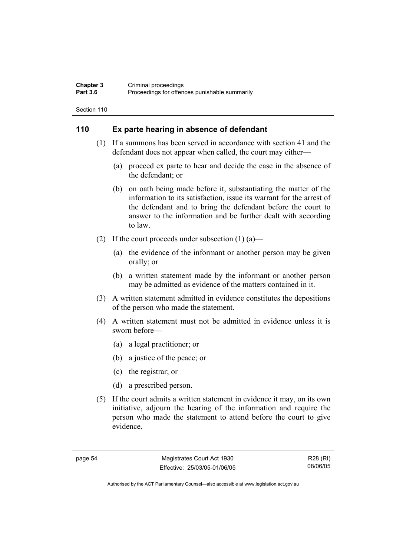#### **Chapter 3** Criminal proceedings<br> **Part 3.6** Proceedings for offen Proceedings for offences punishable summarily

Section 110

# **110 Ex parte hearing in absence of defendant**

- (1) If a summons has been served in accordance with section 41 and the defendant does not appear when called, the court may either—
	- (a) proceed ex parte to hear and decide the case in the absence of the defendant; or
	- (b) on oath being made before it, substantiating the matter of the information to its satisfaction, issue its warrant for the arrest of the defendant and to bring the defendant before the court to answer to the information and be further dealt with according to law.
- (2) If the court proceeds under subsection  $(1)$  (a)—
	- (a) the evidence of the informant or another person may be given orally; or
	- (b) a written statement made by the informant or another person may be admitted as evidence of the matters contained in it.
- (3) A written statement admitted in evidence constitutes the depositions of the person who made the statement.
- (4) A written statement must not be admitted in evidence unless it is sworn before—
	- (a) a legal practitioner; or
	- (b) a justice of the peace; or
	- (c) the registrar; or
	- (d) a prescribed person.
- (5) If the court admits a written statement in evidence it may, on its own initiative, adjourn the hearing of the information and require the person who made the statement to attend before the court to give evidence.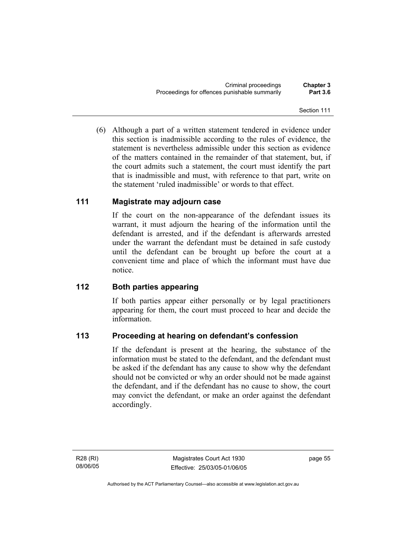(6) Although a part of a written statement tendered in evidence under this section is inadmissible according to the rules of evidence, the statement is nevertheless admissible under this section as evidence of the matters contained in the remainder of that statement, but, if the court admits such a statement, the court must identify the part that is inadmissible and must, with reference to that part, write on the statement 'ruled inadmissible' or words to that effect.

# **111 Magistrate may adjourn case**

If the court on the non-appearance of the defendant issues its warrant, it must adjourn the hearing of the information until the defendant is arrested, and if the defendant is afterwards arrested under the warrant the defendant must be detained in safe custody until the defendant can be brought up before the court at a convenient time and place of which the informant must have due notice.

# **112 Both parties appearing**

If both parties appear either personally or by legal practitioners appearing for them, the court must proceed to hear and decide the information.

# **113 Proceeding at hearing on defendant's confession**

If the defendant is present at the hearing, the substance of the information must be stated to the defendant, and the defendant must be asked if the defendant has any cause to show why the defendant should not be convicted or why an order should not be made against the defendant, and if the defendant has no cause to show, the court may convict the defendant, or make an order against the defendant accordingly.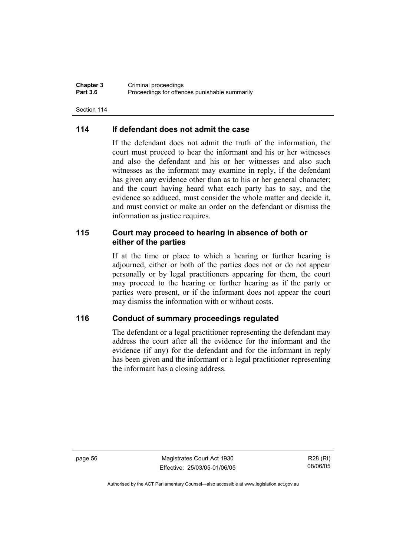**Chapter 3** Criminal proceedings<br> **Part 3.6** Proceedings for offen Proceedings for offences punishable summarily

Section 114

## **114 If defendant does not admit the case**

If the defendant does not admit the truth of the information, the court must proceed to hear the informant and his or her witnesses and also the defendant and his or her witnesses and also such witnesses as the informant may examine in reply, if the defendant has given any evidence other than as to his or her general character; and the court having heard what each party has to say, and the evidence so adduced, must consider the whole matter and decide it, and must convict or make an order on the defendant or dismiss the information as justice requires.

### **115 Court may proceed to hearing in absence of both or either of the parties**

If at the time or place to which a hearing or further hearing is adjourned, either or both of the parties does not or do not appear personally or by legal practitioners appearing for them, the court may proceed to the hearing or further hearing as if the party or parties were present, or if the informant does not appear the court may dismiss the information with or without costs.

### **116 Conduct of summary proceedings regulated**

The defendant or a legal practitioner representing the defendant may address the court after all the evidence for the informant and the evidence (if any) for the defendant and for the informant in reply has been given and the informant or a legal practitioner representing the informant has a closing address.

page 56 Magistrates Court Act 1930 Effective: 25/03/05-01/06/05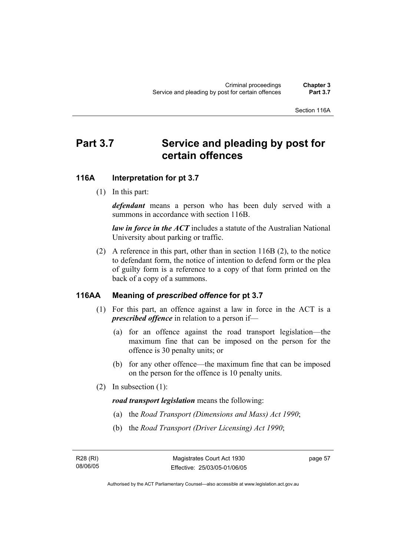#### Section 116A

# Part 3.7 Service and pleading by post for **certain offences**

#### **116A Interpretation for pt 3.7**

(1) In this part:

*defendant* means a person who has been duly served with a summons in accordance with section 116B.

*law in force in the ACT* includes a statute of the Australian National University about parking or traffic.

 (2) A reference in this part, other than in section 116B (2), to the notice to defendant form, the notice of intention to defend form or the plea of guilty form is a reference to a copy of that form printed on the back of a copy of a summons.

#### **116AA Meaning of** *prescribed offence* **for pt 3.7**

- (1) For this part, an offence against a law in force in the ACT is a *prescribed offence* in relation to a person if—
	- (a) for an offence against the road transport legislation—the maximum fine that can be imposed on the person for the offence is 30 penalty units; or
	- (b) for any other offence—the maximum fine that can be imposed on the person for the offence is 10 penalty units.
- (2) In subsection (1):

*road transport legislation* means the following:

- (a) the *Road Transport (Dimensions and Mass) Act 1990*;
- (b) the *Road Transport (Driver Licensing) Act 1990*;

R28 (RI) 08/06/05 page 57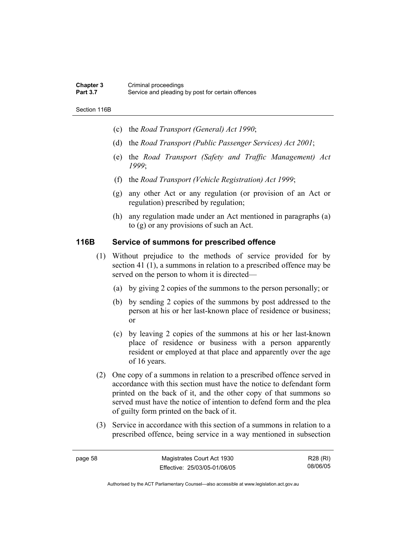#### **Chapter 3** Criminal proceedings<br> **Part 3.7** Service and pleading Service and pleading by post for certain offences

Section 116B

- (c) the *Road Transport (General) Act 1990*;
- (d) the *Road Transport (Public Passenger Services) Act 2001*;
- (e) the *Road Transport (Safety and Traffic Management) Act 1999*;
- (f) the *Road Transport (Vehicle Registration) Act 1999*;
- (g) any other Act or any regulation (or provision of an Act or regulation) prescribed by regulation;
- (h) any regulation made under an Act mentioned in paragraphs (a) to (g) or any provisions of such an Act.

### **116B Service of summons for prescribed offence**

- (1) Without prejudice to the methods of service provided for by section 41 (1), a summons in relation to a prescribed offence may be served on the person to whom it is directed—
	- (a) by giving 2 copies of the summons to the person personally; or
	- (b) by sending 2 copies of the summons by post addressed to the person at his or her last-known place of residence or business; or
	- (c) by leaving 2 copies of the summons at his or her last-known place of residence or business with a person apparently resident or employed at that place and apparently over the age of 16 years.
- (2) One copy of a summons in relation to a prescribed offence served in accordance with this section must have the notice to defendant form printed on the back of it, and the other copy of that summons so served must have the notice of intention to defend form and the plea of guilty form printed on the back of it.
- (3) Service in accordance with this section of a summons in relation to a prescribed offence, being service in a way mentioned in subsection

R28 (RI) 08/06/05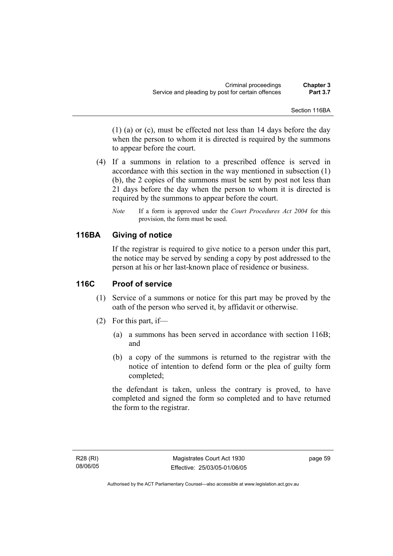Section 116BA

(1) (a) or (c), must be effected not less than 14 days before the day when the person to whom it is directed is required by the summons to appear before the court.

- (4) If a summons in relation to a prescribed offence is served in accordance with this section in the way mentioned in subsection (1) (b), the 2 copies of the summons must be sent by post not less than 21 days before the day when the person to whom it is directed is required by the summons to appear before the court.
	- *Note* If a form is approved under the *Court Procedures Act 2004* for this provision, the form must be used.

### **116BA Giving of notice**

If the registrar is required to give notice to a person under this part, the notice may be served by sending a copy by post addressed to the person at his or her last-known place of residence or business.

### **116C Proof of service**

- (1) Service of a summons or notice for this part may be proved by the oath of the person who served it, by affidavit or otherwise.
- (2) For this part, if—
	- (a) a summons has been served in accordance with section 116B; and
	- (b) a copy of the summons is returned to the registrar with the notice of intention to defend form or the plea of guilty form completed;

the defendant is taken, unless the contrary is proved, to have completed and signed the form so completed and to have returned the form to the registrar.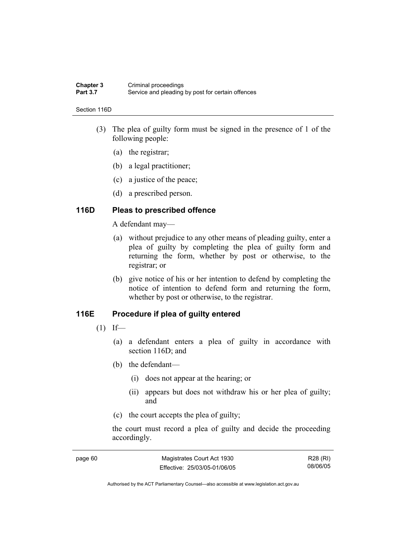#### **Chapter 3** Criminal proceedings<br> **Part 3.7** Service and pleading Service and pleading by post for certain offences

#### Section 116D

- (3) The plea of guilty form must be signed in the presence of 1 of the following people:
	- (a) the registrar;
	- (b) a legal practitioner;
	- (c) a justice of the peace;
	- (d) a prescribed person.

#### **116D Pleas to prescribed offence**

A defendant may—

- (a) without prejudice to any other means of pleading guilty, enter a plea of guilty by completing the plea of guilty form and returning the form, whether by post or otherwise, to the registrar; or
- (b) give notice of his or her intention to defend by completing the notice of intention to defend form and returning the form, whether by post or otherwise, to the registrar.

#### **116E Procedure if plea of guilty entered**

- $(1)$  If—
	- (a) a defendant enters a plea of guilty in accordance with section 116D; and
	- (b) the defendant—
		- (i) does not appear at the hearing; or
		- (ii) appears but does not withdraw his or her plea of guilty; and
	- (c) the court accepts the plea of guilty;

the court must record a plea of guilty and decide the proceeding accordingly.

| page 60 | Magistrates Court Act 1930   | R28 (RI) |
|---------|------------------------------|----------|
|         | Effective: 25/03/05-01/06/05 | 08/06/05 |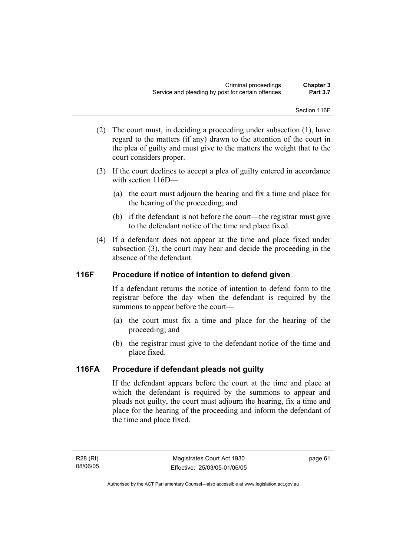Section 116F

- (2) The court must, in deciding a proceeding under subsection (1), have regard to the matters (if any) drawn to the attention of the court in the plea of guilty and must give to the matters the weight that to the court considers proper.
- (3) If the court declines to accept a plea of guilty entered in accordance with section 116D—
	- (a) the court must adjourn the hearing and fix a time and place for the hearing of the proceeding; and
	- (b) if the defendant is not before the court—the registrar must give to the defendant notice of the time and place fixed.
- (4) If a defendant does not appear at the time and place fixed under subsection (3), the court may hear and decide the proceeding in the absence of the defendant.

### **116F Procedure if notice of intention to defend given**

If a defendant returns the notice of intention to defend form to the registrar before the day when the defendant is required by the summons to appear before the court—

- (a) the court must fix a time and place for the hearing of the proceeding; and
- (b) the registrar must give to the defendant notice of the time and place fixed.

### **116FA Procedure if defendant pleads not guilty**

If the defendant appears before the court at the time and place at which the defendant is required by the summons to appear and pleads not guilty, the court must adjourn the hearing, fix a time and place for the hearing of the proceeding and inform the defendant of the time and place fixed.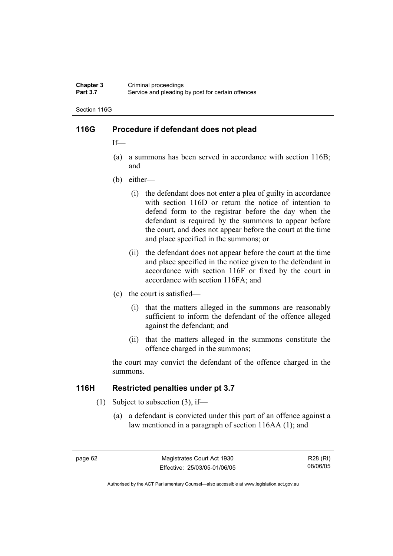#### **Chapter 3** Criminal proceedings<br> **Part 3.7** Service and pleading Service and pleading by post for certain offences

Section 116G

#### **116G Procedure if defendant does not plead**

If—

- (a) a summons has been served in accordance with section 116B; and
- (b) either—
	- (i) the defendant does not enter a plea of guilty in accordance with section 116D or return the notice of intention to defend form to the registrar before the day when the defendant is required by the summons to appear before the court, and does not appear before the court at the time and place specified in the summons; or
	- (ii) the defendant does not appear before the court at the time and place specified in the notice given to the defendant in accordance with section 116F or fixed by the court in accordance with section 116FA; and
- (c) the court is satisfied—
	- (i) that the matters alleged in the summons are reasonably sufficient to inform the defendant of the offence alleged against the defendant; and
	- (ii) that the matters alleged in the summons constitute the offence charged in the summons;

the court may convict the defendant of the offence charged in the summons.

#### **116H Restricted penalties under pt 3.7**

- (1) Subject to subsection (3), if—
	- (a) a defendant is convicted under this part of an offence against a law mentioned in a paragraph of section 116AA (1); and

R28 (RI) 08/06/05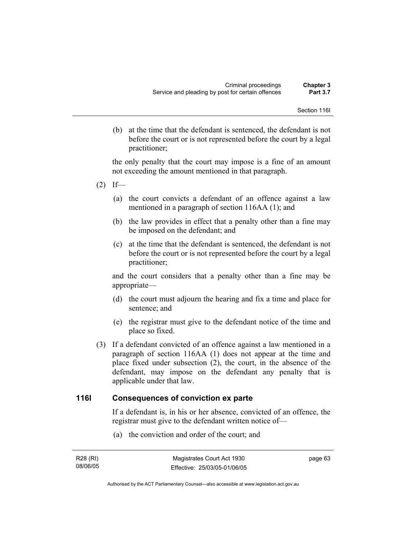(b) at the time that the defendant is sentenced, the defendant is not before the court or is not represented before the court by a legal practitioner;

the only penalty that the court may impose is a fine of an amount not exceeding the amount mentioned in that paragraph.

- $(2)$  If—
	- (a) the court convicts a defendant of an offence against a law mentioned in a paragraph of section 116AA (1); and
	- (b) the law provides in effect that a penalty other than a fine may be imposed on the defendant; and
	- (c) at the time that the defendant is sentenced, the defendant is not before the court or is not represented before the court by a legal practitioner;

and the court considers that a penalty other than a fine may be appropriate—

- (d) the court must adjourn the hearing and fix a time and place for sentence; and
- (e) the registrar must give to the defendant notice of the time and place so fixed.
- (3) If a defendant convicted of an offence against a law mentioned in a paragraph of section 116AA (1) does not appear at the time and place fixed under subsection (2), the court, in the absence of the defendant, may impose on the defendant any penalty that is applicable under that law.

#### **116I Consequences of conviction ex parte**

If a defendant is, in his or her absence, convicted of an offence, the registrar must give to the defendant written notice of—

(a) the conviction and order of the court; and

| R28 (RI) | Magistrates Court Act 1930   | page 63 |
|----------|------------------------------|---------|
| 08/06/05 | Effective: 25/03/05-01/06/05 |         |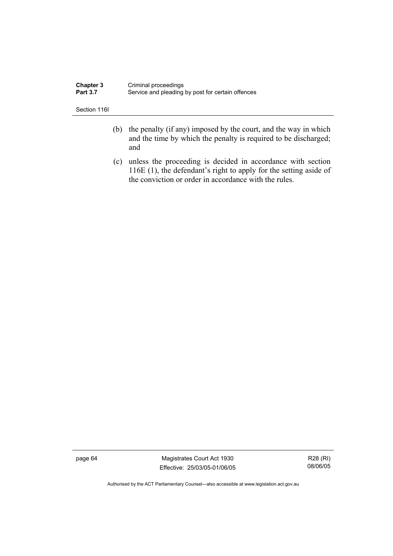| <b>Chapter 3</b> | Criminal proceedings                              |
|------------------|---------------------------------------------------|
| <b>Part 3.7</b>  | Service and pleading by post for certain offences |

Section 116I

- (b) the penalty (if any) imposed by the court, and the way in which and the time by which the penalty is required to be discharged; and
- (c) unless the proceeding is decided in accordance with section 116E (1), the defendant's right to apply for the setting aside of the conviction or order in accordance with the rules.

page 64 Magistrates Court Act 1930 Effective: 25/03/05-01/06/05

R28 (RI) 08/06/05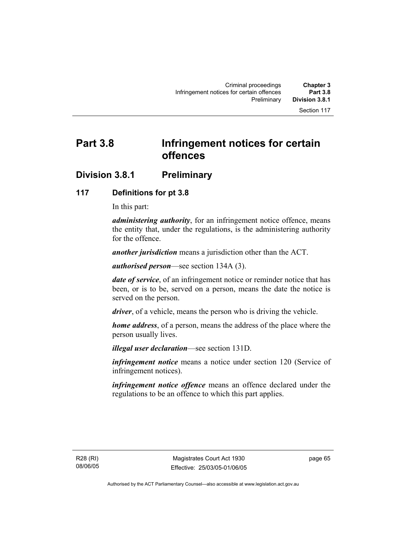# **Part 3.8 Infringement notices for certain offences**

# **Division 3.8.1 Preliminary**

### **117 Definitions for pt 3.8**

In this part:

*administering authority*, for an infringement notice offence, means the entity that, under the regulations, is the administering authority for the offence.

*another jurisdiction* means a jurisdiction other than the ACT.

*authorised person*—see section 134A (3).

*date of service*, of an infringement notice or reminder notice that has been, or is to be, served on a person, means the date the notice is served on the person.

*driver*, of a vehicle, means the person who is driving the vehicle.

*home address*, of a person, means the address of the place where the person usually lives.

*illegal user declaration*—see section 131D.

*infringement notice* means a notice under section 120 (Service of infringement notices).

*infringement notice offence* means an offence declared under the regulations to be an offence to which this part applies.

R28 (RI) 08/06/05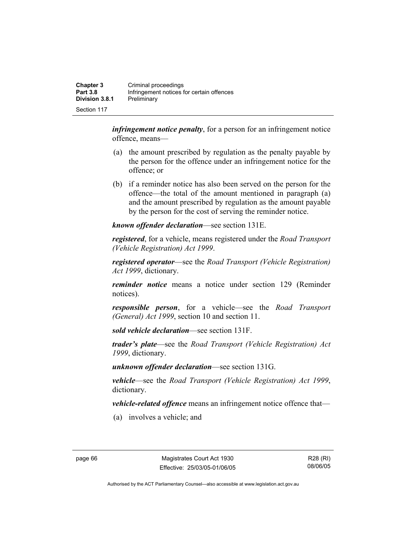| <b>Chapter 3</b><br><b>Part 3.8</b> | Criminal proceedings<br>Infringement notices for certain offences |
|-------------------------------------|-------------------------------------------------------------------|
| Division 3.8.1                      | Preliminary                                                       |
| Section 117                         |                                                                   |

*infringement notice penalty*, for a person for an infringement notice offence, means—

- (a) the amount prescribed by regulation as the penalty payable by the person for the offence under an infringement notice for the offence; or
- (b) if a reminder notice has also been served on the person for the offence—the total of the amount mentioned in paragraph (a) and the amount prescribed by regulation as the amount payable by the person for the cost of serving the reminder notice.

*known offender declaration*—see section 131E.

*registered*, for a vehicle, means registered under the *Road Transport (Vehicle Registration) Act 1999*.

*registered operator*—see the *Road Transport (Vehicle Registration) Act 1999*, dictionary.

*reminder notice* means a notice under section 129 (Reminder notices).

*responsible person*, for a vehicle—see the *Road Transport (General) Act 1999*, section 10 and section 11.

*sold vehicle declaration*—see section 131F.

*trader's plate*—see the *Road Transport (Vehicle Registration) Act 1999*, dictionary.

*unknown offender declaration*—see section 131G.

*vehicle*—see the *Road Transport (Vehicle Registration) Act 1999*, dictionary.

*vehicle-related offence* means an infringement notice offence that—

(a) involves a vehicle; and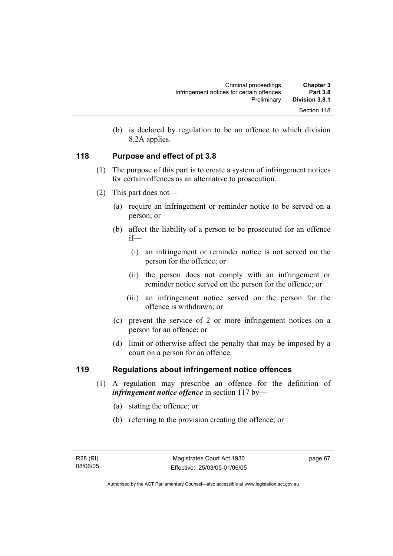| <b>Chapter 3</b> | Criminal proceedings                      |
|------------------|-------------------------------------------|
| <b>Part 3.8</b>  | Infringement notices for certain offences |
| Division 3.8.1   | Preliminary                               |
| Section 118      |                                           |

 (b) is declared by regulation to be an offence to which division 8.2A applies.

### **118 Purpose and effect of pt 3.8**

- (1) The purpose of this part is to create a system of infringement notices for certain offences as an alternative to prosecution.
- (2) This part does not—
	- (a) require an infringement or reminder notice to be served on a person; or
	- (b) affect the liability of a person to be prosecuted for an offence if—
		- (i) an infringement or reminder notice is not served on the person for the offence; or
		- (ii) the person does not comply with an infringement or reminder notice served on the person for the offence; or
		- (iii) an infringement notice served on the person for the offence is withdrawn; or
	- (c) prevent the service of 2 or more infringement notices on a person for an offence; or
	- (d) limit or otherwise affect the penalty that may be imposed by a court on a person for an offence.

### **119 Regulations about infringement notice offences**

- (1) A regulation may prescribe an offence for the definition of *infringement notice offence* in section 117 by—
	- (a) stating the offence; or
	- (b) referring to the provision creating the offence; or

page 67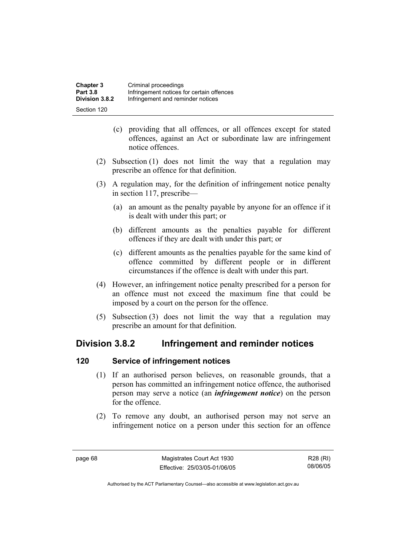| <b>Chapter 3</b> | Criminal proceedings                      |
|------------------|-------------------------------------------|
| <b>Part 3.8</b>  | Infringement notices for certain offences |
| Division 3.8.2   | Infringement and reminder notices         |
| Section 120      |                                           |

- (c) providing that all offences, or all offences except for stated offences, against an Act or subordinate law are infringement notice offences.
- (2) Subsection (1) does not limit the way that a regulation may prescribe an offence for that definition.
- (3) A regulation may, for the definition of infringement notice penalty in section 117, prescribe—
	- (a) an amount as the penalty payable by anyone for an offence if it is dealt with under this part; or
	- (b) different amounts as the penalties payable for different offences if they are dealt with under this part; or
	- (c) different amounts as the penalties payable for the same kind of offence committed by different people or in different circumstances if the offence is dealt with under this part.
- (4) However, an infringement notice penalty prescribed for a person for an offence must not exceed the maximum fine that could be imposed by a court on the person for the offence.
- (5) Subsection (3) does not limit the way that a regulation may prescribe an amount for that definition.

# **Division 3.8.2 Infringement and reminder notices**

### **120 Service of infringement notices**

- (1) If an authorised person believes, on reasonable grounds, that a person has committed an infringement notice offence, the authorised person may serve a notice (an *infringement notice*) on the person for the offence.
- (2) To remove any doubt, an authorised person may not serve an infringement notice on a person under this section for an offence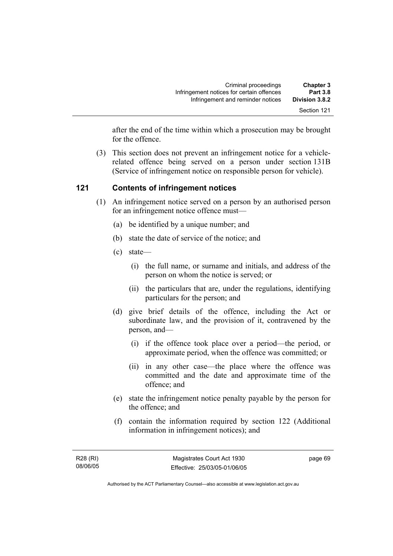after the end of the time within which a prosecution may be brought for the offence.

 (3) This section does not prevent an infringement notice for a vehiclerelated offence being served on a person under section 131B (Service of infringement notice on responsible person for vehicle).

### **121 Contents of infringement notices**

- (1) An infringement notice served on a person by an authorised person for an infringement notice offence must—
	- (a) be identified by a unique number; and
	- (b) state the date of service of the notice; and
	- (c) state—
		- (i) the full name, or surname and initials, and address of the person on whom the notice is served; or
		- (ii) the particulars that are, under the regulations, identifying particulars for the person; and
	- (d) give brief details of the offence, including the Act or subordinate law, and the provision of it, contravened by the person, and—
		- (i) if the offence took place over a period—the period, or approximate period, when the offence was committed; or
		- (ii) in any other case—the place where the offence was committed and the date and approximate time of the offence; and
	- (e) state the infringement notice penalty payable by the person for the offence; and
	- (f) contain the information required by section 122 (Additional information in infringement notices); and

page 69

Authorised by the ACT Parliamentary Counsel—also accessible at www.legislation.act.gov.au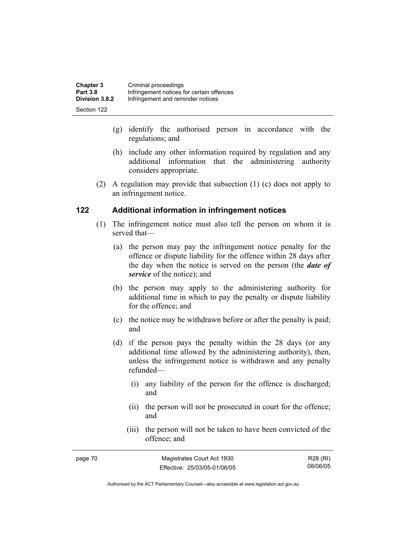| <b>Chapter 3</b> | Criminal proceedings                      |
|------------------|-------------------------------------------|
| <b>Part 3.8</b>  | Infringement notices for certain offences |
| Division 3.8.2   | Infringement and reminder notices         |
| Section 122      |                                           |

- (g) identify the authorised person in accordance with the regulations; and
- (h) include any other information required by regulation and any additional information that the administering authority considers appropriate.
- (2) A regulation may provide that subsection (1) (c) does not apply to an infringement notice.

#### **122 Additional information in infringement notices**

- (1) The infringement notice must also tell the person on whom it is served that—
	- (a) the person may pay the infringement notice penalty for the offence or dispute liability for the offence within 28 days after the day when the notice is served on the person (the *date of service* of the notice); and
	- (b) the person may apply to the administering authority for additional time in which to pay the penalty or dispute liability for the offence; and
	- (c) the notice may be withdrawn before or after the penalty is paid; and
	- (d) if the person pays the penalty within the 28 days (or any additional time allowed by the administering authority), then, unless the infringement notice is withdrawn and any penalty refunded—
		- (i) any liability of the person for the offence is discharged; and
		- (ii) the person will not be prosecuted in court for the offence; and
		- (iii) the person will not be taken to have been convicted of the offence; and

| page 70 | Magistrates Court Act 1930   | R28 (RI) |
|---------|------------------------------|----------|
|         | Effective: 25/03/05-01/06/05 | 08/06/05 |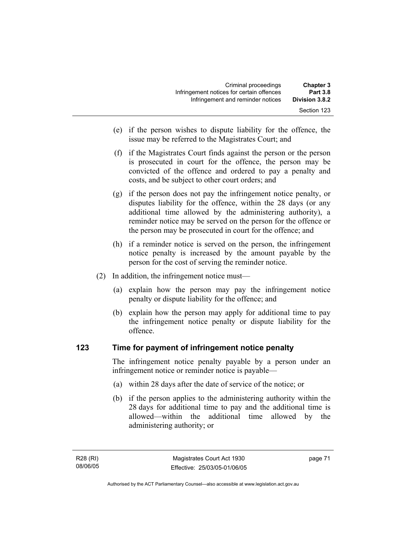| <b>Chapter 3</b> | Criminal proceedings                      |
|------------------|-------------------------------------------|
| <b>Part 3.8</b>  | Infringement notices for certain offences |
| Division 3.8.2   | Infringement and reminder notices         |
| Section 123      |                                           |

- (e) if the person wishes to dispute liability for the offence, the issue may be referred to the Magistrates Court; and
- (f) if the Magistrates Court finds against the person or the person is prosecuted in court for the offence, the person may be convicted of the offence and ordered to pay a penalty and costs, and be subject to other court orders; and
- (g) if the person does not pay the infringement notice penalty, or disputes liability for the offence, within the 28 days (or any additional time allowed by the administering authority), a reminder notice may be served on the person for the offence or the person may be prosecuted in court for the offence; and
- (h) if a reminder notice is served on the person, the infringement notice penalty is increased by the amount payable by the person for the cost of serving the reminder notice.
- (2) In addition, the infringement notice must—
	- (a) explain how the person may pay the infringement notice penalty or dispute liability for the offence; and
	- (b) explain how the person may apply for additional time to pay the infringement notice penalty or dispute liability for the offence.

#### **123 Time for payment of infringement notice penalty**

The infringement notice penalty payable by a person under an infringement notice or reminder notice is payable—

- (a) within 28 days after the date of service of the notice; or
- (b) if the person applies to the administering authority within the 28 days for additional time to pay and the additional time is allowed—within the additional time allowed by the administering authority; or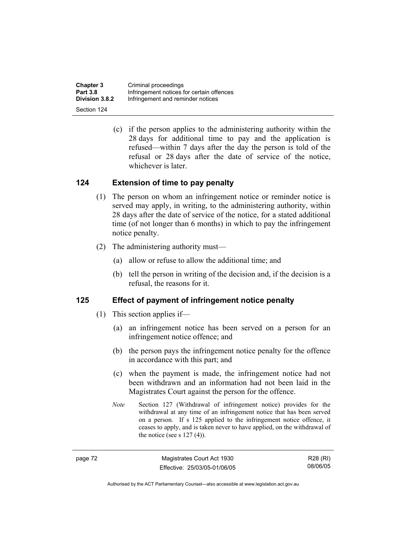| <b>Chapter 3</b>      | Criminal proceedings                      |
|-----------------------|-------------------------------------------|
| <b>Part 3.8</b>       | Infringement notices for certain offences |
| <b>Division 3.8.2</b> | Infringement and reminder notices         |
| Section 124           |                                           |

 (c) if the person applies to the administering authority within the 28 days for additional time to pay and the application is refused—within 7 days after the day the person is told of the refusal or 28 days after the date of service of the notice, whichever is later.

#### **124 Extension of time to pay penalty**

- (1) The person on whom an infringement notice or reminder notice is served may apply, in writing, to the administering authority, within 28 days after the date of service of the notice, for a stated additional time (of not longer than 6 months) in which to pay the infringement notice penalty.
- (2) The administering authority must—
	- (a) allow or refuse to allow the additional time; and
	- (b) tell the person in writing of the decision and, if the decision is a refusal, the reasons for it.

#### **125 Effect of payment of infringement notice penalty**

- (1) This section applies if—
	- (a) an infringement notice has been served on a person for an infringement notice offence; and
	- (b) the person pays the infringement notice penalty for the offence in accordance with this part; and
	- (c) when the payment is made, the infringement notice had not been withdrawn and an information had not been laid in the Magistrates Court against the person for the offence.
	- *Note* Section 127 (Withdrawal of infringement notice) provides for the withdrawal at any time of an infringement notice that has been served on a person. If s 125 applied to the infringement notice offence, it ceases to apply, and is taken never to have applied, on the withdrawal of the notice (see s  $127(4)$ ).

| Ö. |
|----|
|----|

Magistrates Court Act 1930 Effective: 25/03/05-01/06/05

R28 (RI) 08/06/05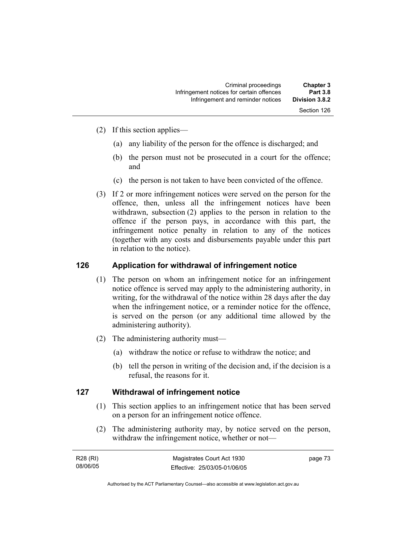Section 126

- (2) If this section applies—
	- (a) any liability of the person for the offence is discharged; and
	- (b) the person must not be prosecuted in a court for the offence; and
	- (c) the person is not taken to have been convicted of the offence.
- (3) If 2 or more infringement notices were served on the person for the offence, then, unless all the infringement notices have been withdrawn, subsection (2) applies to the person in relation to the offence if the person pays, in accordance with this part, the infringement notice penalty in relation to any of the notices (together with any costs and disbursements payable under this part in relation to the notice).

#### **126 Application for withdrawal of infringement notice**

- (1) The person on whom an infringement notice for an infringement notice offence is served may apply to the administering authority, in writing, for the withdrawal of the notice within 28 days after the day when the infringement notice, or a reminder notice for the offence, is served on the person (or any additional time allowed by the administering authority).
- (2) The administering authority must—
	- (a) withdraw the notice or refuse to withdraw the notice; and
	- (b) tell the person in writing of the decision and, if the decision is a refusal, the reasons for it.

#### **127 Withdrawal of infringement notice**

- (1) This section applies to an infringement notice that has been served on a person for an infringement notice offence.
- (2) The administering authority may, by notice served on the person, withdraw the infringement notice, whether or not—

| R28 (RI) | Magistrates Court Act 1930   | page 73 |
|----------|------------------------------|---------|
| 08/06/05 | Effective: 25/03/05-01/06/05 |         |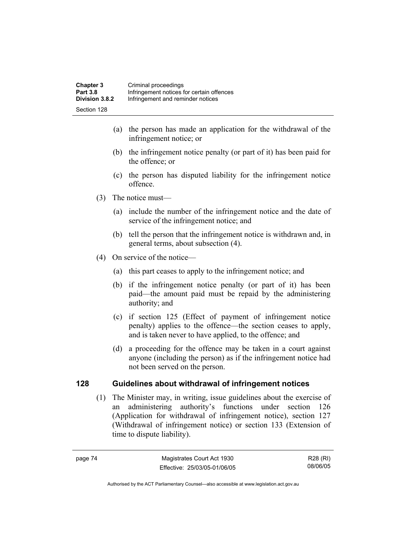- (a) the person has made an application for the withdrawal of the infringement notice; or
- (b) the infringement notice penalty (or part of it) has been paid for the offence; or
- (c) the person has disputed liability for the infringement notice offence.
- (3) The notice must—
	- (a) include the number of the infringement notice and the date of service of the infringement notice; and
	- (b) tell the person that the infringement notice is withdrawn and, in general terms, about subsection (4).
- (4) On service of the notice—
	- (a) this part ceases to apply to the infringement notice; and
	- (b) if the infringement notice penalty (or part of it) has been paid—the amount paid must be repaid by the administering authority; and
	- (c) if section 125 (Effect of payment of infringement notice penalty) applies to the offence—the section ceases to apply, and is taken never to have applied, to the offence; and
	- (d) a proceeding for the offence may be taken in a court against anyone (including the person) as if the infringement notice had not been served on the person.

### **128 Guidelines about withdrawal of infringement notices**

 (1) The Minister may, in writing, issue guidelines about the exercise of an administering authority's functions under section 126 (Application for withdrawal of infringement notice), section 127 (Withdrawal of infringement notice) or section 133 (Extension of time to dispute liability).

R28 (RI) 08/06/05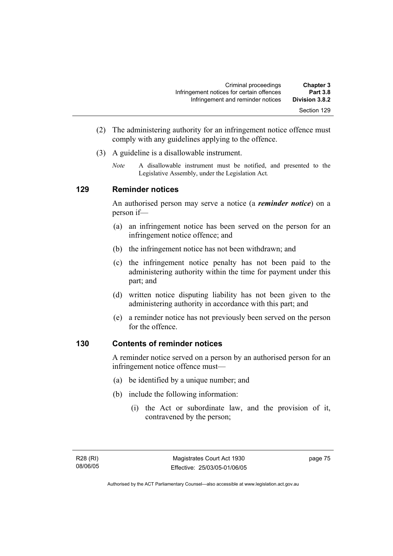- (2) The administering authority for an infringement notice offence must comply with any guidelines applying to the offence.
- (3) A guideline is a disallowable instrument.
	- *Note* A disallowable instrument must be notified, and presented to the Legislative Assembly, under the Legislation Act*.*

#### **129 Reminder notices**

An authorised person may serve a notice (a *reminder notice*) on a person if—

- (a) an infringement notice has been served on the person for an infringement notice offence; and
- (b) the infringement notice has not been withdrawn; and
- (c) the infringement notice penalty has not been paid to the administering authority within the time for payment under this part; and
- (d) written notice disputing liability has not been given to the administering authority in accordance with this part; and
- (e) a reminder notice has not previously been served on the person for the offence.

### **130 Contents of reminder notices**

A reminder notice served on a person by an authorised person for an infringement notice offence must—

- (a) be identified by a unique number; and
- (b) include the following information:
	- (i) the Act or subordinate law, and the provision of it, contravened by the person;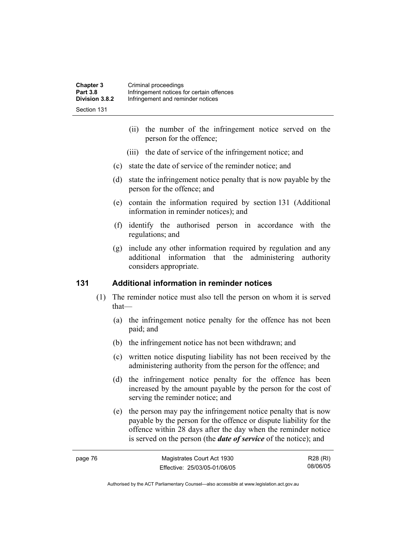| <b>Chapter 3</b> | Criminal proceedings                      |
|------------------|-------------------------------------------|
| <b>Part 3.8</b>  | Infringement notices for certain offences |
| Division 3.8.2   | Infringement and reminder notices         |
| Section 131      |                                           |

- (ii) the number of the infringement notice served on the person for the offence;
- (iii) the date of service of the infringement notice; and
- (c) state the date of service of the reminder notice; and
- (d) state the infringement notice penalty that is now payable by the person for the offence; and
- (e) contain the information required by section 131 (Additional information in reminder notices); and
- (f) identify the authorised person in accordance with the regulations; and
- (g) include any other information required by regulation and any additional information that the administering authority considers appropriate.

#### **131 Additional information in reminder notices**

- (1) The reminder notice must also tell the person on whom it is served that—
	- (a) the infringement notice penalty for the offence has not been paid; and
	- (b) the infringement notice has not been withdrawn; and
	- (c) written notice disputing liability has not been received by the administering authority from the person for the offence; and
	- (d) the infringement notice penalty for the offence has been increased by the amount payable by the person for the cost of serving the reminder notice; and
	- (e) the person may pay the infringement notice penalty that is now payable by the person for the offence or dispute liability for the offence within 28 days after the day when the reminder notice is served on the person (the *date of service* of the notice); and

| page 76 | Magistrates Court Act 1930   | R28 (RI) |
|---------|------------------------------|----------|
|         | Effective: 25/03/05-01/06/05 | 08/06/05 |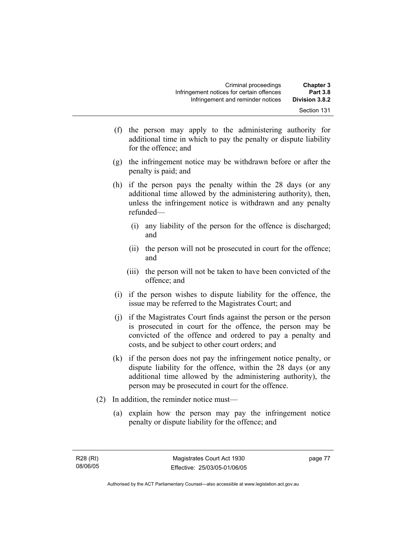- (f) the person may apply to the administering authority for additional time in which to pay the penalty or dispute liability for the offence; and
- (g) the infringement notice may be withdrawn before or after the penalty is paid; and
- (h) if the person pays the penalty within the 28 days (or any additional time allowed by the administering authority), then, unless the infringement notice is withdrawn and any penalty refunded—
	- (i) any liability of the person for the offence is discharged; and
	- (ii) the person will not be prosecuted in court for the offence; and
	- (iii) the person will not be taken to have been convicted of the offence; and
- (i) if the person wishes to dispute liability for the offence, the issue may be referred to the Magistrates Court; and
- (j) if the Magistrates Court finds against the person or the person is prosecuted in court for the offence, the person may be convicted of the offence and ordered to pay a penalty and costs, and be subject to other court orders; and
- (k) if the person does not pay the infringement notice penalty, or dispute liability for the offence, within the 28 days (or any additional time allowed by the administering authority), the person may be prosecuted in court for the offence.
- (2) In addition, the reminder notice must—
	- (a) explain how the person may pay the infringement notice penalty or dispute liability for the offence; and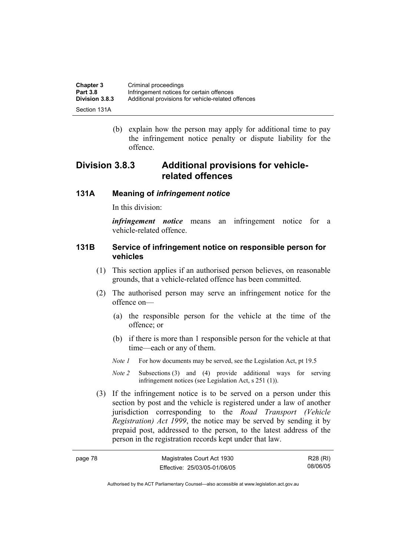| Chapter 3             | Criminal proceedings                               |
|-----------------------|----------------------------------------------------|
| <b>Part 3.8</b>       | Infringement notices for certain offences          |
| <b>Division 3.8.3</b> | Additional provisions for vehicle-related offences |
| Section 131A          |                                                    |

 (b) explain how the person may apply for additional time to pay the infringement notice penalty or dispute liability for the offence.

# **Division 3.8.3 Additional provisions for vehiclerelated offences**

#### **131A Meaning of** *infringement notice*

In this division:

*infringement notice* means an infringement notice for a vehicle-related offence.

#### **131B Service of infringement notice on responsible person for vehicles**

- (1) This section applies if an authorised person believes, on reasonable grounds, that a vehicle-related offence has been committed.
- (2) The authorised person may serve an infringement notice for the offence on—
	- (a) the responsible person for the vehicle at the time of the offence; or
	- (b) if there is more than 1 responsible person for the vehicle at that time—each or any of them.
	- *Note 1* For how documents may be served, see the Legislation Act, pt 19.5
	- *Note 2* Subsections (3) and (4) provide additional ways for serving infringement notices (see Legislation Act, s 251 (1)).
- (3) If the infringement notice is to be served on a person under this section by post and the vehicle is registered under a law of another jurisdiction corresponding to the *Road Transport (Vehicle Registration) Act 1999*, the notice may be served by sending it by prepaid post, addressed to the person, to the latest address of the person in the registration records kept under that law.

| page 78 | Magistrates Court Act 1930   | R28 (RI) |
|---------|------------------------------|----------|
|         | Effective: 25/03/05-01/06/05 | 08/06/05 |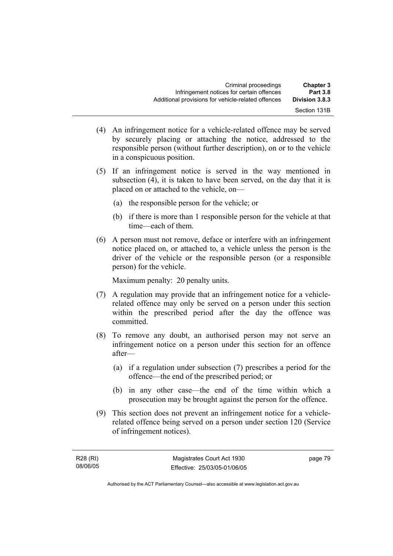- (4) An infringement notice for a vehicle-related offence may be served by securely placing or attaching the notice, addressed to the responsible person (without further description), on or to the vehicle in a conspicuous position.
- (5) If an infringement notice is served in the way mentioned in subsection (4), it is taken to have been served, on the day that it is placed on or attached to the vehicle, on—
	- (a) the responsible person for the vehicle; or
	- (b) if there is more than 1 responsible person for the vehicle at that time—each of them.
- (6) A person must not remove, deface or interfere with an infringement notice placed on, or attached to, a vehicle unless the person is the driver of the vehicle or the responsible person (or a responsible person) for the vehicle.

Maximum penalty: 20 penalty units.

- (7) A regulation may provide that an infringement notice for a vehiclerelated offence may only be served on a person under this section within the prescribed period after the day the offence was committed.
- (8) To remove any doubt, an authorised person may not serve an infringement notice on a person under this section for an offence after—
	- (a) if a regulation under subsection (7) prescribes a period for the offence—the end of the prescribed period; or
	- (b) in any other case—the end of the time within which a prosecution may be brought against the person for the offence.
- (9) This section does not prevent an infringement notice for a vehiclerelated offence being served on a person under section 120 (Service of infringement notices).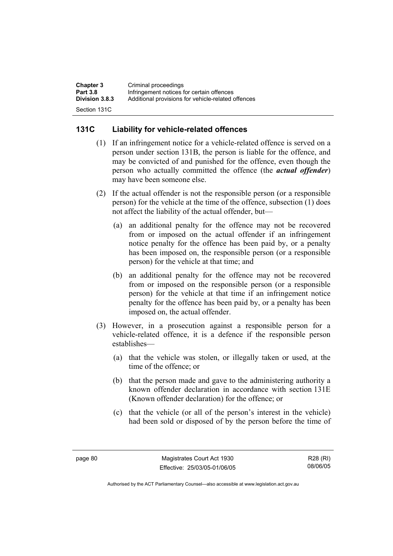| <b>Chapter 3</b>      | Criminal proceedings                               |
|-----------------------|----------------------------------------------------|
| <b>Part 3.8</b>       | Infringement notices for certain offences          |
| <b>Division 3.8.3</b> | Additional provisions for vehicle-related offences |
| Section 131C          |                                                    |

### **131C Liability for vehicle-related offences**

- (1) If an infringement notice for a vehicle-related offence is served on a person under section 131B, the person is liable for the offence, and may be convicted of and punished for the offence, even though the person who actually committed the offence (the *actual offender*) may have been someone else.
- (2) If the actual offender is not the responsible person (or a responsible person) for the vehicle at the time of the offence, subsection (1) does not affect the liability of the actual offender, but—
	- (a) an additional penalty for the offence may not be recovered from or imposed on the actual offender if an infringement notice penalty for the offence has been paid by, or a penalty has been imposed on, the responsible person (or a responsible person) for the vehicle at that time; and
	- (b) an additional penalty for the offence may not be recovered from or imposed on the responsible person (or a responsible person) for the vehicle at that time if an infringement notice penalty for the offence has been paid by, or a penalty has been imposed on, the actual offender.
- (3) However, in a prosecution against a responsible person for a vehicle-related offence, it is a defence if the responsible person establishes—
	- (a) that the vehicle was stolen, or illegally taken or used, at the time of the offence; or
	- (b) that the person made and gave to the administering authority a known offender declaration in accordance with section 131E (Known offender declaration) for the offence; or
	- (c) that the vehicle (or all of the person's interest in the vehicle) had been sold or disposed of by the person before the time of

R28 (RI) 08/06/05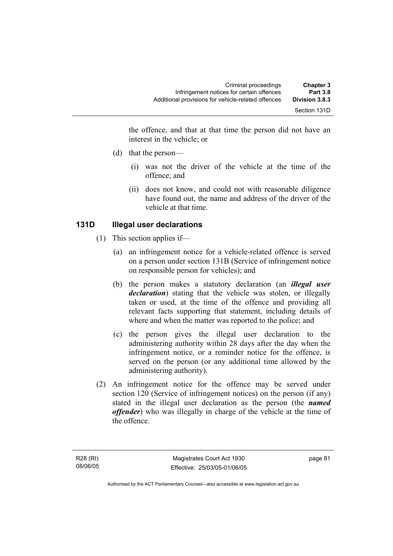the offence, and that at that time the person did not have an interest in the vehicle; or

- (d) that the person—
	- (i) was not the driver of the vehicle at the time of the offence; and
	- (ii) does not know, and could not with reasonable diligence have found out, the name and address of the driver of the vehicle at that time.

### **131D Illegal user declarations**

- (1) This section applies if—
	- (a) an infringement notice for a vehicle-related offence is served on a person under section 131B (Service of infringement notice on responsible person for vehicles); and
	- (b) the person makes a statutory declaration (an *illegal user declaration*) stating that the vehicle was stolen, or illegally taken or used, at the time of the offence and providing all relevant facts supporting that statement, including details of where and when the matter was reported to the police; and
	- (c) the person gives the illegal user declaration to the administering authority within 28 days after the day when the infringement notice, or a reminder notice for the offence, is served on the person (or any additional time allowed by the administering authority).
- (2) An infringement notice for the offence may be served under section 120 (Service of infringement notices) on the person (if any) stated in the illegal user declaration as the person (the *named offender*) who was illegally in charge of the vehicle at the time of the offence.

page 81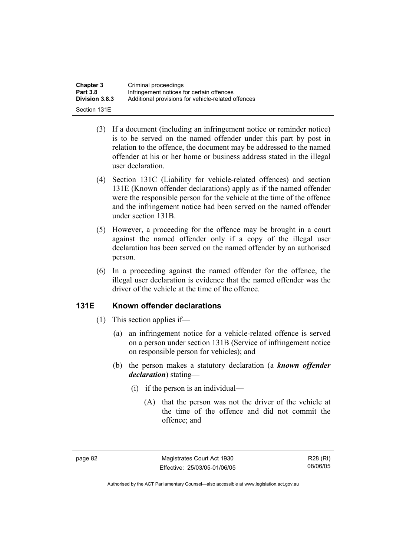| <b>Chapter 3</b> | Criminal proceedings                               |
|------------------|----------------------------------------------------|
| <b>Part 3.8</b>  | Infringement notices for certain offences          |
| Division 3.8.3   | Additional provisions for vehicle-related offences |
| Section 131E     |                                                    |

- (3) If a document (including an infringement notice or reminder notice) is to be served on the named offender under this part by post in relation to the offence, the document may be addressed to the named offender at his or her home or business address stated in the illegal user declaration.
- (4) Section 131C (Liability for vehicle-related offences) and section 131E (Known offender declarations) apply as if the named offender were the responsible person for the vehicle at the time of the offence and the infringement notice had been served on the named offender under section 131B.
- (5) However, a proceeding for the offence may be brought in a court against the named offender only if a copy of the illegal user declaration has been served on the named offender by an authorised person.
- (6) In a proceeding against the named offender for the offence, the illegal user declaration is evidence that the named offender was the driver of the vehicle at the time of the offence.

#### **131E Known offender declarations**

- (1) This section applies if—
	- (a) an infringement notice for a vehicle-related offence is served on a person under section 131B (Service of infringement notice on responsible person for vehicles); and
	- (b) the person makes a statutory declaration (a *known offender declaration*) stating—
		- (i) if the person is an individual—
			- (A) that the person was not the driver of the vehicle at the time of the offence and did not commit the offence; and

R28 (RI) 08/06/05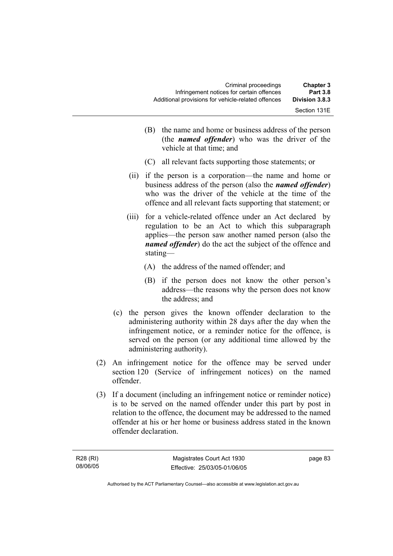| <b>Chapter 3</b><br><b>Part 3.8</b> | Criminal proceedings<br>Infringement notices for certain offences |
|-------------------------------------|-------------------------------------------------------------------|
| Division 3.8.3                      | Additional provisions for vehicle-related offences                |
| Section 131E                        |                                                                   |

- (B) the name and home or business address of the person (the *named offender*) who was the driver of the vehicle at that time; and
- (C) all relevant facts supporting those statements; or
- (ii) if the person is a corporation—the name and home or business address of the person (also the *named offender*) who was the driver of the vehicle at the time of the offence and all relevant facts supporting that statement; or
- (iii) for a vehicle-related offence under an Act declared by regulation to be an Act to which this subparagraph applies—the person saw another named person (also the *named offender*) do the act the subject of the offence and stating—
	- (A) the address of the named offender; and
	- (B) if the person does not know the other person's address—the reasons why the person does not know the address; and
- (c) the person gives the known offender declaration to the administering authority within 28 days after the day when the infringement notice, or a reminder notice for the offence, is served on the person (or any additional time allowed by the administering authority).
- (2) An infringement notice for the offence may be served under section 120 (Service of infringement notices) on the named offender.
- (3) If a document (including an infringement notice or reminder notice) is to be served on the named offender under this part by post in relation to the offence, the document may be addressed to the named offender at his or her home or business address stated in the known offender declaration.

page 83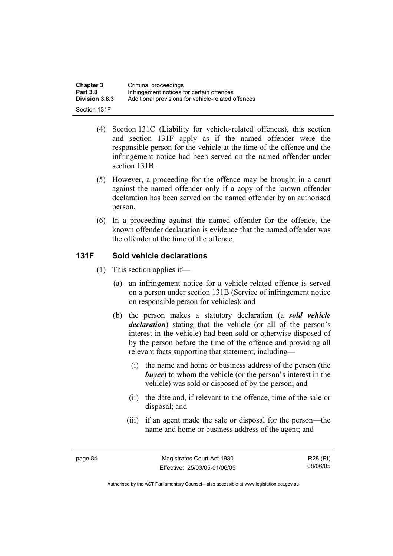| <b>Chapter 3</b> | Criminal proceedings                               |
|------------------|----------------------------------------------------|
| <b>Part 3.8</b>  | Infringement notices for certain offences          |
| Division 3.8.3   | Additional provisions for vehicle-related offences |
| Section 131F     |                                                    |

- (4) Section 131C (Liability for vehicle-related offences), this section and section 131F apply as if the named offender were the responsible person for the vehicle at the time of the offence and the infringement notice had been served on the named offender under section 131B.
- (5) However, a proceeding for the offence may be brought in a court against the named offender only if a copy of the known offender declaration has been served on the named offender by an authorised person.
- (6) In a proceeding against the named offender for the offence, the known offender declaration is evidence that the named offender was the offender at the time of the offence.

### **131F Sold vehicle declarations**

- (1) This section applies if—
	- (a) an infringement notice for a vehicle-related offence is served on a person under section 131B (Service of infringement notice on responsible person for vehicles); and
	- (b) the person makes a statutory declaration (a *sold vehicle declaration*) stating that the vehicle (or all of the person's interest in the vehicle) had been sold or otherwise disposed of by the person before the time of the offence and providing all relevant facts supporting that statement, including—
		- (i) the name and home or business address of the person (the *buyer*) to whom the vehicle (or the person's interest in the vehicle) was sold or disposed of by the person; and
		- (ii) the date and, if relevant to the offence, time of the sale or disposal; and
		- (iii) if an agent made the sale or disposal for the person—the name and home or business address of the agent; and

R28 (RI) 08/06/05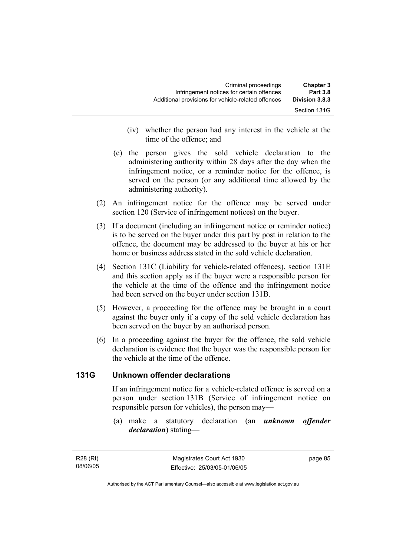| <b>Chapter 3</b><br><b>Part 3.8</b> | Criminal proceedings<br>Infringement notices for certain offences |
|-------------------------------------|-------------------------------------------------------------------|
| Division 3.8.3                      | Additional provisions for vehicle-related offences                |
| Section 131G                        |                                                                   |

- (iv) whether the person had any interest in the vehicle at the time of the offence; and
- (c) the person gives the sold vehicle declaration to the administering authority within 28 days after the day when the infringement notice, or a reminder notice for the offence, is served on the person (or any additional time allowed by the administering authority).
- (2) An infringement notice for the offence may be served under section 120 (Service of infringement notices) on the buyer.
- (3) If a document (including an infringement notice or reminder notice) is to be served on the buyer under this part by post in relation to the offence, the document may be addressed to the buyer at his or her home or business address stated in the sold vehicle declaration.
- (4) Section 131C (Liability for vehicle-related offences), section 131E and this section apply as if the buyer were a responsible person for the vehicle at the time of the offence and the infringement notice had been served on the buyer under section 131B.
- (5) However, a proceeding for the offence may be brought in a court against the buyer only if a copy of the sold vehicle declaration has been served on the buyer by an authorised person.
- (6) In a proceeding against the buyer for the offence, the sold vehicle declaration is evidence that the buyer was the responsible person for the vehicle at the time of the offence.

### **131G Unknown offender declarations**

If an infringement notice for a vehicle-related offence is served on a person under section 131B (Service of infringement notice on responsible person for vehicles), the person may—

 (a) make a statutory declaration (an *unknown offender declaration*) stating—

R28 (RI) 08/06/05 page 85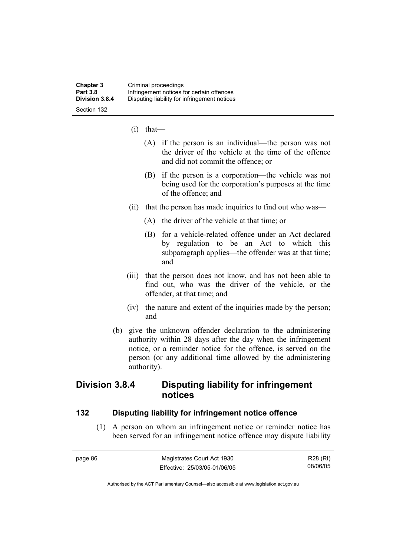- (i) that—
	- (A) if the person is an individual—the person was not the driver of the vehicle at the time of the offence and did not commit the offence; or
	- (B) if the person is a corporation—the vehicle was not being used for the corporation's purposes at the time of the offence; and
- (ii) that the person has made inquiries to find out who was—
	- (A) the driver of the vehicle at that time; or
	- (B) for a vehicle-related offence under an Act declared by regulation to be an Act to which this subparagraph applies—the offender was at that time; and
- (iii) that the person does not know, and has not been able to find out, who was the driver of the vehicle, or the offender, at that time; and
- (iv) the nature and extent of the inquiries made by the person; and
- (b) give the unknown offender declaration to the administering authority within 28 days after the day when the infringement notice, or a reminder notice for the offence, is served on the person (or any additional time allowed by the administering authority).

## **Division 3.8.4 Disputing liability for infringement notices**

#### **132 Disputing liability for infringement notice offence**

 (1) A person on whom an infringement notice or reminder notice has been served for an infringement notice offence may dispute liability

| page 86 | Magistrates Court Act 1930   | R28 (RI) |
|---------|------------------------------|----------|
|         | Effective: 25/03/05-01/06/05 | 08/06/05 |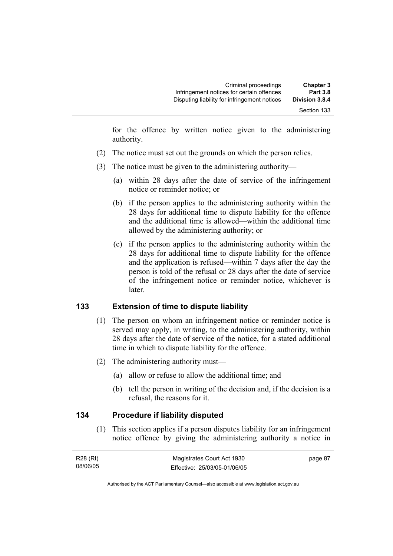for the offence by written notice given to the administering authority.

- (2) The notice must set out the grounds on which the person relies.
- (3) The notice must be given to the administering authority—
	- (a) within 28 days after the date of service of the infringement notice or reminder notice; or
	- (b) if the person applies to the administering authority within the 28 days for additional time to dispute liability for the offence and the additional time is allowed—within the additional time allowed by the administering authority; or
	- (c) if the person applies to the administering authority within the 28 days for additional time to dispute liability for the offence and the application is refused—within 7 days after the day the person is told of the refusal or 28 days after the date of service of the infringement notice or reminder notice, whichever is later.

### **133 Extension of time to dispute liability**

- (1) The person on whom an infringement notice or reminder notice is served may apply, in writing, to the administering authority, within 28 days after the date of service of the notice, for a stated additional time in which to dispute liability for the offence.
- (2) The administering authority must—
	- (a) allow or refuse to allow the additional time; and
	- (b) tell the person in writing of the decision and, if the decision is a refusal, the reasons for it.

#### **134 Procedure if liability disputed**

 (1) This section applies if a person disputes liability for an infringement notice offence by giving the administering authority a notice in

| R28 (RI) | Magistrates Court Act 1930   | page 87 |
|----------|------------------------------|---------|
| 08/06/05 | Effective: 25/03/05-01/06/05 |         |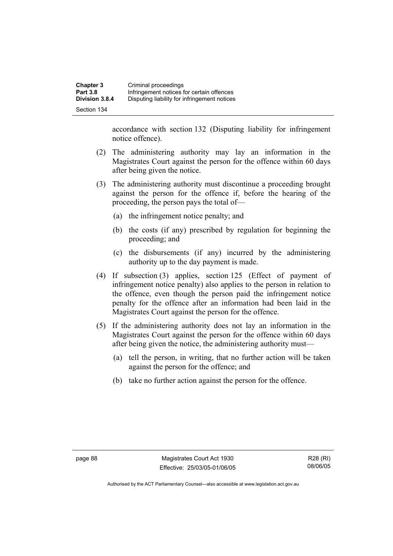accordance with section 132 (Disputing liability for infringement notice offence).

- (2) The administering authority may lay an information in the Magistrates Court against the person for the offence within 60 days after being given the notice.
- (3) The administering authority must discontinue a proceeding brought against the person for the offence if, before the hearing of the proceeding, the person pays the total of—
	- (a) the infringement notice penalty; and
	- (b) the costs (if any) prescribed by regulation for beginning the proceeding; and
	- (c) the disbursements (if any) incurred by the administering authority up to the day payment is made.
- (4) If subsection (3) applies, section 125 (Effect of payment of infringement notice penalty) also applies to the person in relation to the offence, even though the person paid the infringement notice penalty for the offence after an information had been laid in the Magistrates Court against the person for the offence.
- (5) If the administering authority does not lay an information in the Magistrates Court against the person for the offence within 60 days after being given the notice, the administering authority must—
	- (a) tell the person, in writing, that no further action will be taken against the person for the offence; and
	- (b) take no further action against the person for the offence.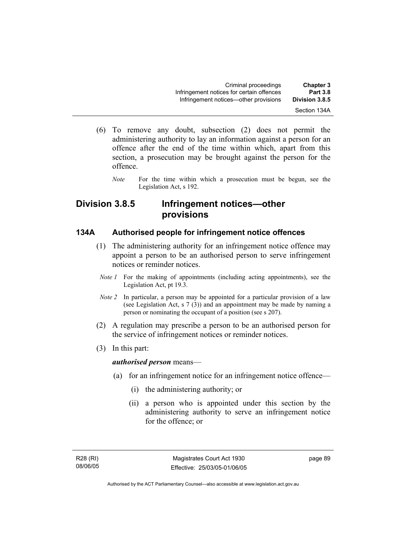- (6) To remove any doubt, subsection (2) does not permit the administering authority to lay an information against a person for an offence after the end of the time within which, apart from this section, a prosecution may be brought against the person for the offence.
	- *Note* For the time within which a prosecution must be begun, see the Legislation Act, s 192.

## **Division 3.8.5 Infringement notices—other provisions**

#### **134A Authorised people for infringement notice offences**

- (1) The administering authority for an infringement notice offence may appoint a person to be an authorised person to serve infringement notices or reminder notices.
	- *Note 1* For the making of appointments (including acting appointments), see the Legislation Act, pt 19.3.
	- *Note 2* In particular, a person may be appointed for a particular provision of a law (see Legislation Act, s 7 (3)) and an appointment may be made by naming a person or nominating the occupant of a position (see s 207).
- (2) A regulation may prescribe a person to be an authorised person for the service of infringement notices or reminder notices.
- (3) In this part:

*authorised person* means—

- (a) for an infringement notice for an infringement notice offence—
	- (i) the administering authority; or
	- (ii) a person who is appointed under this section by the administering authority to serve an infringement notice for the offence; or

R28 (RI) 08/06/05 page 89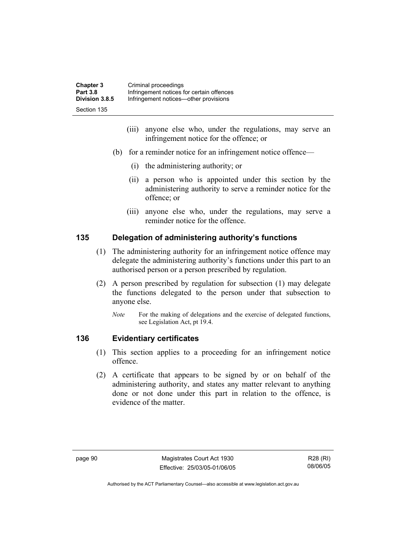| <b>Chapter 3</b> | Criminal proceedings                      |
|------------------|-------------------------------------------|
| <b>Part 3.8</b>  | Infringement notices for certain offences |
| Division 3.8.5   | Infringement notices—other provisions     |
| Section 135      |                                           |

- (iii) anyone else who, under the regulations, may serve an infringement notice for the offence; or
- (b) for a reminder notice for an infringement notice offence—
	- (i) the administering authority; or
	- (ii) a person who is appointed under this section by the administering authority to serve a reminder notice for the offence; or
	- (iii) anyone else who, under the regulations, may serve a reminder notice for the offence.

#### **135 Delegation of administering authority's functions**

- (1) The administering authority for an infringement notice offence may delegate the administering authority's functions under this part to an authorised person or a person prescribed by regulation.
- (2) A person prescribed by regulation for subsection (1) may delegate the functions delegated to the person under that subsection to anyone else.
	- *Note* For the making of delegations and the exercise of delegated functions, see Legislation Act, pt 19.4.

### **136 Evidentiary certificates**

- (1) This section applies to a proceeding for an infringement notice offence.
- (2) A certificate that appears to be signed by or on behalf of the administering authority, and states any matter relevant to anything done or not done under this part in relation to the offence, is evidence of the matter.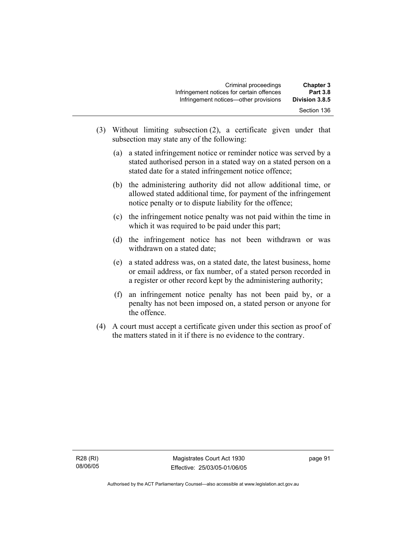| <b>Chapter 3</b><br><b>Part 3.8</b> | Criminal proceedings<br>Infringement notices for certain offences |
|-------------------------------------|-------------------------------------------------------------------|
| Division 3.8.5                      | Infringement notices—other provisions                             |
| Section 136                         |                                                                   |

- (3) Without limiting subsection (2), a certificate given under that subsection may state any of the following:
	- (a) a stated infringement notice or reminder notice was served by a stated authorised person in a stated way on a stated person on a stated date for a stated infringement notice offence;
	- (b) the administering authority did not allow additional time, or allowed stated additional time, for payment of the infringement notice penalty or to dispute liability for the offence;
	- (c) the infringement notice penalty was not paid within the time in which it was required to be paid under this part;
	- (d) the infringement notice has not been withdrawn or was withdrawn on a stated date;
	- (e) a stated address was, on a stated date, the latest business, home or email address, or fax number, of a stated person recorded in a register or other record kept by the administering authority;
	- (f) an infringement notice penalty has not been paid by, or a penalty has not been imposed on, a stated person or anyone for the offence.
- (4) A court must accept a certificate given under this section as proof of the matters stated in it if there is no evidence to the contrary.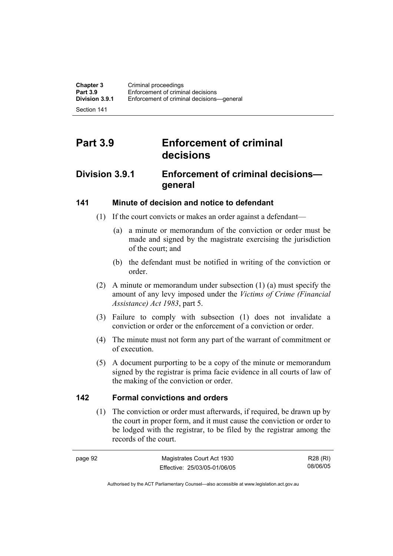Section 141

# **Part 3.9 Enforcement of criminal decisions**

## **Division 3.9.1 Enforcement of criminal decisions general**

### **141 Minute of decision and notice to defendant**

- (1) If the court convicts or makes an order against a defendant—
	- (a) a minute or memorandum of the conviction or order must be made and signed by the magistrate exercising the jurisdiction of the court; and
	- (b) the defendant must be notified in writing of the conviction or order.
- (2) A minute or memorandum under subsection (1) (a) must specify the amount of any levy imposed under the *Victims of Crime (Financial Assistance) Act 1983*, part 5.
- (3) Failure to comply with subsection (1) does not invalidate a conviction or order or the enforcement of a conviction or order.
- (4) The minute must not form any part of the warrant of commitment or of execution.
- (5) A document purporting to be a copy of the minute or memorandum signed by the registrar is prima facie evidence in all courts of law of the making of the conviction or order.

#### **142 Formal convictions and orders**

 (1) The conviction or order must afterwards, if required, be drawn up by the court in proper form, and it must cause the conviction or order to be lodged with the registrar, to be filed by the registrar among the records of the court.

| page 92 | Magistrates Court Act 1930   | R28 (RI) |
|---------|------------------------------|----------|
|         | Effective: 25/03/05-01/06/05 | 08/06/05 |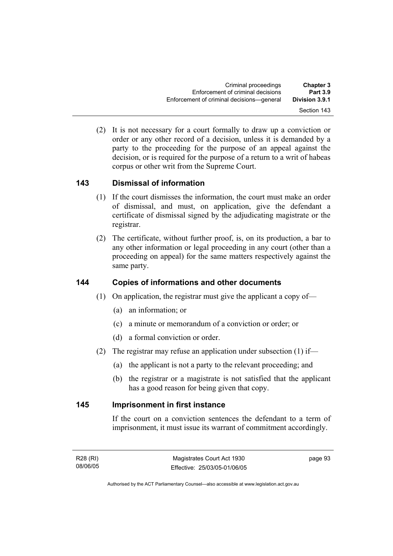(2) It is not necessary for a court formally to draw up a conviction or order or any other record of a decision, unless it is demanded by a party to the proceeding for the purpose of an appeal against the decision, or is required for the purpose of a return to a writ of habeas corpus or other writ from the Supreme Court.

# **143 Dismissal of information**

- (1) If the court dismisses the information, the court must make an order of dismissal, and must, on application, give the defendant a certificate of dismissal signed by the adjudicating magistrate or the registrar.
- (2) The certificate, without further proof, is, on its production, a bar to any other information or legal proceeding in any court (other than a proceeding on appeal) for the same matters respectively against the same party.

# **144 Copies of informations and other documents**

- (1) On application, the registrar must give the applicant a copy of—
	- (a) an information; or
	- (c) a minute or memorandum of a conviction or order; or
	- (d) a formal conviction or order.
- (2) The registrar may refuse an application under subsection (1) if—
	- (a) the applicant is not a party to the relevant proceeding; and
	- (b) the registrar or a magistrate is not satisfied that the applicant has a good reason for being given that copy.

#### **145 Imprisonment in first instance**

If the court on a conviction sentences the defendant to a term of imprisonment, it must issue its warrant of commitment accordingly.

page 93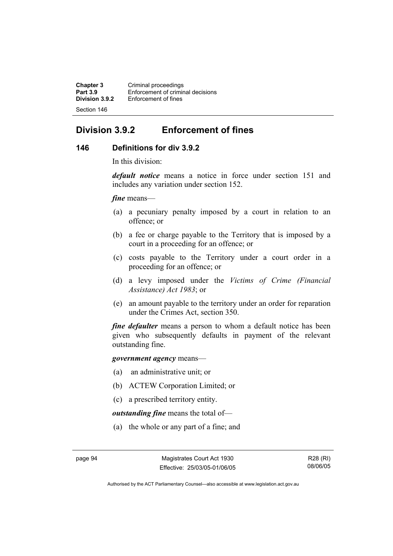**Chapter 3 Criminal proceedings**<br>**Part 3.9 Enforcement of criminal Part 3.9 Enforcement of criminal decisions**<br>**Division 3.9.2 Enforcement of fines Enforcement of fines** Section 146

# **Division 3.9.2 Enforcement of fines**

#### **146 Definitions for div 3.9.2**

In this division:

*default notice* means a notice in force under section 151 and includes any variation under section 152.

*fine* means—

- (a) a pecuniary penalty imposed by a court in relation to an offence; or
- (b) a fee or charge payable to the Territory that is imposed by a court in a proceeding for an offence; or
- (c) costs payable to the Territory under a court order in a proceeding for an offence; or
- (d) a levy imposed under the *Victims of Crime (Financial Assistance) Act 1983*; or
- (e) an amount payable to the territory under an order for reparation under the Crimes Act, section 350.

*fine defaulter* means a person to whom a default notice has been given who subsequently defaults in payment of the relevant outstanding fine.

*government agency* means—

- (a) an administrative unit; or
- (b) ACTEW Corporation Limited; or
- (c) a prescribed territory entity.

*outstanding fine* means the total of—

(a) the whole or any part of a fine; and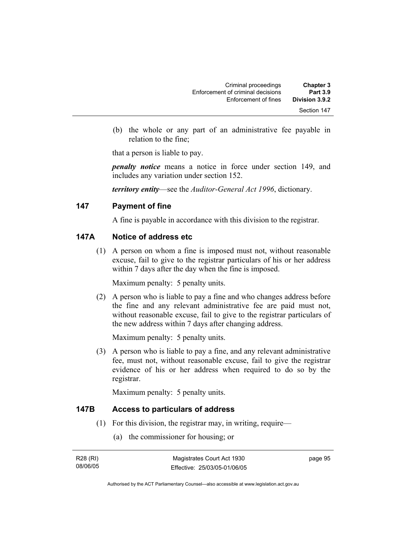| <b>Chapter 3</b><br><b>Part 3.9</b> | Criminal proceedings                                      |
|-------------------------------------|-----------------------------------------------------------|
| Division 3.9.2                      | Enforcement of criminal decisions<br>Enforcement of fines |
| Section 147                         |                                                           |

 (b) the whole or any part of an administrative fee payable in relation to the fine;

that a person is liable to pay.

*penalty notice* means a notice in force under section 149, and includes any variation under section 152.

*territory entity*—see the *Auditor-General Act 1996*, dictionary.

#### **147 Payment of fine**

A fine is payable in accordance with this division to the registrar.

# **147A Notice of address etc**

 (1) A person on whom a fine is imposed must not, without reasonable excuse, fail to give to the registrar particulars of his or her address within 7 days after the day when the fine is imposed.

Maximum penalty: 5 penalty units.

 (2) A person who is liable to pay a fine and who changes address before the fine and any relevant administrative fee are paid must not, without reasonable excuse, fail to give to the registrar particulars of the new address within 7 days after changing address.

Maximum penalty: 5 penalty units.

 (3) A person who is liable to pay a fine, and any relevant administrative fee, must not, without reasonable excuse, fail to give the registrar evidence of his or her address when required to do so by the registrar.

Maximum penalty: 5 penalty units.

#### **147B Access to particulars of address**

- (1) For this division, the registrar may, in writing, require—
	- (a) the commissioner for housing; or

| R28 (RI) | Magistrates Court Act 1930   | page 95 |
|----------|------------------------------|---------|
| 08/06/05 | Effective: 25/03/05-01/06/05 |         |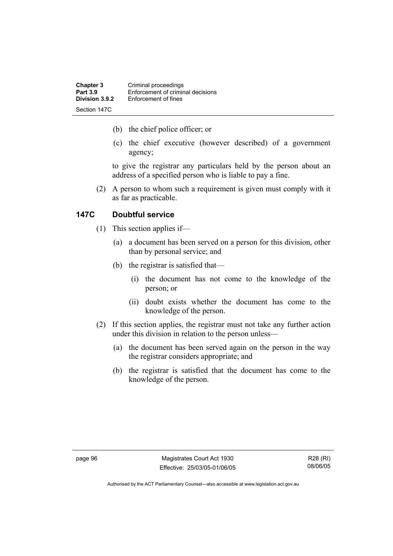| <b>Chapter 3</b><br><b>Part 3.9</b> | Criminal proceedings<br>Enforcement of criminal decisions |
|-------------------------------------|-----------------------------------------------------------|
| Division 3.9.2                      | Enforcement of fines                                      |
| Section 147C                        |                                                           |

- (b) the chief police officer; or
- (c) the chief executive (however described) of a government agency;

to give the registrar any particulars held by the person about an address of a specified person who is liable to pay a fine.

 (2) A person to whom such a requirement is given must comply with it as far as practicable.

# **147C Doubtful service**

- (1) This section applies if—
	- (a) a document has been served on a person for this division, other than by personal service; and
	- (b) the registrar is satisfied that—
		- (i) the document has not come to the knowledge of the person; or
		- (ii) doubt exists whether the document has come to the knowledge of the person.
- (2) If this section applies, the registrar must not take any further action under this division in relation to the person unless—
	- (a) the document has been served again on the person in the way the registrar considers appropriate; and
	- (b) the registrar is satisfied that the document has come to the knowledge of the person.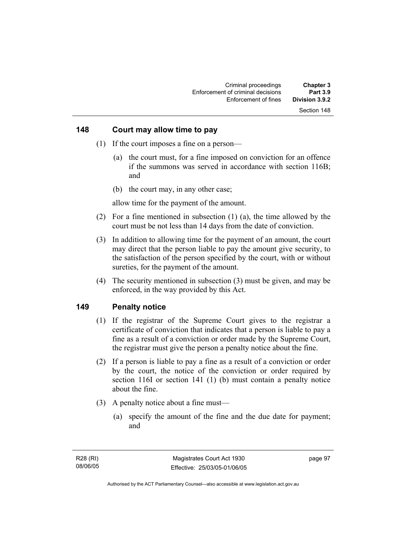#### **148 Court may allow time to pay**

- (1) If the court imposes a fine on a person—
	- (a) the court must, for a fine imposed on conviction for an offence if the summons was served in accordance with section 116B; and
	- (b) the court may, in any other case;

allow time for the payment of the amount.

- (2) For a fine mentioned in subsection (1) (a), the time allowed by the court must be not less than 14 days from the date of conviction.
- (3) In addition to allowing time for the payment of an amount, the court may direct that the person liable to pay the amount give security, to the satisfaction of the person specified by the court, with or without sureties, for the payment of the amount.
- (4) The security mentioned in subsection (3) must be given, and may be enforced, in the way provided by this Act.

#### **149 Penalty notice**

- (1) If the registrar of the Supreme Court gives to the registrar a certificate of conviction that indicates that a person is liable to pay a fine as a result of a conviction or order made by the Supreme Court, the registrar must give the person a penalty notice about the fine.
- (2) If a person is liable to pay a fine as a result of a conviction or order by the court, the notice of the conviction or order required by section 116I or section 141 (1) (b) must contain a penalty notice about the fine.
- (3) A penalty notice about a fine must—
	- (a) specify the amount of the fine and the due date for payment; and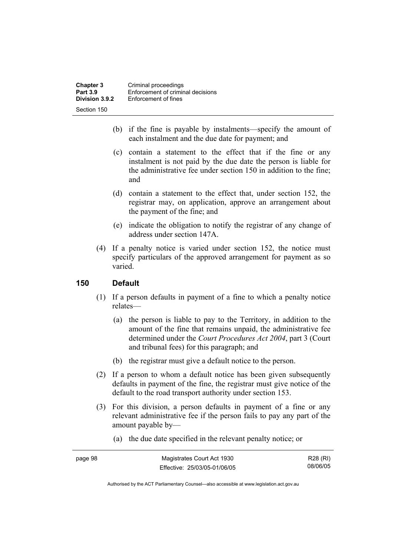| <b>Chapter 3</b><br><b>Part 3.9</b> | Criminal proceedings<br>Enforcement of criminal decisions |
|-------------------------------------|-----------------------------------------------------------|
| Division 3.9.2                      | Enforcement of fines                                      |
| Section 150                         |                                                           |

- (b) if the fine is payable by instalments—specify the amount of each instalment and the due date for payment; and
- (c) contain a statement to the effect that if the fine or any instalment is not paid by the due date the person is liable for the administrative fee under section 150 in addition to the fine; and
- (d) contain a statement to the effect that, under section 152, the registrar may, on application, approve an arrangement about the payment of the fine; and
- (e) indicate the obligation to notify the registrar of any change of address under section 147A.
- (4) If a penalty notice is varied under section 152, the notice must specify particulars of the approved arrangement for payment as so varied.

# **150 Default**

- (1) If a person defaults in payment of a fine to which a penalty notice relates—
	- (a) the person is liable to pay to the Territory, in addition to the amount of the fine that remains unpaid, the administrative fee determined under the *Court Procedures Act 2004*, part 3 (Court and tribunal fees) for this paragraph; and
	- (b) the registrar must give a default notice to the person.
- (2) If a person to whom a default notice has been given subsequently defaults in payment of the fine, the registrar must give notice of the default to the road transport authority under section 153.
- (3) For this division, a person defaults in payment of a fine or any relevant administrative fee if the person fails to pay any part of the amount payable by—
	- (a) the due date specified in the relevant penalty notice; or

| page 98 | Magistrates Court Act 1930   | R28 (RI) |
|---------|------------------------------|----------|
|         | Effective: 25/03/05-01/06/05 | 08/06/05 |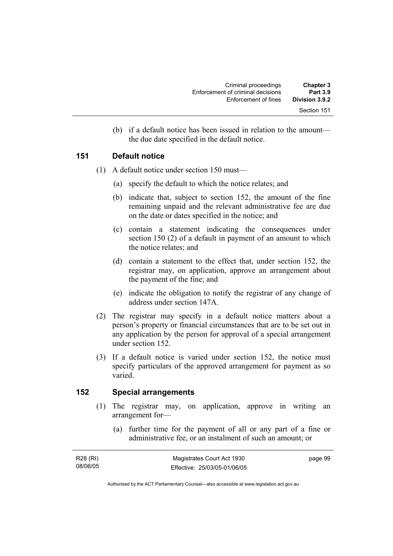| <b>Chapter 3</b><br><b>Part 3.9</b> | Criminal proceedings                                      |
|-------------------------------------|-----------------------------------------------------------|
| Division 3.9.2                      | Enforcement of criminal decisions<br>Enforcement of fines |
| Section 151                         |                                                           |

 (b) if a default notice has been issued in relation to the amount the due date specified in the default notice.

#### **151 Default notice**

- (1) A default notice under section 150 must—
	- (a) specify the default to which the notice relates; and
	- (b) indicate that, subject to section 152, the amount of the fine remaining unpaid and the relevant administrative fee are due on the date or dates specified in the notice; and
	- (c) contain a statement indicating the consequences under section 150 (2) of a default in payment of an amount to which the notice relates; and
	- (d) contain a statement to the effect that, under section 152, the registrar may, on application, approve an arrangement about the payment of the fine; and
	- (e) indicate the obligation to notify the registrar of any change of address under section 147A.
- (2) The registrar may specify in a default notice matters about a person's property or financial circumstances that are to be set out in any application by the person for approval of a special arrangement under section 152.
- (3) If a default notice is varied under section 152, the notice must specify particulars of the approved arrangement for payment as so varied.

#### **152 Special arrangements**

- (1) The registrar may, on application, approve in writing an arrangement for—
	- (a) further time for the payment of all or any part of a fine or administrative fee, or an instalment of such an amount; or

| R28 (RI) | Magistrates Court Act 1930   | page 99 |
|----------|------------------------------|---------|
| 08/06/05 | Effective: 25/03/05-01/06/05 |         |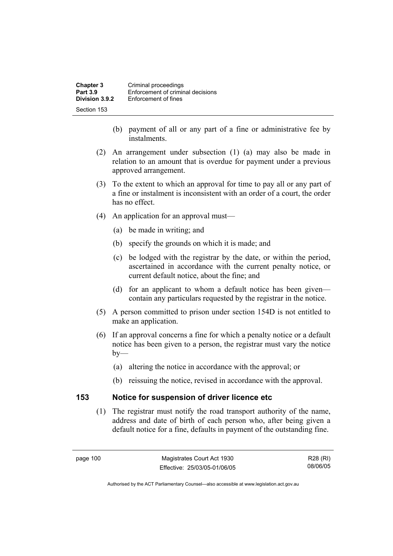| <b>Chapter 3</b><br><b>Part 3.9</b> | Criminal proceedings<br>Enforcement of criminal decisions |
|-------------------------------------|-----------------------------------------------------------|
| Division 3.9.2                      | Enforcement of fines                                      |
| Section 153                         |                                                           |

- (b) payment of all or any part of a fine or administrative fee by instalments.
- (2) An arrangement under subsection (1) (a) may also be made in relation to an amount that is overdue for payment under a previous approved arrangement.
- (3) To the extent to which an approval for time to pay all or any part of a fine or instalment is inconsistent with an order of a court, the order has no effect.
- (4) An application for an approval must—
	- (a) be made in writing; and
	- (b) specify the grounds on which it is made; and
	- (c) be lodged with the registrar by the date, or within the period, ascertained in accordance with the current penalty notice, or current default notice, about the fine; and
	- (d) for an applicant to whom a default notice has been given contain any particulars requested by the registrar in the notice.
- (5) A person committed to prison under section 154D is not entitled to make an application.
- (6) If an approval concerns a fine for which a penalty notice or a default notice has been given to a person, the registrar must vary the notice  $by-$ 
	- (a) altering the notice in accordance with the approval; or
	- (b) reissuing the notice, revised in accordance with the approval.

#### **153 Notice for suspension of driver licence etc**

 (1) The registrar must notify the road transport authority of the name, address and date of birth of each person who, after being given a default notice for a fine, defaults in payment of the outstanding fine.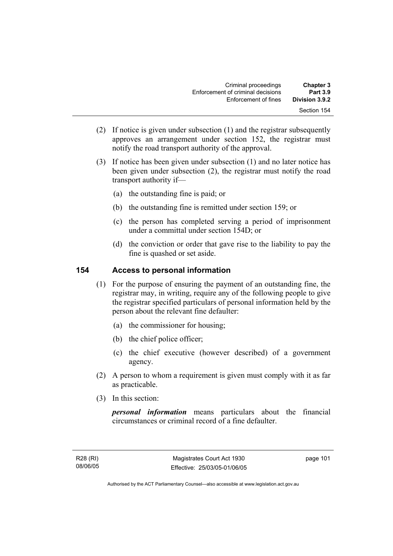| <b>Chapter 3</b><br><b>Part 3.9</b> | Criminal proceedings<br>Enforcement of criminal decisions |
|-------------------------------------|-----------------------------------------------------------|
| Division 3.9.2                      | Enforcement of fines                                      |
| Section 154                         |                                                           |

- (2) If notice is given under subsection (1) and the registrar subsequently approves an arrangement under section 152, the registrar must notify the road transport authority of the approval.
- (3) If notice has been given under subsection (1) and no later notice has been given under subsection (2), the registrar must notify the road transport authority if—
	- (a) the outstanding fine is paid; or
	- (b) the outstanding fine is remitted under section 159; or
	- (c) the person has completed serving a period of imprisonment under a committal under section 154D; or
	- (d) the conviction or order that gave rise to the liability to pay the fine is quashed or set aside.

#### **154 Access to personal information**

- (1) For the purpose of ensuring the payment of an outstanding fine, the registrar may, in writing, require any of the following people to give the registrar specified particulars of personal information held by the person about the relevant fine defaulter:
	- (a) the commissioner for housing;
	- (b) the chief police officer;
	- (c) the chief executive (however described) of a government agency.
- (2) A person to whom a requirement is given must comply with it as far as practicable.
- (3) In this section:

*personal information* means particulars about the financial circumstances or criminal record of a fine defaulter.

page 101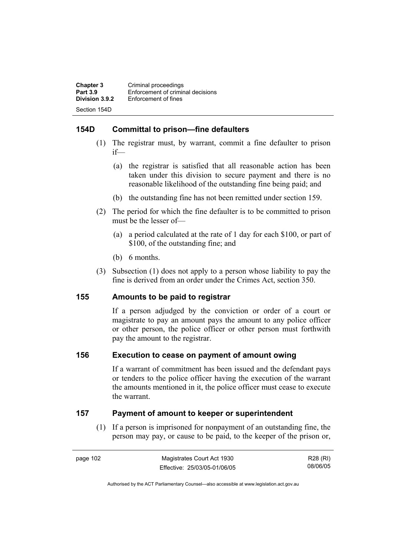| <b>Chapter 3</b> | Criminal proceedings              |
|------------------|-----------------------------------|
| <b>Part 3.9</b>  | Enforcement of criminal decisions |
| Division 3.9.2   | Enforcement of fines              |
| Section 154D     |                                   |

# **154D Committal to prison—fine defaulters**

- (1) The registrar must, by warrant, commit a fine defaulter to prison if—
	- (a) the registrar is satisfied that all reasonable action has been taken under this division to secure payment and there is no reasonable likelihood of the outstanding fine being paid; and
	- (b) the outstanding fine has not been remitted under section 159.
- (2) The period for which the fine defaulter is to be committed to prison must be the lesser of—
	- (a) a period calculated at the rate of 1 day for each \$100, or part of \$100, of the outstanding fine; and
	- (b) 6 months.
- (3) Subsection (1) does not apply to a person whose liability to pay the fine is derived from an order under the Crimes Act, section 350.

# **155 Amounts to be paid to registrar**

If a person adjudged by the conviction or order of a court or magistrate to pay an amount pays the amount to any police officer or other person, the police officer or other person must forthwith pay the amount to the registrar.

#### **156 Execution to cease on payment of amount owing**

If a warrant of commitment has been issued and the defendant pays or tenders to the police officer having the execution of the warrant the amounts mentioned in it, the police officer must cease to execute the warrant.

# **157 Payment of amount to keeper or superintendent**

 (1) If a person is imprisoned for nonpayment of an outstanding fine, the person may pay, or cause to be paid, to the keeper of the prison or,

R28 (RI) 08/06/05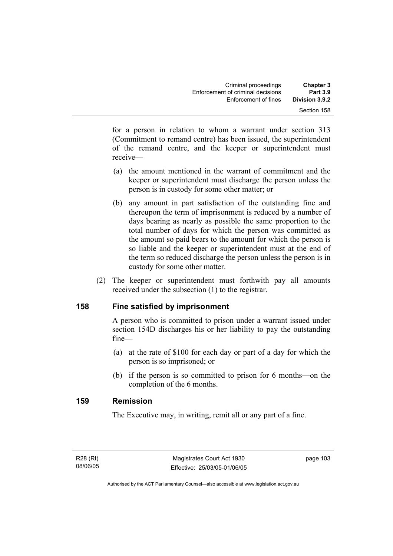for a person in relation to whom a warrant under section 313 (Commitment to remand centre) has been issued, the superintendent of the remand centre, and the keeper or superintendent must receive—

- (a) the amount mentioned in the warrant of commitment and the keeper or superintendent must discharge the person unless the person is in custody for some other matter; or
- (b) any amount in part satisfaction of the outstanding fine and thereupon the term of imprisonment is reduced by a number of days bearing as nearly as possible the same proportion to the total number of days for which the person was committed as the amount so paid bears to the amount for which the person is so liable and the keeper or superintendent must at the end of the term so reduced discharge the person unless the person is in custody for some other matter.
- (2) The keeper or superintendent must forthwith pay all amounts received under the subsection (1) to the registrar.

# **158 Fine satisfied by imprisonment**

A person who is committed to prison under a warrant issued under section 154D discharges his or her liability to pay the outstanding fine—

- (a) at the rate of \$100 for each day or part of a day for which the person is so imprisoned; or
- (b) if the person is so committed to prison for 6 months—on the completion of the 6 months.

# **159 Remission**

The Executive may, in writing, remit all or any part of a fine.

R28 (RI) 08/06/05 page 103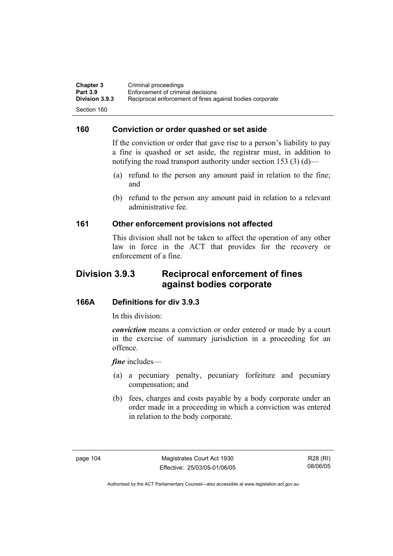**Chapter 3 Criminal proceedings**<br>**Part 3.9 Enforcement of criminal Part 3.9 Enforcement of criminal decisions**<br>**Division 3.9.3** Reciprocal enforcement of fines ad **Division 3.9.3** Reciprocal enforcement of fines against bodies corporate Section 160

#### **160 Conviction or order quashed or set aside**

If the conviction or order that gave rise to a person's liability to pay a fine is quashed or set aside, the registrar must, in addition to notifying the road transport authority under section 153 (3) (d)—

- (a) refund to the person any amount paid in relation to the fine; and
- (b) refund to the person any amount paid in relation to a relevant administrative fee.

#### **161 Other enforcement provisions not affected**

This division shall not be taken to affect the operation of any other law in force in the ACT that provides for the recovery or enforcement of a fine.

# **Division 3.9.3 Reciprocal enforcement of fines against bodies corporate**

#### **166A Definitions for div 3.9.3**

In this division:

*conviction* means a conviction or order entered or made by a court in the exercise of summary jurisdiction in a proceeding for an offence.

*fine* includes—

- (a) a pecuniary penalty, pecuniary forfeiture and pecuniary compensation; and
- (b) fees, charges and costs payable by a body corporate under an order made in a proceeding in which a conviction was entered in relation to the body corporate.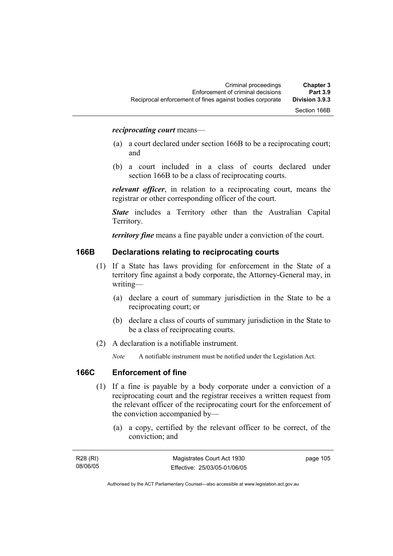#### *reciprocating court* means—

- (a) a court declared under section 166B to be a reciprocating court; and
- (b) a court included in a class of courts declared under section 166B to be a class of reciprocating courts.

*relevant officer*, in relation to a reciprocating court, means the registrar or other corresponding officer of the court.

*State* includes a Territory other than the Australian Capital Territory.

*territory fine* means a fine payable under a conviction of the court.

#### **166B Declarations relating to reciprocating courts**

- (1) If a State has laws providing for enforcement in the State of a territory fine against a body corporate, the Attorney-General may, in writing—
	- (a) declare a court of summary jurisdiction in the State to be a reciprocating court; or
	- (b) declare a class of courts of summary jurisdiction in the State to be a class of reciprocating courts.
- (2) A declaration is a notifiable instrument.
	- *Note* A notifiable instrument must be notified under the Legislation Act.

#### **166C Enforcement of fine**

- (1) If a fine is payable by a body corporate under a conviction of a reciprocating court and the registrar receives a written request from the relevant officer of the reciprocating court for the enforcement of the conviction accompanied by—
	- (a) a copy, certified by the relevant officer to be correct, of the conviction; and

| R28 (RI) | Magistrates Court Act 1930   | page 105 |
|----------|------------------------------|----------|
| 08/06/05 | Effective: 25/03/05-01/06/05 |          |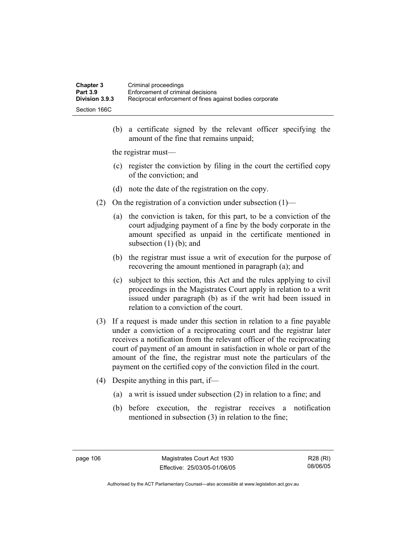| Chapter 3       | Criminal proceedings                                     |
|-----------------|----------------------------------------------------------|
| <b>Part 3.9</b> | Enforcement of criminal decisions                        |
| Division 3.9.3  | Reciprocal enforcement of fines against bodies corporate |
| Section 166C    |                                                          |

 (b) a certificate signed by the relevant officer specifying the amount of the fine that remains unpaid;

the registrar must—

- (c) register the conviction by filing in the court the certified copy of the conviction; and
- (d) note the date of the registration on the copy.
- (2) On the registration of a conviction under subsection  $(1)$ 
	- (a) the conviction is taken, for this part, to be a conviction of the court adjudging payment of a fine by the body corporate in the amount specified as unpaid in the certificate mentioned in subsection  $(1)$  (b); and
	- (b) the registrar must issue a writ of execution for the purpose of recovering the amount mentioned in paragraph (a); and
	- (c) subject to this section, this Act and the rules applying to civil proceedings in the Magistrates Court apply in relation to a writ issued under paragraph (b) as if the writ had been issued in relation to a conviction of the court.
- (3) If a request is made under this section in relation to a fine payable under a conviction of a reciprocating court and the registrar later receives a notification from the relevant officer of the reciprocating court of payment of an amount in satisfaction in whole or part of the amount of the fine, the registrar must note the particulars of the payment on the certified copy of the conviction filed in the court.
- (4) Despite anything in this part, if—
	- (a) a writ is issued under subsection (2) in relation to a fine; and
	- (b) before execution, the registrar receives a notification mentioned in subsection (3) in relation to the fine;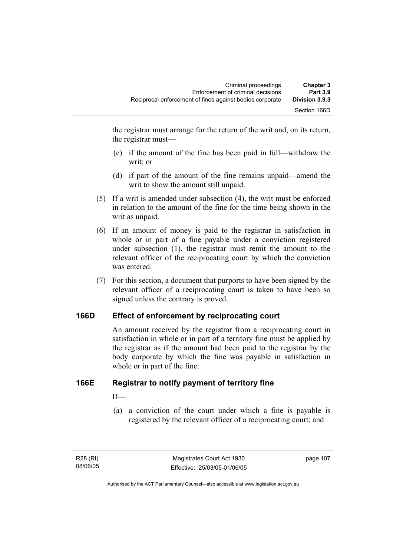the registrar must arrange for the return of the writ and, on its return, the registrar must—

- (c) if the amount of the fine has been paid in full—withdraw the writ; or
- (d) if part of the amount of the fine remains unpaid—amend the writ to show the amount still unpaid.
- (5) If a writ is amended under subsection (4), the writ must be enforced in relation to the amount of the fine for the time being shown in the writ as unpaid.
- (6) If an amount of money is paid to the registrar in satisfaction in whole or in part of a fine payable under a conviction registered under subsection (1), the registrar must remit the amount to the relevant officer of the reciprocating court by which the conviction was entered.
- (7) For this section, a document that purports to have been signed by the relevant officer of a reciprocating court is taken to have been so signed unless the contrary is proved.

# **166D Effect of enforcement by reciprocating court**

An amount received by the registrar from a reciprocating court in satisfaction in whole or in part of a territory fine must be applied by the registrar as if the amount had been paid to the registrar by the body corporate by which the fine was payable in satisfaction in whole or in part of the fine.

# **166E Registrar to notify payment of territory fine**

If—

 (a) a conviction of the court under which a fine is payable is registered by the relevant officer of a reciprocating court; and

page 107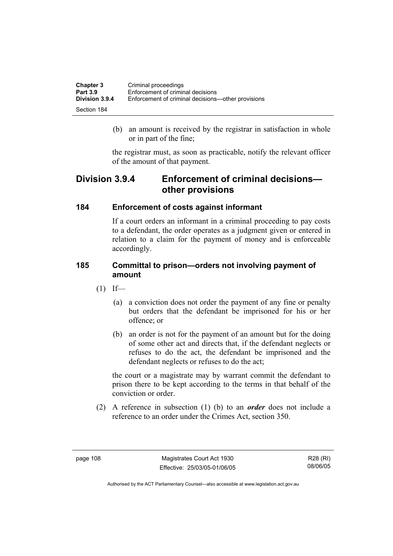| <b>Chapter 3</b> | Criminal proceedings                               |
|------------------|----------------------------------------------------|
| <b>Part 3.9</b>  | Enforcement of criminal decisions                  |
| Division 3.9.4   | Enforcement of criminal decisions—other provisions |
| Section 184      |                                                    |

 (b) an amount is received by the registrar in satisfaction in whole or in part of the fine;

the registrar must, as soon as practicable, notify the relevant officer of the amount of that payment.

# **Division 3.9.4 Enforcement of criminal decisions other provisions**

#### **184 Enforcement of costs against informant**

If a court orders an informant in a criminal proceeding to pay costs to a defendant, the order operates as a judgment given or entered in relation to a claim for the payment of money and is enforceable accordingly.

#### **185 Committal to prison—orders not involving payment of amount**

- $(1)$  If—
	- (a) a conviction does not order the payment of any fine or penalty but orders that the defendant be imprisoned for his or her offence; or
	- (b) an order is not for the payment of an amount but for the doing of some other act and directs that, if the defendant neglects or refuses to do the act, the defendant be imprisoned and the defendant neglects or refuses to do the act;

the court or a magistrate may by warrant commit the defendant to prison there to be kept according to the terms in that behalf of the conviction or order.

 (2) A reference in subsection (1) (b) to an *order* does not include a reference to an order under the Crimes Act, section 350.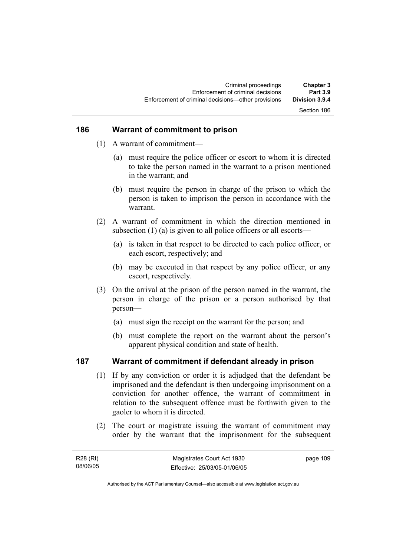# Section 186

#### **186 Warrant of commitment to prison**

- (1) A warrant of commitment—
	- (a) must require the police officer or escort to whom it is directed to take the person named in the warrant to a prison mentioned in the warrant; and
	- (b) must require the person in charge of the prison to which the person is taken to imprison the person in accordance with the warrant.
- (2) A warrant of commitment in which the direction mentioned in subsection (1) (a) is given to all police officers or all escorts—
	- (a) is taken in that respect to be directed to each police officer, or each escort, respectively; and
	- (b) may be executed in that respect by any police officer, or any escort, respectively.
- (3) On the arrival at the prison of the person named in the warrant, the person in charge of the prison or a person authorised by that person—
	- (a) must sign the receipt on the warrant for the person; and
	- (b) must complete the report on the warrant about the person's apparent physical condition and state of health.

#### **187 Warrant of commitment if defendant already in prison**

- (1) If by any conviction or order it is adjudged that the defendant be imprisoned and the defendant is then undergoing imprisonment on a conviction for another offence, the warrant of commitment in relation to the subsequent offence must be forthwith given to the gaoler to whom it is directed.
- (2) The court or magistrate issuing the warrant of commitment may order by the warrant that the imprisonment for the subsequent

| R28 (RI) | Magistrates Court Act 1930   | page 109 |
|----------|------------------------------|----------|
| 08/06/05 | Effective: 25/03/05-01/06/05 |          |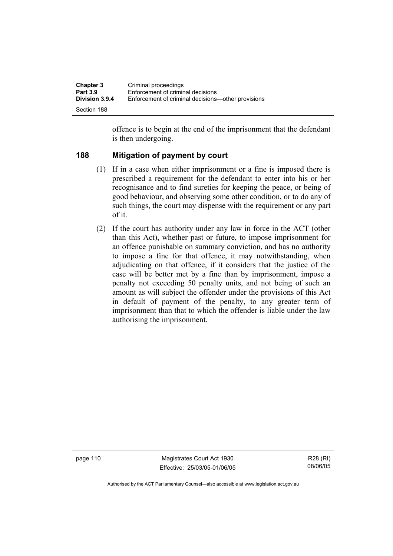| <b>Chapter 3</b><br><b>Part 3.9</b> | Criminal proceedings<br>Enforcement of criminal decisions |
|-------------------------------------|-----------------------------------------------------------|
| <b>Division 3.9.4</b>               | Enforcement of criminal decisions—other provisions        |
| Section 188                         |                                                           |

offence is to begin at the end of the imprisonment that the defendant is then undergoing.

#### **188 Mitigation of payment by court**

- (1) If in a case when either imprisonment or a fine is imposed there is prescribed a requirement for the defendant to enter into his or her recognisance and to find sureties for keeping the peace, or being of good behaviour, and observing some other condition, or to do any of such things, the court may dispense with the requirement or any part of it.
- (2) If the court has authority under any law in force in the ACT (other than this Act), whether past or future, to impose imprisonment for an offence punishable on summary conviction, and has no authority to impose a fine for that offence, it may notwithstanding, when adjudicating on that offence, if it considers that the justice of the case will be better met by a fine than by imprisonment, impose a penalty not exceeding 50 penalty units, and not being of such an amount as will subject the offender under the provisions of this Act in default of payment of the penalty, to any greater term of imprisonment than that to which the offender is liable under the law authorising the imprisonment.

page 110 Magistrates Court Act 1930 Effective: 25/03/05-01/06/05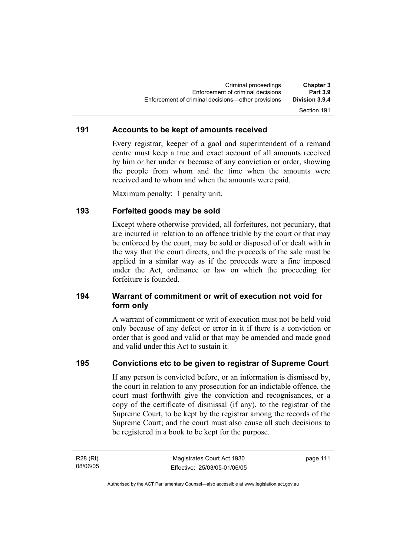#### **191 Accounts to be kept of amounts received**

Every registrar, keeper of a gaol and superintendent of a remand centre must keep a true and exact account of all amounts received by him or her under or because of any conviction or order, showing the people from whom and the time when the amounts were received and to whom and when the amounts were paid.

Maximum penalty: 1 penalty unit.

#### **193 Forfeited goods may be sold**

Except where otherwise provided, all forfeitures, not pecuniary, that are incurred in relation to an offence triable by the court or that may be enforced by the court, may be sold or disposed of or dealt with in the way that the court directs, and the proceeds of the sale must be applied in a similar way as if the proceeds were a fine imposed under the Act, ordinance or law on which the proceeding for forfeiture is founded.

### **194 Warrant of commitment or writ of execution not void for form only**

A warrant of commitment or writ of execution must not be held void only because of any defect or error in it if there is a conviction or order that is good and valid or that may be amended and made good and valid under this Act to sustain it.

#### **195 Convictions etc to be given to registrar of Supreme Court**

If any person is convicted before, or an information is dismissed by, the court in relation to any prosecution for an indictable offence, the court must forthwith give the conviction and recognisances, or a copy of the certificate of dismissal (if any), to the registrar of the Supreme Court, to be kept by the registrar among the records of the Supreme Court; and the court must also cause all such decisions to be registered in a book to be kept for the purpose.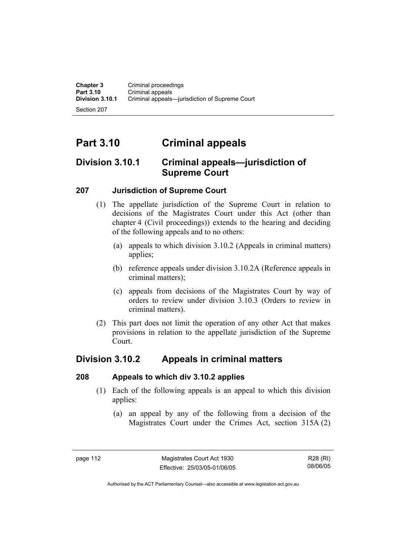Section 207

# **Part 3.10 Criminal appeals**

# **Division 3.10.1 Criminal appeals—jurisdiction of Supreme Court**

# **207 Jurisdiction of Supreme Court**

- (1) The appellate jurisdiction of the Supreme Court in relation to decisions of the Magistrates Court under this Act (other than chapter 4 (Civil proceedings)) extends to the hearing and deciding of the following appeals and to no others:
	- (a) appeals to which division 3.10.2 (Appeals in criminal matters) applies;
	- (b) reference appeals under division 3.10.2A (Reference appeals in criminal matters);
	- (c) appeals from decisions of the Magistrates Court by way of orders to review under division 3.10.3 (Orders to review in criminal matters).
- (2) This part does not limit the operation of any other Act that makes provisions in relation to the appellate jurisdiction of the Supreme Court.

# **Division 3.10.2 Appeals in criminal matters**

#### **208 Appeals to which div 3.10.2 applies**

- (1) Each of the following appeals is an appeal to which this division applies:
	- (a) an appeal by any of the following from a decision of the Magistrates Court under the Crimes Act, section 315A (2)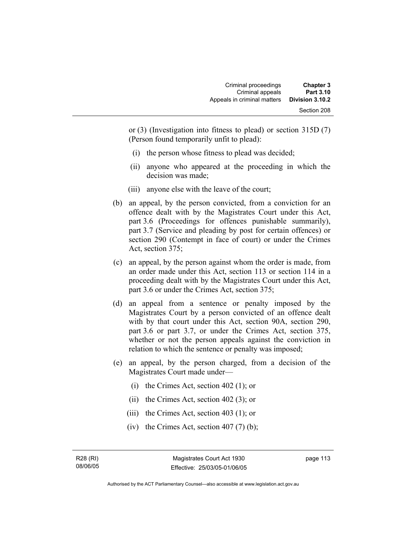| <b>Chapter 3</b><br><b>Part 3.10</b> | Criminal proceedings<br>Criminal appeals |
|--------------------------------------|------------------------------------------|
| Division 3.10.2                      | Appeals in criminal matters              |
| Section 208                          |                                          |

or (3) (Investigation into fitness to plead) or section 315D (7) (Person found temporarily unfit to plead):

- (i) the person whose fitness to plead was decided;
- (ii) anyone who appeared at the proceeding in which the decision was made;
- (iii) anyone else with the leave of the court;
- (b) an appeal, by the person convicted, from a conviction for an offence dealt with by the Magistrates Court under this Act, part 3.6 (Proceedings for offences punishable summarily), part 3.7 (Service and pleading by post for certain offences) or section 290 (Contempt in face of court) or under the Crimes Act, section 375;
- (c) an appeal, by the person against whom the order is made, from an order made under this Act, section 113 or section 114 in a proceeding dealt with by the Magistrates Court under this Act, part 3.6 or under the Crimes Act, section 375;
- (d) an appeal from a sentence or penalty imposed by the Magistrates Court by a person convicted of an offence dealt with by that court under this Act, section 90A, section 290, part 3.6 or part 3.7, or under the Crimes Act, section 375, whether or not the person appeals against the conviction in relation to which the sentence or penalty was imposed;
- (e) an appeal, by the person charged, from a decision of the Magistrates Court made under—
	- (i) the Crimes Act, section 402 (1); or
	- (ii) the Crimes Act, section 402 (3); or
	- (iii) the Crimes Act, section 403 (1); or
	- (iv) the Crimes Act, section  $407(7)$  (b);

R28 (RI) 08/06/05 page 113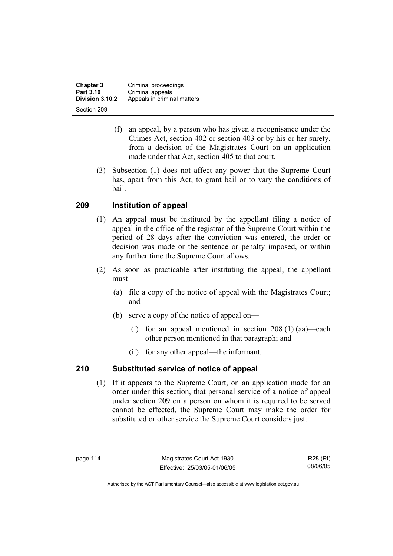**Chapter 3 Criminal proceedings**<br>**Part 3.10 Criminal appeals Part 3.10 Criminal appeals**<br>**Division 3.10.2** Appeals in crimin **Division 3.10.2** Appeals in criminal matters Section 209

- (f) an appeal, by a person who has given a recognisance under the Crimes Act, section 402 or section 403 or by his or her surety, from a decision of the Magistrates Court on an application made under that Act, section 405 to that court.
- (3) Subsection (1) does not affect any power that the Supreme Court has, apart from this Act, to grant bail or to vary the conditions of bail.

# **209 Institution of appeal**

- (1) An appeal must be instituted by the appellant filing a notice of appeal in the office of the registrar of the Supreme Court within the period of 28 days after the conviction was entered, the order or decision was made or the sentence or penalty imposed, or within any further time the Supreme Court allows.
- (2) As soon as practicable after instituting the appeal, the appellant must—
	- (a) file a copy of the notice of appeal with the Magistrates Court; and
	- (b) serve a copy of the notice of appeal on—
		- (i) for an appeal mentioned in section  $208(1)(aa)$ —each other person mentioned in that paragraph; and
		- (ii) for any other appeal—the informant.

# **210 Substituted service of notice of appeal**

 (1) If it appears to the Supreme Court, on an application made for an order under this section, that personal service of a notice of appeal under section 209 on a person on whom it is required to be served cannot be effected, the Supreme Court may make the order for substituted or other service the Supreme Court considers just.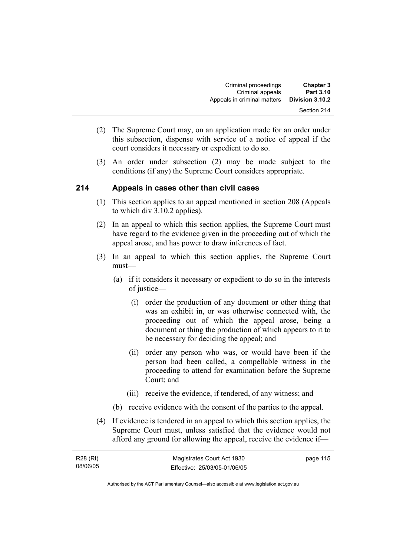| <b>Chapter 3</b> | Criminal proceedings        |
|------------------|-----------------------------|
| Part 3.10        | Criminal appeals            |
| Division 3.10.2  | Appeals in criminal matters |
| Section 214      |                             |

- (2) The Supreme Court may, on an application made for an order under this subsection, dispense with service of a notice of appeal if the court considers it necessary or expedient to do so.
- (3) An order under subsection (2) may be made subject to the conditions (if any) the Supreme Court considers appropriate.

#### **214 Appeals in cases other than civil cases**

- (1) This section applies to an appeal mentioned in section 208 (Appeals to which div 3.10.2 applies).
- (2) In an appeal to which this section applies, the Supreme Court must have regard to the evidence given in the proceeding out of which the appeal arose, and has power to draw inferences of fact.
- (3) In an appeal to which this section applies, the Supreme Court must—
	- (a) if it considers it necessary or expedient to do so in the interests of justice—
		- (i) order the production of any document or other thing that was an exhibit in, or was otherwise connected with, the proceeding out of which the appeal arose, being a document or thing the production of which appears to it to be necessary for deciding the appeal; and
		- (ii) order any person who was, or would have been if the person had been called, a compellable witness in the proceeding to attend for examination before the Supreme Court; and
		- (iii) receive the evidence, if tendered, of any witness; and
	- (b) receive evidence with the consent of the parties to the appeal.
- (4) If evidence is tendered in an appeal to which this section applies, the Supreme Court must, unless satisfied that the evidence would not afford any ground for allowing the appeal, receive the evidence if—

| R28 (RI) | Magistrates Court Act 1930   | page 115 |
|----------|------------------------------|----------|
| 08/06/05 | Effective: 25/03/05-01/06/05 |          |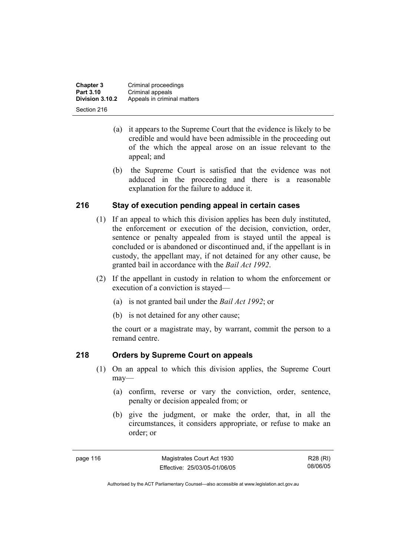**Chapter 3 Criminal proceedings**<br>**Part 3.10 Criminal appeals Part 3.10 Criminal appeals**<br>**Division 3.10.2** Appeals in crimin **Division 3.10.2** Appeals in criminal matters Section 216

- (a) it appears to the Supreme Court that the evidence is likely to be credible and would have been admissible in the proceeding out of the which the appeal arose on an issue relevant to the appeal; and
- (b) the Supreme Court is satisfied that the evidence was not adduced in the proceeding and there is a reasonable explanation for the failure to adduce it.

# **216 Stay of execution pending appeal in certain cases**

- (1) If an appeal to which this division applies has been duly instituted, the enforcement or execution of the decision, conviction, order, sentence or penalty appealed from is stayed until the appeal is concluded or is abandoned or discontinued and, if the appellant is in custody, the appellant may, if not detained for any other cause, be granted bail in accordance with the *Bail Act 1992*.
- (2) If the appellant in custody in relation to whom the enforcement or execution of a conviction is stayed—
	- (a) is not granted bail under the *Bail Act 1992*; or
	- (b) is not detained for any other cause;

the court or a magistrate may, by warrant, commit the person to a remand centre.

# **218 Orders by Supreme Court on appeals**

- (1) On an appeal to which this division applies, the Supreme Court may—
	- (a) confirm, reverse or vary the conviction, order, sentence, penalty or decision appealed from; or
	- (b) give the judgment, or make the order, that, in all the circumstances, it considers appropriate, or refuse to make an order; or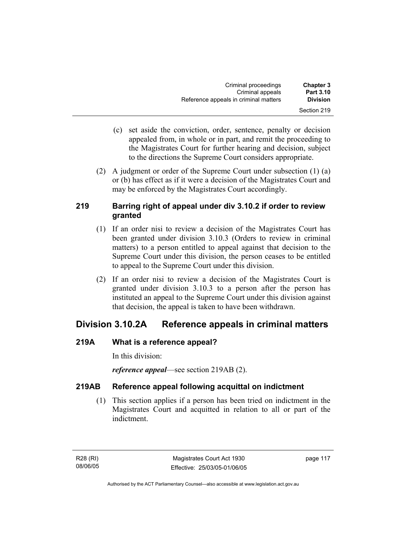| Criminal proceedings                  | <b>Chapter 3</b> |
|---------------------------------------|------------------|
| Criminal appeals                      | <b>Part 3.10</b> |
| Reference appeals in criminal matters | <b>Division</b>  |
|                                       | Section 219      |

- (c) set aside the conviction, order, sentence, penalty or decision appealed from, in whole or in part, and remit the proceeding to the Magistrates Court for further hearing and decision, subject to the directions the Supreme Court considers appropriate.
- (2) A judgment or order of the Supreme Court under subsection (1) (a) or (b) has effect as if it were a decision of the Magistrates Court and may be enforced by the Magistrates Court accordingly.

# **219 Barring right of appeal under div 3.10.2 if order to review granted**

- (1) If an order nisi to review a decision of the Magistrates Court has been granted under division 3.10.3 (Orders to review in criminal matters) to a person entitled to appeal against that decision to the Supreme Court under this division, the person ceases to be entitled to appeal to the Supreme Court under this division.
- (2) If an order nisi to review a decision of the Magistrates Court is granted under division 3.10.3 to a person after the person has instituted an appeal to the Supreme Court under this division against that decision, the appeal is taken to have been withdrawn.

# **Division 3.10.2A Reference appeals in criminal matters**

# **219A What is a reference appeal?**

In this division:

*reference appeal*—see section 219AB (2).

# **219AB Reference appeal following acquittal on indictment**

 (1) This section applies if a person has been tried on indictment in the Magistrates Court and acquitted in relation to all or part of the indictment.

R28 (RI) 08/06/05 page 117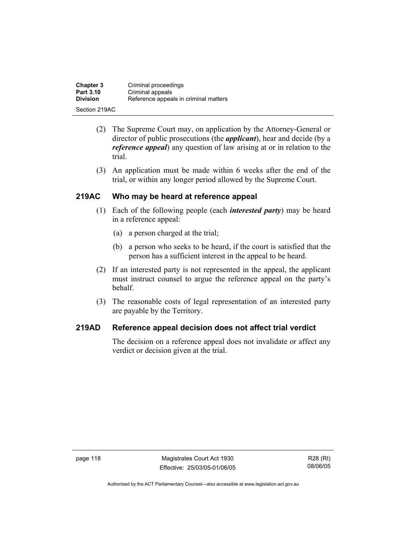| <b>Chapter 3</b> | Criminal proceedings                  |
|------------------|---------------------------------------|
| <b>Part 3.10</b> | Criminal appeals                      |
| <b>Division</b>  | Reference appeals in criminal matters |
| Section 219AC    |                                       |

- (2) The Supreme Court may, on application by the Attorney-General or director of public prosecutions (the *applicant*), hear and decide (by a *reference appeal*) any question of law arising at or in relation to the trial.
- (3) An application must be made within 6 weeks after the end of the trial, or within any longer period allowed by the Supreme Court.

# **219AC Who may be heard at reference appeal**

- (1) Each of the following people (each *interested party*) may be heard in a reference appeal:
	- (a) a person charged at the trial;
	- (b) a person who seeks to be heard, if the court is satisfied that the person has a sufficient interest in the appeal to be heard.
- (2) If an interested party is not represented in the appeal, the applicant must instruct counsel to argue the reference appeal on the party's behalf.
- (3) The reasonable costs of legal representation of an interested party are payable by the Territory.

# **219AD Reference appeal decision does not affect trial verdict**

The decision on a reference appeal does not invalidate or affect any verdict or decision given at the trial.

page 118 Magistrates Court Act 1930 Effective: 25/03/05-01/06/05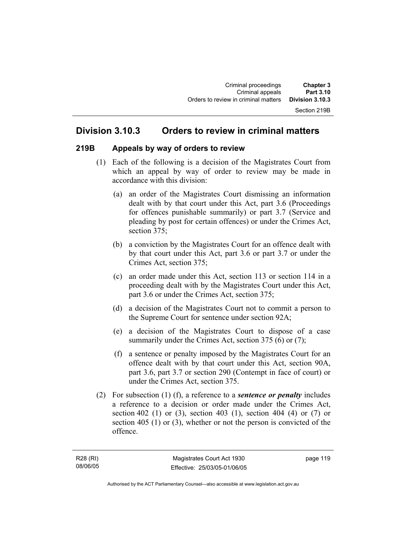# **Division 3.10.3 Orders to review in criminal matters**

#### **219B Appeals by way of orders to review**

- (1) Each of the following is a decision of the Magistrates Court from which an appeal by way of order to review may be made in accordance with this division:
	- (a) an order of the Magistrates Court dismissing an information dealt with by that court under this Act, part 3.6 (Proceedings for offences punishable summarily) or part 3.7 (Service and pleading by post for certain offences) or under the Crimes Act, section 375;
	- (b) a conviction by the Magistrates Court for an offence dealt with by that court under this Act, part 3.6 or part 3.7 or under the Crimes Act, section 375;
	- (c) an order made under this Act, section 113 or section 114 in a proceeding dealt with by the Magistrates Court under this Act, part 3.6 or under the Crimes Act, section 375;
	- (d) a decision of the Magistrates Court not to commit a person to the Supreme Court for sentence under section 92A;
	- (e) a decision of the Magistrates Court to dispose of a case summarily under the Crimes Act, section 375 (6) or (7);
	- (f) a sentence or penalty imposed by the Magistrates Court for an offence dealt with by that court under this Act, section 90A, part 3.6, part 3.7 or section 290 (Contempt in face of court) or under the Crimes Act, section 375.
- (2) For subsection (1) (f), a reference to a *sentence or penalty* includes a reference to a decision or order made under the Crimes Act, section 402 (1) or (3), section 403 (1), section 404 (4) or (7) or section 405 (1) or (3), whether or not the person is convicted of the offence.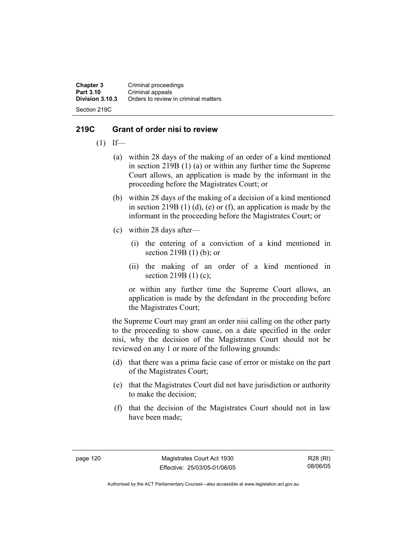**Chapter 3 Criminal proceedings**<br>**Part 3.10 Criminal appeals Part 3.10 Criminal appeals**<br>**Division 3.10.3** Orders to review **Division 3.10.3** Orders to review in criminal matters Section 219C

### **219C Grant of order nisi to review**

- $(1)$  If—
	- (a) within 28 days of the making of an order of a kind mentioned in section 219B (1) (a) or within any further time the Supreme Court allows, an application is made by the informant in the proceeding before the Magistrates Court; or
	- (b) within 28 days of the making of a decision of a kind mentioned in section 219B  $(1)$   $(d)$ ,  $(e)$  or  $(f)$ , an application is made by the informant in the proceeding before the Magistrates Court; or
	- (c) within 28 days after—
		- (i) the entering of a conviction of a kind mentioned in section 219B (1) (b); or
		- (ii) the making of an order of a kind mentioned in section 219B (1) (c);

or within any further time the Supreme Court allows, an application is made by the defendant in the proceeding before the Magistrates Court;

the Supreme Court may grant an order nisi calling on the other party to the proceeding to show cause, on a date specified in the order nisi, why the decision of the Magistrates Court should not be reviewed on any 1 or more of the following grounds:

- (d) that there was a prima facie case of error or mistake on the part of the Magistrates Court;
- (e) that the Magistrates Court did not have jurisdiction or authority to make the decision;
- (f) that the decision of the Magistrates Court should not in law have been made;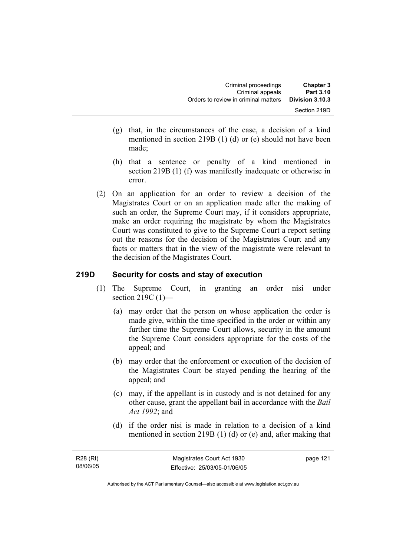| <b>Chapter 3</b><br>Part 3.10   | Criminal proceedings<br>Criminal appeals |
|---------------------------------|------------------------------------------|
| Division 3.10.3<br>Section 219D | Orders to review in criminal matters     |
|                                 |                                          |

- (g) that, in the circumstances of the case, a decision of a kind mentioned in section 219B (1) (d) or (e) should not have been made;
- (h) that a sentence or penalty of a kind mentioned in section 219B (1) (f) was manifestly inadequate or otherwise in error.
- (2) On an application for an order to review a decision of the Magistrates Court or on an application made after the making of such an order, the Supreme Court may, if it considers appropriate, make an order requiring the magistrate by whom the Magistrates Court was constituted to give to the Supreme Court a report setting out the reasons for the decision of the Magistrates Court and any facts or matters that in the view of the magistrate were relevant to the decision of the Magistrates Court.

#### **219D Security for costs and stay of execution**

- (1) The Supreme Court, in granting an order nisi under section 219C (1)-
	- (a) may order that the person on whose application the order is made give, within the time specified in the order or within any further time the Supreme Court allows, security in the amount the Supreme Court considers appropriate for the costs of the appeal; and
	- (b) may order that the enforcement or execution of the decision of the Magistrates Court be stayed pending the hearing of the appeal; and
	- (c) may, if the appellant is in custody and is not detained for any other cause, grant the appellant bail in accordance with the *Bail Act 1992*; and
	- (d) if the order nisi is made in relation to a decision of a kind mentioned in section 219B (1) (d) or (e) and, after making that

page 121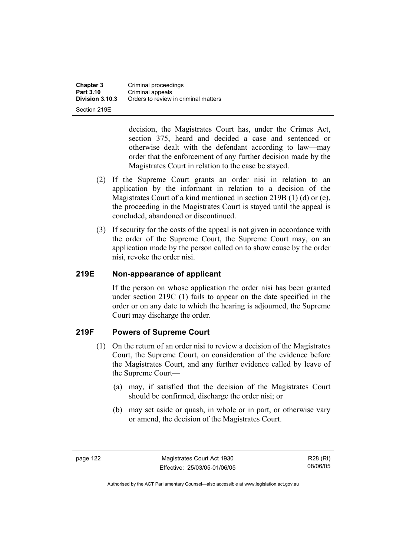**Chapter 3 Criminal proceedings**<br>**Part 3.10 Criminal appeals Part 3.10 Criminal appeals**<br>**Division 3.10.3** Orders to review **Division 3.10.3** Orders to review in criminal matters Section 219E

> decision, the Magistrates Court has, under the Crimes Act, section 375, heard and decided a case and sentenced or otherwise dealt with the defendant according to law—may order that the enforcement of any further decision made by the Magistrates Court in relation to the case be stayed.

- (2) If the Supreme Court grants an order nisi in relation to an application by the informant in relation to a decision of the Magistrates Court of a kind mentioned in section 219B (1) (d) or (e), the proceeding in the Magistrates Court is stayed until the appeal is concluded, abandoned or discontinued.
- (3) If security for the costs of the appeal is not given in accordance with the order of the Supreme Court, the Supreme Court may, on an application made by the person called on to show cause by the order nisi, revoke the order nisi.

# **219E Non-appearance of applicant**

If the person on whose application the order nisi has been granted under section 219C (1) fails to appear on the date specified in the order or on any date to which the hearing is adjourned, the Supreme Court may discharge the order.

#### **219F Powers of Supreme Court**

- (1) On the return of an order nisi to review a decision of the Magistrates Court, the Supreme Court, on consideration of the evidence before the Magistrates Court, and any further evidence called by leave of the Supreme Court—
	- (a) may, if satisfied that the decision of the Magistrates Court should be confirmed, discharge the order nisi; or
	- (b) may set aside or quash, in whole or in part, or otherwise vary or amend, the decision of the Magistrates Court.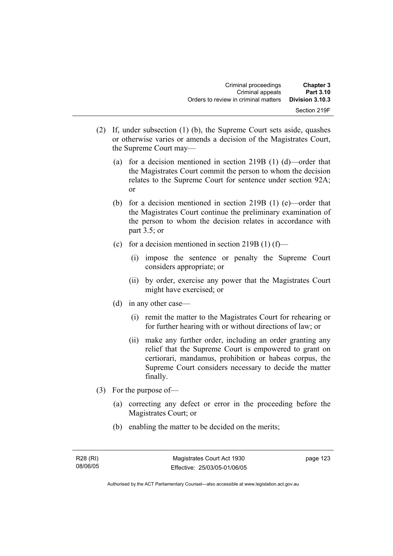- (2) If, under subsection (1) (b), the Supreme Court sets aside, quashes or otherwise varies or amends a decision of the Magistrates Court, the Supreme Court may—
	- (a) for a decision mentioned in section 219B (1) (d)—order that the Magistrates Court commit the person to whom the decision relates to the Supreme Court for sentence under section 92A; or
	- (b) for a decision mentioned in section 219B (1) (e)—order that the Magistrates Court continue the preliminary examination of the person to whom the decision relates in accordance with part 3.5; or
	- (c) for a decision mentioned in section  $219B(1)$  (f)—
		- (i) impose the sentence or penalty the Supreme Court considers appropriate; or
		- (ii) by order, exercise any power that the Magistrates Court might have exercised; or
	- (d) in any other case—
		- (i) remit the matter to the Magistrates Court for rehearing or for further hearing with or without directions of law; or
		- (ii) make any further order, including an order granting any relief that the Supreme Court is empowered to grant on certiorari, mandamus, prohibition or habeas corpus, the Supreme Court considers necessary to decide the matter finally.
- (3) For the purpose of—
	- (a) correcting any defect or error in the proceeding before the Magistrates Court; or
	- (b) enabling the matter to be decided on the merits;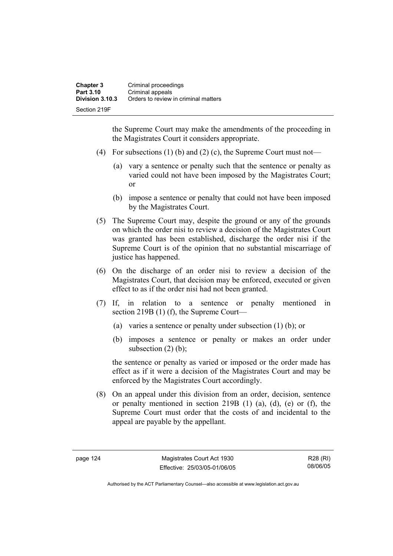the Supreme Court may make the amendments of the proceeding in the Magistrates Court it considers appropriate.

- (4) For subsections (1) (b) and (2) (c), the Supreme Court must not—
	- (a) vary a sentence or penalty such that the sentence or penalty as varied could not have been imposed by the Magistrates Court; or
	- (b) impose a sentence or penalty that could not have been imposed by the Magistrates Court.
- (5) The Supreme Court may, despite the ground or any of the grounds on which the order nisi to review a decision of the Magistrates Court was granted has been established, discharge the order nisi if the Supreme Court is of the opinion that no substantial miscarriage of justice has happened.
- (6) On the discharge of an order nisi to review a decision of the Magistrates Court, that decision may be enforced, executed or given effect to as if the order nisi had not been granted.
- (7) If, in relation to a sentence or penalty mentioned in section 219B (1) (f), the Supreme Court—
	- (a) varies a sentence or penalty under subsection (1) (b); or
	- (b) imposes a sentence or penalty or makes an order under subsection  $(2)$  (b);

the sentence or penalty as varied or imposed or the order made has effect as if it were a decision of the Magistrates Court and may be enforced by the Magistrates Court accordingly.

 (8) On an appeal under this division from an order, decision, sentence or penalty mentioned in section 219B (1) (a), (d), (e) or (f), the Supreme Court must order that the costs of and incidental to the appeal are payable by the appellant.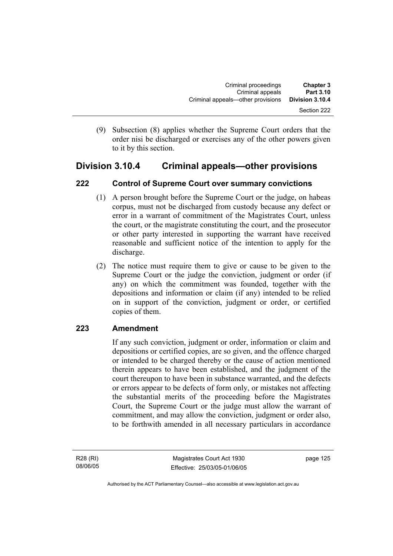(9) Subsection (8) applies whether the Supreme Court orders that the order nisi be discharged or exercises any of the other powers given to it by this section.

# **Division 3.10.4 Criminal appeals—other provisions**

# **222 Control of Supreme Court over summary convictions**

- (1) A person brought before the Supreme Court or the judge, on habeas corpus, must not be discharged from custody because any defect or error in a warrant of commitment of the Magistrates Court, unless the court, or the magistrate constituting the court, and the prosecutor or other party interested in supporting the warrant have received reasonable and sufficient notice of the intention to apply for the discharge.
- (2) The notice must require them to give or cause to be given to the Supreme Court or the judge the conviction, judgment or order (if any) on which the commitment was founded, together with the depositions and information or claim (if any) intended to be relied on in support of the conviction, judgment or order, or certified copies of them.

# **223 Amendment**

If any such conviction, judgment or order, information or claim and depositions or certified copies, are so given, and the offence charged or intended to be charged thereby or the cause of action mentioned therein appears to have been established, and the judgment of the court thereupon to have been in substance warranted, and the defects or errors appear to be defects of form only, or mistakes not affecting the substantial merits of the proceeding before the Magistrates Court, the Supreme Court or the judge must allow the warrant of commitment, and may allow the conviction, judgment or order also, to be forthwith amended in all necessary particulars in accordance

R28 (RI) 08/06/05

Magistrates Court Act 1930 Effective: 25/03/05-01/06/05 page 125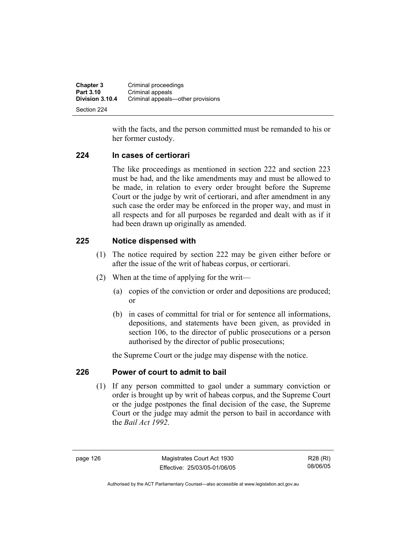| <b>Chapter 3</b> | Criminal proceedings              |
|------------------|-----------------------------------|
| <b>Part 3.10</b> | Criminal appeals                  |
| Division 3.10.4  | Criminal appeals—other provisions |
| Section 224      |                                   |

with the facts, and the person committed must be remanded to his or her former custody.

#### **224 In cases of certiorari**

The like proceedings as mentioned in section 222 and section 223 must be had, and the like amendments may and must be allowed to be made, in relation to every order brought before the Supreme Court or the judge by writ of certiorari, and after amendment in any such case the order may be enforced in the proper way, and must in all respects and for all purposes be regarded and dealt with as if it had been drawn up originally as amended.

#### **225 Notice dispensed with**

- (1) The notice required by section 222 may be given either before or after the issue of the writ of habeas corpus, or certiorari.
- (2) When at the time of applying for the writ—
	- (a) copies of the conviction or order and depositions are produced; or
	- (b) in cases of committal for trial or for sentence all informations, depositions, and statements have been given, as provided in section 106, to the director of public prosecutions or a person authorised by the director of public prosecutions;

the Supreme Court or the judge may dispense with the notice.

#### **226 Power of court to admit to bail**

 (1) If any person committed to gaol under a summary conviction or order is brought up by writ of habeas corpus, and the Supreme Court or the judge postpones the final decision of the case, the Supreme Court or the judge may admit the person to bail in accordance with the *Bail Act 1992*.

page 126 Magistrates Court Act 1930 Effective: 25/03/05-01/06/05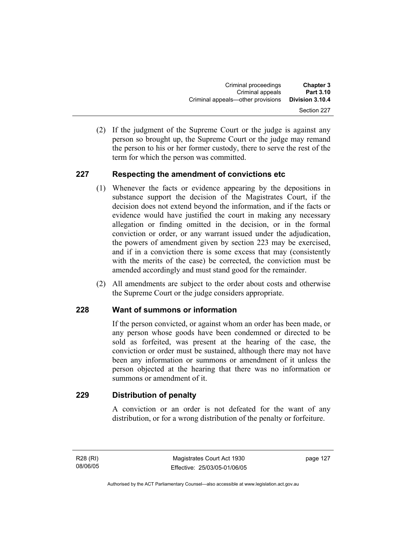(2) If the judgment of the Supreme Court or the judge is against any person so brought up, the Supreme Court or the judge may remand the person to his or her former custody, there to serve the rest of the term for which the person was committed.

# **227 Respecting the amendment of convictions etc**

- (1) Whenever the facts or evidence appearing by the depositions in substance support the decision of the Magistrates Court, if the decision does not extend beyond the information, and if the facts or evidence would have justified the court in making any necessary allegation or finding omitted in the decision, or in the formal conviction or order, or any warrant issued under the adjudication, the powers of amendment given by section 223 may be exercised, and if in a conviction there is some excess that may (consistently with the merits of the case) be corrected, the conviction must be amended accordingly and must stand good for the remainder.
- (2) All amendments are subject to the order about costs and otherwise the Supreme Court or the judge considers appropriate.

# **228 Want of summons or information**

If the person convicted, or against whom an order has been made, or any person whose goods have been condemned or directed to be sold as forfeited, was present at the hearing of the case, the conviction or order must be sustained, although there may not have been any information or summons or amendment of it unless the person objected at the hearing that there was no information or summons or amendment of it.

# **229 Distribution of penalty**

A conviction or an order is not defeated for the want of any distribution, or for a wrong distribution of the penalty or forfeiture.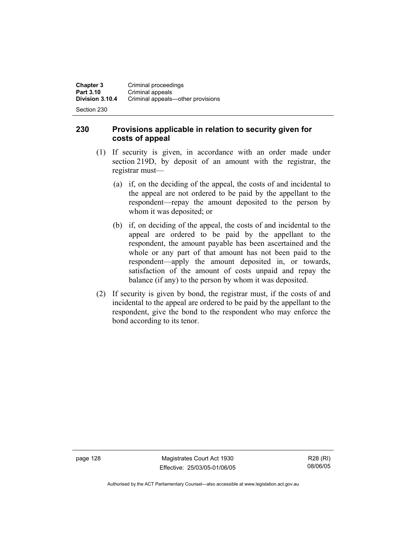Section 230

# **230 Provisions applicable in relation to security given for costs of appeal**

- (1) If security is given, in accordance with an order made under section 219D, by deposit of an amount with the registrar, the registrar must—
	- (a) if, on the deciding of the appeal, the costs of and incidental to the appeal are not ordered to be paid by the appellant to the respondent—repay the amount deposited to the person by whom it was deposited; or
	- (b) if, on deciding of the appeal, the costs of and incidental to the appeal are ordered to be paid by the appellant to the respondent, the amount payable has been ascertained and the whole or any part of that amount has not been paid to the respondent—apply the amount deposited in, or towards, satisfaction of the amount of costs unpaid and repay the balance (if any) to the person by whom it was deposited.
- (2) If security is given by bond, the registrar must, if the costs of and incidental to the appeal are ordered to be paid by the appellant to the respondent, give the bond to the respondent who may enforce the bond according to its tenor.

page 128 Magistrates Court Act 1930 Effective: 25/03/05-01/06/05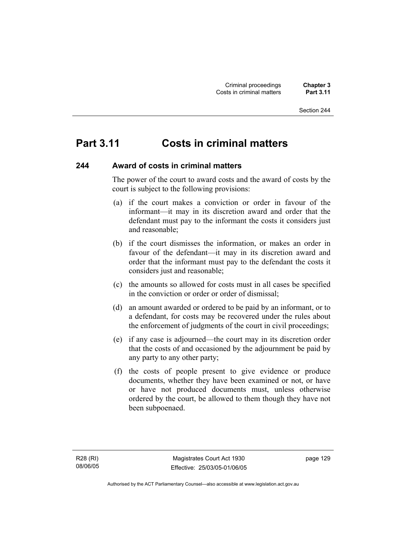## **Part 3.11 Costs in criminal matters**

### **244 Award of costs in criminal matters**

The power of the court to award costs and the award of costs by the court is subject to the following provisions:

- (a) if the court makes a conviction or order in favour of the informant—it may in its discretion award and order that the defendant must pay to the informant the costs it considers just and reasonable;
- (b) if the court dismisses the information, or makes an order in favour of the defendant—it may in its discretion award and order that the informant must pay to the defendant the costs it considers just and reasonable;
- (c) the amounts so allowed for costs must in all cases be specified in the conviction or order or order of dismissal;
- (d) an amount awarded or ordered to be paid by an informant, or to a defendant, for costs may be recovered under the rules about the enforcement of judgments of the court in civil proceedings;
- (e) if any case is adjourned—the court may in its discretion order that the costs of and occasioned by the adjournment be paid by any party to any other party;
- (f) the costs of people present to give evidence or produce documents, whether they have been examined or not, or have or have not produced documents must, unless otherwise ordered by the court, be allowed to them though they have not been subpoenaed.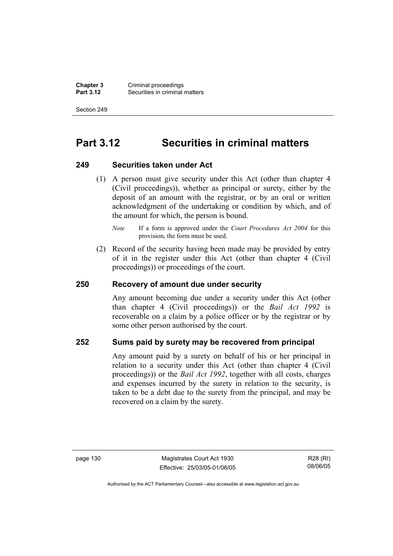**Chapter 3** Criminal proceedings<br>**Part 3.12** Securities in criminal **Securities in criminal matters** 

Section 249

## **Part 3.12 Securities in criminal matters**

#### **249 Securities taken under Act**

 (1) A person must give security under this Act (other than chapter 4 (Civil proceedings)), whether as principal or surety, either by the deposit of an amount with the registrar, or by an oral or written acknowledgment of the undertaking or condition by which, and of the amount for which, the person is bound.

 (2) Record of the security having been made may be provided by entry of it in the register under this Act (other than chapter 4 (Civil proceedings)) or proceedings of the court.

### **250 Recovery of amount due under security**

Any amount becoming due under a security under this Act (other than chapter 4 (Civil proceedings)) or the *Bail Act 1992* is recoverable on a claim by a police officer or by the registrar or by some other person authorised by the court.

### **252 Sums paid by surety may be recovered from principal**

Any amount paid by a surety on behalf of his or her principal in relation to a security under this Act (other than chapter 4 (Civil proceedings)) or the *Bail Act 1992*, together with all costs, charges and expenses incurred by the surety in relation to the security, is taken to be a debt due to the surety from the principal, and may be recovered on a claim by the surety.

*Note* If a form is approved under the *Court Procedures Act 2004* for this provision, the form must be used.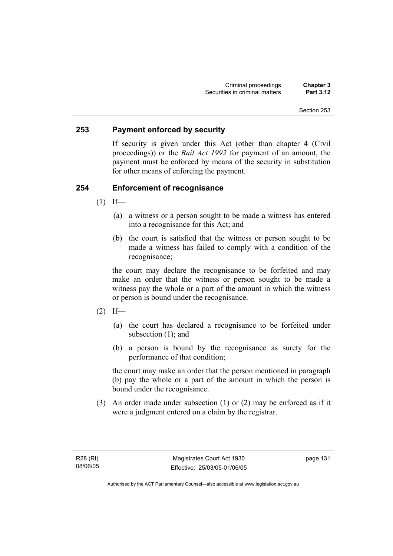### **253 Payment enforced by security**

If security is given under this Act (other than chapter 4 (Civil proceedings)) or the *Bail Act 1992* for payment of an amount, the payment must be enforced by means of the security in substitution for other means of enforcing the payment.

### **254 Enforcement of recognisance**

- $(1)$  If—
	- (a) a witness or a person sought to be made a witness has entered into a recognisance for this Act; and
	- (b) the court is satisfied that the witness or person sought to be made a witness has failed to comply with a condition of the recognisance;

the court may declare the recognisance to be forfeited and may make an order that the witness or person sought to be made a witness pay the whole or a part of the amount in which the witness or person is bound under the recognisance.

- $(2)$  If—
	- (a) the court has declared a recognisance to be forfeited under subsection (1); and
	- (b) a person is bound by the recognisance as surety for the performance of that condition;

the court may make an order that the person mentioned in paragraph (b) pay the whole or a part of the amount in which the person is bound under the recognisance.

 (3) An order made under subsection (1) or (2) may be enforced as if it were a judgment entered on a claim by the registrar.

R28 (RI) 08/06/05 page 131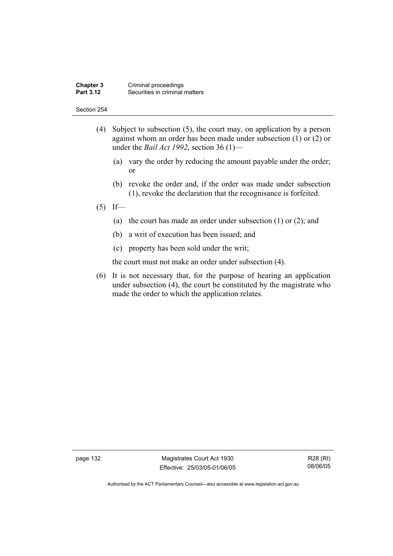#### **Chapter 3** Criminal proceedings<br>**Part 3.12** Securities in criminal **Securities in criminal matters**

#### Section 254

- (4) Subject to subsection (5), the court may, on application by a person against whom an order has been made under subsection (1) or (2) or under the *Bail Act 1992*, section 36 (1)—
	- (a) vary the order by reducing the amount payable under the order; or
	- (b) revoke the order and, if the order was made under subsection (1), revoke the declaration that the recognisance is forfeited.
- $(5)$  If—
	- (a) the court has made an order under subsection (1) or (2); and
	- (b) a writ of execution has been issued; and
	- (c) property has been sold under the writ;

the court must not make an order under subsection (4).

 (6) It is not necessary that, for the purpose of hearing an application under subsection (4), the court be constituted by the magistrate who made the order to which the application relates.

page 132 Magistrates Court Act 1930 Effective: 25/03/05-01/06/05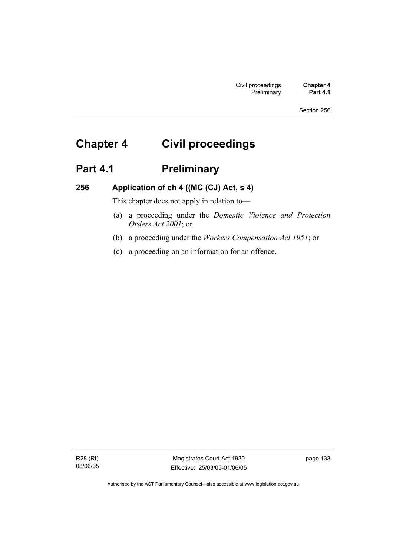# **Chapter 4 Civil proceedings**

## Part 4.1 **Preliminary**

### **256 Application of ch 4 ((MC (CJ) Act, s 4)**

This chapter does not apply in relation to—

- (a) a proceeding under the *Domestic Violence and Protection Orders Act 2001*; or
- (b) a proceeding under the *Workers Compensation Act 1951*; or
- (c) a proceeding on an information for an offence.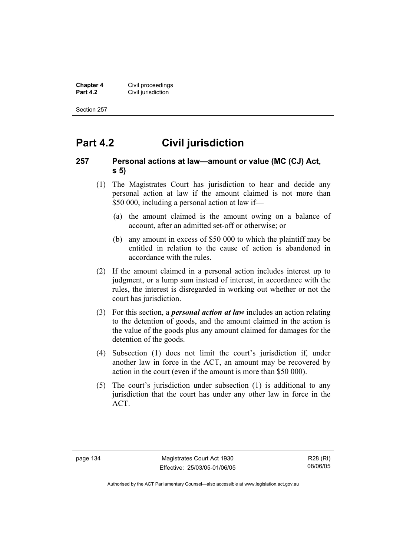**Chapter 4 Civil proceedings**<br>**Part 4.2 Civil jurisdiction Civil jurisdiction** 

Section 257

## **Part 4.2 Civil jurisdiction**

### **257 Personal actions at law—amount or value (MC (CJ) Act, s 5)**

- (1) The Magistrates Court has jurisdiction to hear and decide any personal action at law if the amount claimed is not more than \$50 000, including a personal action at law if—
	- (a) the amount claimed is the amount owing on a balance of account, after an admitted set-off or otherwise; or
	- (b) any amount in excess of \$50 000 to which the plaintiff may be entitled in relation to the cause of action is abandoned in accordance with the rules.
- (2) If the amount claimed in a personal action includes interest up to judgment, or a lump sum instead of interest, in accordance with the rules, the interest is disregarded in working out whether or not the court has jurisdiction.
- (3) For this section, a *personal action at law* includes an action relating to the detention of goods, and the amount claimed in the action is the value of the goods plus any amount claimed for damages for the detention of the goods.
- (4) Subsection (1) does not limit the court's jurisdiction if, under another law in force in the ACT, an amount may be recovered by action in the court (even if the amount is more than \$50 000).
- (5) The court's jurisdiction under subsection (1) is additional to any jurisdiction that the court has under any other law in force in the ACT.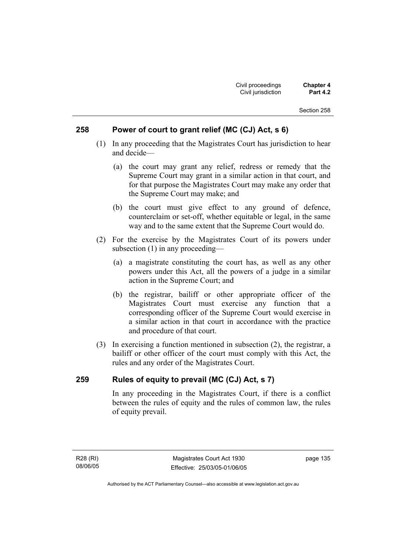### **258 Power of court to grant relief (MC (CJ) Act, s 6)**

- (1) In any proceeding that the Magistrates Court has jurisdiction to hear and decide—
	- (a) the court may grant any relief, redress or remedy that the Supreme Court may grant in a similar action in that court, and for that purpose the Magistrates Court may make any order that the Supreme Court may make; and
	- (b) the court must give effect to any ground of defence, counterclaim or set-off, whether equitable or legal, in the same way and to the same extent that the Supreme Court would do.
- (2) For the exercise by the Magistrates Court of its powers under subsection (1) in any proceeding—
	- (a) a magistrate constituting the court has, as well as any other powers under this Act, all the powers of a judge in a similar action in the Supreme Court; and
	- (b) the registrar, bailiff or other appropriate officer of the Magistrates Court must exercise any function that a corresponding officer of the Supreme Court would exercise in a similar action in that court in accordance with the practice and procedure of that court.
- (3) In exercising a function mentioned in subsection (2), the registrar, a bailiff or other officer of the court must comply with this Act, the rules and any order of the Magistrates Court.

### **259 Rules of equity to prevail (MC (CJ) Act, s 7)**

In any proceeding in the Magistrates Court, if there is a conflict between the rules of equity and the rules of common law, the rules of equity prevail.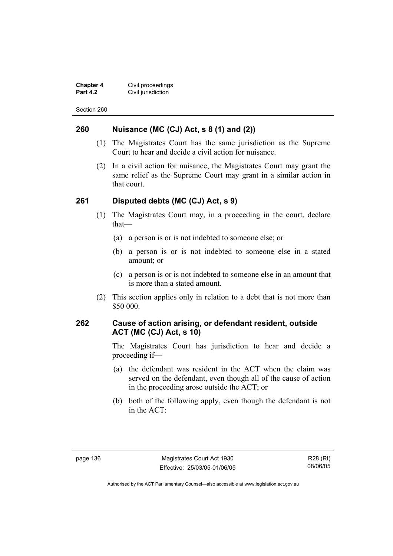**Chapter 4 Civil proceedings**<br>**Part 4.2 Civil jurisdiction Civil jurisdiction** 

Section 260

### **260 Nuisance (MC (CJ) Act, s 8 (1) and (2))**

- (1) The Magistrates Court has the same jurisdiction as the Supreme Court to hear and decide a civil action for nuisance.
- (2) In a civil action for nuisance, the Magistrates Court may grant the same relief as the Supreme Court may grant in a similar action in that court.

### **261 Disputed debts (MC (CJ) Act, s 9)**

- (1) The Magistrates Court may, in a proceeding in the court, declare that—
	- (a) a person is or is not indebted to someone else; or
	- (b) a person is or is not indebted to someone else in a stated amount; or
	- (c) a person is or is not indebted to someone else in an amount that is more than a stated amount.
- (2) This section applies only in relation to a debt that is not more than \$50 000.

### **262 Cause of action arising, or defendant resident, outside ACT (MC (CJ) Act, s 10)**

The Magistrates Court has jurisdiction to hear and decide a proceeding if—

- (a) the defendant was resident in the ACT when the claim was served on the defendant, even though all of the cause of action in the proceeding arose outside the ACT; or
- (b) both of the following apply, even though the defendant is not in the ACT: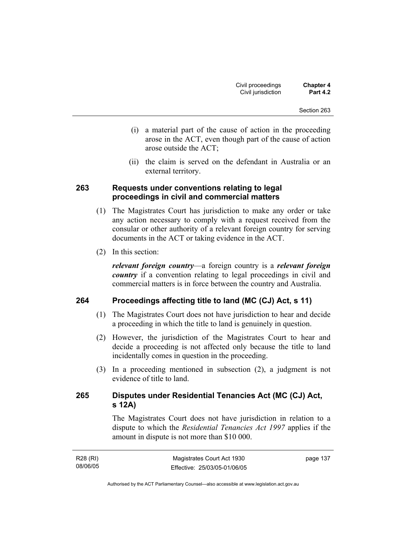- (i) a material part of the cause of action in the proceeding arose in the ACT, even though part of the cause of action arose outside the ACT;
- (ii) the claim is served on the defendant in Australia or an external territory.

### **263 Requests under conventions relating to legal proceedings in civil and commercial matters**

- (1) The Magistrates Court has jurisdiction to make any order or take any action necessary to comply with a request received from the consular or other authority of a relevant foreign country for serving documents in the ACT or taking evidence in the ACT.
- (2) In this section:

*relevant foreign country*—a foreign country is a *relevant foreign country* if a convention relating to legal proceedings in civil and commercial matters is in force between the country and Australia.

### **264 Proceedings affecting title to land (MC (CJ) Act, s 11)**

- (1) The Magistrates Court does not have jurisdiction to hear and decide a proceeding in which the title to land is genuinely in question.
- (2) However, the jurisdiction of the Magistrates Court to hear and decide a proceeding is not affected only because the title to land incidentally comes in question in the proceeding.
- (3) In a proceeding mentioned in subsection (2), a judgment is not evidence of title to land.

### **265 Disputes under Residential Tenancies Act (MC (CJ) Act, s 12A)**

The Magistrates Court does not have jurisdiction in relation to a dispute to which the *Residential Tenancies Act 1997* applies if the amount in dispute is not more than \$10 000.

| R28 (RI) | Magistrates Court Act 1930   | page 137 |
|----------|------------------------------|----------|
| 08/06/05 | Effective: 25/03/05-01/06/05 |          |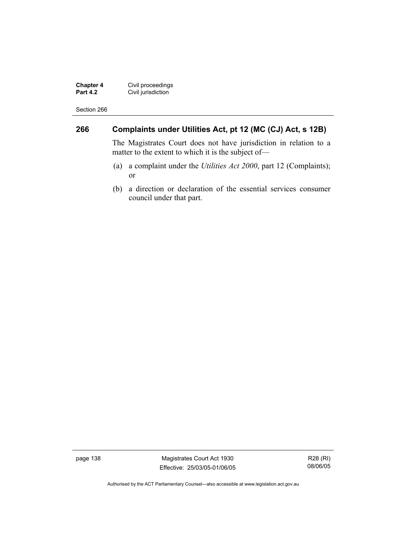**Chapter 4** Civil proceedings **Part 4.2 Civil jurisdiction** 

Section 266

### **266 Complaints under Utilities Act, pt 12 (MC (CJ) Act, s 12B)**

The Magistrates Court does not have jurisdiction in relation to a matter to the extent to which it is the subject of—

- (a) a complaint under the *Utilities Act 2000*, part 12 (Complaints); or
- (b) a direction or declaration of the essential services consumer council under that part.

page 138 Magistrates Court Act 1930 Effective: 25/03/05-01/06/05

R28 (RI) 08/06/05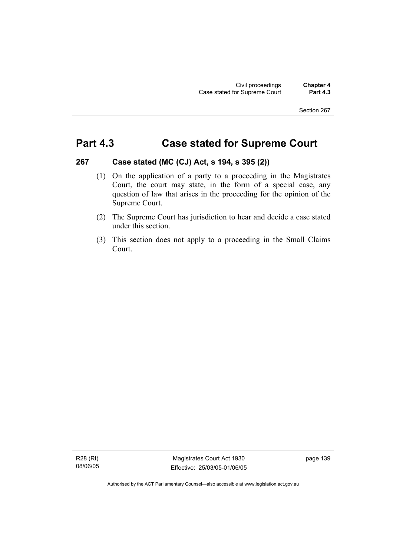## **Part 4.3 Case stated for Supreme Court**

### **267 Case stated (MC (CJ) Act, s 194, s 395 (2))**

- (1) On the application of a party to a proceeding in the Magistrates Court, the court may state, in the form of a special case, any question of law that arises in the proceeding for the opinion of the Supreme Court.
- (2) The Supreme Court has jurisdiction to hear and decide a case stated under this section.
- (3) This section does not apply to a proceeding in the Small Claims Court.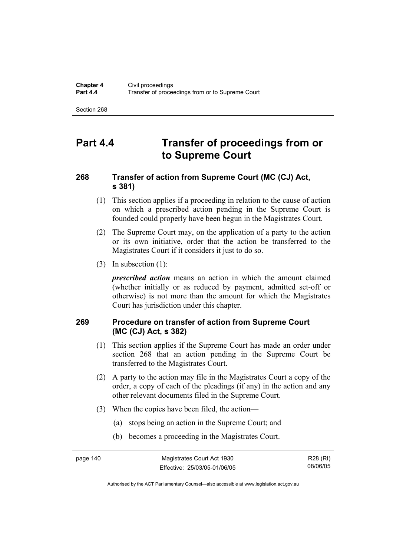## **Part 4.4 Transfer of proceedings from or to Supreme Court**

### **268 Transfer of action from Supreme Court (MC (CJ) Act, s 381)**

- (1) This section applies if a proceeding in relation to the cause of action on which a prescribed action pending in the Supreme Court is founded could properly have been begun in the Magistrates Court.
- (2) The Supreme Court may, on the application of a party to the action or its own initiative, order that the action be transferred to the Magistrates Court if it considers it just to do so.
- (3) In subsection (1):

*prescribed action* means an action in which the amount claimed (whether initially or as reduced by payment, admitted set-off or otherwise) is not more than the amount for which the Magistrates Court has jurisdiction under this chapter.

### **269 Procedure on transfer of action from Supreme Court (MC (CJ) Act, s 382)**

- (1) This section applies if the Supreme Court has made an order under section 268 that an action pending in the Supreme Court be transferred to the Magistrates Court.
- (2) A party to the action may file in the Magistrates Court a copy of the order, a copy of each of the pleadings (if any) in the action and any other relevant documents filed in the Supreme Court.
- (3) When the copies have been filed, the action—
	- (a) stops being an action in the Supreme Court; and
	- (b) becomes a proceeding in the Magistrates Court.

R28 (RI) 08/06/05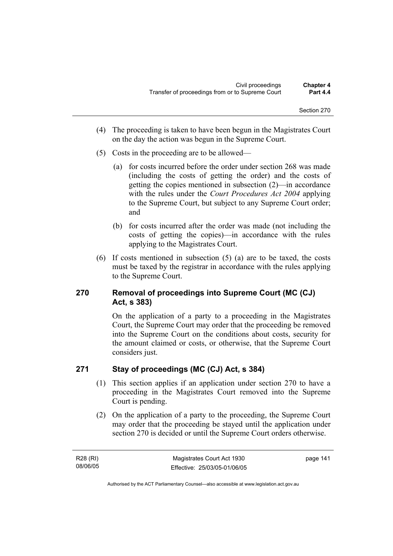- (4) The proceeding is taken to have been begun in the Magistrates Court on the day the action was begun in the Supreme Court.
- (5) Costs in the proceeding are to be allowed—
	- (a) for costs incurred before the order under section 268 was made (including the costs of getting the order) and the costs of getting the copies mentioned in subsection (2)—in accordance with the rules under the *Court Procedures Act 2004* applying to the Supreme Court, but subject to any Supreme Court order; and
	- (b) for costs incurred after the order was made (not including the costs of getting the copies)—in accordance with the rules applying to the Magistrates Court.
- (6) If costs mentioned in subsection (5) (a) are to be taxed, the costs must be taxed by the registrar in accordance with the rules applying to the Supreme Court.

### **270 Removal of proceedings into Supreme Court (MC (CJ) Act, s 383)**

On the application of a party to a proceeding in the Magistrates Court, the Supreme Court may order that the proceeding be removed into the Supreme Court on the conditions about costs, security for the amount claimed or costs, or otherwise, that the Supreme Court considers just.

### **271 Stay of proceedings (MC (CJ) Act, s 384)**

- (1) This section applies if an application under section 270 to have a proceeding in the Magistrates Court removed into the Supreme Court is pending.
- (2) On the application of a party to the proceeding, the Supreme Court may order that the proceeding be stayed until the application under section 270 is decided or until the Supreme Court orders otherwise.

R28 (RI) 08/06/05 page 141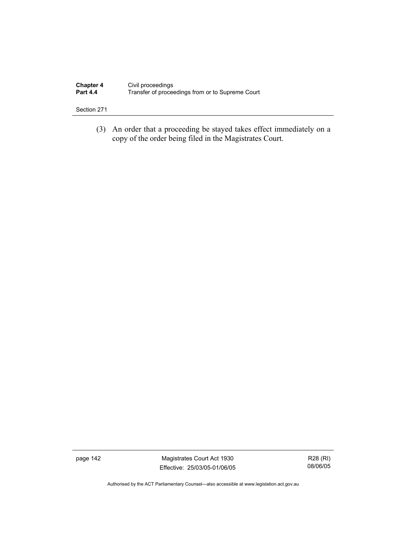| <b>Chapter 4</b> | Civil proceedings                                |
|------------------|--------------------------------------------------|
| <b>Part 4.4</b>  | Transfer of proceedings from or to Supreme Court |

 (3) An order that a proceeding be stayed takes effect immediately on a copy of the order being filed in the Magistrates Court.

page 142 Magistrates Court Act 1930 Effective: 25/03/05-01/06/05

R28 (RI) 08/06/05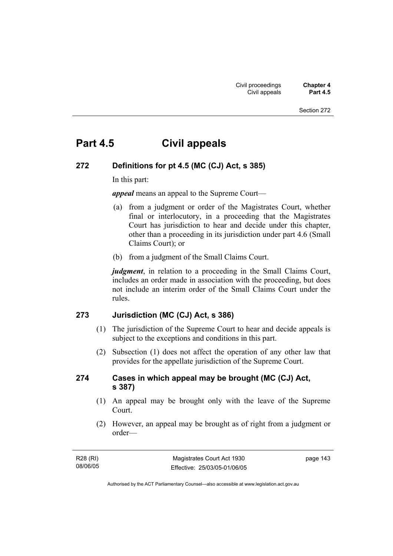## **Part 4.5 Civil appeals**

### **272 Definitions for pt 4.5 (MC (CJ) Act, s 385)**

In this part:

*appeal* means an appeal to the Supreme Court—

- (a) from a judgment or order of the Magistrates Court, whether final or interlocutory, in a proceeding that the Magistrates Court has jurisdiction to hear and decide under this chapter, other than a proceeding in its jurisdiction under part 4.6 (Small Claims Court); or
- (b) from a judgment of the Small Claims Court.

*judgment*, in relation to a proceeding in the Small Claims Court, includes an order made in association with the proceeding, but does not include an interim order of the Small Claims Court under the rules.

### **273 Jurisdiction (MC (CJ) Act, s 386)**

- (1) The jurisdiction of the Supreme Court to hear and decide appeals is subject to the exceptions and conditions in this part.
- (2) Subsection (1) does not affect the operation of any other law that provides for the appellate jurisdiction of the Supreme Court.

### **274 Cases in which appeal may be brought (MC (CJ) Act, s 387)**

- (1) An appeal may be brought only with the leave of the Supreme Court.
- (2) However, an appeal may be brought as of right from a judgment or order—

| R28 (RI) | Magistrates Court Act 1930   | page 143 |
|----------|------------------------------|----------|
| 08/06/05 | Effective: 25/03/05-01/06/05 |          |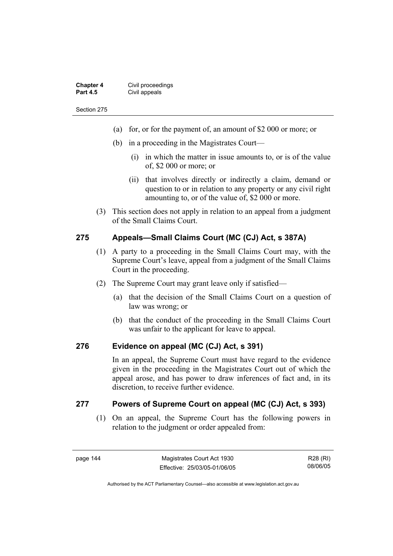| <b>Chapter 4</b> | Civil proceedings |
|------------------|-------------------|
| <b>Part 4.5</b>  | Civil appeals     |

- (a) for, or for the payment of, an amount of \$2 000 or more; or
- (b) in a proceeding in the Magistrates Court—
	- (i) in which the matter in issue amounts to, or is of the value of, \$2 000 or more; or
	- (ii) that involves directly or indirectly a claim, demand or question to or in relation to any property or any civil right amounting to, or of the value of, \$2 000 or more.
- (3) This section does not apply in relation to an appeal from a judgment of the Small Claims Court.

### **275 Appeals—Small Claims Court (MC (CJ) Act, s 387A)**

- (1) A party to a proceeding in the Small Claims Court may, with the Supreme Court's leave, appeal from a judgment of the Small Claims Court in the proceeding.
- (2) The Supreme Court may grant leave only if satisfied—
	- (a) that the decision of the Small Claims Court on a question of law was wrong; or
	- (b) that the conduct of the proceeding in the Small Claims Court was unfair to the applicant for leave to appeal.

### **276 Evidence on appeal (MC (CJ) Act, s 391)**

In an appeal, the Supreme Court must have regard to the evidence given in the proceeding in the Magistrates Court out of which the appeal arose, and has power to draw inferences of fact and, in its discretion, to receive further evidence.

### **277 Powers of Supreme Court on appeal (MC (CJ) Act, s 393)**

 (1) On an appeal, the Supreme Court has the following powers in relation to the judgment or order appealed from: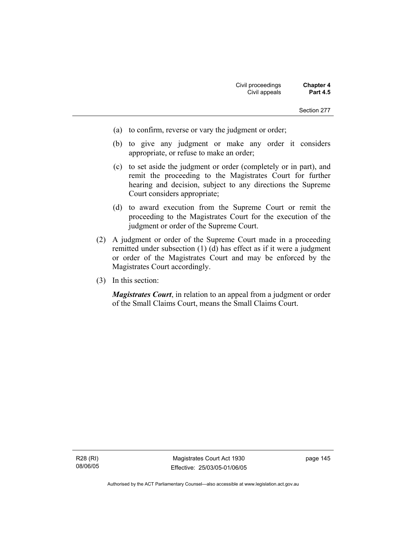- (a) to confirm, reverse or vary the judgment or order;
- (b) to give any judgment or make any order it considers appropriate, or refuse to make an order;
- (c) to set aside the judgment or order (completely or in part), and remit the proceeding to the Magistrates Court for further hearing and decision, subject to any directions the Supreme Court considers appropriate;
- (d) to award execution from the Supreme Court or remit the proceeding to the Magistrates Court for the execution of the judgment or order of the Supreme Court.
- (2) A judgment or order of the Supreme Court made in a proceeding remitted under subsection (1) (d) has effect as if it were a judgment or order of the Magistrates Court and may be enforced by the Magistrates Court accordingly.
- (3) In this section:

*Magistrates Court*, in relation to an appeal from a judgment or order of the Small Claims Court, means the Small Claims Court.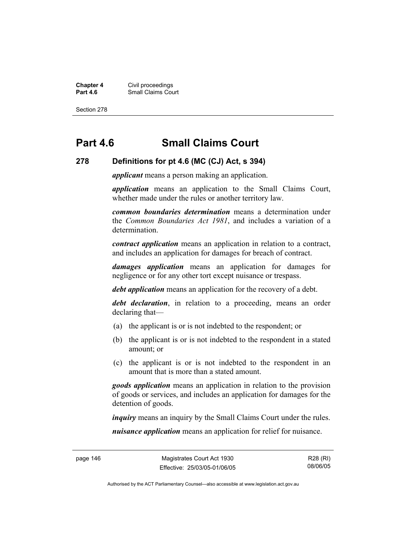**Chapter 4** Civil proceedings **Part 4.6 Part 4.6 Part 4.6 Part 4.6 Part 4.6 Part 4.6 Part 4.6 Part 4.6 Part 4.6 Part 4.6 Part 4.6 Part 4.6 Part 4.6 Part 4.6 Part 4.6 Part 4.6 Part 4.6 Part 4.6 Part 4.6 Part 4.6 Part 4.6 Part 4.6 Part 4.6 Part 4.6 Part** 

Section 278

## **Part 4.6 Small Claims Court**

#### **278 Definitions for pt 4.6 (MC (CJ) Act, s 394)**

*applicant* means a person making an application.

*application* means an application to the Small Claims Court, whether made under the rules or another territory law.

*common boundaries determination* means a determination under the *Common Boundaries Act 1981*, and includes a variation of a determination.

*contract application* means an application in relation to a contract, and includes an application for damages for breach of contract.

*damages application* means an application for damages for negligence or for any other tort except nuisance or trespass.

*debt application* means an application for the recovery of a debt.

*debt declaration*, in relation to a proceeding, means an order declaring that—

- (a) the applicant is or is not indebted to the respondent; or
- (b) the applicant is or is not indebted to the respondent in a stated amount; or
- (c) the applicant is or is not indebted to the respondent in an amount that is more than a stated amount.

*goods application* means an application in relation to the provision of goods or services, and includes an application for damages for the detention of goods.

*inquiry* means an inquiry by the Small Claims Court under the rules.

*nuisance application* means an application for relief for nuisance.

R28 (RI) 08/06/05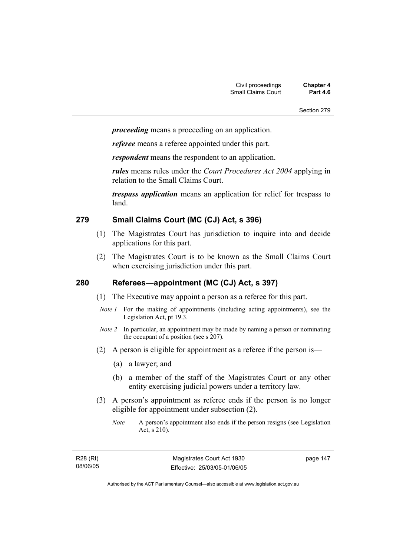*proceeding* means a proceeding on an application.

*referee* means a referee appointed under this part.

*respondent* means the respondent to an application.

*rules* means rules under the *Court Procedures Act 2004* applying in relation to the Small Claims Court.

*trespass application* means an application for relief for trespass to land.

### **279 Small Claims Court (MC (CJ) Act, s 396)**

- (1) The Magistrates Court has jurisdiction to inquire into and decide applications for this part.
- (2) The Magistrates Court is to be known as the Small Claims Court when exercising jurisdiction under this part.

### **280 Referees—appointment (MC (CJ) Act, s 397)**

- (1) The Executive may appoint a person as a referee for this part.
- *Note 1* For the making of appointments (including acting appointments), see the Legislation Act, pt 19.3.
- *Note 2* In particular, an appointment may be made by naming a person or nominating the occupant of a position (see s 207).
- (2) A person is eligible for appointment as a referee if the person is—
	- (a) a lawyer; and
	- (b) a member of the staff of the Magistrates Court or any other entity exercising judicial powers under a territory law.
- (3) A person's appointment as referee ends if the person is no longer eligible for appointment under subsection (2).
	- *Note* A person's appointment also ends if the person resigns (see Legislation Act, s 210).

R28 (RI) 08/06/05 page 147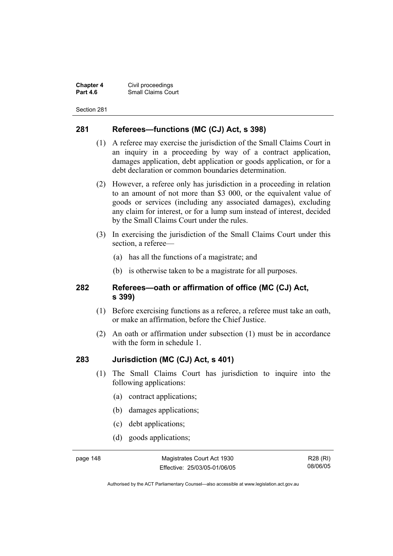**Chapter 4** Civil proceedings **Small Claims Court** 

Section 281

### **281 Referees—functions (MC (CJ) Act, s 398)**

- (1) A referee may exercise the jurisdiction of the Small Claims Court in an inquiry in a proceeding by way of a contract application, damages application, debt application or goods application, or for a debt declaration or common boundaries determination.
- (2) However, a referee only has jurisdiction in a proceeding in relation to an amount of not more than \$3 000, or the equivalent value of goods or services (including any associated damages), excluding any claim for interest, or for a lump sum instead of interest, decided by the Small Claims Court under the rules.
- (3) In exercising the jurisdiction of the Small Claims Court under this section, a referee—
	- (a) has all the functions of a magistrate; and
	- (b) is otherwise taken to be a magistrate for all purposes.

### **282 Referees—oath or affirmation of office (MC (CJ) Act, s 399)**

- (1) Before exercising functions as a referee, a referee must take an oath, or make an affirmation, before the Chief Justice.
- (2) An oath or affirmation under subsection (1) must be in accordance with the form in schedule 1.

### **283 Jurisdiction (MC (CJ) Act, s 401)**

- (1) The Small Claims Court has jurisdiction to inquire into the following applications:
	- (a) contract applications;
	- (b) damages applications;
	- (c) debt applications;
	- (d) goods applications;

page 148 Magistrates Court Act 1930 Effective: 25/03/05-01/06/05

R28 (RI) 08/06/05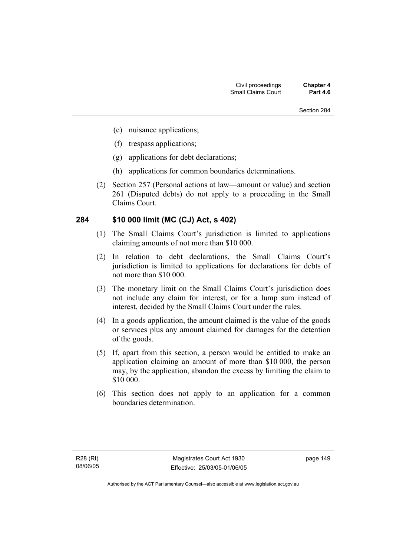- (e) nuisance applications;
- (f) trespass applications;
- (g) applications for debt declarations;
- (h) applications for common boundaries determinations.
- (2) Section 257 (Personal actions at law—amount or value) and section 261 (Disputed debts) do not apply to a proceeding in the Small Claims Court.

### **284 \$10 000 limit (MC (CJ) Act, s 402)**

- (1) The Small Claims Court's jurisdiction is limited to applications claiming amounts of not more than \$10 000.
- (2) In relation to debt declarations, the Small Claims Court's jurisdiction is limited to applications for declarations for debts of not more than \$10 000.
- (3) The monetary limit on the Small Claims Court's jurisdiction does not include any claim for interest, or for a lump sum instead of interest, decided by the Small Claims Court under the rules.
- (4) In a goods application, the amount claimed is the value of the goods or services plus any amount claimed for damages for the detention of the goods.
- (5) If, apart from this section, a person would be entitled to make an application claiming an amount of more than \$10 000, the person may, by the application, abandon the excess by limiting the claim to \$10 000.
- (6) This section does not apply to an application for a common boundaries determination.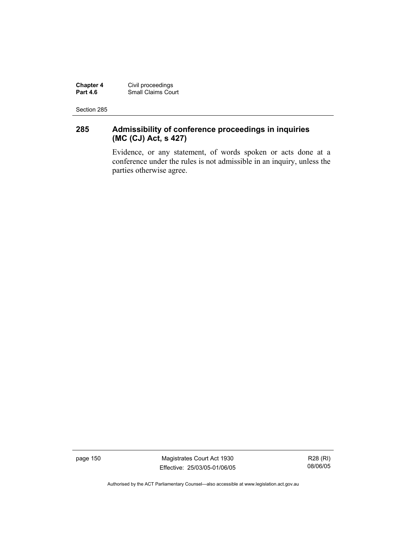**Chapter 4** Civil proceedings **Part 4.6** Small Claims Court

Section 285

### **285 Admissibility of conference proceedings in inquiries (MC (CJ) Act, s 427)**

Evidence, or any statement, of words spoken or acts done at a conference under the rules is not admissible in an inquiry, unless the parties otherwise agree.

page 150 Magistrates Court Act 1930 Effective: 25/03/05-01/06/05

R28 (RI) 08/06/05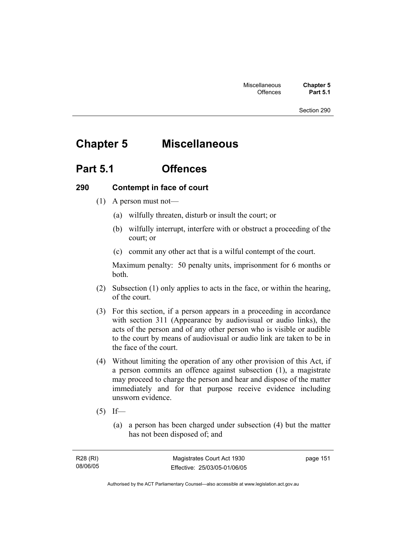## **Chapter 5 Miscellaneous**

## **Part 5.1 Offences**

### **290 Contempt in face of court**

- (1) A person must not—
	- (a) wilfully threaten, disturb or insult the court; or
	- (b) wilfully interrupt, interfere with or obstruct a proceeding of the court; or
	- (c) commit any other act that is a wilful contempt of the court.

Maximum penalty: 50 penalty units, imprisonment for 6 months or both.

- (2) Subsection (1) only applies to acts in the face, or within the hearing, of the court.
- (3) For this section, if a person appears in a proceeding in accordance with section 311 (Appearance by audiovisual or audio links), the acts of the person and of any other person who is visible or audible to the court by means of audiovisual or audio link are taken to be in the face of the court.
- (4) Without limiting the operation of any other provision of this Act, if a person commits an offence against subsection (1), a magistrate may proceed to charge the person and hear and dispose of the matter immediately and for that purpose receive evidence including unsworn evidence.
- $(5)$  If—
	- (a) a person has been charged under subsection (4) but the matter has not been disposed of; and

page 151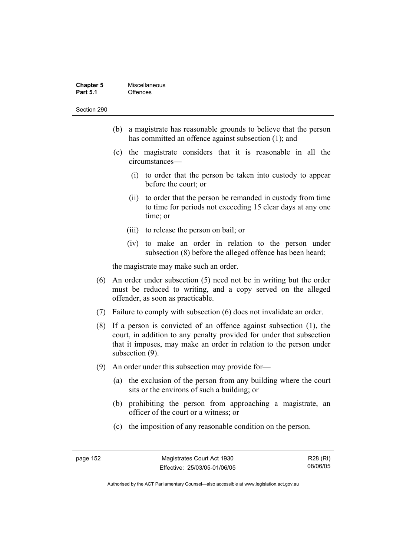| <b>Chapter 5</b> | Miscellaneous |
|------------------|---------------|
| <b>Part 5.1</b>  | Offences      |

- (b) a magistrate has reasonable grounds to believe that the person has committed an offence against subsection (1); and
- (c) the magistrate considers that it is reasonable in all the circumstances—
	- (i) to order that the person be taken into custody to appear before the court; or
	- (ii) to order that the person be remanded in custody from time to time for periods not exceeding 15 clear days at any one time; or
	- (iii) to release the person on bail; or
	- (iv) to make an order in relation to the person under subsection (8) before the alleged offence has been heard;

the magistrate may make such an order.

- (6) An order under subsection (5) need not be in writing but the order must be reduced to writing, and a copy served on the alleged offender, as soon as practicable.
- (7) Failure to comply with subsection (6) does not invalidate an order.
- (8) If a person is convicted of an offence against subsection (1), the court, in addition to any penalty provided for under that subsection that it imposes, may make an order in relation to the person under subsection (9).
- (9) An order under this subsection may provide for—
	- (a) the exclusion of the person from any building where the court sits or the environs of such a building; or
	- (b) prohibiting the person from approaching a magistrate, an officer of the court or a witness; or
	- (c) the imposition of any reasonable condition on the person.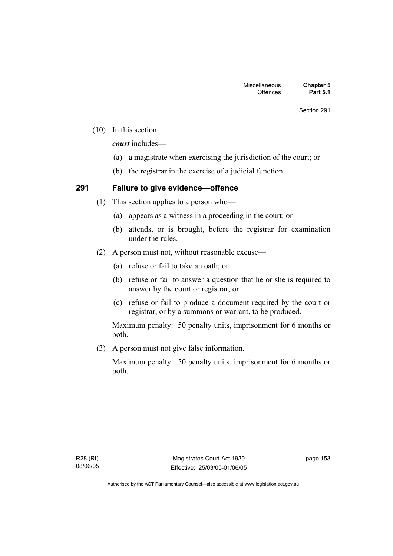(10) In this section:

*court* includes—

- (a) a magistrate when exercising the jurisdiction of the court; or
- (b) the registrar in the exercise of a judicial function.

### **291 Failure to give evidence—offence**

- (1) This section applies to a person who—
	- (a) appears as a witness in a proceeding in the court; or
	- (b) attends, or is brought, before the registrar for examination under the rules.
- (2) A person must not, without reasonable excuse—
	- (a) refuse or fail to take an oath; or
	- (b) refuse or fail to answer a question that he or she is required to answer by the court or registrar; or
	- (c) refuse or fail to produce a document required by the court or registrar, or by a summons or warrant, to be produced.

Maximum penalty: 50 penalty units, imprisonment for 6 months or both.

(3) A person must not give false information.

Maximum penalty: 50 penalty units, imprisonment for 6 months or both.

page 153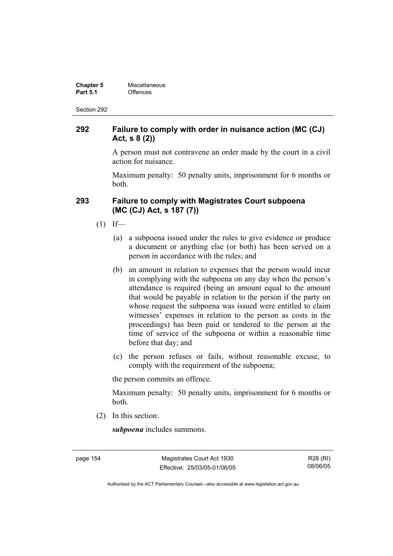| <b>Chapter 5</b> | Miscellaneous |
|------------------|---------------|
| <b>Part 5.1</b>  | Offences      |

### **292 Failure to comply with order in nuisance action (MC (CJ) Act, s 8 (2))**

A person must not contravene an order made by the court in a civil action for nuisance.

Maximum penalty: 50 penalty units, imprisonment for 6 months or both.

### **293 Failure to comply with Magistrates Court subpoena (MC (CJ) Act, s 187 (7))**

- $(1)$  If—
	- (a) a subpoena issued under the rules to give evidence or produce a document or anything else (or both) has been served on a person in accordance with the rules; and
	- (b) an amount in relation to expenses that the person would incur in complying with the subpoena on any day when the person's attendance is required (being an amount equal to the amount that would be payable in relation to the person if the party on whose request the subpoena was issued were entitled to claim witnesses' expenses in relation to the person as costs in the proceedings) has been paid or tendered to the person at the time of service of the subpoena or within a reasonable time before that day; and
	- (c) the person refuses or fails, without reasonable excuse, to comply with the requirement of the subpoena;

the person commits an offence.

Maximum penalty: 50 penalty units, imprisonment for 6 months or both.

(2) In this section:

*subpoena* includes summons.

page 154 Magistrates Court Act 1930 Effective: 25/03/05-01/06/05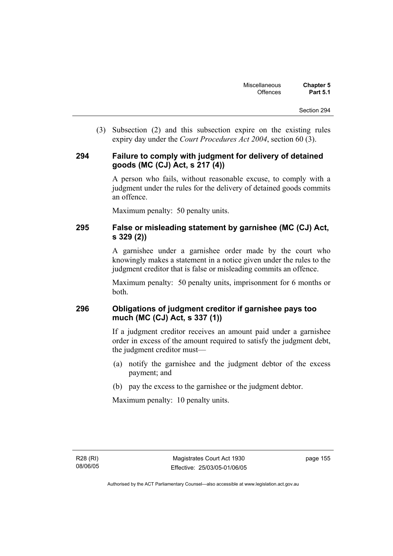(3) Subsection (2) and this subsection expire on the existing rules expiry day under the *Court Procedures Act 2004*, section 60 (3).

### **294 Failure to comply with judgment for delivery of detained goods (MC (CJ) Act, s 217 (4))**

A person who fails, without reasonable excuse, to comply with a judgment under the rules for the delivery of detained goods commits an offence.

Maximum penalty: 50 penalty units.

### **295 False or misleading statement by garnishee (MC (CJ) Act, s 329 (2))**

A garnishee under a garnishee order made by the court who knowingly makes a statement in a notice given under the rules to the judgment creditor that is false or misleading commits an offence.

Maximum penalty: 50 penalty units, imprisonment for 6 months or both.

### **296 Obligations of judgment creditor if garnishee pays too much (MC (CJ) Act, s 337 (1))**

If a judgment creditor receives an amount paid under a garnishee order in excess of the amount required to satisfy the judgment debt, the judgment creditor must—

- (a) notify the garnishee and the judgment debtor of the excess payment; and
- (b) pay the excess to the garnishee or the judgment debtor.

Maximum penalty: 10 penalty units.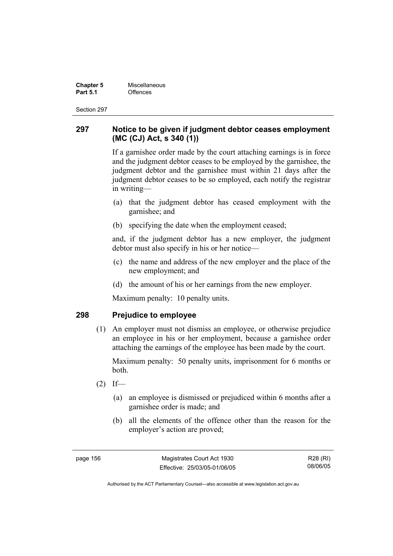**Chapter 5 Miscellaneous**<br>**Part 5.1** Offences **Part 5.1** Offences

Section 297

### **297 Notice to be given if judgment debtor ceases employment (MC (CJ) Act, s 340 (1))**

If a garnishee order made by the court attaching earnings is in force and the judgment debtor ceases to be employed by the garnishee, the judgment debtor and the garnishee must within 21 days after the judgment debtor ceases to be so employed, each notify the registrar in writing—

- (a) that the judgment debtor has ceased employment with the garnishee; and
- (b) specifying the date when the employment ceased;

and, if the judgment debtor has a new employer, the judgment debtor must also specify in his or her notice—

- (c) the name and address of the new employer and the place of the new employment; and
- (d) the amount of his or her earnings from the new employer.

Maximum penalty: 10 penalty units.

### **298 Prejudice to employee**

 (1) An employer must not dismiss an employee, or otherwise prejudice an employee in his or her employment, because a garnishee order attaching the earnings of the employee has been made by the court.

Maximum penalty: 50 penalty units, imprisonment for 6 months or both.

- $(2)$  If—
	- (a) an employee is dismissed or prejudiced within 6 months after a garnishee order is made; and
	- (b) all the elements of the offence other than the reason for the employer's action are proved;

page 156 Magistrates Court Act 1930 Effective: 25/03/05-01/06/05

R28 (RI) 08/06/05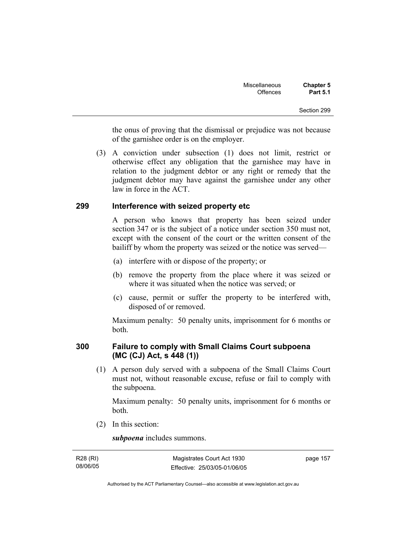the onus of proving that the dismissal or prejudice was not because of the garnishee order is on the employer.

 (3) A conviction under subsection (1) does not limit, restrict or otherwise effect any obligation that the garnishee may have in relation to the judgment debtor or any right or remedy that the judgment debtor may have against the garnishee under any other law in force in the ACT.

### **299 Interference with seized property etc**

A person who knows that property has been seized under section 347 or is the subject of a notice under section 350 must not, except with the consent of the court or the written consent of the bailiff by whom the property was seized or the notice was served—

- (a) interfere with or dispose of the property; or
- (b) remove the property from the place where it was seized or where it was situated when the notice was served; or
- (c) cause, permit or suffer the property to be interfered with, disposed of or removed.

Maximum penalty: 50 penalty units, imprisonment for 6 months or both.

### **300 Failure to comply with Small Claims Court subpoena (MC (CJ) Act, s 448 (1))**

 (1) A person duly served with a subpoena of the Small Claims Court must not, without reasonable excuse, refuse or fail to comply with the subpoena.

Maximum penalty: 50 penalty units, imprisonment for 6 months or both.

(2) In this section:

*subpoena* includes summons.

| R28 (RI) | Magistrates Court Act 1930   | page 157 |
|----------|------------------------------|----------|
| 08/06/05 | Effective: 25/03/05-01/06/05 |          |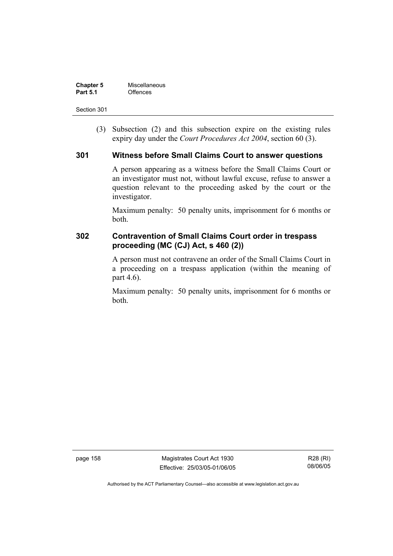| <b>Chapter 5</b> | Miscellaneous |
|------------------|---------------|
| <b>Part 5.1</b>  | Offences      |

 (3) Subsection (2) and this subsection expire on the existing rules expiry day under the *Court Procedures Act 2004*, section 60 (3).

### **301 Witness before Small Claims Court to answer questions**

A person appearing as a witness before the Small Claims Court or an investigator must not, without lawful excuse, refuse to answer a question relevant to the proceeding asked by the court or the investigator.

Maximum penalty: 50 penalty units, imprisonment for 6 months or both.

### **302 Contravention of Small Claims Court order in trespass proceeding (MC (CJ) Act, s 460 (2))**

A person must not contravene an order of the Small Claims Court in a proceeding on a trespass application (within the meaning of part 4.6).

Maximum penalty: 50 penalty units, imprisonment for 6 months or both.

page 158 Magistrates Court Act 1930 Effective: 25/03/05-01/06/05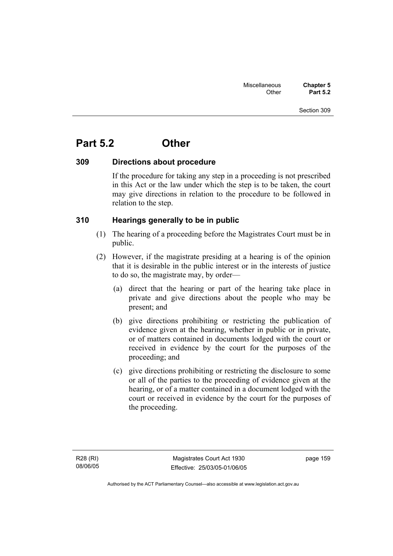## **Part 5.2 Other**

### **309 Directions about procedure**

If the procedure for taking any step in a proceeding is not prescribed in this Act or the law under which the step is to be taken, the court may give directions in relation to the procedure to be followed in relation to the step.

### **310 Hearings generally to be in public**

- (1) The hearing of a proceeding before the Magistrates Court must be in public.
- (2) However, if the magistrate presiding at a hearing is of the opinion that it is desirable in the public interest or in the interests of justice to do so, the magistrate may, by order—
	- (a) direct that the hearing or part of the hearing take place in private and give directions about the people who may be present; and
	- (b) give directions prohibiting or restricting the publication of evidence given at the hearing, whether in public or in private, or of matters contained in documents lodged with the court or received in evidence by the court for the purposes of the proceeding; and
	- (c) give directions prohibiting or restricting the disclosure to some or all of the parties to the proceeding of evidence given at the hearing, or of a matter contained in a document lodged with the court or received in evidence by the court for the purposes of the proceeding.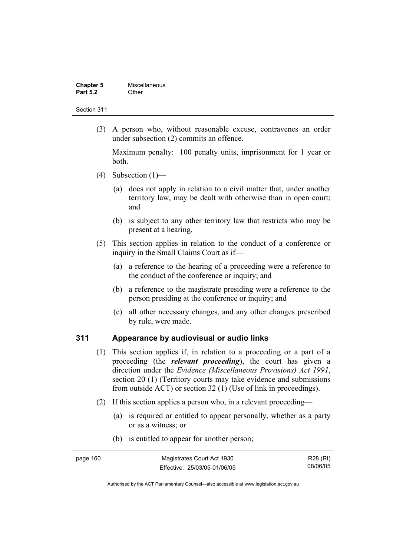| <b>Chapter 5</b> | Miscellaneous |
|------------------|---------------|
| <b>Part 5.2</b>  | Other         |

 (3) A person who, without reasonable excuse, contravenes an order under subsection (2) commits an offence.

Maximum penalty: 100 penalty units, imprisonment for 1 year or both.

- (4) Subsection  $(1)$ 
	- (a) does not apply in relation to a civil matter that, under another territory law, may be dealt with otherwise than in open court; and
	- (b) is subject to any other territory law that restricts who may be present at a hearing.
- (5) This section applies in relation to the conduct of a conference or inquiry in the Small Claims Court as if—
	- (a) a reference to the hearing of a proceeding were a reference to the conduct of the conference or inquiry; and
	- (b) a reference to the magistrate presiding were a reference to the person presiding at the conference or inquiry; and
	- (c) all other necessary changes, and any other changes prescribed by rule, were made.

### **311 Appearance by audiovisual or audio links**

- (1) This section applies if, in relation to a proceeding or a part of a proceeding (the *relevant proceeding*), the court has given a direction under the *Evidence (Miscellaneous Provisions) Act 1991*, section 20 (1) (Territory courts may take evidence and submissions from outside ACT) or section 32 (1) (Use of link in proceedings).
- (2) If this section applies a person who, in a relevant proceeding—
	- (a) is required or entitled to appear personally, whether as a party or as a witness; or
	- (b) is entitled to appear for another person;

| page 160. | Magistrates Court Act 1930   | R28 (RI) |
|-----------|------------------------------|----------|
|           | Effective: 25/03/05-01/06/05 | 08/06/05 |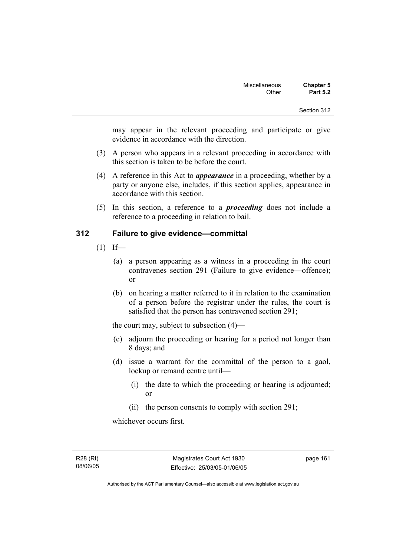may appear in the relevant proceeding and participate or give evidence in accordance with the direction.

- (3) A person who appears in a relevant proceeding in accordance with this section is taken to be before the court.
- (4) A reference in this Act to *appearance* in a proceeding, whether by a party or anyone else, includes, if this section applies, appearance in accordance with this section.
- (5) In this section, a reference to a *proceeding* does not include a reference to a proceeding in relation to bail.

### **312 Failure to give evidence—committal**

- $(1)$  If—
	- (a) a person appearing as a witness in a proceeding in the court contravenes section 291 (Failure to give evidence—offence); or
	- (b) on hearing a matter referred to it in relation to the examination of a person before the registrar under the rules, the court is satisfied that the person has contravened section 291;

the court may, subject to subsection (4)—

- (c) adjourn the proceeding or hearing for a period not longer than 8 days; and
- (d) issue a warrant for the committal of the person to a gaol, lockup or remand centre until—
	- (i) the date to which the proceeding or hearing is adjourned; or
	- (ii) the person consents to comply with section 291;

whichever occurs first.

R28 (RI) 08/06/05 page 161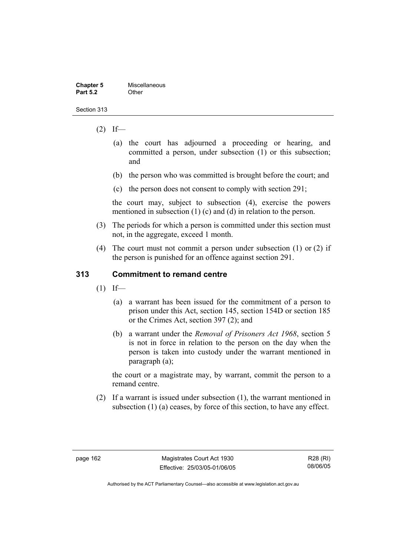| <b>Chapter 5</b> | Miscellaneous |
|------------------|---------------|
| <b>Part 5.2</b>  | Other         |

- $(2)$  If—
	- (a) the court has adjourned a proceeding or hearing, and committed a person, under subsection (1) or this subsection; and
	- (b) the person who was committed is brought before the court; and
	- (c) the person does not consent to comply with section 291;

the court may, subject to subsection (4), exercise the powers mentioned in subsection (1) (c) and (d) in relation to the person.

- (3) The periods for which a person is committed under this section must not, in the aggregate, exceed 1 month.
- (4) The court must not commit a person under subsection (1) or (2) if the person is punished for an offence against section 291.

### **313 Commitment to remand centre**

- $(1)$  If—
	- (a) a warrant has been issued for the commitment of a person to prison under this Act, section 145, section 154D or section 185 or the Crimes Act, section 397 (2); and
	- (b) a warrant under the *Removal of Prisoners Act 1968*, section 5 is not in force in relation to the person on the day when the person is taken into custody under the warrant mentioned in paragraph (a);

the court or a magistrate may, by warrant, commit the person to a remand centre.

 (2) If a warrant is issued under subsection (1), the warrant mentioned in subsection (1) (a) ceases, by force of this section, to have any effect.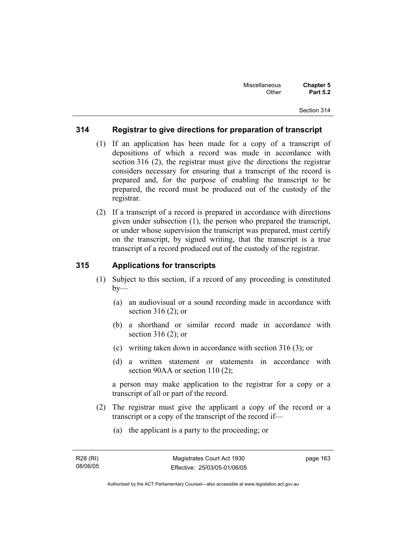### **314 Registrar to give directions for preparation of transcript**

- (1) If an application has been made for a copy of a transcript of depositions of which a record was made in accordance with section 316 (2), the registrar must give the directions the registrar considers necessary for ensuring that a transcript of the record is prepared and, for the purpose of enabling the transcript to be prepared, the record must be produced out of the custody of the registrar.
- (2) If a transcript of a record is prepared in accordance with directions given under subsection (1), the person who prepared the transcript, or under whose supervision the transcript was prepared, must certify on the transcript, by signed writing, that the transcript is a true transcript of a record produced out of the custody of the registrar.

### **315 Applications for transcripts**

- (1) Subject to this section, if a record of any proceeding is constituted  $by-$ 
	- (a) an audiovisual or a sound recording made in accordance with section 316 (2); or
	- (b) a shorthand or similar record made in accordance with section 316 (2); or
	- (c) writing taken down in accordance with section 316 (3); or
	- (d) a written statement or statements in accordance with section 90AA or section 110 (2);

a person may make application to the registrar for a copy or a transcript of all or part of the record.

- (2) The registrar must give the applicant a copy of the record or a transcript or a copy of the transcript of the record if—
	- (a) the applicant is a party to the proceeding; or

page 163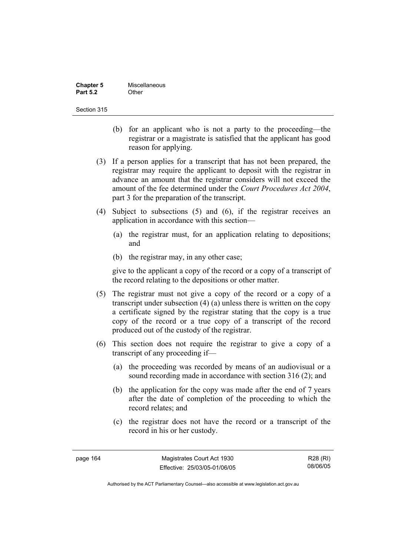| <b>Chapter 5</b> | Miscellaneous |
|------------------|---------------|
| <b>Part 5.2</b>  | Other         |

- (b) for an applicant who is not a party to the proceeding—the registrar or a magistrate is satisfied that the applicant has good reason for applying.
- (3) If a person applies for a transcript that has not been prepared, the registrar may require the applicant to deposit with the registrar in advance an amount that the registrar considers will not exceed the amount of the fee determined under the *Court Procedures Act 2004*, part 3 for the preparation of the transcript.
- (4) Subject to subsections (5) and (6), if the registrar receives an application in accordance with this section—
	- (a) the registrar must, for an application relating to depositions; and
	- (b) the registrar may, in any other case;

give to the applicant a copy of the record or a copy of a transcript of the record relating to the depositions or other matter.

- (5) The registrar must not give a copy of the record or a copy of a transcript under subsection (4) (a) unless there is written on the copy a certificate signed by the registrar stating that the copy is a true copy of the record or a true copy of a transcript of the record produced out of the custody of the registrar.
- (6) This section does not require the registrar to give a copy of a transcript of any proceeding if—
	- (a) the proceeding was recorded by means of an audiovisual or a sound recording made in accordance with section 316 (2); and
	- (b) the application for the copy was made after the end of 7 years after the date of completion of the proceeding to which the record relates; and
	- (c) the registrar does not have the record or a transcript of the record in his or her custody.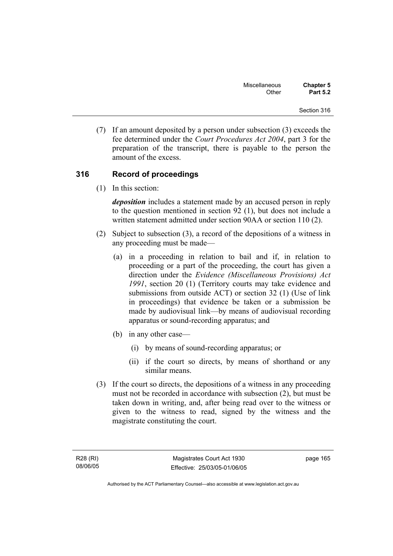(7) If an amount deposited by a person under subsection (3) exceeds the fee determined under the *Court Procedures Act 2004*, part 3 for the preparation of the transcript, there is payable to the person the amount of the excess.

# **316 Record of proceedings**

(1) In this section:

*deposition* includes a statement made by an accused person in reply to the question mentioned in section 92 (1), but does not include a written statement admitted under section 90AA or section 110 (2).

- (2) Subject to subsection (3), a record of the depositions of a witness in any proceeding must be made—
	- (a) in a proceeding in relation to bail and if, in relation to proceeding or a part of the proceeding, the court has given a direction under the *Evidence (Miscellaneous Provisions) Act 1991*, section 20 (1) (Territory courts may take evidence and submissions from outside ACT) or section 32 (1) (Use of link in proceedings) that evidence be taken or a submission be made by audiovisual link—by means of audiovisual recording apparatus or sound-recording apparatus; and
	- (b) in any other case—
		- (i) by means of sound-recording apparatus; or
		- (ii) if the court so directs, by means of shorthand or any similar means.
- (3) If the court so directs, the depositions of a witness in any proceeding must not be recorded in accordance with subsection (2), but must be taken down in writing, and, after being read over to the witness or given to the witness to read, signed by the witness and the magistrate constituting the court.

page 165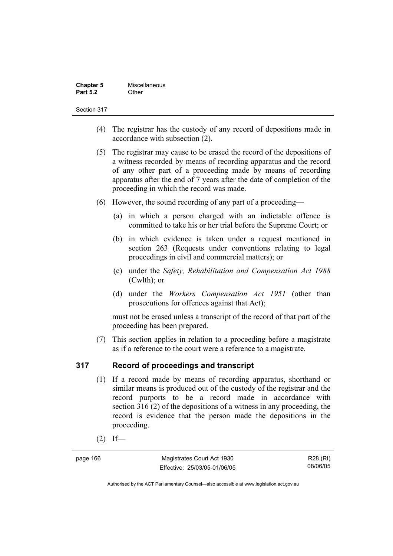| <b>Chapter 5</b> | Miscellaneous |
|------------------|---------------|
| <b>Part 5.2</b>  | Other         |

# Section 317

- (4) The registrar has the custody of any record of depositions made in accordance with subsection (2).
- (5) The registrar may cause to be erased the record of the depositions of a witness recorded by means of recording apparatus and the record of any other part of a proceeding made by means of recording apparatus after the end of 7 years after the date of completion of the proceeding in which the record was made.
- (6) However, the sound recording of any part of a proceeding—
	- (a) in which a person charged with an indictable offence is committed to take his or her trial before the Supreme Court; or
	- (b) in which evidence is taken under a request mentioned in section 263 (Requests under conventions relating to legal proceedings in civil and commercial matters); or
	- (c) under the *Safety, Rehabilitation and Compensation Act 1988* (Cwlth); or
	- (d) under the *Workers Compensation Act 1951* (other than prosecutions for offences against that Act);

must not be erased unless a transcript of the record of that part of the proceeding has been prepared.

 (7) This section applies in relation to a proceeding before a magistrate as if a reference to the court were a reference to a magistrate.

# **317 Record of proceedings and transcript**

- (1) If a record made by means of recording apparatus, shorthand or similar means is produced out of the custody of the registrar and the record purports to be a record made in accordance with section 316 (2) of the depositions of a witness in any proceeding, the record is evidence that the person made the depositions in the proceeding.
- $(2)$  If—

page 166 Magistrates Court Act 1930 Effective: 25/03/05-01/06/05

R28 (RI) 08/06/05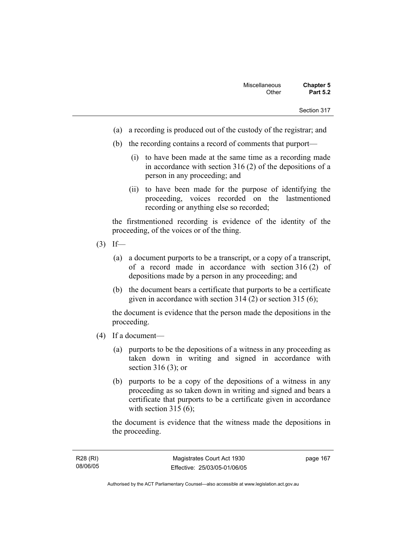- (a) a recording is produced out of the custody of the registrar; and
- (b) the recording contains a record of comments that purport—
	- (i) to have been made at the same time as a recording made in accordance with section 316 (2) of the depositions of a person in any proceeding; and
	- (ii) to have been made for the purpose of identifying the proceeding, voices recorded on the lastmentioned recording or anything else so recorded;

the firstmentioned recording is evidence of the identity of the proceeding, of the voices or of the thing.

- $(3)$  If—
	- (a) a document purports to be a transcript, or a copy of a transcript, of a record made in accordance with section 316 (2) of depositions made by a person in any proceeding; and
	- (b) the document bears a certificate that purports to be a certificate given in accordance with section 314 (2) or section 315 (6);

the document is evidence that the person made the depositions in the proceeding.

- (4) If a document—
	- (a) purports to be the depositions of a witness in any proceeding as taken down in writing and signed in accordance with section 316 (3); or
	- (b) purports to be a copy of the depositions of a witness in any proceeding as so taken down in writing and signed and bears a certificate that purports to be a certificate given in accordance with section  $315(6)$ :

the document is evidence that the witness made the depositions in the proceeding.

page 167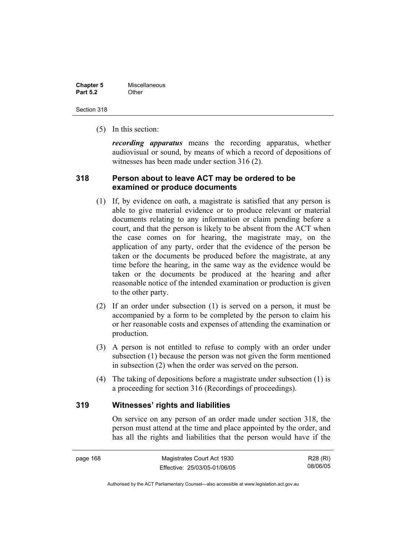| <b>Chapter 5</b> | Miscellaneous |
|------------------|---------------|
| <b>Part 5.2</b>  | Other         |

Section 318

(5) In this section:

*recording apparatus* means the recording apparatus, whether audiovisual or sound, by means of which a record of depositions of witnesses has been made under section 316 (2).

# **318 Person about to leave ACT may be ordered to be examined or produce documents**

- (1) If, by evidence on oath, a magistrate is satisfied that any person is able to give material evidence or to produce relevant or material documents relating to any information or claim pending before a court, and that the person is likely to be absent from the ACT when the case comes on for hearing, the magistrate may, on the application of any party, order that the evidence of the person be taken or the documents be produced before the magistrate, at any time before the hearing, in the same way as the evidence would be taken or the documents be produced at the hearing and after reasonable notice of the intended examination or production is given to the other party.
- (2) If an order under subsection (1) is served on a person, it must be accompanied by a form to be completed by the person to claim his or her reasonable costs and expenses of attending the examination or production.
- (3) A person is not entitled to refuse to comply with an order under subsection (1) because the person was not given the form mentioned in subsection (2) when the order was served on the person.
- (4) The taking of depositions before a magistrate under subsection (1) is a proceeding for section 316 (Recordings of proceedings).

# **319 Witnesses' rights and liabilities**

On service on any person of an order made under section 318, the person must attend at the time and place appointed by the order, and has all the rights and liabilities that the person would have if the

R28 (RI) 08/06/05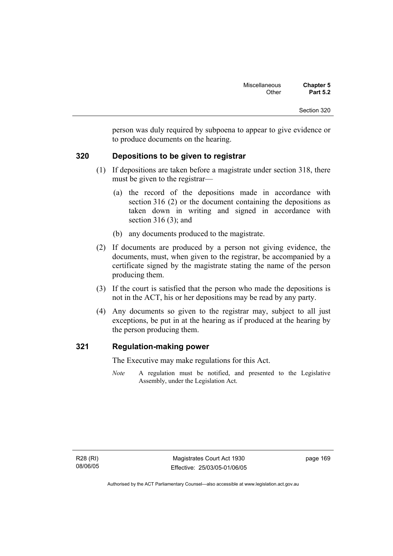person was duly required by subpoena to appear to give evidence or to produce documents on the hearing.

# **320 Depositions to be given to registrar**

- (1) If depositions are taken before a magistrate under section 318, there must be given to the registrar—
	- (a) the record of the depositions made in accordance with section 316 (2) or the document containing the depositions as taken down in writing and signed in accordance with section 316 (3); and
	- (b) any documents produced to the magistrate.
- (2) If documents are produced by a person not giving evidence, the documents, must, when given to the registrar, be accompanied by a certificate signed by the magistrate stating the name of the person producing them.
- (3) If the court is satisfied that the person who made the depositions is not in the ACT, his or her depositions may be read by any party.
- (4) Any documents so given to the registrar may, subject to all just exceptions, be put in at the hearing as if produced at the hearing by the person producing them.

# **321 Regulation-making power**

The Executive may make regulations for this Act.

*Note* A regulation must be notified, and presented to the Legislative Assembly, under the Legislation Act.

page 169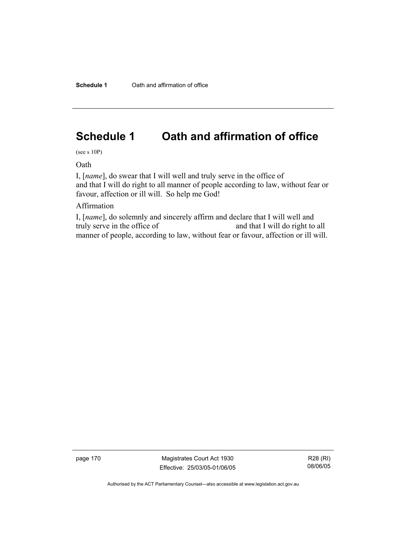# **Schedule 1 Oath and affirmation of office**

(see s 10P)

Oath

I, [*name*], do swear that I will well and truly serve in the office of and that I will do right to all manner of people according to law, without fear or favour, affection or ill will. So help me God!

# Affirmation

I, [*name*], do solemnly and sincerely affirm and declare that I will well and truly serve in the office of and that I will do right to all manner of people, according to law, without fear or favour, affection or ill will.

page 170 Magistrates Court Act 1930 Effective: 25/03/05-01/06/05

R28 (RI) 08/06/05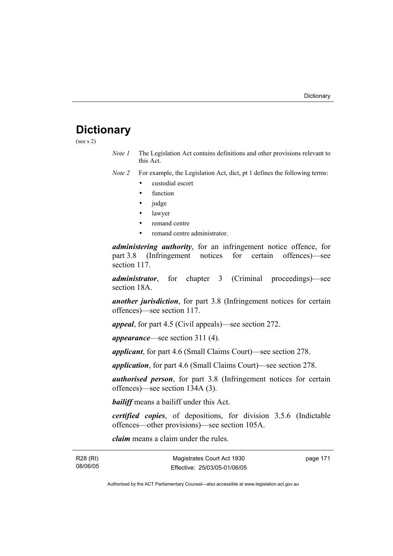# **Dictionary**

(see s 2)

*Note 1* The Legislation Act contains definitions and other provisions relevant to this Act.

*Note 2* For example, the Legislation Act, dict, pt 1 defines the following terms:

- custodial escort
- function
- judge
- lawyer
- remand centre
- remand centre administrator.

*administering authority*, for an infringement notice offence, for part 3.8 (Infringement notices for certain offences)—see section 117.

*administrator*, for chapter 3 (Criminal proceedings)—see section 18A.

*another jurisdiction*, for part 3.8 (Infringement notices for certain offences)—see section 117.

*appeal*, for part 4.5 (Civil appeals)—see section 272.

*appearance*—see section 311 (4).

*applicant*, for part 4.6 (Small Claims Court)—see section 278.

*application*, for part 4.6 (Small Claims Court)—see section 278.

*authorised person*, for part 3.8 (Infringement notices for certain offences)—see section 134A (3).

*bailiff* means a bailiff under this Act.

*certified copies*, of depositions, for division 3.5.6 (Indictable offences—other provisions)—see section 105A.

*claim* means a claim under the rules.

R28 (RI) 08/06/05 page 171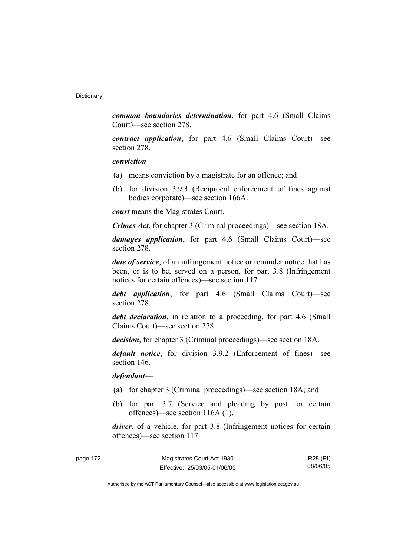*common boundaries determination*, for part 4.6 (Small Claims Court)—see section 278.

*contract application*, for part 4.6 (Small Claims Court)—see section 278.

# *conviction*—

- (a) means conviction by a magistrate for an offence; and
- (b) for division 3.9.3 (Reciprocal enforcement of fines against bodies corporate)—see section 166A.

*court* means the Magistrates Court.

*Crimes Act*, for chapter 3 (Criminal proceedings)—see section 18A.

*damages application*, for part 4.6 (Small Claims Court)—see section 278.

*date of service*, of an infringement notice or reminder notice that has been, or is to be, served on a person, for part 3.8 (Infringement notices for certain offences)—see section 117.

*debt application*, for part 4.6 (Small Claims Court)—see section 278.

*debt declaration*, in relation to a proceeding, for part 4.6 (Small Claims Court)—see section 278.

*decision*, for chapter 3 (Criminal proceedings)—see section 18A.

*default notice*, for division 3.9.2 (Enforcement of fines)—see section 146.

*defendant*—

- (a) for chapter 3 (Criminal proceedings)—see section 18A; and
- (b) for part 3.7 (Service and pleading by post for certain offences)—see section 116A (1).

*driver*, of a vehicle, for part 3.8 (Infringement notices for certain offences)—see section 117.

| page 172 | Magistrates Court Act 1930   | R28 (RI) |
|----------|------------------------------|----------|
|          | Effective: 25/03/05-01/06/05 | 08/06/05 |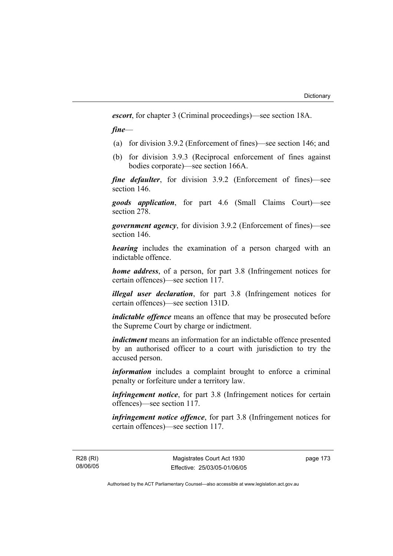*escort*, for chapter 3 (Criminal proceedings)—see section 18A.

*fine*—

- (a) for division 3.9.2 (Enforcement of fines)—see section 146; and
- (b) for division 3.9.3 (Reciprocal enforcement of fines against bodies corporate)—see section 166A.

*fine defaulter*, for division 3.9.2 (Enforcement of fines)—see section 146.

*goods application*, for part 4.6 (Small Claims Court)—see section 278.

*government agency*, for division 3.9.2 (Enforcement of fines)—see section 146.

*hearing* includes the examination of a person charged with an indictable offence.

*home address*, of a person, for part 3.8 (Infringement notices for certain offences)—see section 117.

*illegal user declaration*, for part 3.8 (Infringement notices for certain offences)—see section 131D.

*indictable offence* means an offence that may be prosecuted before the Supreme Court by charge or indictment.

*indictment* means an information for an indictable offence presented by an authorised officer to a court with jurisdiction to try the accused person.

*information* includes a complaint brought to enforce a criminal penalty or forfeiture under a territory law.

*infringement notice*, for part 3.8 (Infringement notices for certain offences)—see section 117.

*infringement notice offence*, for part 3.8 (Infringement notices for certain offences)—see section 117.

R28 (RI) 08/06/05 page 173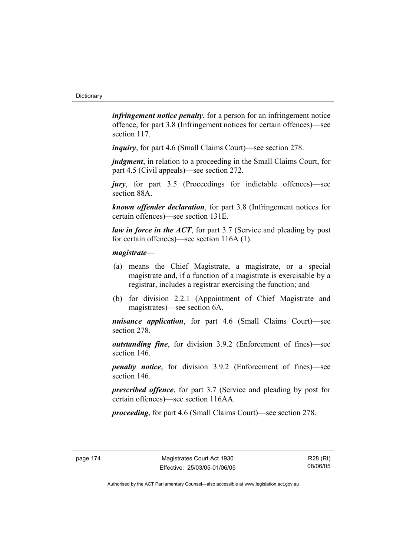*infringement notice penalty*, for a person for an infringement notice offence, for part 3.8 (Infringement notices for certain offences)—see section 117.

*inquiry*, for part 4.6 (Small Claims Court)—see section 278.

*judgment*, in relation to a proceeding in the Small Claims Court, for part 4.5 (Civil appeals)—see section 272.

*jury*, for part 3.5 (Proceedings for indictable offences)—see section 88A.

*known offender declaration*, for part 3.8 (Infringement notices for certain offences)—see section 131E.

*law in force in the ACT*, for part 3.7 (Service and pleading by post for certain offences)—see section 116A (1).

# *magistrate*—

- (a) means the Chief Magistrate, a magistrate, or a special magistrate and, if a function of a magistrate is exercisable by a registrar, includes a registrar exercising the function; and
- (b) for division 2.2.1 (Appointment of Chief Magistrate and magistrates)—see section 6A.

*nuisance application*, for part 4.6 (Small Claims Court)—see section 278.

*outstanding fine*, for division 3.9.2 (Enforcement of fines)—see section 146.

*penalty notice*, for division 3.9.2 (Enforcement of fines)—see section 146.

*prescribed offence*, for part 3.7 (Service and pleading by post for certain offences)—see section 116AA.

*proceeding*, for part 4.6 (Small Claims Court)—see section 278.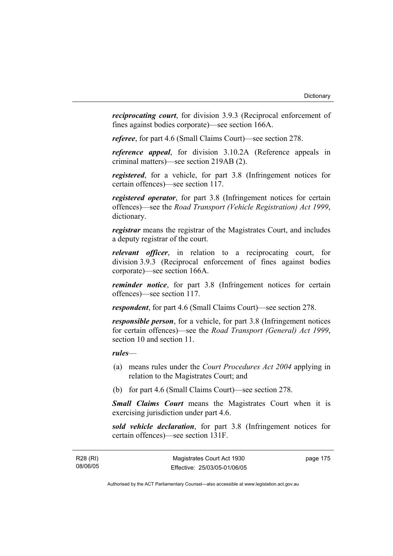*reciprocating court*, for division 3.9.3 (Reciprocal enforcement of fines against bodies corporate)—see section 166A.

*referee*, for part 4.6 (Small Claims Court)—see section 278.

*reference appeal*, for division 3.10.2A (Reference appeals in criminal matters)—see section 219AB (2).

*registered*, for a vehicle, for part 3.8 (Infringement notices for certain offences)—see section 117.

*registered operator*, for part 3.8 (Infringement notices for certain offences)—see the *Road Transport (Vehicle Registration) Act 1999*, dictionary.

*registrar* means the registrar of the Magistrates Court, and includes a deputy registrar of the court.

*relevant officer*, in relation to a reciprocating court, for division 3.9.3 (Reciprocal enforcement of fines against bodies corporate)—see section 166A.

*reminder notice*, for part 3.8 (Infringement notices for certain offences)—see section 117.

*respondent*, for part 4.6 (Small Claims Court)—see section 278.

*responsible person*, for a vehicle, for part 3.8 (Infringement notices for certain offences)—see the *Road Transport (General) Act 1999*, section 10 and section 11.

# *rules*—

- (a) means rules under the *Court Procedures Act 2004* applying in relation to the Magistrates Court; and
- (b) for part 4.6 (Small Claims Court)—see section 278.

*Small Claims Court* means the Magistrates Court when it is exercising jurisdiction under part 4.6.

*sold vehicle declaration*, for part 3.8 (Infringement notices for certain offences)—see section 131F.

R28 (RI) 08/06/05 page 175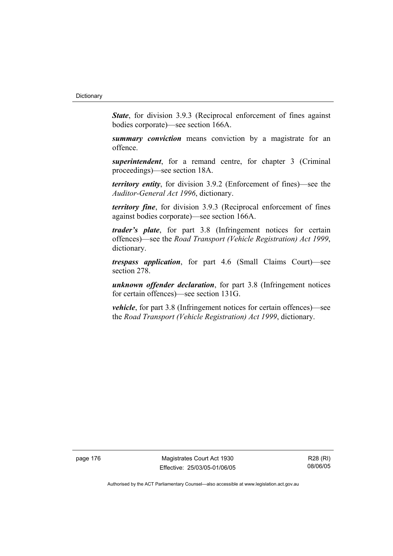*State*, for division 3.9.3 (Reciprocal enforcement of fines against bodies corporate)—see section 166A.

*summary conviction* means conviction by a magistrate for an offence.

*superintendent*, for a remand centre, for chapter 3 (Criminal proceedings)—see section 18A.

*territory entity*, for division 3.9.2 (Enforcement of fines)—see the *Auditor-General Act 1996*, dictionary.

*territory fine*, for division 3.9.3 (Reciprocal enforcement of fines against bodies corporate)—see section 166A.

*trader's plate*, for part 3.8 (Infringement notices for certain offences)—see the *Road Transport (Vehicle Registration) Act 1999*, dictionary.

*trespass application*, for part 4.6 (Small Claims Court)—see section 278.

*unknown offender declaration*, for part 3.8 (Infringement notices for certain offences)—see section 131G.

*vehicle*, for part 3.8 (Infringement notices for certain offences)—see the *Road Transport (Vehicle Registration) Act 1999*, dictionary.

page 176 Magistrates Court Act 1930 Effective: 25/03/05-01/06/05

R28 (RI) 08/06/05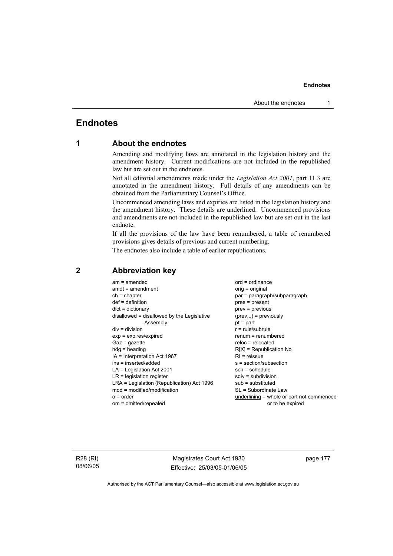# **Endnotes**

# **1 About the endnotes**

Amending and modifying laws are annotated in the legislation history and the amendment history. Current modifications are not included in the republished law but are set out in the endnotes.

Not all editorial amendments made under the *Legislation Act 2001*, part 11.3 are annotated in the amendment history. Full details of any amendments can be obtained from the Parliamentary Counsel's Office.

Uncommenced amending laws and expiries are listed in the legislation history and the amendment history. These details are underlined. Uncommenced provisions and amendments are not included in the republished law but are set out in the last endnote.

If all the provisions of the law have been renumbered, a table of renumbered provisions gives details of previous and current numbering.

The endnotes also include a table of earlier republications.

| $am = amended$                             | $ord = ordinance$                         |
|--------------------------------------------|-------------------------------------------|
| $amdt = amendment$                         | orig = original                           |
| $ch = chapter$                             | par = paragraph/subparagraph              |
| $def = definition$                         | $pres = present$                          |
| $dict = dictionary$                        | $prev = previous$                         |
| disallowed = disallowed by the Legislative | $(\text{prev}) = \text{previously}$       |
| Assembly                                   | $pt = part$                               |
| $div = division$                           | $r = rule/subrule$                        |
| $exp = expires/expired$                    | $renum = renumbered$                      |
| $Gaz = gazette$                            | $reloc = relocated$                       |
| $hdg =$ heading                            | $R[X]$ = Republication No                 |
| IA = Interpretation Act 1967               | $RI = reissue$                            |
| ins = inserted/added                       | s = section/subsection                    |
| $LA =$ Legislation Act 2001                | $sch = schedule$                          |
| $LR =$ legislation register                | $sdiv = subdivision$                      |
| LRA = Legislation (Republication) Act 1996 | $sub =$ substituted                       |
| $mod = modified/modification$              | SL = Subordinate Law                      |
| $o = order$                                | underlining = whole or part not commenced |
| om = omitted/repealed                      | or to be expired                          |
|                                            |                                           |

# **2 Abbreviation key**

R28 (RI) 08/06/05

Magistrates Court Act 1930 Effective: 25/03/05-01/06/05 page 177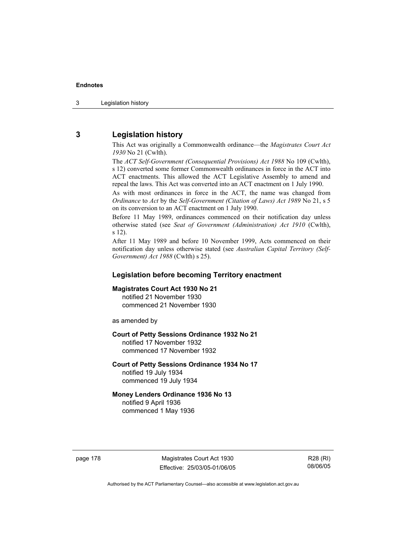3 Legislation history

# **3 Legislation history**

This Act was originally a Commonwealth ordinance—the *Magistrates Court Act 1930* No 21 (Cwlth).

The *ACT Self-Government (Consequential Provisions) Act 1988* No 109 (Cwlth), s 12) converted some former Commonwealth ordinances in force in the ACT into ACT enactments. This allowed the ACT Legislative Assembly to amend and repeal the laws. This Act was converted into an ACT enactment on 1 July 1990.

As with most ordinances in force in the ACT, the name was changed from *Ordinance* to *Act* by the *Self-Government (Citation of Laws) Act 1989* No 21, s 5 on its conversion to an ACT enactment on 1 July 1990.

Before 11 May 1989, ordinances commenced on their notification day unless otherwise stated (see *Seat of Government (Administration) Act 1910* (Cwlth), s 12).

After 11 May 1989 and before 10 November 1999, Acts commenced on their notification day unless otherwise stated (see *Australian Capital Territory (Self-Government) Act 1988* (Cwlth) s 25).

# **Legislation before becoming Territory enactment**

#### **Magistrates Court Act 1930 No 21**

notified 21 November 1930 commenced 21 November 1930

as amended by

# **Court of Petty Sessions Ordinance 1932 No 21**

notified 17 November 1932 commenced 17 November 1932

#### **Court of Petty Sessions Ordinance 1934 No 17**  notified 19 July 1934

commenced 19 July 1934

# **Money Lenders Ordinance 1936 No 13**

notified 9 April 1936 commenced 1 May 1936

page 178 Magistrates Court Act 1930 Effective: 25/03/05-01/06/05

R28 (RI) 08/06/05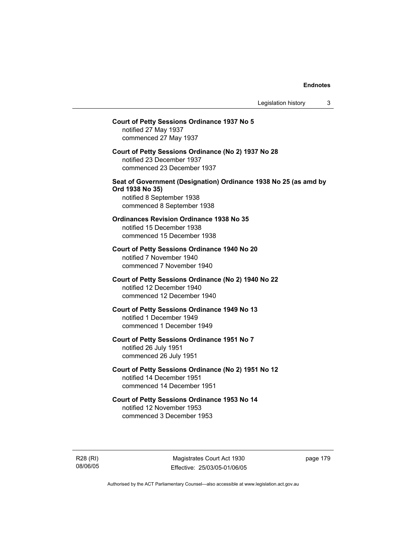# **Court of Petty Sessions Ordinance 1937 No 5**  notified 27 May 1937 commenced 27 May 1937 **Court of Petty Sessions Ordinance (No 2) 1937 No 28**  notified 23 December 1937 commenced 23 December 1937 **Seat of Government (Designation) Ordinance 1938 No 25 (as amd by Ord 1938 No 35)**  notified 8 September 1938 commenced 8 September 1938 **Ordinances Revision Ordinance 1938 No 35**  notified 15 December 1938 commenced 15 December 1938 **Court of Petty Sessions Ordinance 1940 No 20**  notified 7 November 1940 commenced 7 November 1940 **Court of Petty Sessions Ordinance (No 2) 1940 No 22**  notified 12 December 1940 commenced 12 December 1940 **Court of Petty Sessions Ordinance 1949 No 13**  notified 1 December 1949 commenced 1 December 1949 **Court of Petty Sessions Ordinance 1951 No 7**  notified 26 July 1951 commenced 26 July 1951 **Court of Petty Sessions Ordinance (No 2) 1951 No 12**  notified 14 December 1951 commenced 14 December 1951 **Court of Petty Sessions Ordinance 1953 No 14**  notified 12 November 1953 commenced 3 December 1953

R28 (RI) 08/06/05

Magistrates Court Act 1930 Effective: 25/03/05-01/06/05 page 179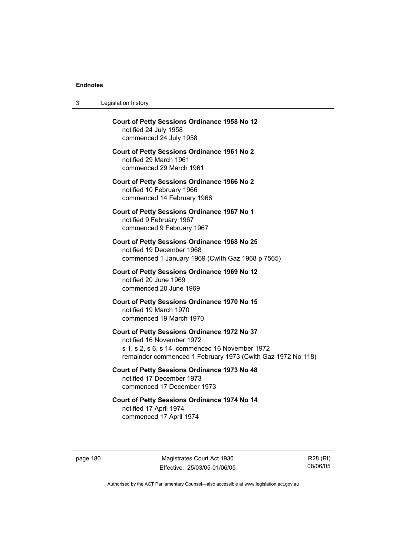$3<sub>l</sub>$ 

| 3        | Legislation history                                                                                                                                                                         |            |
|----------|---------------------------------------------------------------------------------------------------------------------------------------------------------------------------------------------|------------|
|          | Court of Petty Sessions Ordinance 1958 No 12<br>notified 24 July 1958<br>commenced 24 July 1958                                                                                             |            |
|          | <b>Court of Petty Sessions Ordinance 1961 No 2</b><br>notified 29 March 1961<br>commenced 29 March 1961                                                                                     |            |
|          | <b>Court of Petty Sessions Ordinance 1966 No 2</b><br>notified 10 February 1966<br>commenced 14 February 1966                                                                               |            |
|          | <b>Court of Petty Sessions Ordinance 1967 No 1</b><br>notified 9 February 1967<br>commenced 9 February 1967                                                                                 |            |
|          | <b>Court of Petty Sessions Ordinance 1968 No 25</b><br>notified 19 December 1968<br>commenced 1 January 1969 (Cwlth Gaz 1968 p 7565)                                                        |            |
|          | <b>Court of Petty Sessions Ordinance 1969 No 12</b><br>notified 20 June 1969<br>commenced 20 June 1969                                                                                      |            |
|          | Court of Petty Sessions Ordinance 1970 No 15<br>notified 19 March 1970<br>commenced 19 March 1970                                                                                           |            |
|          | Court of Petty Sessions Ordinance 1972 No 37<br>notified 16 November 1972<br>s 1, s 2, s 6, s 14, commenced 16 November 1972<br>remainder commenced 1 February 1973 (Cwlth Gaz 1972 No 118) |            |
|          | Court of Petty Sessions Ordinance 1973 No 48<br>notified 17 December 1973<br>commenced 17 December 1973                                                                                     |            |
|          | Court of Petty Sessions Ordinance 1974 No 14<br>notified 17 April 1974<br>commenced 17 April 1974                                                                                           |            |
| page 180 | Magistrates Court Act 1930<br>Effective: 25/03/05-01/06/05                                                                                                                                  | R2٤<br>08/ |
|          |                                                                                                                                                                                             |            |

R28 (RI) 08/06/05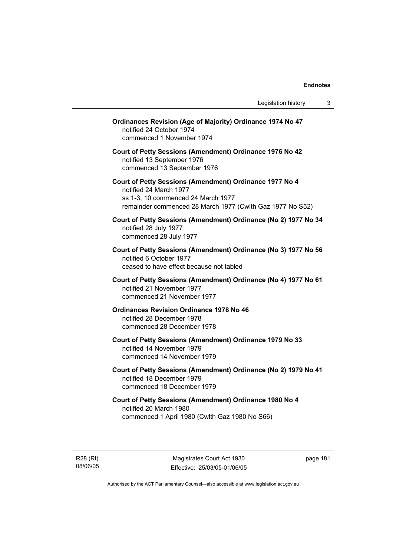| <b>Ordinances Revision (Age of Majority) Ordinance 1974 No 47</b><br>notified 24 October 1974<br>commenced 1 November 1974                                                           |  |
|--------------------------------------------------------------------------------------------------------------------------------------------------------------------------------------|--|
| Court of Petty Sessions (Amendment) Ordinance 1976 No 42<br>notified 13 September 1976<br>commenced 13 September 1976                                                                |  |
| Court of Petty Sessions (Amendment) Ordinance 1977 No 4<br>notified 24 March 1977<br>ss 1-3, 10 commenced 24 March 1977<br>remainder commenced 28 March 1977 (Cwlth Gaz 1977 No S52) |  |
| Court of Petty Sessions (Amendment) Ordinance (No 2) 1977 No 34<br>notified 28 July 1977<br>commenced 28 July 1977                                                                   |  |
| Court of Petty Sessions (Amendment) Ordinance (No 3) 1977 No 56<br>notified 6 October 1977<br>ceased to have effect because not tabled                                               |  |
| Court of Petty Sessions (Amendment) Ordinance (No 4) 1977 No 61<br>notified 21 November 1977<br>commenced 21 November 1977                                                           |  |
| <b>Ordinances Revision Ordinance 1978 No 46</b><br>notified 28 December 1978<br>commenced 28 December 1978                                                                           |  |
| Court of Petty Sessions (Amendment) Ordinance 1979 No 33<br>notified 14 November 1979<br>commenced 14 November 1979                                                                  |  |
| Court of Petty Sessions (Amendment) Ordinance (No 2) 1979 No 41<br>notified 18 December 1979<br>commenced 18 December 1979                                                           |  |
| Court of Petty Sessions (Amendment) Ordinance 1980 No 4<br>notified 20 March 1980<br>commenced 1 April 1980 (Cwlth Gaz 1980 No S66)                                                  |  |
|                                                                                                                                                                                      |  |

R28 (RI) 08/06/05

Magistrates Court Act 1930 Effective: 25/03/05-01/06/05 page 181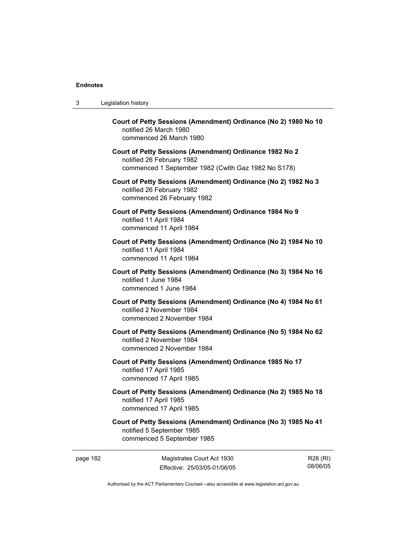| 3 | Legislation history                                                                                                                         |
|---|---------------------------------------------------------------------------------------------------------------------------------------------|
|   | Court of Petty Sessions (Amendment) Ordinance (No 2) 1980 No 10<br>notified 26 March 1980<br>commenced 26 March 1980                        |
|   | Court of Petty Sessions (Amendment) Ordinance 1982 No 2<br>notified 26 February 1982<br>commenced 1 September 1982 (Cwlth Gaz 1982 No S178) |
|   | Court of Petty Sessions (Amendment) Ordinance (No 2) 1982 No 3<br>notified 26 February 1982<br>commenced 26 February 1982                   |
|   | Court of Petty Sessions (Amendment) Ordinance 1984 No 9<br>notified 11 April 1984<br>commenced 11 April 1984                                |
|   | Court of Petty Sessions (Amendment) Ordinance (No 2) 1984 No 10<br>notified 11 April 1984<br>commenced 11 April 1984                        |
|   | Court of Petty Sessions (Amendment) Ordinance (No 3) 1984 No 16<br>notified 1 June 1984<br>commenced 1 June 1984                            |
|   | Court of Petty Sessions (Amendment) Ordinance (No 4) 1984 No 61<br>notified 2 November 1984<br>commenced 2 November 1984                    |
|   | Court of Petty Sessions (Amendment) Ordinance (No 5) 1984 No 62<br>notified 2 November 1984<br>commenced 2 November 1984                    |
|   | Court of Petty Sessions (Amendment) Ordinance 1985 No 17<br>notified 17 April 1985<br>commenced 17 April 1985                               |
|   | Court of Petty Sessions (Amendment) Ordinance (No 2) 1985 No 18<br>notified 17 April 1985<br>commenced 17 April 1985                        |
|   | Court of Petty Sessions (Amendment) Ordinance (No 3) 1985 No 41<br>notified 5 September 1985<br>commenced 5 September 1985                  |

page 182 Magistrates Court Act 1930 Effective: 25/03/05-01/06/05

R28 (RI) 08/06/05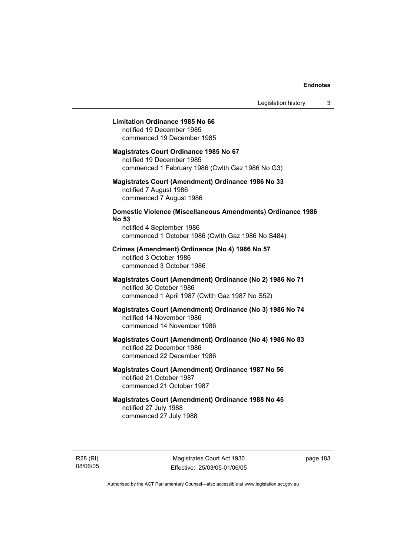# **Limitation Ordinance 1985 No 66**

notified 19 December 1985 commenced 19 December 1985

#### **Magistrates Court Ordinance 1985 No 67**

notified 19 December 1985 commenced 1 February 1986 (Cwlth Gaz 1986 No G3)

# **Magistrates Court (Amendment) Ordinance 1986 No 33**  notified 7 August 1986 commenced 7 August 1986

# **Domestic Violence (Miscellaneous Amendments) Ordinance 1986 No 53**

notified 4 September 1986 commenced 1 October 1986 (Cwlth Gaz 1986 No S484)

# **Crimes (Amendment) Ordinance (No 4) 1986 No 57**  notified 3 October 1986

commenced 3 October 1986

# **Magistrates Court (Amendment) Ordinance (No 2) 1986 No 71**  notified 30 October 1986 commenced 1 April 1987 (Cwlth Gaz 1987 No S52)

# **Magistrates Court (Amendment) Ordinance (No 3) 1986 No 74**  notified 14 November 1986 commenced 14 November 1986

# **Magistrates Court (Amendment) Ordinance (No 4) 1986 No 83**  notified 22 December 1986 commenced 22 December 1986

# **Magistrates Court (Amendment) Ordinance 1987 No 56**  notified 21 October 1987 commenced 21 October 1987

# **Magistrates Court (Amendment) Ordinance 1988 No 45**  notified 27 July 1988 commenced 27 July 1988

R28 (RI) 08/06/05

Magistrates Court Act 1930 Effective: 25/03/05-01/06/05 page 183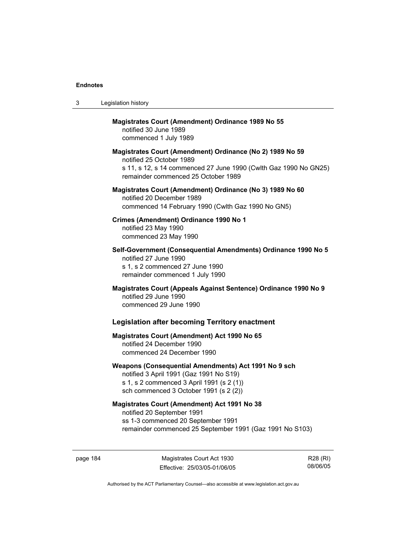| 3 | Legislation history                                                                                                                                                                              |
|---|--------------------------------------------------------------------------------------------------------------------------------------------------------------------------------------------------|
|   | <b>Magistrates Court (Amendment) Ordinance 1989 No 55</b><br>notified 30 June 1989<br>commenced 1 July 1989                                                                                      |
|   | Magistrates Court (Amendment) Ordinance (No 2) 1989 No 59<br>notified 25 October 1989<br>s 11, s 12, s 14 commenced 27 June 1990 (Cwlth Gaz 1990 No GN25)<br>remainder commenced 25 October 1989 |
|   | Magistrates Court (Amendment) Ordinance (No 3) 1989 No 60<br>notified 20 December 1989<br>commenced 14 February 1990 (Cwlth Gaz 1990 No GN5)                                                     |
|   | Crimes (Amendment) Ordinance 1990 No 1<br>notified 23 May 1990<br>commenced 23 May 1990                                                                                                          |
|   | Self-Government (Consequential Amendments) Ordinance 1990 No 5<br>notified 27 June 1990<br>s 1, s 2 commenced 27 June 1990<br>remainder commenced 1 July 1990                                    |
|   | Magistrates Court (Appeals Against Sentence) Ordinance 1990 No 9<br>notified 29 June 1990<br>commenced 29 June 1990                                                                              |
|   | <b>Legislation after becoming Territory enactment</b>                                                                                                                                            |
|   | <b>Magistrates Court (Amendment) Act 1990 No 65</b><br>notified 24 December 1990<br>commenced 24 December 1990                                                                                   |
|   | Weapons (Consequential Amendments) Act 1991 No 9 sch<br>notified 3 April 1991 (Gaz 1991 No S19)<br>s 1, s 2 commenced 3 April 1991 (s 2 (1))<br>sch commenced 3 October 1991 (s 2 (2))           |
|   | <b>Magistrates Court (Amendment) Act 1991 No 38</b><br>notified 20 September 1991<br>ss 1-3 commenced 20 September 1991<br>remainder commenced 25 September 1991 (Gaz 1991 No S103)              |

page 184 Magistrates Court Act 1930 Effective: 25/03/05-01/06/05

R28 (RI) 08/06/05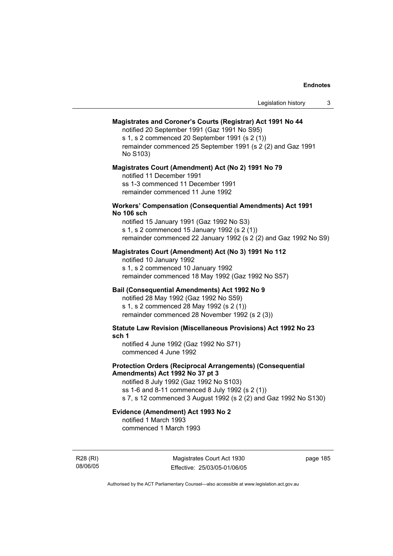# **Magistrates and Coroner's Courts (Registrar) Act 1991 No 44**

notified 20 September 1991 (Gaz 1991 No S95) s 1, s 2 commenced 20 September 1991 (s 2 (1)) remainder commenced 25 September 1991 (s 2 (2) and Gaz 1991 No S103)

#### **Magistrates Court (Amendment) Act (No 2) 1991 No 79**

notified 11 December 1991 ss 1-3 commenced 11 December 1991 remainder commenced 11 June 1992

# **Workers' Compensation (Consequential Amendments) Act 1991 No 106 sch**

notified 15 January 1991 (Gaz 1992 No S3) s 1, s 2 commenced 15 January 1992 (s 2 (1)) remainder commenced 22 January 1992 (s 2 (2) and Gaz 1992 No S9)

# **Magistrates Court (Amendment) Act (No 3) 1991 No 112**

notified 10 January 1992 s 1, s 2 commenced 10 January 1992 remainder commenced 18 May 1992 (Gaz 1992 No S57)

# **Bail (Consequential Amendments) Act 1992 No 9**

notified 28 May 1992 (Gaz 1992 No S59) s 1, s 2 commenced 28 May 1992 (s 2 (1)) remainder commenced 28 November 1992 (s 2 (3))

**Statute Law Revision (Miscellaneous Provisions) Act 1992 No 23 sch 1** 

notified 4 June 1992 (Gaz 1992 No S71) commenced 4 June 1992

# **Protection Orders (Reciprocal Arrangements) (Consequential Amendments) Act 1992 No 37 pt 3**

notified 8 July 1992 (Gaz 1992 No S103) ss 1-6 and 8-11 commenced 8 July 1992 (s 2 (1)) s 7, s 12 commenced 3 August 1992 (s 2 (2) and Gaz 1992 No S130)

# **Evidence (Amendment) Act 1993 No 2**

notified 1 March 1993 commenced 1 March 1993

R28 (RI) 08/06/05

Magistrates Court Act 1930 Effective: 25/03/05-01/06/05 page 185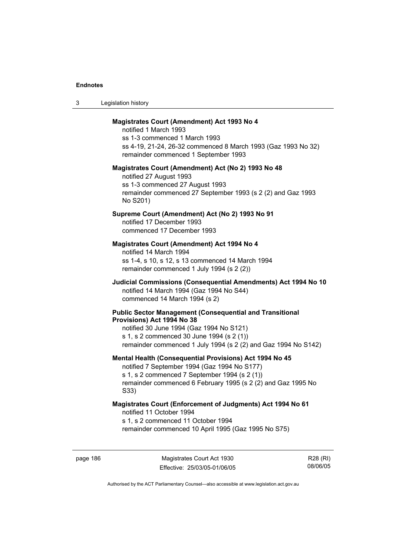| Legislation history<br>ు |  |
|--------------------------|--|
|--------------------------|--|

# **Magistrates Court (Amendment) Act 1993 No 4**

notified 1 March 1993 ss 1-3 commenced 1 March 1993 ss 4-19, 21-24, 26-32 commenced 8 March 1993 (Gaz 1993 No 32) remainder commenced 1 September 1993

#### **Magistrates Court (Amendment) Act (No 2) 1993 No 48**

notified 27 August 1993 ss 1-3 commenced 27 August 1993 remainder commenced 27 September 1993 (s 2 (2) and Gaz 1993 No S201)

# **Supreme Court (Amendment) Act (No 2) 1993 No 91**

notified 17 December 1993 commenced 17 December 1993

# **Magistrates Court (Amendment) Act 1994 No 4**

notified 14 March 1994 ss 1-4, s 10, s 12, s 13 commenced 14 March 1994 remainder commenced 1 July 1994 (s 2 (2))

# **Judicial Commissions (Consequential Amendments) Act 1994 No 10**  notified 14 March 1994 (Gaz 1994 No S44) commenced 14 March 1994 (s 2)

#### **Public Sector Management (Consequential and Transitional Provisions) Act 1994 No 38**

notified 30 June 1994 (Gaz 1994 No S121) s 1, s 2 commenced 30 June 1994 (s 2 (1)) remainder commenced 1 July 1994 (s 2 (2) and Gaz 1994 No S142)

#### **Mental Health (Consequential Provisions) Act 1994 No 45**

notified 7 September 1994 (Gaz 1994 No S177) s 1, s 2 commenced 7 September 1994 (s 2 (1)) remainder commenced 6 February 1995 (s 2 (2) and Gaz 1995 No S33)

# **Magistrates Court (Enforcement of Judgments) Act 1994 No 61**  notified 11 October 1994

s 1, s 2 commenced 11 October 1994

remainder commenced 10 April 1995 (Gaz 1995 No S75)

page 186 Magistrates Court Act 1930 Effective: 25/03/05-01/06/05

R28 (RI) 08/06/05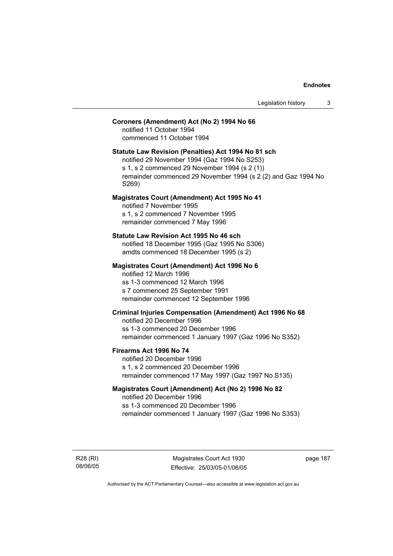# **Coroners (Amendment) Act (No 2) 1994 No 66**

notified 11 October 1994 commenced 11 October 1994

# **Statute Law Revision (Penalties) Act 1994 No 81 sch**

notified 29 November 1994 (Gaz 1994 No S253) s 1, s 2 commenced 29 November 1994 (s 2 (1)) remainder commenced 29 November 1994 (s 2 (2) and Gaz 1994 No S269)

# **Magistrates Court (Amendment) Act 1995 No 41**

notified 7 November 1995 s 1, s 2 commenced 7 November 1995 remainder commenced 7 May 1996

#### **Statute Law Revision Act 1995 No 46 sch**

notified 18 December 1995 (Gaz 1995 No S306) amdts commenced 18 December 1995 (s 2)

# **Magistrates Court (Amendment) Act 1996 No 6**

notified 12 March 1996 ss 1-3 commenced 12 March 1996 s 7 commenced 25 September 1991 remainder commenced 12 September 1996

# **Criminal Injuries Compensation (Amendment) Act 1996 No 68**

notified 20 December 1996 ss 1-3 commenced 20 December 1996 remainder commenced 1 January 1997 (Gaz 1996 No S352)

#### **Firearms Act 1996 No 74**

notified 20 December 1996 s 1, s 2 commenced 20 December 1996 remainder commenced 17 May 1997 (Gaz 1997 No S135)

# **Magistrates Court (Amendment) Act (No 2) 1996 No 82**

notified 20 December 1996 ss 1-3 commenced 20 December 1996 remainder commenced 1 January 1997 (Gaz 1996 No S353)

R28 (RI) 08/06/05

Magistrates Court Act 1930 Effective: 25/03/05-01/06/05 page 187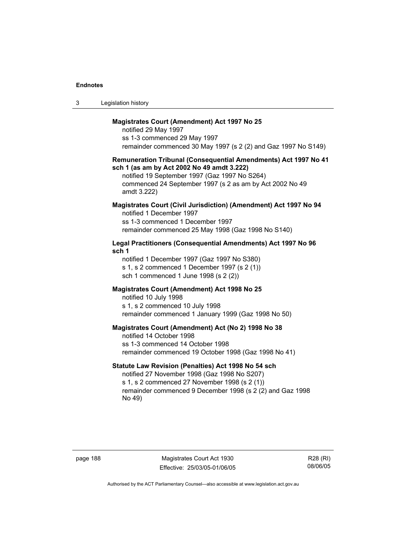| -3 | Legislation history |  |
|----|---------------------|--|
|----|---------------------|--|

# **Magistrates Court (Amendment) Act 1997 No 25**

notified 29 May 1997 ss 1-3 commenced 29 May 1997 remainder commenced 30 May 1997 (s 2 (2) and Gaz 1997 No S149)

## **Remuneration Tribunal (Consequential Amendments) Act 1997 No 41 sch 1 (as am by Act 2002 No 49 amdt 3.222)**

notified 19 September 1997 (Gaz 1997 No S264) commenced 24 September 1997 (s 2 as am by Act 2002 No 49 amdt 3.222)

# **Magistrates Court (Civil Jurisdiction) (Amendment) Act 1997 No 94**  notified 1 December 1997

ss 1-3 commenced 1 December 1997 remainder commenced 25 May 1998 (Gaz 1998 No S140)

# **Legal Practitioners (Consequential Amendments) Act 1997 No 96 sch 1**

notified 1 December 1997 (Gaz 1997 No S380) s 1, s 2 commenced 1 December 1997 (s 2 (1)) sch 1 commenced 1 June 1998 (s 2 (2))

# **Magistrates Court (Amendment) Act 1998 No 25**

notified 10 July 1998 s 1, s 2 commenced 10 July 1998 remainder commenced 1 January 1999 (Gaz 1998 No 50)

#### **Magistrates Court (Amendment) Act (No 2) 1998 No 38**

notified 14 October 1998 ss 1-3 commenced 14 October 1998 remainder commenced 19 October 1998 (Gaz 1998 No 41)

# **Statute Law Revision (Penalties) Act 1998 No 54 sch**

notified 27 November 1998 (Gaz 1998 No S207) s 1, s 2 commenced 27 November 1998 (s 2 (1)) remainder commenced 9 December 1998 (s 2 (2) and Gaz 1998 No 49)

page 188 Magistrates Court Act 1930 Effective: 25/03/05-01/06/05

R28 (RI) 08/06/05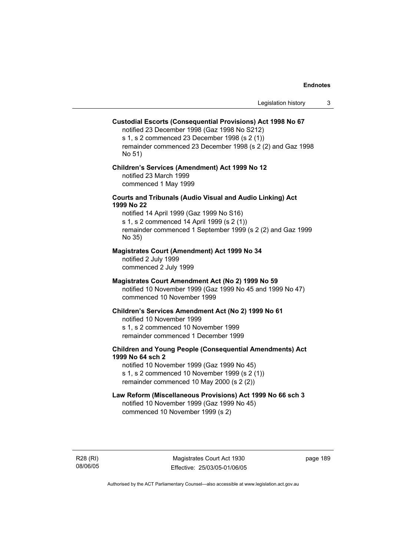# **Custodial Escorts (Consequential Provisions) Act 1998 No 67**

notified 23 December 1998 (Gaz 1998 No S212) s 1, s 2 commenced 23 December 1998 (s 2 (1)) remainder commenced 23 December 1998 (s 2 (2) and Gaz 1998 No 51)

# **Children's Services (Amendment) Act 1999 No 12**  notified 23 March 1999 commenced 1 May 1999

# **Courts and Tribunals (Audio Visual and Audio Linking) Act 1999 No 22**

notified 14 April 1999 (Gaz 1999 No S16) s 1, s 2 commenced 14 April 1999 (s 2 (1)) remainder commenced 1 September 1999 (s 2 (2) and Gaz 1999 No 35)

# **Magistrates Court (Amendment) Act 1999 No 34**

notified 2 July 1999 commenced 2 July 1999

#### **Magistrates Court Amendment Act (No 2) 1999 No 59**

notified 10 November 1999 (Gaz 1999 No 45 and 1999 No 47) commenced 10 November 1999

#### **Children's Services Amendment Act (No 2) 1999 No 61**

notified 10 November 1999 s 1, s 2 commenced 10 November 1999 remainder commenced 1 December 1999

# **Children and Young People (Consequential Amendments) Act 1999 No 64 sch 2**

notified 10 November 1999 (Gaz 1999 No 45) s 1, s 2 commenced 10 November 1999 (s 2 (1)) remainder commenced 10 May 2000 (s 2 (2))

# **Law Reform (Miscellaneous Provisions) Act 1999 No 66 sch 3**

notified 10 November 1999 (Gaz 1999 No 45) commenced 10 November 1999 (s 2)

R28 (RI) 08/06/05 page 189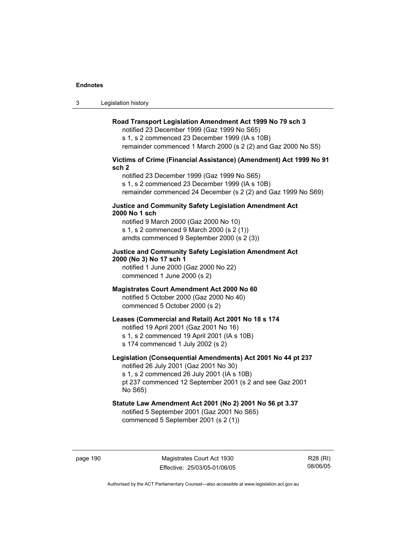3 Legislation history

# **Road Transport Legislation Amendment Act 1999 No 79 sch 3**

notified 23 December 1999 (Gaz 1999 No S65) s 1, s 2 commenced 23 December 1999 (IA s 10B) remainder commenced 1 March 2000 (s 2 (2) and Gaz 2000 No S5)

# **Victims of Crime (Financial Assistance) (Amendment) Act 1999 No 91 sch 2**

notified 23 December 1999 (Gaz 1999 No S65) s 1, s 2 commenced 23 December 1999 (IA s 10B) remainder commenced 24 December (s 2 (2) and Gaz 1999 No S69)

# **Justice and Community Safety Legislation Amendment Act 2000 No 1 sch**

notified 9 March 2000 (Gaz 2000 No 10) s 1, s 2 commenced 9 March 2000 (s 2 (1)) amdts commenced 9 September 2000 (s 2 (3))

# **Justice and Community Safety Legislation Amendment Act 2000 (No 3) No 17 sch 1**

notified 1 June 2000 (Gaz 2000 No 22) commenced 1 June 2000 (s 2)

# **Magistrates Court Amendment Act 2000 No 60**

notified 5 October 2000 (Gaz 2000 No 40) commenced 5 October 2000 (s 2)

# **Leases (Commercial and Retail) Act 2001 No 18 s 174**

notified 19 April 2001 (Gaz 2001 No 16)

s 1, s 2 commenced 19 April 2001 (IA s 10B)

s 174 commenced 1 July 2002 (s 2)

# **Legislation (Consequential Amendments) Act 2001 No 44 pt 237**

notified 26 July 2001 (Gaz 2001 No 30) s 1, s 2 commenced 26 July 2001 (IA s 10B)

pt 237 commenced 12 September 2001 (s 2 and see Gaz 2001 No S65)

# **Statute Law Amendment Act 2001 (No 2) 2001 No 56 pt 3.37**

notified 5 September 2001 (Gaz 2001 No S65) commenced 5 September 2001 (s 2 (1))

page 190 Magistrates Court Act 1930 Effective: 25/03/05-01/06/05

R28 (RI) 08/06/05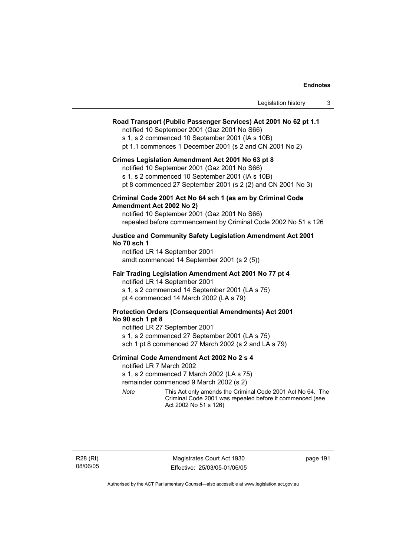# **Road Transport (Public Passenger Services) Act 2001 No 62 pt 1.1**

notified 10 September 2001 (Gaz 2001 No S66)

s 1, s 2 commenced 10 September 2001 (IA s 10B)

pt 1.1 commences 1 December 2001 (s 2 and CN 2001 No 2)

#### **Crimes Legislation Amendment Act 2001 No 63 pt 8**

notified 10 September 2001 (Gaz 2001 No S66)

s 1, s 2 commenced 10 September 2001 (IA s 10B)

pt 8 commenced 27 September 2001 (s 2 (2) and CN 2001 No 3)

# **Criminal Code 2001 Act No 64 sch 1 (as am by Criminal Code Amendment Act 2002 No 2)**

notified 10 September 2001 (Gaz 2001 No S66) repealed before commencement by Criminal Code 2002 No 51 s 126

# **Justice and Community Safety Legislation Amendment Act 2001 No 70 sch 1**

notified LR 14 September 2001 amdt commenced 14 September 2001 (s 2 (5))

# **Fair Trading Legislation Amendment Act 2001 No 77 pt 4**

notified LR 14 September 2001 s 1, s 2 commenced 14 September 2001 (LA s 75) pt 4 commenced 14 March 2002 (LA s 79)

# **Protection Orders (Consequential Amendments) Act 2001 No 90 sch 1 pt 8**

notified LR 27 September 2001 s 1, s 2 commenced 27 September 2001 (LA s 75) sch 1 pt 8 commenced 27 March 2002 (s 2 and LA s 79)

#### **Criminal Code Amendment Act 2002 No 2 s 4**

notified LR 7 March 2002

s 1, s 2 commenced 7 March 2002 (LA s 75)

remainder commenced 9 March 2002 (s 2)

*Note* This Act only amends the Criminal Code 2001 Act No 64. The Criminal Code 2001 was repealed before it commenced (see Act 2002 No 51 s 126)

page 191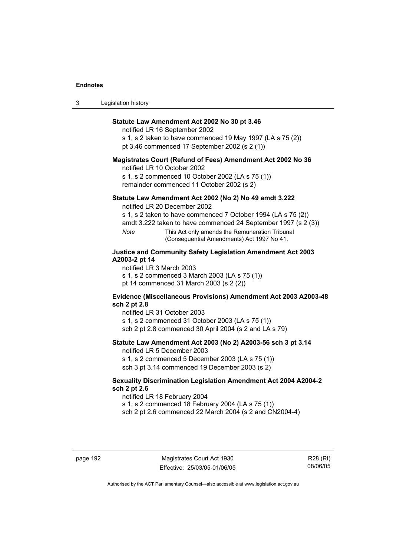| 3 | Legislation history |  |
|---|---------------------|--|
|---|---------------------|--|

# **Statute Law Amendment Act 2002 No 30 pt 3.46**

notified LR 16 September 2002

s 1, s 2 taken to have commenced 19 May 1997 (LA s 75 (2)) pt 3.46 commenced 17 September 2002 (s 2 (1))

#### **Magistrates Court (Refund of Fees) Amendment Act 2002 No 36**

notified LR 10 October 2002

s 1, s 2 commenced 10 October 2002 (LA s 75 (1)) remainder commenced 11 October 2002 (s 2)

# **Statute Law Amendment Act 2002 (No 2) No 49 amdt 3.222**

notified LR 20 December 2002

s 1, s 2 taken to have commenced 7 October 1994 (LA s 75 (2))

amdt 3.222 taken to have commenced 24 September 1997 (s 2 (3))

*Note* This Act only amends the Remuneration Tribunal (Consequential Amendments) Act 1997 No 41.

# **Justice and Community Safety Legislation Amendment Act 2003 A2003-2 pt 14**

notified LR 3 March 2003

s 1, s 2 commenced 3 March 2003 (LA s 75 (1)) pt 14 commenced 31 March 2003 (s 2 (2))

# **Evidence (Miscellaneous Provisions) Amendment Act 2003 A2003-48 sch 2 pt 2.8**

notified LR 31 October 2003

s 1, s 2 commenced 31 October 2003 (LA s 75 (1)) sch 2 pt 2.8 commenced 30 April 2004 (s 2 and LA s 79)

#### **Statute Law Amendment Act 2003 (No 2) A2003-56 sch 3 pt 3.14**

notified LR 5 December 2003 s 1, s 2 commenced 5 December 2003 (LA s 75 (1))

sch 3 pt 3.14 commenced 19 December 2003 (s 2)

# **Sexuality Discrimination Legislation Amendment Act 2004 A2004-2 sch 2 pt 2.6**

notified LR 18 February 2004

s 1, s 2 commenced 18 February 2004 (LA s 75 (1))

sch 2 pt 2.6 commenced 22 March 2004 (s 2 and CN2004-4)

page 192 Magistrates Court Act 1930 Effective: 25/03/05-01/06/05

R28 (RI) 08/06/05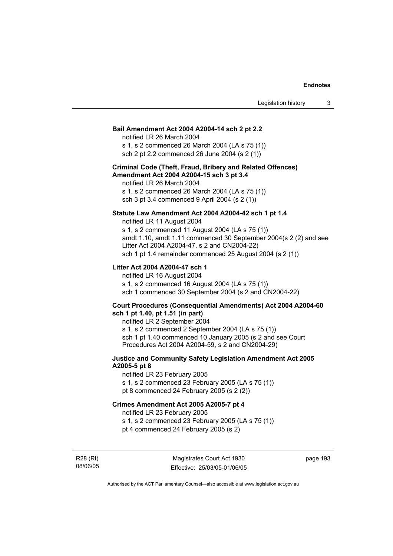# **Bail Amendment Act 2004 A2004-14 sch 2 pt 2.2**

notified LR 26 March 2004

s 1, s 2 commenced 26 March 2004 (LA s 75 (1)) sch 2 pt 2.2 commenced 26 June 2004 (s 2 (1))

# **Criminal Code (Theft, Fraud, Bribery and Related Offences) Amendment Act 2004 A2004-15 sch 3 pt 3.4**

notified LR 26 March 2004 s 1, s 2 commenced 26 March 2004 (LA s 75 (1)) sch 3 pt 3.4 commenced 9 April 2004 (s 2 (1))

# **Statute Law Amendment Act 2004 A2004-42 sch 1 pt 1.4**

notified LR 11 August 2004 s 1, s 2 commenced 11 August 2004 (LA s 75 (1)) amdt 1.10, amdt 1.11 commenced 30 September 2004(s 2 (2) and see Litter Act 2004 A2004-47, s 2 and CN2004-22) sch 1 pt 1.4 remainder commenced 25 August 2004 (s 2 (1))

# **Litter Act 2004 A2004-47 sch 1**

notified LR 16 August 2004 s 1, s 2 commenced 16 August 2004 (LA s 75 (1)) sch 1 commenced 30 September 2004 (s 2 and CN2004-22)

# **Court Procedures (Consequential Amendments) Act 2004 A2004-60 sch 1 pt 1.40, pt 1.51 (in part)**

notified LR 2 September 2004 s 1, s 2 commenced 2 September 2004 (LA s 75 (1)) sch 1 pt 1.40 commenced 10 January 2005 (s 2 and see Court Procedures Act 2004 A2004-59, s 2 and CN2004-29)

# **Justice and Community Safety Legislation Amendment Act 2005 A2005-5 pt 8**

notified LR 23 February 2005 s 1, s 2 commenced 23 February 2005 (LA s 75 (1)) pt 8 commenced 24 February 2005 (s 2 (2))

# **Crimes Amendment Act 2005 A2005-7 pt 4**

notified LR 23 February 2005

s 1, s 2 commenced 23 February 2005 (LA s 75 (1)) pt 4 commenced 24 February 2005 (s 2)

R28 (RI) 08/06/05

Magistrates Court Act 1930 Effective: 25/03/05-01/06/05 page 193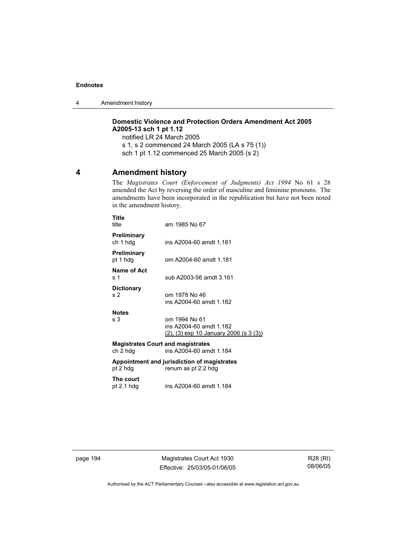4 Amendment history

# **Domestic Violence and Protection Orders Amendment Act 2005 A2005-13 sch 1 pt 1.12**

notified LR 24 March 2005 s 1, s 2 commenced 24 March 2005 (LA s 75 (1)) sch 1 pt 1.12 commenced 25 March 2005 (s 2)

# **4 Amendment history**

The *Magistrates Court (Enforcement of Judgments) Act 1994* No 61 s 28 amended the Act by reversing the order of masculine and feminine pronouns. The amendments have been incorporated in the republication but have not been noted in the amendment history.

| Title<br>title                                                                  | am 1985 No 67                                                                      |  |  |
|---------------------------------------------------------------------------------|------------------------------------------------------------------------------------|--|--|
| Preliminary<br>ch 1 hdg                                                         | ins A2004-60 amdt 1.181                                                            |  |  |
| Preliminary<br>pt 1 hdg                                                         | om A2004-60 amdt 1.181                                                             |  |  |
| Name of Act<br>s 1                                                              | sub A2003-56 amdt 3.161                                                            |  |  |
| <b>Dictionary</b><br>s 2                                                        | om 1978 No 46<br>ins A2004-60 amdt 1.182                                           |  |  |
| <b>Notes</b><br>s <sub>3</sub>                                                  | om 1994 No 61<br>ins A2004-60 amdt 1.182<br>(2), (3) exp 10 January 2006 (s 3 (3)) |  |  |
| <b>Magistrates Court and magistrates</b><br>ins A2004-60 amdt 1.184<br>ch 2 hdg |                                                                                    |  |  |
| Appointment and jurisdiction of magistrates<br>pt 2 hdg<br>renum as pt 2.2 hdg  |                                                                                    |  |  |
| The court<br>pt $2.1$ hdg                                                       | ins A2004-60 amdt 1.184                                                            |  |  |
|                                                                                 |                                                                                    |  |  |

page 194 Magistrates Court Act 1930 Effective: 25/03/05-01/06/05

R28 (RI) 08/06/05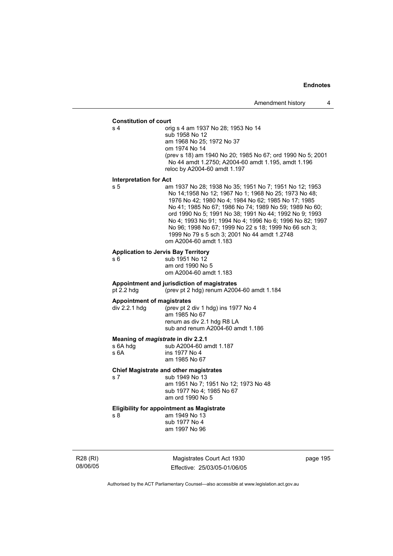#### **Constitution of court**

s 4 orig s 4 am 1937 No 28; 1953 No 14 sub 1958 No 12 am 1968 No 25; 1972 No 37 om 1974 No 14 (prev s 18) am 1940 No 20; 1985 No 67; ord 1990 No 5; 2001 No 44 amdt 1.2750; A2004-60 amdt 1.195, amdt 1.196 reloc by A2004-60 amdt 1.197

#### **Interpretation for Act**

s 5 am 1937 No 28; 1938 No 35; 1951 No 7; 1951 No 12; 1953 No 14;1958 No 12; 1967 No 1; 1968 No 25; 1973 No 48; 1976 No 42; 1980 No 4; 1984 No 62; 1985 No 17; 1985 No 41; 1985 No 67; 1986 No 74; 1989 No 59; 1989 No 60; ord 1990 No 5; 1991 No 38; 1991 No 44; 1992 No 9; 1993 No 4; 1993 No 91; 1994 No 4; 1996 No 6; 1996 No 82; 1997 No 96; 1998 No 67; 1999 No 22 s 18; 1999 No 66 sch 3; 1999 No 79 s 5 sch 3; 2001 No 44 amdt 1.2748 om A2004-60 amdt 1.183

#### **Application to Jervis Bay Territory**

s 6 5 sub 1951 No 12 am ord 1990 No 5 om A2004-60 amdt 1.183

# **Appointment and jurisdiction of magistrates**

pt 2.2 hdg (prev pt 2 hdg) renum A2004-60 amdt 1.184

**Appointment of magistrates**<br>div 2.2.1 hdg (prev pt 2) (prev pt 2 div 1 hdg) ins 1977 No 4 am 1985 No 67 renum as div 2.1 hdg R8 LA sub and renum A2004-60 amdt 1.186

#### **Meaning of** *magistrate* **in div 2.2.1**

| s 6A hdg | sub A2004-60 amdt 1.187 |
|----------|-------------------------|
| s 6A     | ins 1977 No 4           |
|          | am 1985 No 67           |

#### **Chief Magistrate and other magistrates**

s 7 sub 1949 No 13 am 1951 No 7; 1951 No 12; 1973 No 48 sub 1977 No 4; 1985 No 67 am ord 1990 No 5

# **Eligibility for appointment as Magistrate**

am 1949 No 13 sub 1977 No 4 am 1997 No 96

R28 (RI) 08/06/05

Magistrates Court Act 1930 Effective: 25/03/05-01/06/05 page 195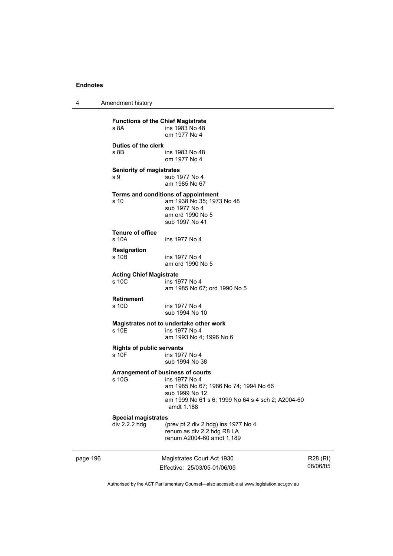4 Amendment history

|          | <b>Functions of the Chief Magistrate</b><br>s 8A | ins 1983 No 48<br>om 1977 No 4                                                                                                                                                          |                      |
|----------|--------------------------------------------------|-----------------------------------------------------------------------------------------------------------------------------------------------------------------------------------------|----------------------|
|          | Duties of the clerk<br>s 8B                      | ins 1983 No 48<br>om 1977 No 4                                                                                                                                                          |                      |
|          | <b>Seniority of magistrates</b><br>s 9           | sub 1977 No 4<br>am 1985 No 67                                                                                                                                                          |                      |
|          | s 10                                             | Terms and conditions of appointment<br>am 1938 No 35; 1973 No 48<br>sub 1977 No 4<br>am ord 1990 No 5<br>sub 1997 No 41                                                                 |                      |
|          | <b>Tenure of office</b><br>s 10A                 | ins 1977 No 4                                                                                                                                                                           |                      |
|          | <b>Resignation</b><br>s 10B                      | ins 1977 No 4<br>am ord 1990 No 5                                                                                                                                                       |                      |
|          | <b>Acting Chief Magistrate</b><br>s 10C          | ins 1977 No 4<br>am 1985 No 67; ord 1990 No 5                                                                                                                                           |                      |
|          | <b>Retirement</b><br>s 10D                       | ins 1977 No 4<br>sub 1994 No 10                                                                                                                                                         |                      |
|          | s 10E                                            | Magistrates not to undertake other work<br>ins 1977 No 4<br>am 1993 No 4; 1996 No 6                                                                                                     |                      |
|          | <b>Rights of public servants</b><br>s 10F        | ins 1977 No 4<br>sub 1994 No 38                                                                                                                                                         |                      |
|          | s 10G                                            | <b>Arrangement of business of courts</b><br>ins 1977 No 4<br>am 1985 No 67; 1986 No 74; 1994 No 66<br>sub 1999 No 12<br>am 1999 No 61 s 6; 1999 No 64 s 4 sch 2; A2004-60<br>amdt 1.188 |                      |
|          | <b>Special magistrates</b><br>div 2.2.2 hdg      | (prev pt 2 div 2 hdg) ins 1977 No 4<br>renum as div 2.2 hdg R8 LA<br>renum A2004-60 amdt 1.189                                                                                          |                      |
| page 196 |                                                  | Magistrates Court Act 1930<br>Effective: 25/03/05-01/06/05                                                                                                                              | R28 (RI)<br>08/06/05 |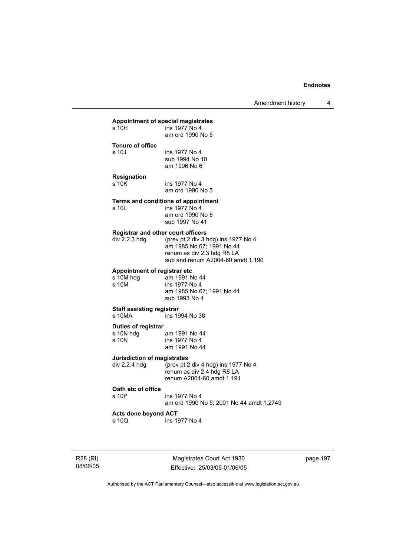# **Appointment of special magistrates**

| s 10H                                                      | ins 1977 No 4<br>am ord 1990 No 5                                                                                                   |
|------------------------------------------------------------|-------------------------------------------------------------------------------------------------------------------------------------|
| <b>Tenure of office</b><br>s 10J                           | ins 1977 No 4<br>sub 1994 No 10<br>am 1996 No 6                                                                                     |
| Resignation<br>s 10K                                       | ins 1977 No 4<br>am ord 1990 No 5                                                                                                   |
| s 10L                                                      | Terms and conditions of appointment<br>ins 1977 No 4<br>am ord 1990 No 5<br>sub 1997 No 41                                          |
| <b>Registrar and other court officers</b><br>div 2.2.3 hdg | (prev pt 2 div 3 hdg) ins 1977 No 4<br>am 1985 No 67; 1991 No 44<br>renum as div 2.3 hdg R8 LA<br>sub and renum A2004-60 amdt 1.190 |
| Appointment of registrar etc<br>s 10M hdg<br>s 10M         | am 1991 No 44<br>ins 1977 No 4<br>am 1985 No 67; 1991 No 44<br>sub 1993 No 4                                                        |
| <b>Staff assisting registrar</b><br>s 10MA                 | ins 1994 No 38                                                                                                                      |
| <b>Duties of registrar</b><br>s 10N hdg<br>s 10N           | am 1991 No 44<br>ins 1977 No 4<br>am 1991 No 44                                                                                     |
| Jurisdiction of magistrates<br>div 2.2.4 hdg               | (prev pt 2 div 4 hdg) ins 1977 No 4<br>renum as div 2.4 hdg R8 LA<br>renum A2004-60 amdt 1.191                                      |
| Oath etc of office<br>s 10P                                | ins 1977 No 4<br>am ord 1990 No 5; 2001 No 44 amdt 1.2749                                                                           |
| Acts done beyond ACT<br>s 10Q                              | ins 1977 No 4                                                                                                                       |

R28 (RI) 08/06/05

Magistrates Court Act 1930 Effective: 25/03/05-01/06/05 page 197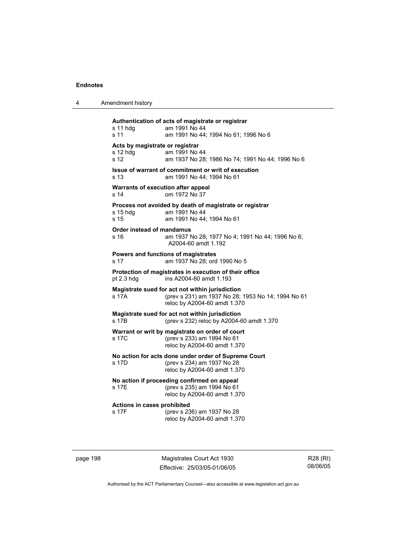|  | Amendment history |
|--|-------------------|
|--|-------------------|

**Authentication of acts of magistrate or registrar**  s 11 hdg am 1991 No 44 s 11 am 1991 No 44; 1994 No 61; 1996 No 6 **Acts by magistrate or registrar**  s 12 hdg am 1991 No 44 s 12 am 1937 No 28; 1986 No 74; 1991 No 44; 1996 No 6 **Issue of warrant of commitment or writ of execution**  s 13 am 1991 No 44; 1994 No 61 **Warrants of execution after appeal**  s 14 om 1972 No 37 **Process not avoided by death of magistrate or registrar**  am 1991 No 44 s 15 am 1991 No 44; 1994 No 61 **Order instead of mandamus**  s 16 am 1937 No 28; 1977 No 4; 1991 No 44; 1996 No 6; A2004-60 amdt 1.192 **Powers and functions of magistrates**  s 17 am 1937 No 28; ord 1990 No 5 **Protection of magistrates in execution of their office**  ins A2004-60 amdt 1.193 **Magistrate sued for act not within jurisdiction**  s 17A (prev s 231) am 1937 No 28; 1953 No 14; 1994 No 61 reloc by A2004-60 amdt 1.370 **Magistrate sued for act not within jurisdiction**  (prev s 232) reloc by A2004-60 amdt 1.370 **Warrant or writ by magistrate on order of court**  s 17C (prev s 233) am 1994 No 61 reloc by A2004-60 amdt 1.370 **No action for acts done under order of Supreme Court**  s 17D (prev s 234) am 1937 No 28 reloc by A2004-60 amdt 1.370 **No action if proceeding confirmed on appeal**  (prev s 235) am 1994 No 61 reloc by A2004-60 amdt 1.370 **Actions in cases prohibited**  s 17F (prev s 236) am 1937 No 28 reloc by A2004-60 amdt 1.370

page 198 Magistrates Court Act 1930 Effective: 25/03/05-01/06/05

R28 (RI) 08/06/05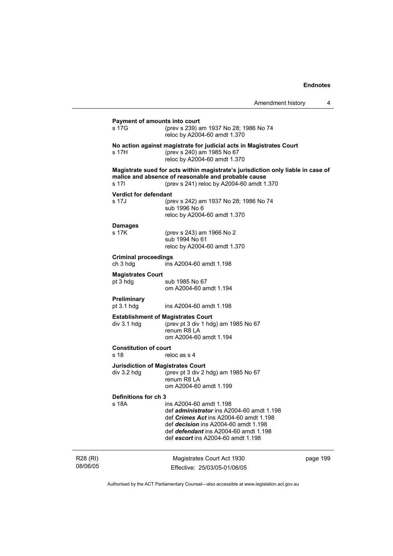| Amendment history |  |
|-------------------|--|
|-------------------|--|

| s 17G                     | (prev s 239) am 1937 No 28; 1986 No 74                                                                                                                                                                                                                            |                                                                                                                                                                                                                                                                                                                                                                                                                                                                                                                                                                                                                             |
|---------------------------|-------------------------------------------------------------------------------------------------------------------------------------------------------------------------------------------------------------------------------------------------------------------|-----------------------------------------------------------------------------------------------------------------------------------------------------------------------------------------------------------------------------------------------------------------------------------------------------------------------------------------------------------------------------------------------------------------------------------------------------------------------------------------------------------------------------------------------------------------------------------------------------------------------------|
|                           |                                                                                                                                                                                                                                                                   |                                                                                                                                                                                                                                                                                                                                                                                                                                                                                                                                                                                                                             |
| s 17H                     | (prev s 240) am 1985 No 67<br>reloc by A2004-60 amdt 1.370                                                                                                                                                                                                        |                                                                                                                                                                                                                                                                                                                                                                                                                                                                                                                                                                                                                             |
| s 17I                     | (prev s 241) reloc by A2004-60 amdt 1.370                                                                                                                                                                                                                         |                                                                                                                                                                                                                                                                                                                                                                                                                                                                                                                                                                                                                             |
|                           |                                                                                                                                                                                                                                                                   |                                                                                                                                                                                                                                                                                                                                                                                                                                                                                                                                                                                                                             |
| s 17J                     | (prev s 242) am 1937 No 28; 1986 No 74<br>sub 1996 No 6                                                                                                                                                                                                           |                                                                                                                                                                                                                                                                                                                                                                                                                                                                                                                                                                                                                             |
|                           |                                                                                                                                                                                                                                                                   |                                                                                                                                                                                                                                                                                                                                                                                                                                                                                                                                                                                                                             |
| <b>Damages</b><br>s 17K   | (prev s 243) am 1966 No 2<br>sub 1994 No 61                                                                                                                                                                                                                       |                                                                                                                                                                                                                                                                                                                                                                                                                                                                                                                                                                                                                             |
|                           |                                                                                                                                                                                                                                                                   |                                                                                                                                                                                                                                                                                                                                                                                                                                                                                                                                                                                                                             |
| ch 3 hdg                  | ins A2004-60 amdt 1.198                                                                                                                                                                                                                                           |                                                                                                                                                                                                                                                                                                                                                                                                                                                                                                                                                                                                                             |
|                           |                                                                                                                                                                                                                                                                   |                                                                                                                                                                                                                                                                                                                                                                                                                                                                                                                                                                                                                             |
| pt 3 hdg                  | sub 1985 No 67<br>om A2004-60 amdt 1.194                                                                                                                                                                                                                          |                                                                                                                                                                                                                                                                                                                                                                                                                                                                                                                                                                                                                             |
| Preliminary<br>pt 3.1 hdg | ins A2004-60 amdt 1.198                                                                                                                                                                                                                                           |                                                                                                                                                                                                                                                                                                                                                                                                                                                                                                                                                                                                                             |
| div 3.1 hdg               | (prev pt 3 div 1 hdg) am 1985 No 67<br>renum R8 LA<br>om A2004-60 amdt 1.194                                                                                                                                                                                      |                                                                                                                                                                                                                                                                                                                                                                                                                                                                                                                                                                                                                             |
| s 18                      | reloc as s 4                                                                                                                                                                                                                                                      |                                                                                                                                                                                                                                                                                                                                                                                                                                                                                                                                                                                                                             |
|                           |                                                                                                                                                                                                                                                                   |                                                                                                                                                                                                                                                                                                                                                                                                                                                                                                                                                                                                                             |
| $div$ 3.2 hdg             | (prev pt 3 div 2 hdg) am 1985 No 67<br>renum R8 LA<br>om A2004-60 amdt 1.199                                                                                                                                                                                      |                                                                                                                                                                                                                                                                                                                                                                                                                                                                                                                                                                                                                             |
|                           |                                                                                                                                                                                                                                                                   |                                                                                                                                                                                                                                                                                                                                                                                                                                                                                                                                                                                                                             |
| s 18A                     | ins A2004-60 amdt 1.198<br>def <i>administrator</i> ins A2004-60 amdt 1.198<br>def <i>Crimes Act</i> ins A2004-60 amdt 1.198<br>def <i>decision</i> ins A2004-60 amdt 1.198<br>def <i>defendant</i> ins A2004-60 amdt 1.198<br>def escort ins A2004-60 amdt 1.198 |                                                                                                                                                                                                                                                                                                                                                                                                                                                                                                                                                                                                                             |
|                           | Magistrates Court Act 1930                                                                                                                                                                                                                                        | page 199                                                                                                                                                                                                                                                                                                                                                                                                                                                                                                                                                                                                                    |
|                           |                                                                                                                                                                                                                                                                   | Payment of amounts into court<br>reloc by A2004-60 amdt 1.370<br>No action against magistrate for judicial acts in Magistrates Court<br>Magistrate sued for acts within magistrate's jurisdiction only liable in case of<br>malice and absence of reasonable and probable cause<br><b>Verdict for defendant</b><br>reloc by A2004-60 amdt 1.370<br>reloc by A2004-60 amdt 1.370<br><b>Criminal proceedings</b><br><b>Magistrates Court</b><br><b>Establishment of Magistrates Court</b><br><b>Constitution of court</b><br><b>Jurisdiction of Magistrates Court</b><br>Definitions for ch 3<br>Effective: 25/03/05-01/06/05 |

Authorised by the ACT Parliamentary Counsel—also accessible at www.legislation.act.gov.au

R28 (RI) 08/06/05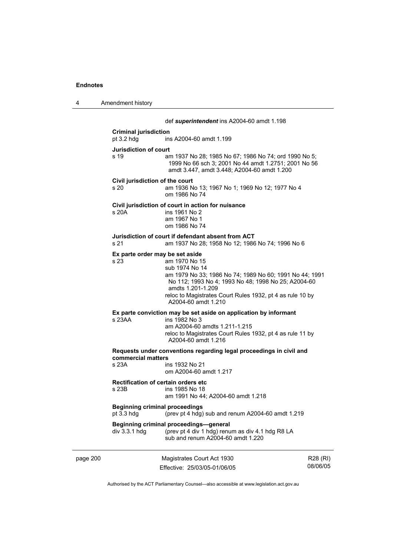4 Amendment history

|          |                                                                                                            | def superintendent ins A2004-60 amdt 1.198                                                                                                                                                                                                                 |          |
|----------|------------------------------------------------------------------------------------------------------------|------------------------------------------------------------------------------------------------------------------------------------------------------------------------------------------------------------------------------------------------------------|----------|
|          | <b>Criminal jurisdiction</b><br>pt $3.2$ hdg                                                               | ins A2004-60 amdt 1.199                                                                                                                                                                                                                                    |          |
|          | <b>Jurisdiction of court</b><br>s 19                                                                       | am 1937 No 28; 1985 No 67; 1986 No 74; ord 1990 No 5;<br>1999 No 66 sch 3; 2001 No 44 amdt 1.2751; 2001 No 56<br>amdt 3.447, amdt 3.448; A2004-60 amdt 1.200                                                                                               |          |
|          | Civil jurisdiction of the court<br>s 20                                                                    | am 1936 No 13; 1967 No 1; 1969 No 12; 1977 No 4<br>om 1986 No 74                                                                                                                                                                                           |          |
|          | s 20A                                                                                                      | Civil jurisdiction of court in action for nuisance<br>ins 1961 No 2<br>am 1967 No 1<br>om 1986 No 74                                                                                                                                                       |          |
|          | s 21                                                                                                       | Jurisdiction of court if defendant absent from ACT<br>am 1937 No 28; 1958 No 12; 1986 No 74; 1996 No 6                                                                                                                                                     |          |
|          | Ex parte order may be set aside<br>s 23.                                                                   | am 1970 No 15<br>sub 1974 No 14<br>am 1979 No 33; 1986 No 74; 1989 No 60; 1991 No 44; 1991<br>No 112; 1993 No 4; 1993 No 48; 1998 No 25; A2004-60<br>amdts 1.201-1.209<br>reloc to Magistrates Court Rules 1932, pt 4 as rule 10 by<br>A2004-60 amdt 1.210 |          |
|          | $s$ 23AA                                                                                                   | Ex parte conviction may be set aside on application by informant<br>ins 1982 No 3<br>am A2004-60 amdts 1.211-1.215<br>reloc to Magistrates Court Rules 1932, pt 4 as rule 11 by<br>A2004-60 amdt 1.216                                                     |          |
|          | commercial matters<br>s 23A                                                                                | Requests under conventions regarding legal proceedings in civil and<br>ins 1932 No 21<br>om A2004-60 amdt 1.217                                                                                                                                            |          |
|          | <b>Rectification of certain orders etc</b><br>s 23B                                                        | ins 1985 No 18<br>am 1991 No 44; A2004-60 amdt 1.218                                                                                                                                                                                                       |          |
|          | <b>Beginning criminal proceedings</b><br>(prev pt 4 hdg) sub and renum A2004-60 amdt 1.219<br>pt $3.3$ hdg |                                                                                                                                                                                                                                                            |          |
|          | $div$ 3.3.1 hdg                                                                                            | Beginning criminal proceedings-general<br>(prev pt 4 div 1 hdg) renum as div 4.1 hdg R8 LA<br>sub and renum A2004-60 amdt 1.220                                                                                                                            |          |
| page 200 |                                                                                                            | Magistrates Court Act 1930                                                                                                                                                                                                                                 | R28 (RI) |

Authorised by the ACT Parliamentary Counsel—also accessible at www.legislation.act.gov.au

08/06/05

Effective: 25/03/05-01/06/05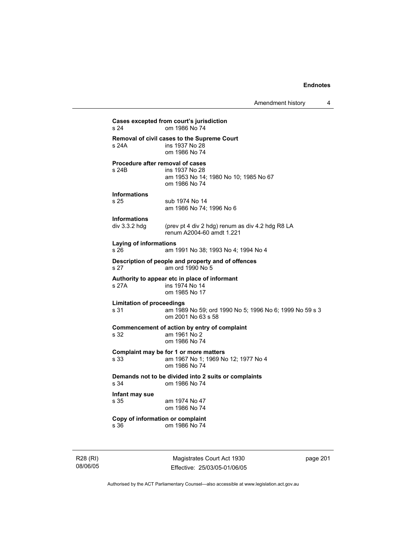```
Cases excepted from court's jurisdiction 
                 om 1986 No 74
Removal of civil cases to the Supreme Court 
s 24A ins 1937 No 28 
                 om 1986 No 74 
Procedure after removal of cases 
s 24B ins 1937 No 28 
                  am 1953 No 14; 1980 No 10; 1985 No 67 
                  om 1986 No 74 
Informations 
s 25 sub 1974 No 14 
                  am 1986 No 74; 1996 No 6 
Informations 
div 3.3.2 hdg (prev pt 4 div 2 hdg) renum as div 4.2 hdg R8 LA 
                  renum A2004-60 amdt 1.221 
Laying of informations 
                 am 1991 No 38; 1993 No 4; 1994 No 4
Description of people and property and of offences 
s 27 am ord 1990 No 5 
Authority to appear etc in place of informant 
                 ins 1974 No 14
                  om 1985 No 17 
Limitation of proceedings 
s 31 am 1989 No 59; ord 1990 No 5; 1996 No 6; 1999 No 59 s 3 
                  om 2001 No 63 s 58 
Commencement of action by entry of complaint 
s 32 am 1961 No 2 
                  om 1986 No 74 
Complaint may be for 1 or more matters 
s 33 am 1967 No 1; 1969 No 12; 1977 No 4 
                 om 1986 No 74 
Demands not to be divided into 2 suits or complaints 
s 34 om 1986 No 74 
Infant may sue 
                 am 1974 No 47
                  om 1986 No 74 
Copy of information or complaint 
s 36 om 1986 No 74
```
R28 (RI) 08/06/05

Magistrates Court Act 1930 Effective: 25/03/05-01/06/05 page 201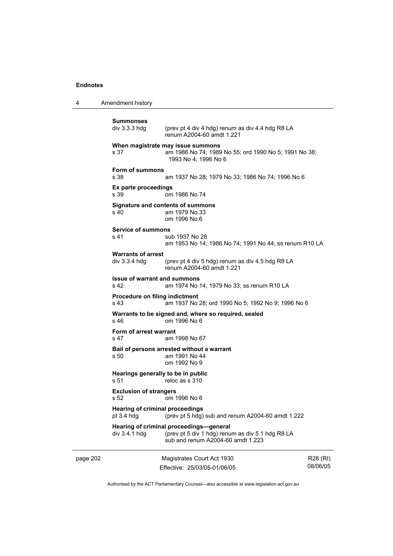4 Amendment history

```
page 202 Magistrates Court Act 1930 
                            Effective: 25/03/05-01/06/05 
                                                                               R28 (RI) 
                                                                               08/06/05 
            Summonses 
                              (prev pt 4 div 4 hdg) renum as div 4.4 hdg R8 LA
                               renum A2004-60 amdt 1.221 
            When magistrate may issue summons 
            s 37 am 1986 No 74; 1989 No 55; ord 1990 No 5; 1991 No 38; 
                               1993 No 4; 1996 No 6 
            Form of summons 
            s 38 am 1937 No 28; 1979 No 33; 1986 No 74; 1996 No 6 
            Ex parte proceedings 
            s 39 om 1986 No 74 
            Signature and contents of summons 
            s 40 am 1979 No 33 
                               om 1996 No 6 
            Service of summons 
            s 41 sub 1937 No 28
                               am 1953 No 14; 1986 No 74; 1991 No 44; ss renum R10 LA 
            Warrants of arrest 
            div 3.3.4 hdg (prev pt 4 div 5 hdg) renum as div 4.5 hdg R8 LA 
                               renum A2004-60 amdt 1.221 
            Issue of warrant and summons<br>S 42 am 1974 No
                              am 1974 No 14, 1979 No 33; ss renum R10 LA
            Procedure on filing indictment 
            s 43 am 1937 No 28; ord 1990 No 5; 1992 No 9; 1996 No 6 
            Warrants to be signed and, where so required, sealed s 46 om 1996 No 6
                              \sigma om 1996 No 6
            Form of arrest warrant 
            s 47 am 1998 No 67 
            Bail of persons arrested without a warrant 
            s 50 am 1991 No 44 
                               om 1992 No 9 
            Hearings generally to be in public<br>s 51 reloc as s 310
                              r reloc as s 310Exclusion of strangers 
            s 52 om 1996 No 6 
            Hearing of criminal proceedings<br>
ot 3.4 hdg (prev pt 5 hdg)
                              (prev pt 5 hdg) sub and renum A2004-60 amdt 1.222
            Hearing of criminal proceedings—general 
            div 3.4.1 hdg (prev pt 5 div 1 hdg) renum as div 5.1 hdg R8 LA 
                               sub and renum A2004-60 amdt 1.223
```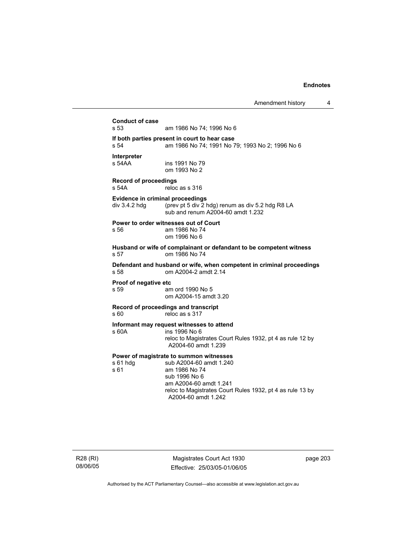**Conduct of case**  am 1986 No 74: 1996 No 6 **If both parties present in court to hear case**  s 54 am 1986 No 74; 1991 No 79; 1993 No 2; 1996 No 6 **Interpreter**  ins 1991 No 79 om 1993 No 2 **Record of proceedings**  s 54A reloc as s 316 **Evidence in criminal proceedings**  div 3.4.2 hdg (prev pt 5 div 2 hdg) renum as div 5.2 hdg R8 LA sub and renum A2004-60 amdt 1.232 **Power to order witnesses out of Court**  s 56 am 1986 No 74 om 1996 No 6 **Husband or wife of complainant or defandant to be competent witness**  s 57 om 1986 No 74 **Defendant and husband or wife, when competent in criminal proceedings**  s 58 om A2004-2 amdt 2.14 **Proof of negative etc**  s 59 am ord 1990 No 5 om A2004-15 amdt 3.20 **Record of proceedings and transcript**  s 60 reloc as s 317 **Informant may request witnesses to attend**  s 60A ins 1996 No 6 reloc to Magistrates Court Rules 1932, pt 4 as rule 12 by A2004-60 amdt 1.239 **Power of magistrate to summon witnesses**  s 61 hdg sub A2004-60 amdt 1.240 s 61 am 1986 No 74 sub 1996 No 6 am A2004-60 amdt 1.241 reloc to Magistrates Court Rules 1932, pt 4 as rule 13 by A2004-60 amdt 1.242

R28 (RI) 08/06/05

Magistrates Court Act 1930 Effective: 25/03/05-01/06/05 page 203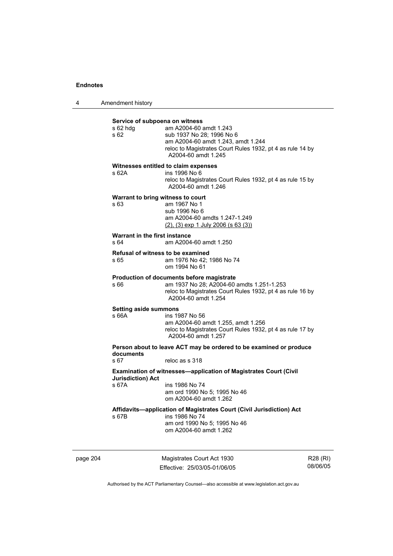| 4 | Amendment history |
|---|-------------------|
|---|-------------------|

| s 62 hda<br>\$62                      | am A2004-60 amdt 1.243<br>sub 1937 No 28; 1996 No 6<br>am A2004-60 amdt 1.243, amdt 1.244<br>reloc to Magistrates Court Rules 1932, pt 4 as rule 14 by<br>A2004-60 amdt 1.245 |
|---------------------------------------|-------------------------------------------------------------------------------------------------------------------------------------------------------------------------------|
| s 62A                                 | Witnesses entitled to claim expenses<br>ins 1996 No 6<br>reloc to Magistrates Court Rules 1932, pt 4 as rule 15 by<br>A2004-60 amdt 1.246                                     |
| s 63                                  | Warrant to bring witness to court<br>am 1967 No 1<br>sub 1996 No 6<br>am A2004-60 amdts 1.247-1.249<br>$(2)$ , $(3)$ exp 1 July 2006 (s 63 $(3)$ )                            |
| Warrant in the first instance<br>s 64 | am A2004-60 amdt 1.250                                                                                                                                                        |
| s 65                                  | <b>Refusal of witness to be examined</b><br>am 1976 No 42; 1986 No 74<br>om 1994 No 61                                                                                        |
| s 66                                  | Production of documents before magistrate<br>am 1937 No 28; A2004-60 amdts 1.251-1.253<br>reloc to Magistrates Court Rules 1932, pt 4 as rule 16 by<br>A2004-60 amdt 1.254    |
| <b>Setting aside summons</b><br>s 66A | ins 1987 No 56<br>am A2004-60 amdt 1.255, amdt 1.256<br>reloc to Magistrates Court Rules 1932, pt 4 as rule 17 by<br>A2004-60 amdt 1.257                                      |
| documents                             | Person about to leave ACT may be ordered to be examined or produce                                                                                                            |
| s 67                                  | reloc as s 318                                                                                                                                                                |
| <b>Jurisdiction) Act</b>              | Examination of witnesses-application of Magistrates Court (Civil                                                                                                              |
| s 67A                                 | ins 1986 No 74<br>am ord 1990 No 5; 1995 No 46<br>om A2004-60 amdt 1.262                                                                                                      |
| s 67B                                 | Affidavits-application of Magistrates Court (Civil Jurisdiction) Act<br>ins 1986 No 74<br>am ord 1990 No 5; 1995 No 46<br>om A2004-60 amdt 1.262                              |

page 204 Magistrates Court Act 1930 Effective: 25/03/05-01/06/05

R28 (RI) 08/06/05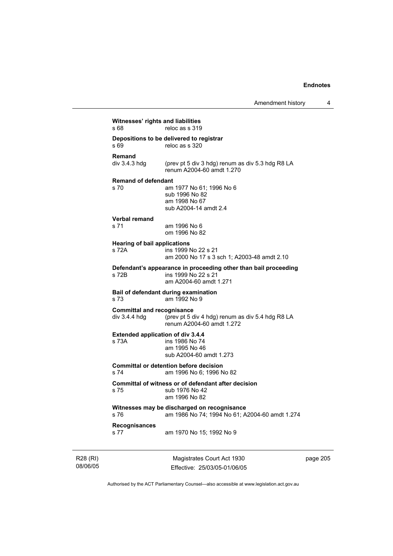| Witnesses' rights and liabilities<br>s 68          | reloc as s 319                                                                                                   |
|----------------------------------------------------|------------------------------------------------------------------------------------------------------------------|
| s 69                                               | Depositions to be delivered to registrar<br>reloc as s 320                                                       |
| <b>Remand</b><br>div 3.4.3 hdg                     | (prev pt 5 div 3 hdg) renum as div 5.3 hdg R8 LA<br>renum A2004-60 amdt 1.270                                    |
| <b>Remand of defendant</b><br>s 70                 | am 1977 No 61; 1996 No 6<br>sub 1996 No 82<br>am 1998 No 67<br>sub A2004-14 amdt 2.4                             |
| Verbal remand<br>s 71                              | am 1996 No 6<br>om 1996 No 82                                                                                    |
| <b>Hearing of bail applications</b><br>s 72A       | ins 1999 No 22 s 21<br>am 2000 No 17 s 3 sch 1; A2003-48 amdt 2.10                                               |
| s 72B                                              | Defendant's appearance in proceeding other than bail proceeding<br>ins 1999 No 22 s 21<br>am A2004-60 amdt 1.271 |
| s 73                                               | Bail of defendant during examination<br>am 1992 No 9                                                             |
| <b>Committal and recognisance</b><br>div 3.4.4 hdg | (prev pt 5 div 4 hdg) renum as div 5.4 hdg R8 LA<br>renum A2004-60 amdt 1.272                                    |
| <b>Extended application of div 3.4.4</b><br>s 73A  | ins 1986 No 74<br>am 1995 No 46<br>sub A2004-60 amdt 1.273                                                       |
| s 74                                               | <b>Committal or detention before decision</b><br>am 1996 No 6: 1996 No 82                                        |
| s 75                                               | Committal of witness or of defendant after decision<br>sub 1976 No 42<br>am 1996 No 82                           |
| s 76                                               | Witnesses may be discharged on recognisance<br>am 1986 No 74; 1994 No 61; A2004-60 amdt 1.274                    |
| <b>Recognisances</b><br>s 77                       | am 1970 No 15; 1992 No 9                                                                                         |

R28 (RI) 08/06/05

Magistrates Court Act 1930 Effective: 25/03/05-01/06/05 page 205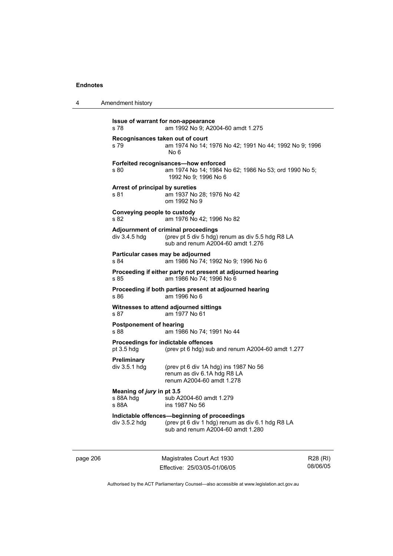| 4 | Amendment history |
|---|-------------------|
|---|-------------------|

| s 78                                            | Issue of warrant for non-appearance<br>am 1992 No 9; A2004-60 amdt 1.275                                                              |
|-------------------------------------------------|---------------------------------------------------------------------------------------------------------------------------------------|
| Recognisances taken out of court<br>s 79        | am 1974 No 14; 1976 No 42; 1991 No 44; 1992 No 9; 1996<br>No 6                                                                        |
| s 80                                            | Forfeited recognisances-how enforced<br>am 1974 No 14; 1984 No 62; 1986 No 53; ord 1990 No 5;<br>1992 No 9; 1996 No 6                 |
| Arrest of principal by sureties<br>s 81         | am 1937 No 28; 1976 No 42<br>om 1992 No 9                                                                                             |
| Conveying people to custody<br>s 82             | am 1976 No 42; 1996 No 82                                                                                                             |
| div 3.4.5 hdg                                   | Adjournment of criminal proceedings<br>(prev pt 5 div 5 hdg) renum as div 5.5 hdg R8 LA<br>sub and renum A2004-60 amdt 1.276          |
| s 84                                            | Particular cases may be adjourned<br>am 1986 No 74; 1992 No 9; 1996 No 6                                                              |
| s 85                                            | Proceeding if either party not present at adjourned hearing<br>am 1986 No 74: 1996 No 6                                               |
| s 86                                            | Proceeding if both parties present at adjourned hearing<br>am 1996 No 6                                                               |
| s 87                                            | Witnesses to attend adjourned sittings<br>am 1977 No 61                                                                               |
| <b>Postponement of hearing</b><br>s 88          | am 1986 No 74; 1991 No 44                                                                                                             |
| pt 3.5 hdg                                      | Proceedings for indictable offences<br>(prev pt 6 hdg) sub and renum A2004-60 amdt 1.277                                              |
| Preliminary<br>div 3.5.1 hdg                    | (prev pt 6 div 1A hdg) ins 1987 No 56<br>renum as div 6.1A hdg R8 LA<br>renum A2004-60 amdt 1.278                                     |
| Meaning of jury in pt 3.5<br>s 88A hdg<br>s 88A | sub A2004-60 amdt 1.279<br>ins 1987 No 56                                                                                             |
| div 3.5.2 hdg                                   | Indictable offences-beginning of proceedings<br>(prev pt 6 div 1 hdg) renum as div 6.1 hdg R8 LA<br>sub and renum A2004-60 amdt 1.280 |
|                                                 |                                                                                                                                       |

page 206 Magistrates Court Act 1930 Effective: 25/03/05-01/06/05

R28 (RI) 08/06/05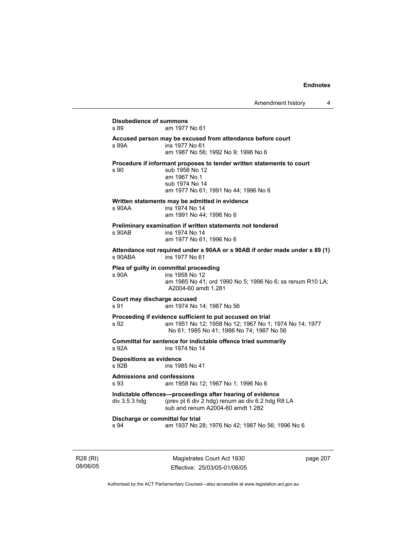# **Disobedience of summons**  am 1977 No 61 **Accused person may be excused from attendance before court**  s 89A ins 1977 No 61 am 1987 No 56; 1992 No 9; 1996 No 6 **Procedure if informant proposes to tender written statements to court**  s 90 sub 1958 No 12 am 1967 No 1 sub 1974 No 14 am 1977 No 61; 1991 No 44; 1996 No 6 **Written statements may be admitted in evidence**  ins 1974 No 14 am 1991 No 44; 1996 No 6 **Preliminary examination if written statements not tendered**  s 90AB ins 1974 No 14 am 1977 No 61; 1996 No 6 **Attendance not required under s 90AA or s 90AB if order made under s 89 (1)**  s 90ABA ins 1977 No 61 **Plea of guilty in committal proceeding**  s 90A ins 1958 No 12 am 1985 No 41; ord 1990 No 5; 1996 No 6; ss renum R10 LA; A2004-60 amdt 1.281 **Court may discharge accused**  s 91 am 1974 No 14; 1987 No 56 **Proceeding if evidence sufficient to put accused on trial**  s 92 am 1951 No 12; 1958 No 12; 1967 No 1; 1974 No 14; 1977 No 61; 1985 No 41; 1986 No 74; 1987 No 56 **Committal for sentence for indictable offence tried summarily**  s 92A ins 1974 No 14 **Depositions as evidence**  ins 1985 No 41 **Admissions and confessions**  s 93 am 1958 No 12; 1967 No 1; 1996 No 6 **Indictable offences—proceedings after hearing of evidence**<br>div 3.5.3 hdg (prev pt 6 div 2 hdg) renum as div 6.2 hdg R (prev pt 6 div  $\overline{2}$  hdg) renum as div 6.2 hdg R8 LA sub and renum A2004-60 amdt 1.282 **Discharge or committal for trial**  s 94 am 1937 No 28; 1976 No 42; 1987 No 56; 1996 No 6

R28 (RI) 08/06/05

Magistrates Court Act 1930 Effective: 25/03/05-01/06/05 page 207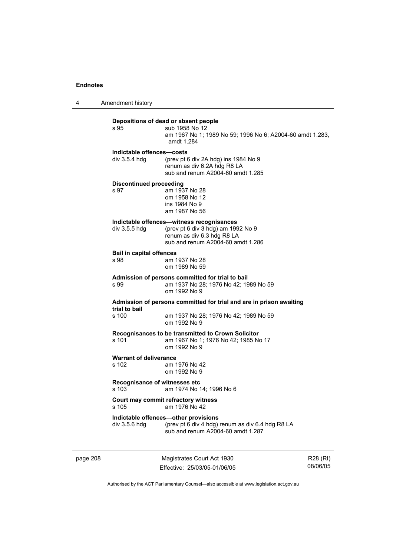4 Amendment history

# **Depositions of dead or absent people**  sub 1958 No 12 am 1967 No 1; 1989 No 59; 1996 No 6; A2004-60 amdt 1.283, amdt 1.284 **Indictable offences—costs**  div 3.5.4 hdg (prev pt 6 div 2A hdg) ins 1984 No 9 renum as div 6.2A hdg R8 LA sub and renum A2004-60 amdt 1.285 **Discontinued proceeding**  s 97 am 1937 No 28 om 1958 No 12 ins 1984 No 9 am 1987 No 56 **Indictable offences—witness recognisances**<br>div 3.5.5 hdg (prev pt 6 div 3 hdg) am 199 (prev pt 6 div 3 hdg) am 1992 No 9 renum as div 6.3 hdg R8 LA sub and renum A2004-60 amdt 1.286 **Bail in capital offences**  s 98 am 1937 No 28 om 1989 No 59 **Admission of persons committed for trial to bail**  s 99 am 1937 No 28; 1976 No 42; 1989 No 59 om 1992 No 9 **Admission of persons committed for trial and are in prison awaiting trial to bail**  am 1937 No 28; 1976 No 42; 1989 No 59 om 1992 No 9 **Recognisances to be transmitted to Crown Solicitor**  s 101 am 1967 No 1; 1976 No 42; 1985 No 17 om 1992 No 9 **Warrant of deliverance**  s 102 am 1976 No 42 om 1992 No 9 **Recognisance of witnesses etc**  s 103 am 1974 No 14; 1996 No 6 **Court may commit refractory witness**  s 105 am 1976 No 42 **Indictable offences—other provisions**  div 3.5.6 hdg (prev pt 6 div 4 hdg) renum as div 6.4 hdg R8 LA sub and renum A2004-60 amdt 1.287

page 208 Magistrates Court Act 1930 Effective: 25/03/05-01/06/05

R28 (RI) 08/06/05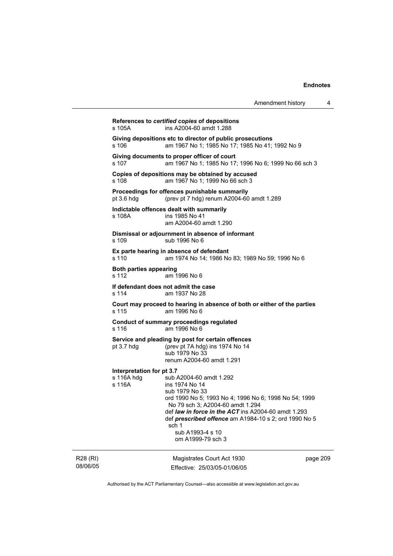| Amendment history |  |
|-------------------|--|
|-------------------|--|

|     | s 105A                                            | References to certified copies of depositions<br>ins A2004-60 amdt 1.288                                                                                                                                                                                                                                                   |      |
|-----|---------------------------------------------------|----------------------------------------------------------------------------------------------------------------------------------------------------------------------------------------------------------------------------------------------------------------------------------------------------------------------------|------|
|     | s 106                                             | Giving depositions etc to director of public prosecutions<br>am 1967 No 1; 1985 No 17; 1985 No 41; 1992 No 9                                                                                                                                                                                                               |      |
|     | s 107                                             | Giving documents to proper officer of court<br>am 1967 No 1; 1985 No 17; 1996 No 6; 1999 No 66 sch 3                                                                                                                                                                                                                       |      |
|     | s 108                                             | Copies of depositions may be obtained by accused<br>am 1967 No 1; 1999 No 66 sch 3                                                                                                                                                                                                                                         |      |
|     | pt $3.6$ hdg                                      | Proceedings for offences punishable summarily<br>(prev pt 7 hdg) renum A2004-60 amdt 1.289                                                                                                                                                                                                                                 |      |
|     | s 108A                                            | Indictable offences dealt with summarily<br>ins 1985 No 41<br>am A2004-60 amdt 1.290                                                                                                                                                                                                                                       |      |
|     | $s$ 109                                           | Dismissal or adjournment in absence of informant<br>sub 1996 No 6                                                                                                                                                                                                                                                          |      |
|     | s 110                                             | Ex parte hearing in absence of defendant<br>am 1974 No 14; 1986 No 83; 1989 No 59; 1996 No 6                                                                                                                                                                                                                               |      |
|     | Both parties appearing<br>s 112                   | am 1996 No 6                                                                                                                                                                                                                                                                                                               |      |
|     | s 114                                             | If defendant does not admit the case<br>am 1937 No 28                                                                                                                                                                                                                                                                      |      |
|     | s 115                                             | Court may proceed to hearing in absence of both or either of the parties<br>am 1996 No 6                                                                                                                                                                                                                                   |      |
|     | s 116                                             | <b>Conduct of summary proceedings regulated</b><br>am 1996 No 6                                                                                                                                                                                                                                                            |      |
|     | pt $3.7$ hdg                                      | Service and pleading by post for certain offences<br>(prev pt 7A hdg) ins 1974 No 14<br>sub 1979 No 33<br>renum A2004-60 amdt 1.291                                                                                                                                                                                        |      |
|     | Interpretation for pt 3.7<br>s 116A hdg<br>s 116A | sub A2004-60 amdt 1.292<br>ins 1974 No 14<br>sub 1979 No 33<br>ord 1990 No 5; 1993 No 4; 1996 No 6; 1998 No 54; 1999<br>No 79 sch 3; A2004-60 amdt 1.294<br>def law in force in the ACT ins A2004-60 amdt 1.293<br>def prescribed offence am A1984-10 s 2; ord 1990 No 5<br>sch 1<br>sub A1993-4 s 10<br>om A1999-79 sch 3 |      |
| 81) |                                                   | Magistrates Court Act 1930                                                                                                                                                                                                                                                                                                 | nage |

R28 (RI) 08/06/05

agistrates Cou Effective: 25/03/05-01/06/05 page 209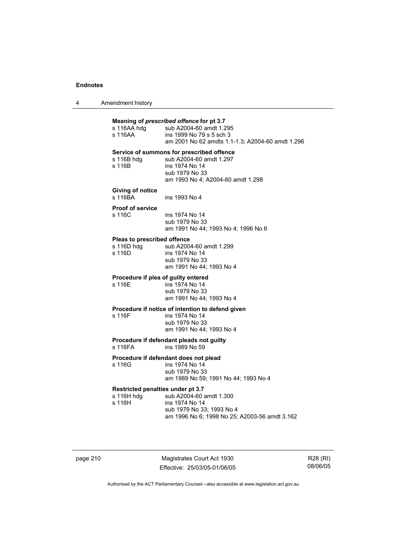|  | Amendment history |
|--|-------------------|
|--|-------------------|

| s 116AA hdg<br>s 116AA                                                | Meaning of prescribed offence for pt 3.7<br>sub A2004-60 amdt 1.295<br>ins 1999 No 79 s 5 sch 3<br>am 2001 No 62 amdts 1.1-1.3; A2004-60 amdt 1.296 |  |
|-----------------------------------------------------------------------|-----------------------------------------------------------------------------------------------------------------------------------------------------|--|
| s 116B hdg<br>s 116B                                                  | Service of summons for prescribed offence<br>sub A2004-60 amdt 1.297<br>ins 1974 No 14<br>sub 1979 No 33<br>am 1993 No 4: A2004-60 amdt 1.298       |  |
| <b>Giving of notice</b><br>s 116BA                                    | ins 1993 No 4                                                                                                                                       |  |
| <b>Proof of service</b><br>s 116C                                     | ins 1974 No 14<br>sub 1979 No 33<br>am 1991 No 44; 1993 No 4; 1996 No 6                                                                             |  |
| Pleas to prescribed offence                                           |                                                                                                                                                     |  |
| s 116D hdg<br>s 116D                                                  | sub A2004-60 amdt 1.299<br>ins 1974 No 14<br>sub 1979 No 33<br>am 1991 No 44; 1993 No 4                                                             |  |
| Procedure if plea of guilty entered                                   |                                                                                                                                                     |  |
| s 116E                                                                | ins 1974 No 14<br>sub 1979 No 33<br>am 1991 No 44; 1993 No 4                                                                                        |  |
|                                                                       | Procedure if notice of intention to defend given                                                                                                    |  |
| s 116F                                                                | ins 1974 No 14<br>sub 1979 No 33<br>am 1991 No 44; 1993 No 4                                                                                        |  |
| Procedure if defendant pleads not guilty<br>s 116FA<br>ins 1989 No 59 |                                                                                                                                                     |  |
| Procedure if defendant does not plead                                 |                                                                                                                                                     |  |
| s 116G                                                                | ins 1974 No 14<br>sub 1979 No 33<br>am 1989 No 59; 1991 No 44; 1993 No 4                                                                            |  |
| Restricted penalties under pt 3.7<br>s 116H hdg<br>s 116H             | sub A2004-60 amdt 1.300<br>ins 1974 No 14<br>sub 1979 No 33; 1993 No 4<br>am 1996 No 6; 1998 No 25; A2003-56 amdt 3.162                             |  |

page 210 Magistrates Court Act 1930 Effective: 25/03/05-01/06/05

R28 (RI) 08/06/05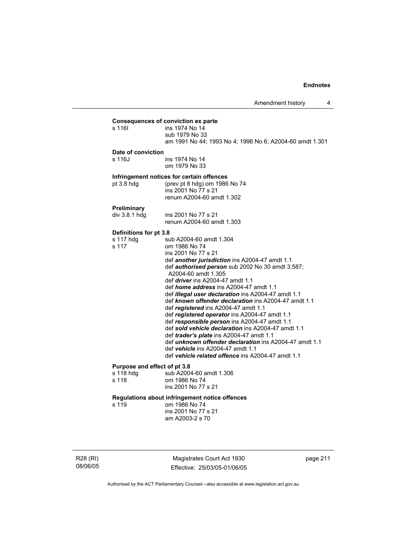## **Consequences of conviction ex parte**  s 116| ins 1974 No 14 sub 1979 No 33 am 1991 No 44; 1993 No 4; 1996 No 6; A2004-60 amdt 1.301 **Date of conviction**  s 116J ins 1974 No 14 om 1979 No 33 **Infringement notices for certain offences**  pt 3.8 hdg (prev pt 8 hdg) om 1986 No 74 ins 2001 No 77 s 21 renum A2004-60 amdt 1.302 **Preliminary**  ins 2001 No 77 s 21 renum A2004-60 amdt 1.303 **Definitions for pt 3.8**  s 117 hdg sub A2004-60 amdt 1.304 s 117 om 1986 No 74 ins 2001 No 77 s 21 def *another jurisdiction* ins A2004-47 amdt 1.1 def *authorised person* sub 2002 No 30 amdt 3.587; A2004-60 amdt 1.305 def *driver* ins A2004-47 amdt 1.1 def *home address* ins A2004-47 amdt 1.1 def *illegal user declaration* ins A2004-47 amdt 1.1 def *known offender declaration* ins A2004-47 amdt 1.1 def *registered* ins A2004-47 amdt 1.1 def *registered operator* ins A2004-47 amdt 1.1 def *responsible person* ins A2004-47 amdt 1.1 def *sold vehicle declaration* ins A2004-47 amdt 1.1 def *trader's plate* ins A2004-47 amdt 1.1 def *unknown offender declaration* ins A2004-47 amdt 1.1 def *vehicle* ins A2004-47 amdt 1.1 def *vehicle related offence* ins A2004-47 amdt 1.1 **Purpose and effect of pt 3.8**  s 118 hdg sub A2004-60 amdt 1.306<br>s 118 om 1986 No 74 om 1986 No 74 ins 2001 No 77 s 21 **Regulations about infringement notice offences**  s 119 om 1986 No 74 ins 2001 No 77 s 21 am A2003-2 s 70

R28 (RI) 08/06/05

Magistrates Court Act 1930 Effective: 25/03/05-01/06/05 page 211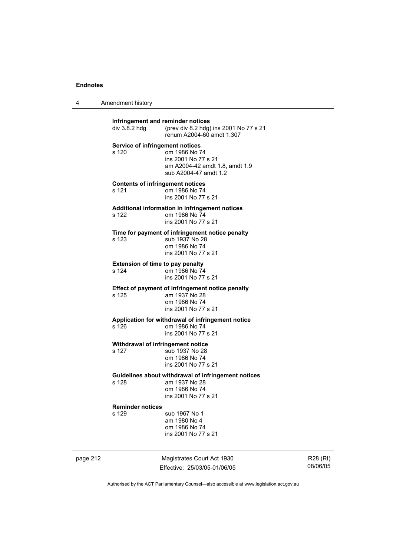4 Amendment history

| Infringement and reminder notices<br>div 3.8.2 hdg | (prev div 8.2 hdg) ins 2001 No 77 s 21<br>renum A2004-60 amdt 1.307                                          |
|----------------------------------------------------|--------------------------------------------------------------------------------------------------------------|
| <b>Service of infringement notices</b><br>s 120    | om 1986 No 74<br>ins 2001 No 77 s 21<br>am A2004-42 amdt 1.8, amdt 1.9<br>sub A2004-47 amdt 1.2              |
| <b>Contents of infringement notices</b><br>s 121   | om 1986 No 74<br>ins 2001 No 77 s 21                                                                         |
| s 122                                              | Additional information in infringement notices<br>om 1986 No 74<br>ins 2001 No 77 s 21                       |
| s 123                                              | Time for payment of infringement notice penalty<br>sub 1937 No 28<br>om 1986 No 74<br>ins 2001 No 77 s 21    |
| <b>Extension of time to pay penalty</b><br>s 124   | om 1986 No 74<br>ins 2001 No 77 s 21                                                                         |
| s 125                                              | Effect of payment of infringement notice penalty<br>am 1937 No 28<br>om 1986 No 74<br>ins 2001 No 77 s 21    |
| s 126                                              | Application for withdrawal of infringement notice<br>om 1986 No 74<br>ins 2001 No 77 s 21                    |
| Withdrawal of infringement notice<br>s 127         | sub 1937 No 28<br>om 1986 No 74<br>ins 2001 No 77 s 21                                                       |
| s 128                                              | Guidelines about withdrawal of infringement notices<br>am 1937 No 28<br>om 1986 No 74<br>ins 2001 No 77 s 21 |
| <b>Reminder notices</b><br>s 129                   | sub 1967 No 1<br>am 1980 No 4<br>om 1986 No 74<br>ins 2001 No 77 s 21                                        |

page 212 Magistrates Court Act 1930 Effective: 25/03/05-01/06/05

R28 (RI) 08/06/05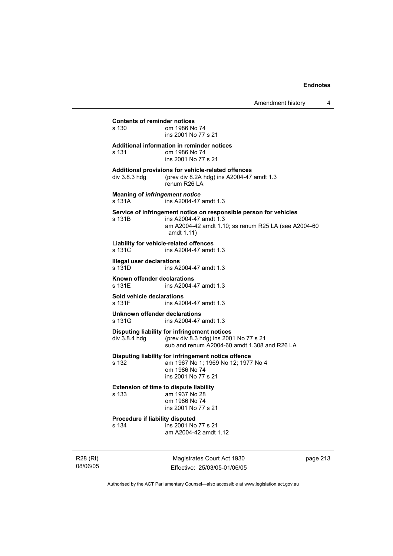# **Contents of reminder notices**  om 1986 No 74 ins 2001 No 77 s 21 **Additional information in reminder notices**  s 131 om 1986 No 74 ins 2001 No 77 s 21 **Additional provisions for vehicle-related offences**  div 3.8.3 hdg (prev div 8.2A hdg) ins A2004-47 amdt 1.3 renum R26 LA **Meaning of** *infringement notice* s 131A ins A2004-47 amdt 1.3 **Service of infringement notice on responsible person for vehicles**  s 131B ins A2004-47 amdt 1.3 am A2004-42 amdt 1.10; ss renum R25 LA (see A2004-60 amdt 1.11) **Liability for vehicle-related offences**  ins A2004-47 amdt 1.3 **Illegal user declarations**  s 131D ins A2004-47 amdt 1.3 **Known offender declarations**  ins A2004-47 amdt 1.3 **Sold vehicle declarations**  s 131F ins A2004-47 amdt 1.3 **Unknown offender declarations**  ins A2004-47 amdt 1.3 **Disputing liability for infringement notices**  div 3.8.4 hdg (prev div 8.3 hdg) ins 2001 No 77 s 21 sub and renum A2004-60 amdt 1.308 and R26 LA **Disputing liability for infringement notice offence**  s 132 am 1967 No 1; 1969 No 12; 1977 No 4 om 1986 No 74 ins 2001 No 77 s 21 **Extension of time to dispute liability**  s 133 am 1937 No 28 om 1986 No 74 ins 2001 No 77 s 21 **Procedure if liability disputed**  s 134 ins 2001 No 77 s 21 am A2004-42 amdt 1.12

R28 (RI) 08/06/05

Magistrates Court Act 1930 Effective: 25/03/05-01/06/05 page 213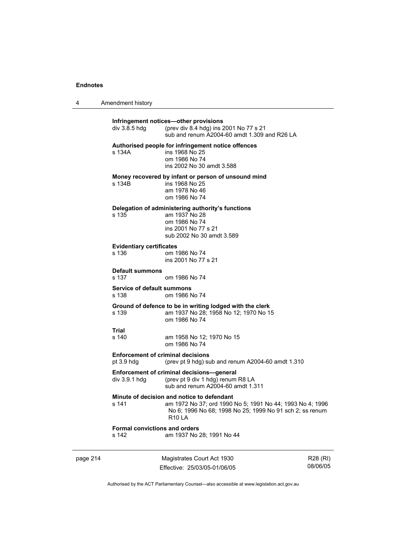4 Amendment history

|          | div 3.8.5 hdg                                 | Infringement notices-other provisions<br>(prev div 8.4 hdg) ins 2001 No 77 s 21<br>sub and renum A2004-60 amdt 1.309 and R26 LA                                                      |          |
|----------|-----------------------------------------------|--------------------------------------------------------------------------------------------------------------------------------------------------------------------------------------|----------|
|          | s 134A                                        | Authorised people for infringement notice offences<br>ins 1968 No 25<br>om 1986 No 74<br>ins 2002 No 30 amdt 3.588                                                                   |          |
|          | s 134B                                        | Money recovered by infant or person of unsound mind<br>ins 1968 No 25<br>am 1978 No 46<br>om 1986 No 74                                                                              |          |
|          | s 135                                         | Delegation of administering authority's functions<br>am 1937 No 28<br>om 1986 No 74<br>ins 2001 No 77 s 21<br>sub 2002 No 30 amdt 3.589                                              |          |
|          | <b>Evidentiary certificates</b><br>s 136      | om 1986 No 74<br>ins 2001 No 77 s 21                                                                                                                                                 |          |
|          | <b>Default summons</b><br>s 137               | om 1986 No 74                                                                                                                                                                        |          |
|          | <b>Service of default summons</b><br>s 138    | om 1986 No 74                                                                                                                                                                        |          |
|          | s 139                                         | Ground of defence to be in writing lodged with the clerk<br>am 1937 No 28; 1958 No 12; 1970 No 15<br>om 1986 No 74                                                                   |          |
|          | Trial<br>s 140                                | am 1958 No 12; 1970 No 15<br>om 1986 No 74                                                                                                                                           |          |
|          | pt $3.9$ hdg                                  | <b>Enforcement of criminal decisions</b><br>(prev pt 9 hdg) sub and renum A2004-60 amdt 1.310                                                                                        |          |
|          | div 3.9.1 hdg                                 | Enforcement of criminal decisions-general<br>(prev pt 9 div 1 hdg) renum R8 LA<br>sub and renum A2004-60 amdt 1.311                                                                  |          |
|          | s 141                                         | Minute of decision and notice to defendant<br>am 1972 No 37; ord 1990 No 5; 1991 No 44; 1993 No 4; 1996<br>No 6; 1996 No 68; 1998 No 25; 1999 No 91 sch 2; ss renum<br><b>R10 LA</b> |          |
|          | <b>Formal convictions and orders</b><br>s 142 | am 1937 No 28; 1991 No 44                                                                                                                                                            |          |
| page 214 |                                               | Magistrates Court Act 1930                                                                                                                                                           | R28 (RI) |

Effective: 25/03/05-01/06/05

R28 (RI) 08/06/05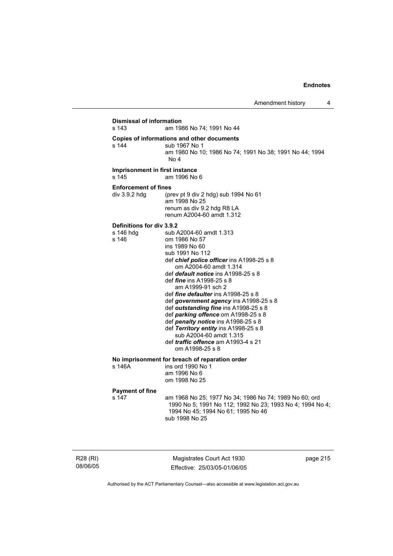| <b>Dismissal of information</b><br>s 143<br>am 1986 No 74; 1991 No 44 |                                                                                                                                                                                                                                                                                                                                                                                                                                                                                                                                                                                                          |  |  |
|-----------------------------------------------------------------------|----------------------------------------------------------------------------------------------------------------------------------------------------------------------------------------------------------------------------------------------------------------------------------------------------------------------------------------------------------------------------------------------------------------------------------------------------------------------------------------------------------------------------------------------------------------------------------------------------------|--|--|
| s 144                                                                 | Copies of informations and other documents<br>sub 1967 No 1<br>am 1980 No 10; 1986 No 74; 1991 No 38; 1991 No 44; 1994<br>No 4                                                                                                                                                                                                                                                                                                                                                                                                                                                                           |  |  |
| Imprisonment in first instance<br>s 145                               | am 1996 No 6                                                                                                                                                                                                                                                                                                                                                                                                                                                                                                                                                                                             |  |  |
| <b>Enforcement of fines</b><br>div 3.9.2 hdg                          | (prev pt 9 div 2 hdg) sub 1994 No 61<br>am 1998 No 25<br>renum as div 9.2 hdg R8 LA<br>renum A2004-60 amdt 1.312                                                                                                                                                                                                                                                                                                                                                                                                                                                                                         |  |  |
| Definitions for div 3.9.2<br>s 146 hdg<br>s 146                       | sub A2004-60 amdt 1.313<br>om 1986 No 57<br>ins 1989 No 60<br>sub 1991 No 112<br>def chief police officer ins A1998-25 s 8<br>om A2004-60 amdt 1.314<br>def default notice ins A1998-25 s 8<br>def <i>fine</i> ins A1998-25 s 8<br>am A1999-91 sch 2<br>def <i>fine defaulter</i> ins A1998-25 s 8<br>def government agency ins A1998-25 s 8<br>def outstanding fine ins A1998-25 s 8<br>def parking offence om A1998-25 s 8<br>def penalty notice ins A1998-25 s 8<br>def Territory entity ins A1998-25 s 8<br>sub A2004-60 amdt 1.315<br>def <i>traffic</i> offence am A1993-4 s 21<br>om A1998-25 s 8 |  |  |
| s 146A                                                                | No imprisonment for breach of reparation order<br>ins ord 1990 No 1<br>am 1996 No 6<br>om 1998 No 25                                                                                                                                                                                                                                                                                                                                                                                                                                                                                                     |  |  |
| <b>Payment of fine</b><br>s 147                                       | am 1968 No 25; 1977 No 34; 1986 No 74; 1989 No 60; ord<br>1990 No 5; 1991 No 112; 1992 No 23; 1993 No 4; 1994 No 4;<br>1994 No 45; 1994 No 61; 1995 No 46<br>sub 1998 No 25                                                                                                                                                                                                                                                                                                                                                                                                                              |  |  |

R28 (RI) 08/06/05

Magistrates Court Act 1930 Effective: 25/03/05-01/06/05 page 215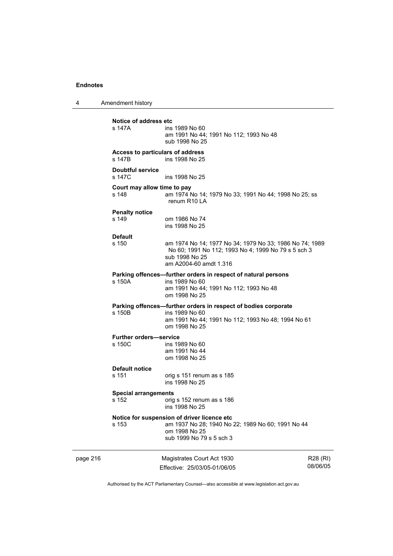4 Amendment history page 216 Magistrates Court Act 1930 R28 (RI) **Notice of address etc**  ins 1989 No 60 am 1991 No 44; 1991 No 112; 1993 No 48 sub 1998 No 25 **Access to particulars of address**  s 147B ins 1998 No 25 **Doubtful service**  s 147C ins 1998 No 25 **Court may allow time to pay**  s 148 am 1974 No 14; 1979 No 33; 1991 No 44; 1998 No 25; ss renum R10 LA **Penalty notice**  s 149 om 1986 No 74 ins 1998 No 25 **Default**  am 1974 No 14; 1977 No 34; 1979 No 33; 1986 No 74; 1989 No 60; 1991 No 112; 1993 No 4; 1999 No 79 s 5 sch 3 sub 1998 No 25 am A2004-60 amdt 1.316 **Parking offences—further orders in respect of natural persons**  s 150A ins 1989 No 60 am 1991 No 44; 1991 No 112; 1993 No 48 om 1998 No 25 **Parking offences—further orders in respect of bodies corporate**  s 150B ins 1989 No 60 am 1991 No 44; 1991 No 112; 1993 No 48; 1994 No 61 om 1998 No 25 **Further orders—service**  s 150C ins 1989 No 60 am 1991 No 44 om 1998 No 25 **Default notice**  s 151 orig s 151 renum as s 185 ins 1998 No 25 **Special arrangements**  s 152 orig s 152 renum as s 186 ins 1998 No 25 **Notice for suspension of driver licence etc**  s 153 am 1937 No 28; 1940 No 22; 1989 No 60; 1991 No 44 om 1998 No 25 sub 1999 No 79 s 5 sch 3

Authorised by the ACT Parliamentary Counsel—also accessible at www.legislation.act.gov.au

08/06/05

Effective: 25/03/05-01/06/05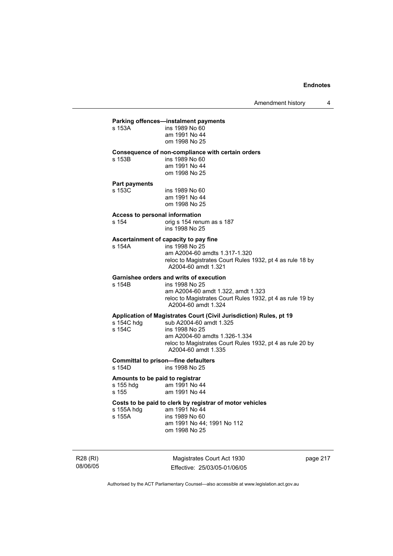## **Parking offences—instalment payments**

| s 153A | ins 1989 No 60 |
|--------|----------------|
|        | am 1991 No 44  |
|        | om 1998 No 25  |

## **Consequence of non-compliance with certain orders**

| s 153B | ins 1989 No 60 |
|--------|----------------|
|        | am 1991 No 44  |
|        | om 1998 No 25  |

## **Part payments**  s 153C

s 153B

| s 153C | ins 1989 No 60 |
|--------|----------------|
|        | am 1991 No 44  |
|        | om 1998 No 25  |

## **Access to personal information**

s 154 orig s 154 renum as s 187 ins 1998 No 25

## **Ascertainment of capacity to pay fine**

| s 154A | ins 1998 No 25                                            |
|--------|-----------------------------------------------------------|
|        | am A2004-60 amdts 1.317-1.320                             |
|        | reloc to Magistrates Court Rules 1932, pt 4 as rule 18 by |
|        | A2004-60 amdt 1.321                                       |
|        |                                                           |

# **Garnishee orders and writs of execution**

ins 1998 No 25 am A2004-60 amdt 1.322, amdt 1.323 reloc to Magistrates Court Rules 1932, pt 4 as rule 19 by A2004-60 amdt 1.324

## **Application of Magistrates Court (Civil Jurisdiction) Rules, pt 19**

| s 154C hdg | sub A2004-60 amdt 1.325                                                          |
|------------|----------------------------------------------------------------------------------|
| s 154C     | ins 1998 No 25                                                                   |
|            | am A2004-60 amdts 1.326-1.334                                                    |
|            | reloc to Magistrates Court Rules 1932, pt 4 as rule 20 by<br>A2004-60 amdt 1.335 |
|            |                                                                                  |

# **Committal to prison—fine defaulters**

ins 1998 No 25

### **Amounts to be paid to registrar**

| s 155 hdg | am 1991 No 44 |
|-----------|---------------|
| s 155     | am 1991 No 44 |

## **Costs to be paid to clerk by registrar of motor vehicles**

| s 155A hdg | am 1991 No 44              |
|------------|----------------------------|
| s 155A     | ins 1989 No 60             |
|            | am 1991 No 44: 1991 No 112 |
|            | om 1998 No 25              |

R28 (RI) 08/06/05

Magistrates Court Act 1930 Effective: 25/03/05-01/06/05 page 217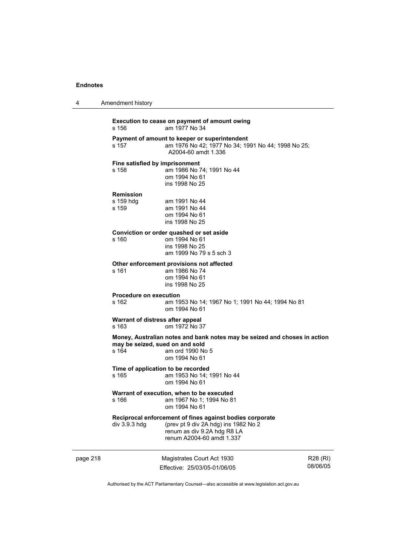| 4 | Amendment history |  |
|---|-------------------|--|
|   |                   |  |

page 218 Magistrates Court Act 1930 Effective: 25/03/05-01/06/05 R28 (RI) 08/06/05 **Execution to cease on payment of amount owing**  s 156 am 1977 No 34 **Payment of amount to keeper or superintendent**  s 157 am 1976 No 42; 1977 No 34; 1991 No 44; 1998 No 25; A2004-60 amdt 1.336 **Fine satisfied by imprisonment**  s 158 am 1986 No 74; 1991 No 44 om 1994 No 61 ins 1998 No 25 **Remission**  s 159 hdg am 1991 No 44<br>s 159 am 1991 No 44 am 1991 No 44 om 1994 No 61 ins 1998 No 25 **Conviction or order quashed or set aside**  s 160 om 1994 No 61 ins 1998 No 25 am 1999 No 79 s 5 sch 3 **Other enforcement provisions not affected**  am 1986 No 74 om 1994 No 61 ins 1998 No 25 **Procedure on execution**  s 162 am 1953 No 14; 1967 No 1; 1991 No 44; 1994 No 81 om 1994 No 61 **Warrant of distress after appeal**  s 163 om 1972 No 37 **Money, Australian notes and bank notes may be seized and choses in action may be seized, sued on and sold**<br>s 164 **am ord 1990** No am ord 1990 No 5 om 1994 No 61 **Time of application to be recorded**  s 165 am 1953 No 14; 1991 No 44 om 1994 No 61 **Warrant of execution, when to be executed**  s 166 am 1967 No 1; 1994 No 81 om 1994 No 61 **Reciprocal enforcement of fines against bodies corporate**  div 3.9.3 hdg (prev pt 9 div 2A hdg) ins 1982 No 2 renum as div 9.2A hdg R8 LA renum A2004-60 amdt 1.337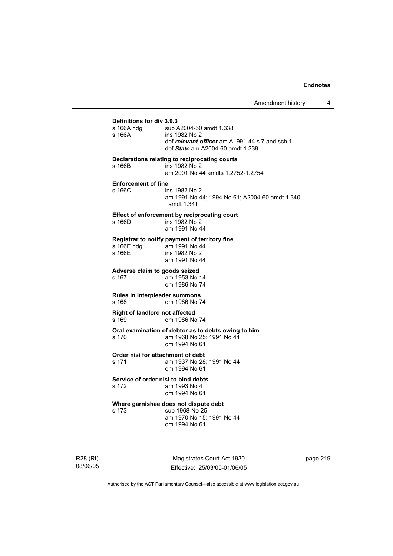# **Definitions for div 3.9.3**  sub A2004-60 amdt 1.338 s 166A ins 1982 No 2 def *relevant officer* am A1991-44 s 7 and sch 1 def *State* am A2004-60 amdt 1.339 **Declarations relating to reciprocating courts**  ins 1982 No 2 am 2001 No 44 amdts 1.2752-1.2754 **Enforcement of fine**  s 166C ins 1982 No 2 am 1991 No 44; 1994 No 61; A2004-60 amdt 1.340, amdt 1.341 **Effect of enforcement by reciprocating court**  s 166D ins 1982 No 2 am 1991 No 44 **Registrar to notify payment of territory fine**  s 166E hdg am 1991 No 44<br>s 166E ins 1982 No 2 ins 1982 No 2 am 1991 No 44 **Adverse claim to goods seized**  s 167 am 1953 No 14 om 1986 No 74 **Rules in Interpleader summons**  s 168 om 1986 No 74 **Right of landlord not affected**  s 169 om 1986 No 74 **Oral examination of debtor as to debts owing to him**<br>s 170 **am 1968 No 25: 1991 No 44** am 1968 No 25; 1991 No 44 om 1994 No 61 **Order nisi for attachment of debt**  s 171 am 1937 No 28; 1991 No 44 om 1994 No 61 **Service of order nisi to bind debts**  s 172 am 1993 No 4 om 1994 No 61 **Where garnishee does not dispute debt**  s 173 sub 1968 No 25 am 1970 No 15; 1991 No 44 om 1994 No 61

R28 (RI) 08/06/05

Magistrates Court Act 1930 Effective: 25/03/05-01/06/05 page 219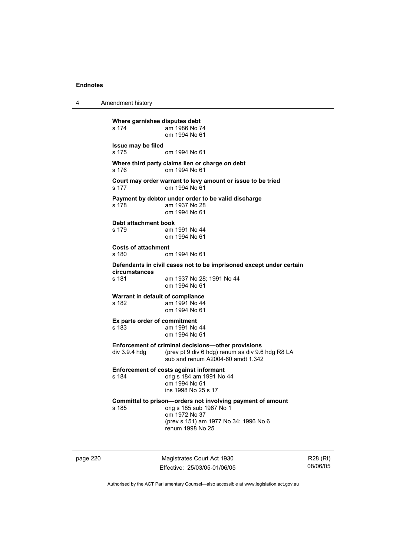4 Amendment history

**Where garnishee disputes debt**  s 174 am 1986 No 74 om 1994 No 61 **Issue may be filed**  s 175 om 1994 No 61 **Where third party claims lien or charge on debt**  s 176 om 1994 No 61 **Court may order warrant to levy amount or issue to be tried**  s 177 om 1994 No 61 **Payment by debtor under order to be valid discharge**  s 178 am 1937 No 28 om 1994 No 61 **Debt attachment book**  s 179 am 1991 No 44 om 1994 No 61 **Costs of attachment**  s 180 om 1994 No 61 **Defendants in civil cases not to be imprisoned except under certain circumstances**  am 1937 No 28; 1991 No 44 om 1994 No 61 **Warrant in default of compliance**  s 182 am 1991 No 44 om 1994 No 61 **Ex parte order of commitment**  s 183 am 1991 No 44 om 1994 No 61 **Enforcement of criminal decisions—other provisions**  div 3.9.4 hdg (prev pt 9 div 6 hdg) renum as div 9.6 hdg R8 LA sub and renum A2004-60 amdt 1.342 **Enforcement of costs against informant**  s 184 orig s 184 am 1991 No 44 om 1994 No 61 ins 1998 No 25 s 17 **Committal to prison—orders not involving payment of amount**<br>s 185 corig s 185 sub 1967 No 1 orig s 185 sub 1967 No 1 om 1972 No 37 (prev s 151) am 1977 No 34; 1996 No 6 renum 1998 No 25

page 220 Magistrates Court Act 1930 Effective: 25/03/05-01/06/05

R28 (RI) 08/06/05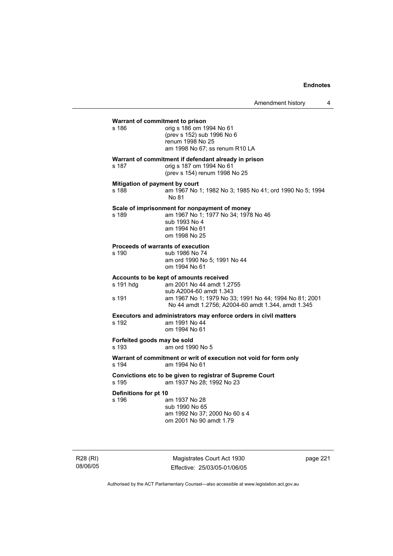| Warrant of commitment to prison<br>s 186     | orig s 186 om 1994 No 61<br>(prev s 152) sub 1996 No 6<br>renum 1998 No 25<br>am 1998 No 67; ss renum R10 LA                                                                                                    |  |  |
|----------------------------------------------|-----------------------------------------------------------------------------------------------------------------------------------------------------------------------------------------------------------------|--|--|
| s 187                                        | Warrant of commitment if defendant already in prison<br>orig s 187 om 1994 No 61<br>(prev s 154) renum 1998 No 25                                                                                               |  |  |
| Mitigation of payment by court<br>s 188      | am 1967 No 1; 1982 No 3; 1985 No 41; ord 1990 No 5; 1994<br>No 81                                                                                                                                               |  |  |
| s 189                                        | Scale of imprisonment for nonpayment of money<br>am 1967 No 1; 1977 No 34; 1978 No 46<br>sub 1993 No 4<br>am 1994 No 61<br>om 1998 No 25                                                                        |  |  |
| Proceeds of warrants of execution<br>$s$ 190 | sub 1986 No 74<br>am ord 1990 No 5: 1991 No 44<br>om 1994 No 61                                                                                                                                                 |  |  |
| s 191 hdg<br>s 191                           | Accounts to be kept of amounts received<br>am 2001 No 44 amdt 1.2755<br>sub A2004-60 amdt 1.343<br>am 1967 No 1; 1979 No 33; 1991 No 44; 1994 No 81; 2001<br>No 44 amdt 1.2756; A2004-60 amdt 1.344, amdt 1.345 |  |  |
| s 192                                        | Executors and administrators may enforce orders in civil matters<br>am 1991 No 44<br>om 1994 No 61                                                                                                              |  |  |
| Forfeited goods may be sold<br>s 193         | am ord 1990 No 5                                                                                                                                                                                                |  |  |
| s 194                                        | Warrant of commitment or writ of execution not void for form only<br>am 1994 No 61                                                                                                                              |  |  |
| s 195                                        | Convictions etc to be given to registrar of Supreme Court<br>am 1937 No 28; 1992 No 23                                                                                                                          |  |  |
| Definitions for pt 10<br>s 196               | am 1937 No 28<br>sub 1990 No 65<br>am 1992 No 37; 2000 No 60 s 4                                                                                                                                                |  |  |

om 2001 No 90 amdt 1.79

R28 (RI) 08/06/05

Magistrates Court Act 1930 Effective: 25/03/05-01/06/05 page 221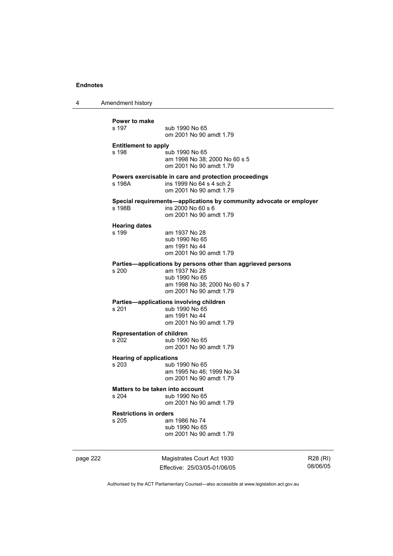4 Amendment history

| Power to make<br>s 197                     | sub 1990 No 65<br>om 2001 No 90 amdt 1.79                                                                                                                   |
|--------------------------------------------|-------------------------------------------------------------------------------------------------------------------------------------------------------------|
| <b>Entitlement to apply</b><br>s 198       | sub 1990 No 65<br>am 1998 No 38; 2000 No 60 s 5<br>om 2001 No 90 amdt 1.79                                                                                  |
| s 198A                                     | Powers exercisable in care and protection proceedings<br>ins 1999 No 64 s 4 sch 2<br>om 2001 No 90 amdt 1.79                                                |
| s 198B                                     | Special requirements-applications by community advocate or employer<br>ins 2000 No 60 s 6<br>om 2001 No 90 amdt 1.79                                        |
| <b>Hearing dates</b><br>s 199              | am 1937 No 28<br>sub 1990 No 65<br>am 1991 No 44<br>om 2001 No 90 amdt 1.79                                                                                 |
| s 200                                      | Parties—applications by persons other than aggrieved persons<br>am 1937 No 28<br>sub 1990 No 65<br>am 1998 No 38; 2000 No 60 s 7<br>om 2001 No 90 amdt 1.79 |
| s <sub>201</sub>                           | Parties-applications involving children<br>sub 1990 No 65<br>am 1991 No 44<br>om 2001 No 90 amdt 1.79                                                       |
| <b>Representation of children</b><br>s 202 | sub 1990 No 65<br>om 2001 No 90 amdt 1.79                                                                                                                   |
| <b>Hearing of applications</b><br>s 203    | sub 1990 No 65<br>am 1995 No 46; 1999 No 34<br>om 2001 No 90 amdt 1.79                                                                                      |
| s204                                       | Matters to be taken into account<br>sub 1990 No 65<br>om 2001 No 90 amdt 1.79                                                                               |
| <b>Restrictions in orders</b><br>s 205     | am 1986 No 74<br>sub 1990 No 65<br>om 2001 No 90 amdt 1.79                                                                                                  |

page 222 Magistrates Court Act 1930 Effective: 25/03/05-01/06/05

R28 (RI) 08/06/05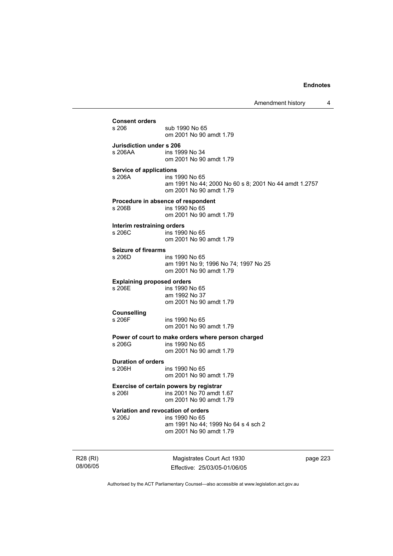| <b>Consent orders</b>                |                                                                                  |
|--------------------------------------|----------------------------------------------------------------------------------|
| s 206                                | sub 1990 No 65<br>om 2001 No 90 amdt 1.79                                        |
| Jurisdiction under s 206             |                                                                                  |
| s 206AA                              | ins 1999 No 34<br>om 2001 No 90 amdt 1.79                                        |
| Service of applications              |                                                                                  |
| s 206A                               | ins 1990 No 65                                                                   |
|                                      | am 1991 No 44; 2000 No 60 s 8; 2001 No 44 amdt 1.2757<br>om 2001 No 90 amdt 1.79 |
|                                      | Procedure in absence of respondent                                               |
| s 206B                               | ins 1990 No 65<br>om 2001 No 90 amdt 1.79                                        |
|                                      |                                                                                  |
| Interim restraining orders<br>s 206C | ins 1990 No 65                                                                   |
|                                      | om 2001 No 90 amdt 1.79                                                          |
| <b>Seizure of firearms</b>           |                                                                                  |
| s 206D                               | ins 1990 No 65                                                                   |
|                                      | am 1991 No 9; 1996 No 74; 1997 No 25                                             |
|                                      | om 2001 No 90 amdt 1.79                                                          |
| <b>Explaining proposed orders</b>    |                                                                                  |
| s 206E                               | ins 1990 No 65                                                                   |
|                                      | am 1992 No 37<br>om 2001 No 90 amdt 1.79                                         |
|                                      |                                                                                  |
| <b>Counselling</b><br>s 206F         | ins 1990 No 65                                                                   |
|                                      | om 2001 No 90 amdt 1.79                                                          |
|                                      | Power of court to make orders where person charged                               |
| s 206G                               | ins 1990 No 65                                                                   |
|                                      | om 2001 No 90 amdt 1.79                                                          |
| <b>Duration of orders</b>            |                                                                                  |
| s 206H                               | ins 1990 No 65                                                                   |
|                                      | om 2001 No 90 amdt 1.79                                                          |
|                                      | Exercise of certain powers by registrar                                          |
| s 2061                               | ins 2001 No 70 amdt 1.67                                                         |
|                                      | om 2001 No 90 amdt 1.79                                                          |
|                                      | Variation and revocation of orders                                               |
| s 206J                               | ins 1990 No 65                                                                   |
|                                      | am 1991 No 44; 1999 No 64 s 4 sch 2                                              |
|                                      | om 2001 No 90 amdt 1.79                                                          |

R28 (RI) 08/06/05

Magistrates Court Act 1930 Effective: 25/03/05-01/06/05 page 223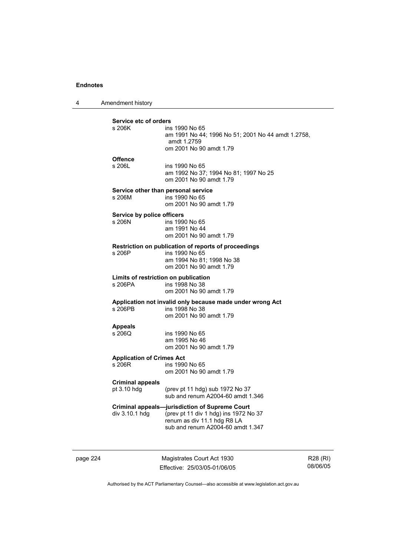4 Amendment history

| Service etc of orders<br>s 206K            | ins 1990 No 65<br>am 1991 No 44; 1996 No 51; 2001 No 44 amdt 1.2758,<br>amdt 1.2759<br>om 2001 No 90 amdt 1.79                                                     |
|--------------------------------------------|--------------------------------------------------------------------------------------------------------------------------------------------------------------------|
| <b>Offence</b><br>s 206L                   | ins 1990 No 65<br>am 1992 No 37; 1994 No 81; 1997 No 25<br>om 2001 No 90 amdt 1.79                                                                                 |
| s 206M                                     | Service other than personal service<br>ins 1990 No 65<br>om 2001 No 90 amdt 1.79                                                                                   |
| Service by police officers<br>s 206N       | ins 1990 No 65<br>am 1991 No 44<br>om 2001 No 90 amdt 1.79                                                                                                         |
| s 206P                                     | Restriction on publication of reports of proceedings<br>ins 1990 No 65<br>am 1994 No 81; 1998 No 38<br>om 2001 No 90 amdt 1.79                                     |
| s 206PA                                    | Limits of restriction on publication<br>ins 1998 No 38<br>om 2001 No 90 amdt 1.79                                                                                  |
| s 206PB                                    | Application not invalid only because made under wrong Act<br>ins 1998 No 38<br>om 2001 No 90 amdt 1.79                                                             |
| <b>Appeals</b><br>s 206Q                   | ins 1990 No 65<br>am 1995 No 46<br>om 2001 No 90 amdt 1.79                                                                                                         |
| <b>Application of Crimes Act</b><br>s 206R | ins 1990 No 65<br>om 2001 No 90 amdt 1.79                                                                                                                          |
| <b>Criminal appeals</b><br>pt 3.10 hdg     | (prev pt 11 hdg) sub 1972 No 37<br>sub and renum A2004-60 amdt 1.346                                                                                               |
| div 3.10.1 hdg                             | <b>Criminal appeals-jurisdiction of Supreme Court</b><br>(prev pt 11 div 1 hdg) ins 1972 No 37<br>renum as div 11.1 hdg R8 LA<br>sub and renum A2004-60 amdt 1.347 |

page 224 Magistrates Court Act 1930 Effective: 25/03/05-01/06/05

R28 (RI) 08/06/05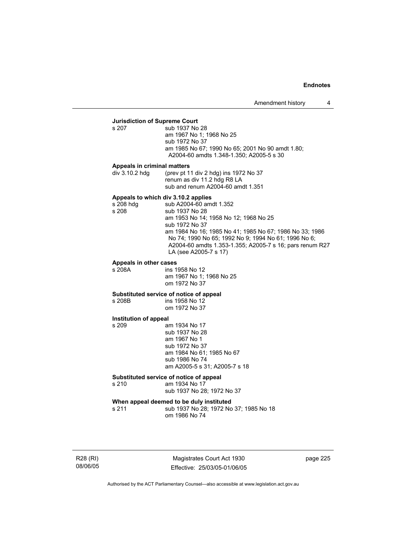# **Jurisdiction of Supreme Court**

sub 1937 No 28 am 1967 No 1; 1968 No 25 sub 1972 No 37 am 1985 No 67; 1990 No 65; 2001 No 90 amdt 1.80; A2004-60 amdts 1.348-1.350; A2005-5 s 30

### **Appeals in criminal matters**

div 3.10.2 hdg (prev pt 11 div 2 hdg) ins 1972 No 37 renum as div 11.2 hdg R8 LA sub and renum A2004-60 amdt 1.351

## **Appeals to which div 3.10.2 applies**

s 208 hdg sub A2004-60 amdt 1.352 s 208 sub 1937 No 28 am 1953 No 14; 1958 No 12; 1968 No 25 sub 1972 No 37 am 1984 No 16; 1985 No 41; 1985 No 67; 1986 No 33; 1986 No 74; 1990 No 65; 1992 No 9; 1994 No 61; 1996 No 6; A2004-60 amdts 1.353-1.355; A2005-7 s 16; pars renum R27 LA (see A2005-7 s 17)

# **Appeals in other cases**

ins 1958 No 12 am 1967 No 1; 1968 No 25 om 1972 No 37

**Substituted service of notice of appeal** 

ins 1958 No 12 om 1972 No 37

#### **Institution of appeal**

s 209 am 1934 No 17 sub 1937 No 28 am 1967 No 1 sub 1972 No 37 am 1984 No 61; 1985 No 67 sub 1986 No 74 am A2005-5 s 31; A2005-7 s 18

### **Substituted service of notice of appeal**

s 210 am 1934 No 17

sub 1937 No 28; 1972 No 37

## **When appeal deemed to be duly instituted**

s 211 sub 1937 No 28; 1972 No 37; 1985 No 18 om 1986 No 74

R28 (RI) 08/06/05

Magistrates Court Act 1930 Effective: 25/03/05-01/06/05 page 225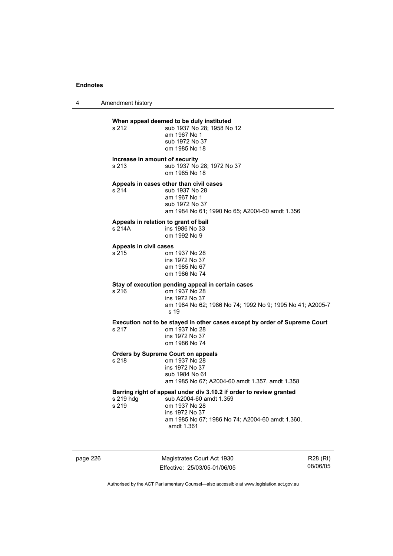4 Amendment history

# **When appeal deemed to be duly instituted**<br>s 212 **b** sub 1937 No 28: 1958 No

| s 212. | sub 1937 No 28; 1958 No 12 |
|--------|----------------------------|
|        | am 1967 No 1               |
|        | sub 1972 No 37             |
|        | om 1985 No 18              |

#### **Increase in amount of security**

s 213 sub 1937 No 28; 1972 No 37 om 1985 No 18

## **Appeals in cases other than civil cases**

s 214 sub 1937 No 28 am 1967 No 1 sub 1972 No 37 am 1984 No 61; 1990 No 65; A2004-60 amdt 1.356

### **Appeals in relation to grant of bail**

| s 214A | ins 1986 No 33 |
|--------|----------------|
|        | om 1992 No 9   |

### **Appeals in civil cases**

| s 215 | om 1937 No 28  |
|-------|----------------|
|       | ins 1972 No 37 |
|       | am 1985 No 67  |
|       | om 1986 No 74  |

# **Stay of execution pending appeal in certain cases**

om 1937 No 28 ins 1972 No 37 am 1984 No 62; 1986 No 74; 1992 No 9; 1995 No 41; A2005-7 s 19

### **Execution not to be stayed in other cases except by order of Supreme Court**  s 217

| s 217 | om 1937 No 28  |
|-------|----------------|
|       | ins 1972 No 37 |
|       | om 1986 No 74  |

#### **Orders by Supreme Court on appeals**  s 218

| s 218 | om 1937 No 28                                  |
|-------|------------------------------------------------|
|       | ins 1972 No 37                                 |
|       | sub 1984 No 61                                 |
|       | am 1985 No 67; A2004-60 amdt 1.357, amdt 1.358 |
|       |                                                |
|       |                                                |

## **Barring right of appeal under div 3.10.2 if order to review granted**

s 219 hdg sub A2004-60 amdt 1.359 s 219 om 1937 No 28 ins 1972 No 37 am 1985 No 67; 1986 No 74; A2004-60 amdt 1.360, amdt 1.361

page 226 Magistrates Court Act 1930 Effective: 25/03/05-01/06/05

R28 (RI) 08/06/05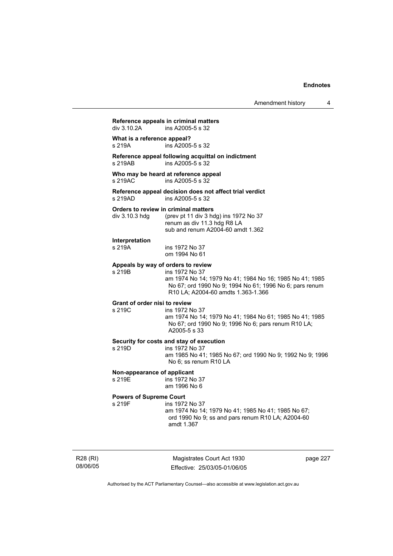Amendment history 4

**Reference appeals in criminal matters**  ins A2005-5 s 32 **What is a reference appeal?**  s 219A ins A2005-5 s 32 **Reference appeal following acquittal on indictment**   $ins A2005-5 s 32$ **Who may be heard at reference appeal**  s 219AC ins A2005-5 s 32 **Reference appeal decision does not affect trial verdict**  ins A2005-5 s 32 **Orders to review in criminal matters**  div 3.10.3 hdg (prev pt 11 div 3 hdg) ins 1972 No 37 renum as div 11.3 hdg R8 LA sub and renum A2004-60 amdt 1.362 **Interpretation**  ins 1972 No 37 om 1994 No 61 **Appeals by way of orders to review**  s 219B ins 1972 No 37 am 1974 No 14; 1979 No 41; 1984 No 16; 1985 No 41; 1985 No 67; ord 1990 No 9; 1994 No 61; 1996 No 6; pars renum R10 LA; A2004-60 amdts 1.363-1.366 **Grant of order nisi to review**  s 219C ins 1972 No 37 am 1974 No 14; 1979 No 41; 1984 No 61; 1985 No 41; 1985 No 67; ord 1990 No 9; 1996 No 6; pars renum R10 LA; A2005-5 s 33 **Security for costs and stay of execution**  s 219D ins 1972 No 37 am 1985 No 41; 1985 No 67; ord 1990 No 9; 1992 No 9; 1996 No 6; ss renum R10 LA **Non-appearance of applicant**  s 219E ins 1972 No 37 am 1996 No 6 **Powers of Supreme Court**  s 219F ins 1972 No 37 am 1974 No 14; 1979 No 41; 1985 No 41; 1985 No 67; ord 1990 No 9; ss and pars renum R10 LA; A2004-60 amdt 1.367

R28 (RI) 08/06/05

Magistrates Court Act 1930 Effective: 25/03/05-01/06/05 page 227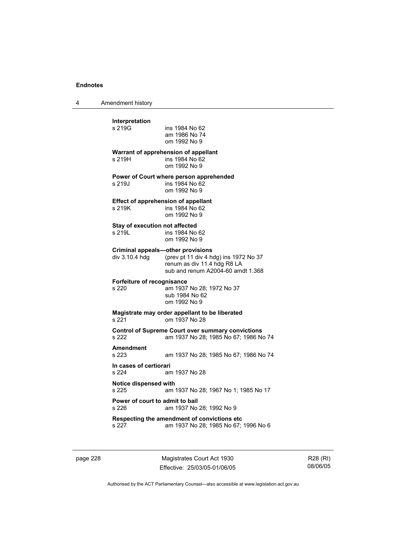4 Amendment history

| Interpretation                                                    |                                                                                                   |
|-------------------------------------------------------------------|---------------------------------------------------------------------------------------------------|
| s 219G                                                            | ins 1984 No 62<br>am 1986 No 74                                                                   |
|                                                                   | om 1992 No 9                                                                                      |
| s 219H                                                            | Warrant of apprehension of appellant<br>ins 1984 No 62                                            |
|                                                                   | om 1992 No 9                                                                                      |
|                                                                   | Power of Court where person apprehended                                                           |
| s 219J                                                            | ins 1984 No 62<br>om 1992 No 9                                                                    |
|                                                                   | <b>Effect of apprehension of appellant</b>                                                        |
| s 219K                                                            | ins 1984 No 62                                                                                    |
|                                                                   | om 1992 No 9                                                                                      |
| Stay of execution not affected<br>s 219L                          | ins 1984 No 62                                                                                    |
|                                                                   | om 1992 No 9                                                                                      |
| div 3.10.4 hdg                                                    | <b>Criminal appeals-other provisions</b><br>(prev pt 11 div 4 hdg) ins 1972 No 37                 |
|                                                                   | renum as div 11.4 hdg R8 LA                                                                       |
|                                                                   | sub and renum A2004-60 amdt 1.368                                                                 |
|                                                                   |                                                                                                   |
|                                                                   |                                                                                                   |
|                                                                   | am 1937 No 28; 1972 No 37<br>sub 1984 No 62                                                       |
| <b>Forfeiture of recognisance</b><br>s 220                        | om 1992 No 9                                                                                      |
| s 221                                                             | Magistrate may order appellant to be liberated<br>om 1937 No 28                                   |
| s 222                                                             | <b>Control of Supreme Court over summary convictions</b><br>am 1937 No 28; 1985 No 67; 1986 No 74 |
| <b>Amendment</b>                                                  |                                                                                                   |
| s 223                                                             | am 1937 No 28; 1985 No 67; 1986 No 74                                                             |
|                                                                   | am 1937 No 28                                                                                     |
| In cases of certiorari<br>s 224<br>Notice dispensed with<br>s 225 |                                                                                                   |
|                                                                   | am 1937 No 28; 1967 No 1; 1985 No 17                                                              |
|                                                                   | am 1937 No 28; 1992 No 9                                                                          |
| Power of court to admit to bail<br>s 226<br>s 227                 | Respecting the amendment of convictions etc<br>am 1937 No 28; 1985 No 67; 1996 No 6               |

page 228 Magistrates Court Act 1930 Effective: 25/03/05-01/06/05

R28 (RI) 08/06/05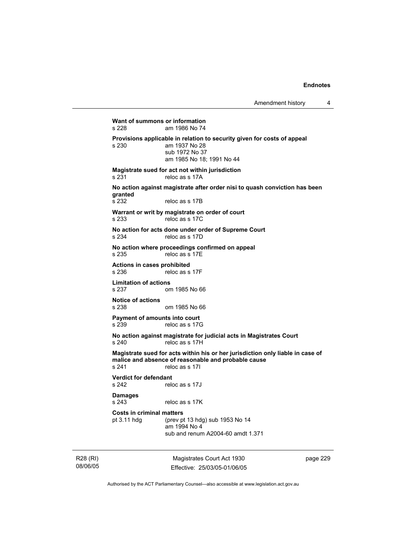**Want of summons or information**<br>s 228 am 1986 No 74 am 1986 No 74 **Provisions applicable in relation to security given for costs of appeal s 230** am 1937 No 28 am 1937 No 28 sub 1972 No 37 am 1985 No 18; 1991 No 44 **Magistrate sued for act not within jurisdiction**  s 231 reloc as s 17A **No action against magistrate after order nisi to quash conviction has been granted**  s 232 reloc as s 17B **Warrant or writ by magistrate on order of court**  s 233 reloc as s 17C **No action for acts done under order of Supreme Court**  s 234 reloc as s 17D **No action where proceedings confirmed on appeal**  s 235 reloc as s 17E **Actions in cases prohibited**  s 236 reloc as s 17F **Limitation of actions**  s 237 om 1985 No 66 **Notice of actions**  s 238 om 1985 No 66 **Payment of amounts into court**  s 239 reloc as s 17G **No action against magistrate for judicial acts in Magistrates Court**  s 240 reloc as s 17H **Magistrate sued for acts within his or her jurisdiction only liable in case of malice and absence of reasonable and probable cause**  s 241 reloc as s 17I **Verdict for defendant**  s 242 reloc as s 17J **Damages**  s 243 reloc as s 17K **Costs in criminal matters**  pt 3.11 hdg (prev pt 13 hdg) sub 1953 No 14 am 1994 No 4 sub and renum A2004-60 amdt 1.371

R28 (RI) 08/06/05

Magistrates Court Act 1930 Effective: 25/03/05-01/06/05 page 229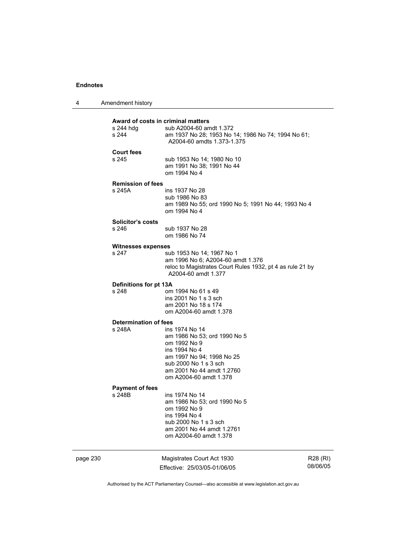| 4 | Amendment history |
|---|-------------------|
|---|-------------------|

| page 230 |                                        | Magistrates Court Act 1930<br>Fffective: 25/03/05-01/06/05                       | R28 (RI)<br>08/06/05 |
|----------|----------------------------------------|----------------------------------------------------------------------------------|----------------------|
|          |                                        | am 2001 No 44 amdt 1.2761<br>om A2004-60 amdt 1.378                              |                      |
|          |                                        | ins 1994 No 4<br>sub 2000 No 1 s 3 sch                                           |                      |
|          |                                        | om 1992 No 9                                                                     |                      |
|          |                                        | am 1986 No 53; ord 1990 No 5                                                     |                      |
|          | <b>Payment of fees</b><br>s 248B       | ins 1974 No 14                                                                   |                      |
|          |                                        |                                                                                  |                      |
|          |                                        | am 2001 No 44 amdt 1.2760<br>om A2004-60 amdt 1.378                              |                      |
|          |                                        | sub 2000 No 1 s 3 sch                                                            |                      |
|          |                                        | am 1997 No 94; 1998 No 25                                                        |                      |
|          |                                        | om 1992 No 9<br>ins 1994 No 4                                                    |                      |
|          |                                        | am 1986 No 53; ord 1990 No 5                                                     |                      |
|          | <b>Determination of fees</b><br>s 248A | ins 1974 No 14                                                                   |                      |
|          |                                        |                                                                                  |                      |
|          |                                        | am 2001 No 18 s 174<br>om A2004-60 amdt 1.378                                    |                      |
|          |                                        | ins 2001 No 1 s 3 sch                                                            |                      |
|          | Definitions for pt 13A<br>s 248        | om 1994 No 61 s 49                                                               |                      |
|          |                                        |                                                                                  |                      |
|          |                                        | reloc to Magistrates Court Rules 1932, pt 4 as rule 21 by<br>A2004-60 amdt 1.377 |                      |
|          | s 247                                  | sub 1953 No 14; 1967 No 1<br>am 1996 No 6; A2004-60 amdt 1.376                   |                      |
|          | <b>Witnesses expenses</b>              |                                                                                  |                      |
|          |                                        | om 1986 No 74                                                                    |                      |
|          | Solicitor's costs<br>s 246             | sub 1937 No 28                                                                   |                      |
|          |                                        | om 1994 No 4                                                                     |                      |
|          |                                        | am 1989 No 55; ord 1990 No 5; 1991 No 44; 1993 No 4                              |                      |
|          | s 245A                                 | ins 1937 No 28<br>sub 1986 No 83                                                 |                      |
|          | <b>Remission of fees</b>               |                                                                                  |                      |
|          |                                        | om 1994 No 4                                                                     |                      |
|          | s 245                                  | sub 1953 No 14; 1980 No 10<br>am 1991 No 38; 1991 No 44                          |                      |
|          | <b>Court fees</b>                      |                                                                                  |                      |
|          |                                        | A2004-60 amdts 1.373-1.375                                                       |                      |
|          | s 244                                  | am 1937 No 28; 1953 No 14; 1986 No 74; 1994 No 61;                               |                      |
|          | s 244 hdg                              | Award of costs in criminal matters<br>sub A2004-60 amdt 1.372                    |                      |
|          |                                        |                                                                                  |                      |

Authorised by the ACT Parliamentary Counsel—also accessible at www.legislation.act.gov.au

Effective: 25/03/05-01/06/05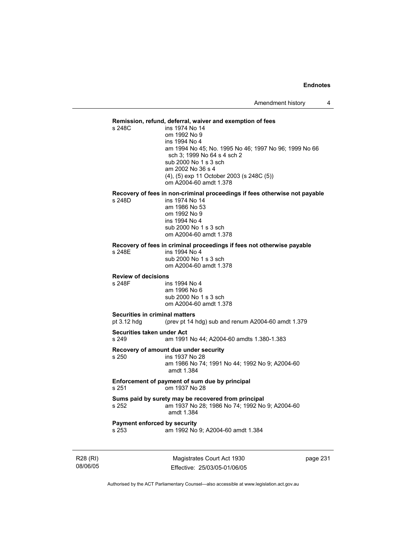# **Remission, refund, deferral, waiver and exemption of fees**

ins 1974 No 14 om 1992 No 9 ins 1994 No 4 am 1994 No 45; No. 1995 No 46; 1997 No 96; 1999 No 66 sch 3; 1999 No 64 s 4 sch 2 sub 2000 No 1 s 3 sch am 2002 No 36 s 4 (4), (5) exp 11 October 2003 (s 248C (5)) om A2004-60 amdt 1.378

# **Recovery of fees in non-criminal proceedings if fees otherwise not payable**

ins 1974 No 14 am 1986 No 53 om 1992 No 9 ins 1994 No 4 sub 2000 No 1 s 3 sch om A2004-60 amdt 1.378

### **Recovery of fees in criminal proceedings if fees not otherwise payable**

s 248E ins 1994 No 4 sub 2000 No 1 s 3 sch om A2004-60 amdt 1.378

## **Review of decisions**

s 248F ins 1994 No 4 am 1996 No 6 sub 2000 No 1 s 3 sch om A2004-60 amdt 1.378

### **Securities in criminal matters**

pt 3.12 hdg (prev pt 14 hdg) sub and renum A2004-60 amdt 1.379

#### **Securities taken under Act**

s 249 am 1991 No 44; A2004-60 amdts 1.380-1.383

**Recovery of amount due under security** 

ins 1937 No 28 am 1986 No 74; 1991 No 44; 1992 No 9; A2004-60 amdt 1.384

#### **Enforcement of payment of sum due by principal**<br>s 251 cm 1937 No 28 om 1937 No 28

### **Sums paid by surety may be recovered from principal**  s 252 am 1937 No 28; 1986 No 74; 1992 No 9; A2004-60 amdt 1.384

# **Payment enforced by security**<br>s 253 am 1992 No

am 1992 No 9; A2004-60 amdt 1.384

R28 (RI) 08/06/05

Magistrates Court Act 1930 Effective: 25/03/05-01/06/05 page 231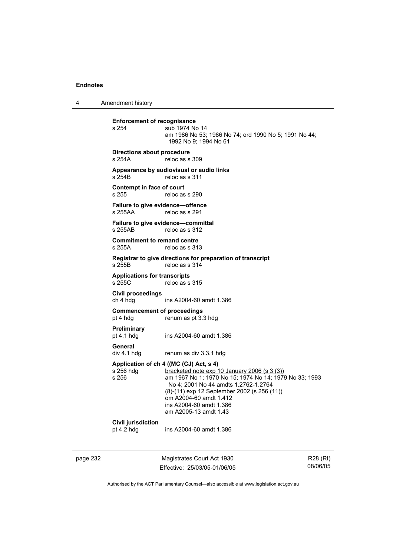4 Amendment history

**Enforcement of recognisance**<br>s 254 **Sub 1974** No sub 1974 No 14 am 1986 No 53; 1986 No 74; ord 1990 No 5; 1991 No 44; 1992 No 9; 1994 No 61 **Directions about procedure**  s 254A reloc as s 309 **Appearance by audiovisual or audio links**  s 254B reloc as s 311 **Contempt in face of court**  s 255 reloc as s 290 **Failure to give evidence—offence**  reloc as s 291 **Failure to give evidence—committal**  s 255AB reloc as s 312 **Commitment to remand centre**  s 255A reloc as s 313 **Registrar to give directions for preparation of transcript**  reloc as s 314 **Applications for transcripts**  reloc as s 315 **Civil proceedings**  ins A2004-60 amdt 1.386 **Commencement of proceedings**  pt 4 hdg renum as pt 3.3 hdg **Preliminary**  ins A2004-60 amdt 1.386 General<br>div 4.1 hdg renum as div 3.3.1 hdg **Application of ch 4 ((MC (CJ) Act, s 4)**  s 256 hdg bracketed note exp 10 January 2006 (s 3 (3))<br>s 256 am 1967 No 1; 1970 No 15; 1974 No 14; 197 am 1967 No 1; 1970 No 15; 1974 No 14; 1979 No 33; 1993 No 4; 2001 No 44 amdts 1.2762-1.2764 (8)-(11) exp 12 September 2002 (s 256 (11)) om A2004-60 amdt 1.412 ins A2004-60 amdt 1.386 am A2005-13 amdt 1.43 **Civil jurisdiction**  pt 4.2 hdg ins A2004-60 amdt 1.386

page 232 Magistrates Court Act 1930 Effective: 25/03/05-01/06/05

R28 (RI) 08/06/05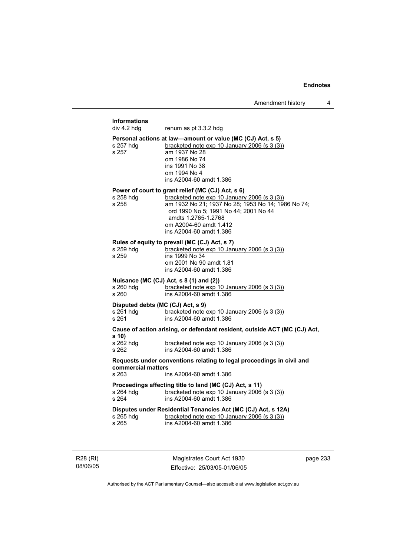# **Informations**  renum as pt 3.3.2 hdg **Personal actions at law—amount or value (MC (CJ) Act, s 5)**  s 257 hdg bracketed note exp 10 January 2006 (s 3 (3)) s 257 am 1937 No 28 om 1986 No 74 ins 1991 No 38 om 1994 No 4 ins A2004-60 amdt 1.386 **Power of court to grant relief (MC (CJ) Act, s 6)**<br>s 258 hdg **bracketed note exp 10 January** bracketed note exp 10 January 2006 (s 3 (3)) s 258 am 1932 No 21; 1937 No 28; 1953 No 14; 1986 No 74; ord 1990 No 5; 1991 No 44; 2001 No 44 amdts 1.2765-1.2768 om A2004-60 amdt 1.412 ins A2004-60 amdt 1.386 **Rules of equity to prevail (MC (CJ) Act, s 7)**<br>s 259 hdg bracketed note exp 10 Jan s 259 hdg bracketed note exp 10 January 2006 (s 3 (3))<br>s 259 bracketed note exp 10 January 2006 (s 3 (3)) ins 1999 No 34 om 2001 No 90 amdt 1.81 ins A2004-60 amdt 1.386 **Nuisance (MC (CJ) Act, s 8 (1) and (2))**  s 260 hdg bracketed note exp 10 January 2006 (s 3 (3)) s 260 ins A2004-60 amdt 1.386 **Disputed debts (MC (CJ) Act, s 9)**  s 261 hdg bracketed note exp 10 January 2006 (s 3 (3)) s 261 ins A2004-60 amdt 1.386 **Cause of action arising, or defendant resident, outside ACT (MC (CJ) Act, s 10)**  bracketed note exp  $10$  January 2006 (s  $3$  (3)) s 262 ins A2004-60 amdt 1.386 **Requests under conventions relating to legal proceedings in civil and commercial matters**  s 263 ins A2004-60 amdt 1.386 **Proceedings affecting title to land (MC (CJ) Act, s 11)**  s 264 hdg bracketed note exp 10 January 2006 (s 3 (3)) s 264 ins A2004-60 amdt 1.386 **Disputes under Residential Tenancies Act (MC (CJ) Act, s 12A)**  s 265 hdg bracketed note exp 10 January 2006 (s 3 (3))<br>s 265 bracketed note exp 10 January 2006 (s 3 (3)) ins A2004-60 amdt 1.386

R28 (RI) 08/06/05

Magistrates Court Act 1930 Effective: 25/03/05-01/06/05 page 233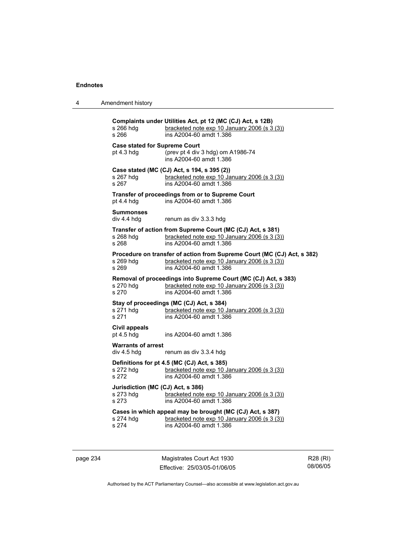| 4 | Amendment history |
|---|-------------------|
|---|-------------------|

**Complaints under Utilities Act, pt 12 (MC (CJ) Act, s 12B)**  s 266 hdg bracketed note exp 10 January 2006 (s 3 (3)) s 266 ins A2004-60 amdt 1.386 **Case stated for Supreme Court**  pt 4.3 hdg (prev pt 4 div 3 hdg) om A1986-74 ins A2004-60 amdt 1.386 **Case stated (MC (CJ) Act, s 194, s 395 (2))**  s 267 hdg <u>bracketed note exp 10 January 2006 (s 3 (3)</u><br>s 267 **bracketed note 1.386** ins A2004-60 amdt 1.386 **Transfer of proceedings from or to Supreme Court**  pt 4.4 hdg ins A2004-60 amdt 1.386 **Summonses**  div 4.4 hdg renum as div 3.3.3 hdg **Transfer of action from Supreme Court (MC (CJ) Act, s 381)**<br>s 268 hdq bracketed note exp 10 January 2006 (s 3 (3) s 268 hdg bracketed note exp 10 January 2006 (s  $3$  ( $\overline{3}$ ))<br>s 268 s 268 ins A2004-60 amdt 1.386 **Procedure on transfer of action from Supreme Court (MC (CJ) Act, s 382)**  s 269 hdg bracketed note exp 10 January 2006 (s 3 (3)) s 269 ins A2004-60 amdt 1.386 **Removal of proceedings into Supreme Court (MC (CJ) Act, s 383)** s 270 hdg bracketed note exp 10 January 2006 (s 3 (3)) bracketed note exp 10 January 2006 (s  $3(3)$ ) s 270 ins A2004-60 amdt 1.386 **Stay of proceedings (MC (CJ) Act, s 384)**<br>s 271 hdg bracketed note exp 10. bracketed note exp 10 January 2006 (s 3 (3)) s 271 ins A2004-60 amdt 1.386 **Civil appeals**  pt 4.5 hdg ins A2004-60 amdt 1.386 **Warrants of arrest**  div 4.5 hdg renum as div 3.3.4 hdg **Definitions for pt 4.5 (MC (CJ) Act, s 385)**<br>s 272 hdg bracketed note exp 10 J bracketed note exp 10 January 2006 (s 3 (3)) s 272 ins A2004-60 amdt 1.386 **Jurisdiction (MC (CJ) Act, s 386)**  s 273 hdg <u>bracketed note exp 10 January 2006 (s 3 (3)</u><br>s 273 **bracketed note exp 10 January 2006 (s 3 (3)** ins A2004-60 amdt 1.386 **Cases in which appeal may be brought (MC (CJ) Act, s 387)**  s 274 hdg <u>bracketed note exp 10 January 2006 (s 3 (3)</u><br>s 274 **bracketed note 1.386** ins A2004-60 amdt 1.386

page 234 Magistrates Court Act 1930 Effective: 25/03/05-01/06/05

R28 (RI) 08/06/05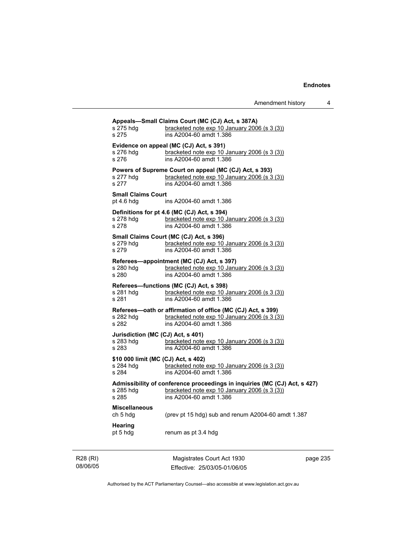| s 275 hdg<br>s 275                                        | Appeals-Small Claims Court (MC (CJ) Act, s 387A)<br>bracketed note exp 10 January 2006 (s 3 (3))<br>ins A2004-60 amdt 1.386                          |
|-----------------------------------------------------------|------------------------------------------------------------------------------------------------------------------------------------------------------|
| s 276 hdg<br>s 276                                        | Evidence on appeal (MC (CJ) Act, s 391)<br>bracketed note exp 10 January 2006 (s 3 (3))<br>ins A2004-60 amdt 1.386                                   |
| s 277 hdg<br>s 277                                        | Powers of Supreme Court on appeal (MC (CJ) Act, s 393)<br>bracketed note exp 10 January 2006 (s 3 (3))<br>ins A2004-60 amdt 1.386                    |
| <b>Small Claims Court</b><br>pt $4.6$ hdg                 | ins A2004-60 amdt 1.386                                                                                                                              |
| s 278 hdg<br>s 278                                        | Definitions for pt 4.6 (MC (CJ) Act, s 394)<br>bracketed note exp 10 January 2006 (s 3 (3))<br>ins A2004-60 amdt 1.386                               |
| s 279 hdq<br>s 279                                        | Small Claims Court (MC (CJ) Act, s 396)<br>bracketed note exp 10 January 2006 (s 3 (3))<br>ins A2004-60 amdt 1.386                                   |
| s 280 hdg<br>s 280                                        | Referees—appointment (MC (CJ) Act, s 397)<br>bracketed note exp 10 January 2006 (s 3 (3))<br>ins A2004-60 amdt 1.386                                 |
| s 281 hdg<br>s 281                                        | Referees-functions (MC (CJ) Act, s 398)<br>bracketed note exp 10 January 2006 (s 3 (3))<br>ins A2004-60 amdt 1.386                                   |
| s 282 hdq<br>s 282                                        | Referees-oath or affirmation of office (MC (CJ) Act, s 399)<br>bracketed note exp 10 January 2006 (s 3 (3))<br>ins A2004-60 amdt 1.386               |
| Jurisdiction (MC (CJ) Act, s 401)<br>s 283 hdg<br>s 283   | bracketed note exp 10 January 2006 (s 3 (3))<br>ins A2004-60 amdt 1.386                                                                              |
| \$10 000 limit (MC (CJ) Act, s 402)<br>s 284 hdg<br>s 284 | bracketed note exp 10 January 2006 (s 3 (3))<br>ins A2004-60 amdt 1.386                                                                              |
| s 285 hdq<br>s 285                                        | Admissibility of conference proceedings in inquiries (MC (CJ) Act, s 427)<br>bracketed note exp 10 January 2006 (s 3 (3))<br>ins A2004-60 amdt 1.386 |
| <b>Miscellaneous</b><br>ch 5 hdg                          | (prev pt 15 hdg) sub and renum A2004-60 amdt 1.387                                                                                                   |
| <b>Hearing</b><br>pt 5 hdg                                | renum as pt 3.4 hdg                                                                                                                                  |

R28 (RI) 08/06/05

Magistrates Court Act 1930 Effective: 25/03/05-01/06/05 page 235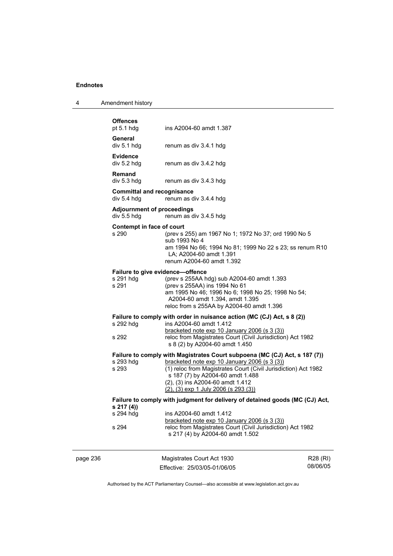| Amendment history |  |
|-------------------|--|
|-------------------|--|

|          | <b>Offences</b><br>pt $5.1$ hdg                        | ins A2004-60 amdt 1.387                                                                                                                                                                                                                                                                                              |                      |
|----------|--------------------------------------------------------|----------------------------------------------------------------------------------------------------------------------------------------------------------------------------------------------------------------------------------------------------------------------------------------------------------------------|----------------------|
|          | General<br>div 5.1 hdg                                 | renum as div 3.4.1 hdg                                                                                                                                                                                                                                                                                               |                      |
|          | <b>Evidence</b><br>div 5.2 hdg                         | renum as div 3.4.2 hdg                                                                                                                                                                                                                                                                                               |                      |
|          | <b>Remand</b><br>div 5.3 hdg                           | renum as div 3.4.3 hdg                                                                                                                                                                                                                                                                                               |                      |
|          | <b>Committal and recognisance</b><br>div 5.4 hdg       | renum as div 3.4.4 hdg                                                                                                                                                                                                                                                                                               |                      |
|          | <b>Adjournment of proceedings</b><br>div 5.5 hdg       | renum as div 3.4.5 hdg                                                                                                                                                                                                                                                                                               |                      |
|          | Contempt in face of court<br>s 290                     | (prev s 255) am 1967 No 1; 1972 No 37; ord 1990 No 5<br>sub 1993 No 4<br>am 1994 No 66; 1994 No 81; 1999 No 22 s 23; ss renum R10<br>LA; A2004-60 amdt 1.391<br>renum A2004-60 amdt 1.392                                                                                                                            |                      |
|          | Failure to give evidence-offence<br>s 291 hdg<br>s 291 | (prev s 255AA hdg) sub A2004-60 amdt 1.393<br>(prev s 255AA) ins 1994 No 61<br>am 1995 No 46; 1996 No 6; 1998 No 25; 1998 No 54;<br>A2004-60 amdt 1.394, amdt 1.395<br>reloc from s 255AA by A2004-60 amdt 1.396                                                                                                     |                      |
|          | s 292 hdg<br>s 292                                     | Failure to comply with order in nuisance action (MC (CJ) Act, s 8 (2))<br>ins A2004-60 amdt 1.412<br>bracketed note $exp 10$ January 2006 (s 3 (3))<br>reloc from Magistrates Court (Civil Jurisdiction) Act 1982<br>s 8 (2) by A2004-60 amdt 1.450                                                                  |                      |
|          | s 293 hdg<br>s 293                                     | Failure to comply with Magistrates Court subpoena (MC (CJ) Act, s 187 (7))<br>bracketed note exp 10 January 2006 (s 3 (3))<br>(1) reloc from Magistrates Court (Civil Jurisdiction) Act 1982<br>s 187 (7) by A2004-60 amdt 1.488<br>(2), (3) ins A2004-60 amdt 1.412<br>$(2)$ , $(3)$ exp 1 July 2006 (s 293 $(3)$ ) |                      |
|          | s 217 (4))                                             | Failure to comply with judgment for delivery of detained goods (MC (CJ) Act,                                                                                                                                                                                                                                         |                      |
|          | s 294 hdg                                              | ins A2004-60 amdt 1.412<br>bracketed note exp 10 January 2006 (s 3 (3))                                                                                                                                                                                                                                              |                      |
|          | s 294                                                  | reloc from Magistrates Court (Civil Jurisdiction) Act 1982<br>s 217 (4) by A2004-60 amdt 1.502                                                                                                                                                                                                                       |                      |
| page 236 |                                                        | Magistrates Court Act 1930<br>Effective: 25/03/05-01/06/05                                                                                                                                                                                                                                                           | R28 (RI)<br>08/06/05 |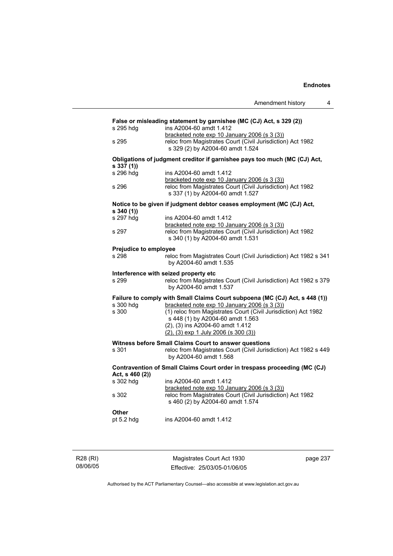|                                                                                                             | 4<br>Amendment history                                                                                                                         |  |  |
|-------------------------------------------------------------------------------------------------------------|------------------------------------------------------------------------------------------------------------------------------------------------|--|--|
| False or misleading statement by garnishee (MC (CJ) Act, s 329 (2))<br>ins A2004-60 amdt 1.412<br>s 295 hdg |                                                                                                                                                |  |  |
| s 295                                                                                                       | bracketed note exp 10 January 2006 (s 3 (3))<br>reloc from Magistrates Court (Civil Jurisdiction) Act 1982<br>s 329 (2) by A2004-60 amdt 1.524 |  |  |
| s 337(1)                                                                                                    | Obligations of judgment creditor if garnishee pays too much (MC (CJ) Act,                                                                      |  |  |
| s 296 hdg                                                                                                   | ins A2004-60 amdt 1.412<br>bracketed note exp 10 January 2006 (s 3 (3))                                                                        |  |  |
| s 296                                                                                                       | reloc from Magistrates Court (Civil Jurisdiction) Act 1982<br>s 337 (1) by A2004-60 amdt 1.527                                                 |  |  |
| s340(1)                                                                                                     | Notice to be given if judgment debtor ceases employment (MC (CJ) Act,                                                                          |  |  |
| s 297 hdg                                                                                                   | ins A2004-60 amdt 1.412<br>bracketed note exp 10 January 2006 (s 3 (3))                                                                        |  |  |
| s 297                                                                                                       | reloc from Magistrates Court (Civil Jurisdiction) Act 1982<br>s 340 (1) by A2004-60 amdt 1.531                                                 |  |  |
| <b>Prejudice to employee</b>                                                                                |                                                                                                                                                |  |  |
| s 298                                                                                                       | reloc from Magistrates Court (Civil Jurisdiction) Act 1982 s 341<br>by A2004-60 amdt 1.535                                                     |  |  |
| s 299                                                                                                       | Interference with seized property etc<br>reloc from Magistrates Court (Civil Jurisdiction) Act 1982 s 379<br>by A2004-60 amdt 1.537            |  |  |
|                                                                                                             |                                                                                                                                                |  |  |
| s 300 hdg                                                                                                   | Failure to comply with Small Claims Court subpoena (MC (CJ) Act, s 448 (1))<br>bracketed note $exp 10$ January 2006 (s 3 (3))                  |  |  |
| s 300                                                                                                       | (1) reloc from Magistrates Court (Civil Jurisdiction) Act 1982<br>s 448 (1) by A2004-60 amdt 1.563                                             |  |  |
|                                                                                                             | (2), (3) ins A2004-60 amdt 1.412<br>$(2)$ , $(3)$ exp 1 July 2006 (s 300 $(3)$ )                                                               |  |  |
|                                                                                                             | Witness before Small Claims Court to answer questions                                                                                          |  |  |
| s 301                                                                                                       | reloc from Magistrates Court (Civil Jurisdiction) Act 1982 s 449<br>by A2004-60 amdt 1.568                                                     |  |  |
| Contravention of Small Claims Court order in trespass proceeding (MC (CJ)<br>Act, s 460 (2))                |                                                                                                                                                |  |  |
| s 302 hdg                                                                                                   | ins A2004-60 amdt 1.412<br>bracketed note exp 10 January 2006 (s 3 (3))                                                                        |  |  |
| s 302                                                                                                       | reloc from Magistrates Court (Civil Jurisdiction) Act 1982<br>s 460 (2) by A2004-60 amdt 1.574                                                 |  |  |
| Other                                                                                                       |                                                                                                                                                |  |  |
| pt 5.2 hdg                                                                                                  | ins A2004-60 amdt 1.412                                                                                                                        |  |  |
|                                                                                                             |                                                                                                                                                |  |  |

R28 (RI) 08/06/05

Magistrates Court Act 1930 Effective: 25/03/05-01/06/05 page 237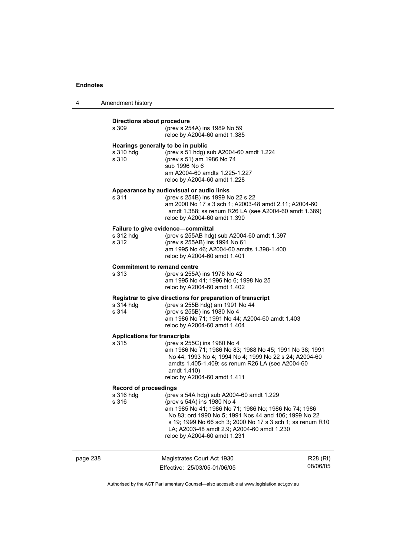4 Amendment history

|          | Directions about procedure<br>s 309                      | (prev s 254A) ins 1989 No 59<br>reloc by A2004-60 amdt 1.385                                                                                                                                                                                                                                                                        |                      |
|----------|----------------------------------------------------------|-------------------------------------------------------------------------------------------------------------------------------------------------------------------------------------------------------------------------------------------------------------------------------------------------------------------------------------|----------------------|
|          | Hearings generally to be in public<br>s 310 hdg<br>s 310 | (prev s 51 hdg) sub A2004-60 amdt 1.224<br>(prev s 51) am 1986 No 74<br>sub 1996 No 6<br>am A2004-60 amdts 1.225-1.227<br>reloc by A2004-60 amdt 1.228                                                                                                                                                                              |                      |
|          | s 311                                                    | Appearance by audiovisual or audio links<br>(prev s 254B) ins 1999 No 22 s 22<br>am 2000 No 17 s 3 sch 1; A2003-48 amdt 2.11; A2004-60<br>amdt 1.388; ss renum R26 LA (see A2004-60 amdt 1.389)<br>reloc by A2004-60 amdt 1.390                                                                                                     |                      |
|          | s 312 hdg<br>s 312                                       | Failure to give evidence-committal<br>(prev s 255AB hdg) sub A2004-60 amdt 1.397<br>(prev s 255AB) ins 1994 No 61<br>am 1995 No 46; A2004-60 amdts 1.398-1.400<br>reloc by A2004-60 amdt 1.401                                                                                                                                      |                      |
|          | <b>Commitment to remand centre</b><br>s 313              | (prev s 255A) ins 1976 No 42<br>am 1995 No 41; 1996 No 6; 1998 No 25<br>reloc by A2004-60 amdt 1.402                                                                                                                                                                                                                                |                      |
|          | s 314 hdg<br>s 314                                       | Registrar to give directions for preparation of transcript<br>(prev s 255B hdg) am 1991 No 44<br>(prev s 255B) ins 1980 No 4<br>am 1986 No 71; 1991 No 44; A2004-60 amdt 1.403<br>reloc by A2004-60 amdt 1.404                                                                                                                      |                      |
|          | <b>Applications for transcripts</b><br>s 315             | (prev s 255C) ins 1980 No 4<br>am 1986 No 71; 1986 No 83; 1988 No 45; 1991 No 38; 1991<br>No 44; 1993 No 4; 1994 No 4; 1999 No 22 s 24; A2004-60<br>amdts 1.405-1.409; ss renum R26 LA (see A2004-60<br>amdt 1.410)<br>reloc by A2004-60 amdt 1.411                                                                                 |                      |
|          | <b>Record of proceedings</b><br>s 316 hdg<br>s 316       | (prev s 54A hdg) sub A2004-60 amdt 1.229<br>(prev s 54A) ins 1980 No 4<br>am 1985 No 41; 1986 No 71; 1986 No; 1986 No 74; 1986<br>No 83; ord 1990 No 5; 1991 Nos 44 and 106; 1999 No 22<br>s 19; 1999 No 66 sch 3; 2000 No 17 s 3 sch 1; ss renum R10<br>LA; A2003-48 amdt 2.9; A2004-60 amdt 1.230<br>reloc by A2004-60 amdt 1.231 |                      |
| page 238 |                                                          | Magistrates Court Act 1930<br>Effective: 25/03/05-01/06/05                                                                                                                                                                                                                                                                          | R28 (RI)<br>08/06/05 |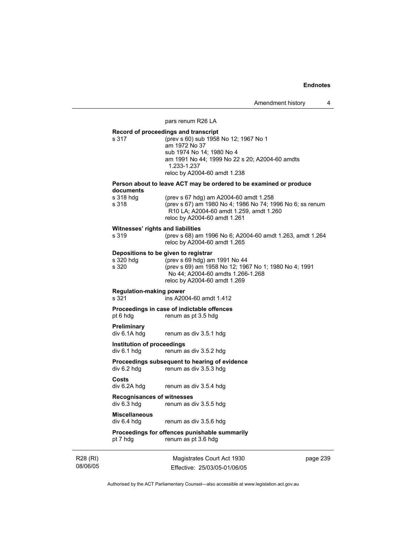Amendment history 4

#### pars renum R26 LA

**Record of proceedings and transcript**  s 317 (prev s 60) sub 1958 No 12; 1967 No 1 am 1972 No 37 sub 1974 No 14; 1980 No 4 am 1991 No 44; 1999 No 22 s 20; A2004-60 amdts 1.233-1.237 reloc by A2004-60 amdt 1.238

### **Person about to leave ACT may be ordered to be examined or produce documents**

| s 318 hdg | (prev s 67 hdg) am A2004-60 amdt 1.258                          |
|-----------|-----------------------------------------------------------------|
| s 318     | (prev s 67) am 1980 No 4; 1986 No 74; 1996 No 6; ss renum       |
|           | R <sub>10</sub> LA; A <sub>2004-60</sub> amdt 1.259, amdt 1.260 |
|           | reloc by A2004-60 amdt 1.261                                    |

**Witnesses' rights and liabilities**<br>s 319 (prev s 68) am s 319 (prev s 68) am 1996 No 6; A2004-60 amdt 1.263, amdt 1.264 reloc by A2004-60 amdt 1.265

#### **Depositions to be given to registrar**

| s 320 hdq | (prev s 69 hdg) am 1991 No 44                         |
|-----------|-------------------------------------------------------|
| s 320     | (prev s 69) am 1958 No 12; 1967 No 1; 1980 No 4; 1991 |
|           | No 44; A2004-60 amdts 1.266-1.268                     |
|           | reloc by A2004-60 amdt 1.269                          |

#### **Regulation-making power**

s 321 ins A2004-60 amdt 1.412

#### **Proceedings in case of indictable offences**<br>pt 6 hdg<br>renum as pt 3.5 hdg renum as pt 3.5 hdg

**Preliminary**  div 6.1A hdg renum as div 3.5.1 hdg

**Institution of proceedings**<br>div 6.1 hdg renum a renum as div  $3.5.2$  hdg

#### **Proceedings subsequent to hearing of evidence**  div 6.2 hdg renum as div 3.5.3 hdg

**Costs**  renum as div 3.5.4 hdg

### **Recognisances of witnesses**  div 6.3 hdg renum as div 3.5.5 hdg

# **Miscellaneous**

renum as div 3.5.6 hdg

# **Proceedings for offences punishable summarily**

pt 7 hdg renum as pt 3.6 hdg

R28 (RI) 08/06/05

Magistrates Court Act 1930 Effective: 25/03/05-01/06/05 page 239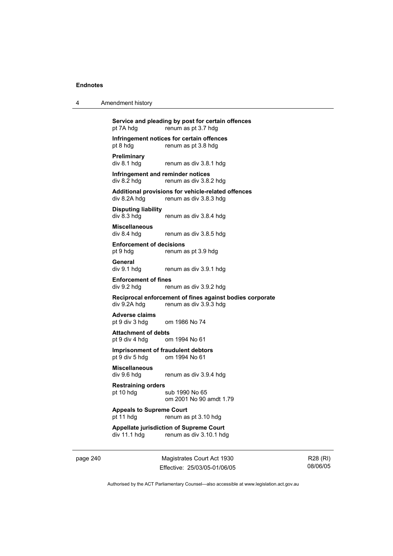| Amendment history |
|-------------------|
|                   |

**Service and pleading by post for certain offences**  pt 7A hdg renum as pt 3.7 hdg **Infringement notices for certain offences**  pt 8 hdg renum as pt 3.8 hdg **Preliminary**  renum as div 3.8.1 hdg **Infringement and reminder notices**  div 8.2 hdg renum as div 3.8.2 hdg **Additional provisions for vehicle-related offences**  renum as div 3.8.3 hdg **Disputing liability**  div 8.3 hdg renum as div 3.8.4 hdg **Miscellaneous**  div 8.4 hdg renum as div 3.8.5 hdg **Enforcement of decisions**  pt 9 hdg renum as pt 3.9 hdg **General**  div 9.1 hdg renum as div 3.9.1 hdg **Enforcement of fines**  div 9.2 hdg renum as div 3.9.2 hdg **Reciprocal enforcement of fines against bodies corporate**  div 9.2A hdg renum as div 3.9.3 hdg **Adverse claims**  pt 9 div 3 hdg om 1986 No 74 **Attachment of debts**  pt 9 div 4 hdg om 1994 No 61 **Imprisonment of fraudulent debtors**  pt 9 div 5 hdg om 1994 No 61 **Miscellaneous**  renum as div 3.9.4 hdg **Restraining orders**  pt 10 hdg sub 1990 No 65

om 2001 No 90 amdt 1.79

**Appeals to Supreme Court**  pt 11 hdg renum as pt 3.10 hdg

**Appellate jurisdiction of Supreme Court**  div 11.1 hdg renum as div 3.10.1 hdg

page 240 Magistrates Court Act 1930 Effective: 25/03/05-01/06/05

R28 (RI) 08/06/05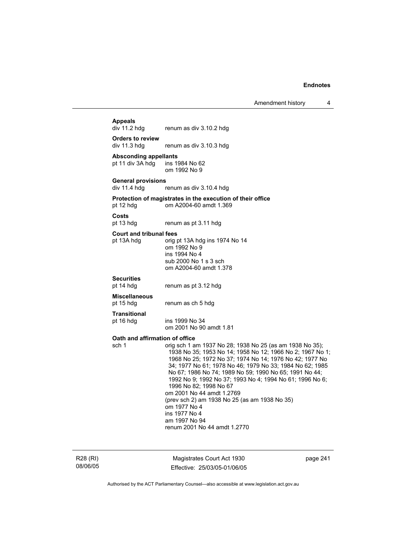Amendment history 4

# **Appeals**

renum as div 3.10.2 hdg

**Orders to review**  div 11.3 hdg renum as div 3.10.3 hdg

**Absconding appellants**  pt 11 div  $3A$  hdg om 1992 No 9

**General provisions** 

renum as div 3.10.4 hdg

#### **Protection of magistrates in the execution of their office**  pt 12 hdg om A2004-60 amdt 1.369

**Costs** 

pt 13 hdg renum as pt 3.11 hdg

#### **Court and tribunal fees**

pt 13A hdg orig pt 13A hdg ins 1974 No 14 om 1992 No 9 ins 1994 No 4 sub 2000 No 1 s 3 sch om A2004-60 amdt 1.378

# **Securities**

renum as pt 3.12 hdg

#### **Miscellaneous**

pt 15 hdg renum as ch 5 hdg

ins 1999 No 34

**Transitional** 

om 2001 No 90 amdt 1.81

# **Oath and affirmation of office**<br>sch 1 a orig sch 1 a

orig sch 1 am 1937 No 28; 1938 No 25 (as am 1938 No 35); 1938 No 35; 1953 No 14; 1958 No 12; 1966 No 2; 1967 No 1; 1968 No 25; 1972 No 37; 1974 No 14; 1976 No 42; 1977 No 34; 1977 No 61; 1978 No 46; 1979 No 33; 1984 No 62; 1985 No 67; 1986 No 74; 1989 No 59; 1990 No 65; 1991 No 44; 1992 No 9; 1992 No 37; 1993 No 4; 1994 No 61; 1996 No 6; 1996 No 82; 1998 No 67 om 2001 No 44 amdt 1.2769 (prev sch 2) am 1938 No 25 (as am 1938 No 35) om 1977 No 4 ins 1977 No 4 am 1997 No 94 renum 2001 No 44 amdt 1.2770

R28 (RI) 08/06/05

Magistrates Court Act 1930 Effective: 25/03/05-01/06/05 page 241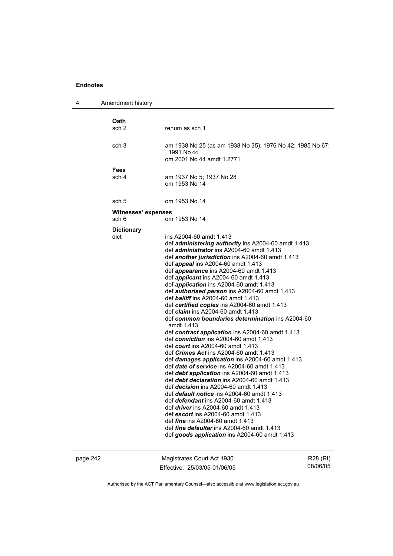| 4 | Amendment history         |                                                                                                                                                                                                                                                                                                                                                                                                                                                                                                                                                                                                                                                                                                                                                                                                                                                                                                                                                                                                                                                                                                                                                                                                             |
|---|---------------------------|-------------------------------------------------------------------------------------------------------------------------------------------------------------------------------------------------------------------------------------------------------------------------------------------------------------------------------------------------------------------------------------------------------------------------------------------------------------------------------------------------------------------------------------------------------------------------------------------------------------------------------------------------------------------------------------------------------------------------------------------------------------------------------------------------------------------------------------------------------------------------------------------------------------------------------------------------------------------------------------------------------------------------------------------------------------------------------------------------------------------------------------------------------------------------------------------------------------|
|   | <b>Oath</b>               |                                                                                                                                                                                                                                                                                                                                                                                                                                                                                                                                                                                                                                                                                                                                                                                                                                                                                                                                                                                                                                                                                                                                                                                                             |
|   | sch <sub>2</sub>          | renum as sch 1                                                                                                                                                                                                                                                                                                                                                                                                                                                                                                                                                                                                                                                                                                                                                                                                                                                                                                                                                                                                                                                                                                                                                                                              |
|   | sch <sub>3</sub>          | am 1938 No 25 (as am 1938 No 35); 1976 No 42; 1985 No 67;<br>1991 No 44<br>om 2001 No 44 amdt 1.2771                                                                                                                                                                                                                                                                                                                                                                                                                                                                                                                                                                                                                                                                                                                                                                                                                                                                                                                                                                                                                                                                                                        |
|   | <b>Fees</b>               |                                                                                                                                                                                                                                                                                                                                                                                                                                                                                                                                                                                                                                                                                                                                                                                                                                                                                                                                                                                                                                                                                                                                                                                                             |
|   | sch 4                     | am 1937 No 5; 1937 No 28<br>om 1953 No 14                                                                                                                                                                                                                                                                                                                                                                                                                                                                                                                                                                                                                                                                                                                                                                                                                                                                                                                                                                                                                                                                                                                                                                   |
|   | sch 5                     | om 1953 No 14                                                                                                                                                                                                                                                                                                                                                                                                                                                                                                                                                                                                                                                                                                                                                                                                                                                                                                                                                                                                                                                                                                                                                                                               |
|   | Witnesses' expenses       |                                                                                                                                                                                                                                                                                                                                                                                                                                                                                                                                                                                                                                                                                                                                                                                                                                                                                                                                                                                                                                                                                                                                                                                                             |
|   | sch 6                     | om 1953 No 14                                                                                                                                                                                                                                                                                                                                                                                                                                                                                                                                                                                                                                                                                                                                                                                                                                                                                                                                                                                                                                                                                                                                                                                               |
|   | <b>Dictionary</b><br>dict | ins A2004-60 amdt 1.413<br>def <i>administering authority</i> ins A2004-60 amdt 1.413<br>def <i>administrator</i> ins A2004-60 amdt 1.413<br>def another jurisdiction ins A2004-60 amdt 1.413<br>def appeal ins A2004-60 amdt 1.413<br>def <i>appearance</i> ins A2004-60 amdt 1.413<br>def <i>applicant</i> ins A2004-60 amdt 1.413<br>def <i>application</i> ins A2004-60 amdt 1.413<br>def <i>authorised person</i> ins A2004-60 amdt 1.413<br>def <b>bailiff</b> ins A2004-60 amdt 1.413<br>def certified copies ins A2004-60 amdt 1.413<br>def <i>claim</i> ins A2004-60 amdt 1.413<br>def common boundaries determination ins A2004-60<br>amdt 1.413<br>def contract application ins A2004-60 amdt 1.413<br>def conviction ins A2004-60 amdt 1.413<br>def <i>court</i> ins A2004-60 amdt 1.413<br>def <i>Crimes Act</i> ins A2004-60 amdt 1.413<br>def <i>damages</i> application ins A2004-60 amdt 1.413<br>def date of service ins A2004-60 amdt 1.413<br>def debt application ins A2004-60 amdt 1.413<br>def debt declaration ins A2004-60 amdt 1.413<br>def <i>decision</i> ins A2004-60 amdt 1.413<br>def default notice ins A2004-60 amdt 1.413<br>def <i>defendant</i> ins A2004-60 amdt 1.413 |
|   |                           | def <i>driver</i> ins A2004-60 amdt 1.413<br>def escort ins A2004-60 amdt 1.413<br>def <i>fine</i> ins A2004-60 amdt 1.413<br>def <i>fine defaulter</i> ins A2004-60 amdt 1.413<br>def goods application ins A2004-60 amdt 1.413                                                                                                                                                                                                                                                                                                                                                                                                                                                                                                                                                                                                                                                                                                                                                                                                                                                                                                                                                                            |
|   |                           |                                                                                                                                                                                                                                                                                                                                                                                                                                                                                                                                                                                                                                                                                                                                                                                                                                                                                                                                                                                                                                                                                                                                                                                                             |

page 242 Magistrates Court Act 1930 Effective: 25/03/05-01/06/05 R28 (RI) 08/06/05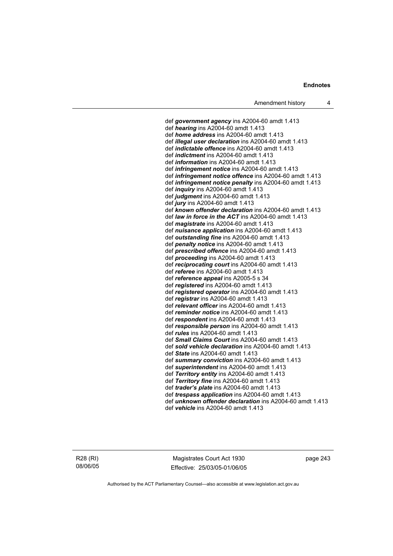def *government agency* ins A2004-60 amdt 1.413 def *hearing* ins A2004-60 amdt 1.413 def *home address* ins A2004-60 amdt 1.413 def *illegal user declaration* ins A2004-60 amdt 1.413 def *indictable offence* ins A2004-60 amdt 1.413 def *indictment* ins A2004-60 amdt 1.413 def *information* ins A2004-60 amdt 1.413 def *infringement notice* ins A2004-60 amdt 1.413 def *infringement notice offence* ins A2004-60 amdt 1.413 def *infringement notice penalty* ins A2004-60 amdt 1.413 def *inquiry* ins A2004-60 amdt 1.413 def *judgment* ins A2004-60 amdt 1.413 def *jury* ins A2004-60 amdt 1.413 def *known offender declaration* ins A2004-60 amdt 1.413 def *law in force in the ACT* ins A2004-60 amdt 1.413 def *magistrate* ins A2004-60 amdt 1.413 def *nuisance application* ins A2004-60 amdt 1.413 def *outstanding fine* ins A2004-60 amdt 1.413 def *penalty notice* ins A2004-60 amdt 1.413 def *prescribed offence* ins A2004-60 amdt 1.413 def *proceeding* ins A2004-60 amdt 1.413 def *reciprocating court* ins A2004-60 amdt 1.413 def *referee* ins A2004-60 amdt 1.413 def *reference appeal* ins A2005-5 s 34 def *registered* ins A2004-60 amdt 1.413 def *registered operator* ins A2004-60 amdt 1.413 def *registrar* ins A2004-60 amdt 1.413 def *relevant officer* ins A2004-60 amdt 1.413 def *reminder notice* ins A2004-60 amdt 1.413 def *respondent* ins A2004-60 amdt 1.413 def *responsible person* ins A2004-60 amdt 1.413 def *rules* ins A2004-60 amdt 1.413 def *Small Claims Court* ins A2004-60 amdt 1.413 def *sold vehicle declaration* ins A2004-60 amdt 1.413 def *State* ins A2004-60 amdt 1.413 def *summary conviction* ins A2004-60 amdt 1.413 def *superintendent* ins A2004-60 amdt 1.413 def *Territory entity* ins A2004-60 amdt 1.413 def *Territory fine* ins A2004-60 amdt 1.413 def *trader's plate* ins A2004-60 amdt 1.413 def *trespass application* ins A2004-60 amdt 1.413 def *unknown offender declaration* ins A2004-60 amdt 1.413 def *vehicle* ins A2004-60 amdt 1.413

R28 (RI) 08/06/05

Magistrates Court Act 1930 Effective: 25/03/05-01/06/05 page 243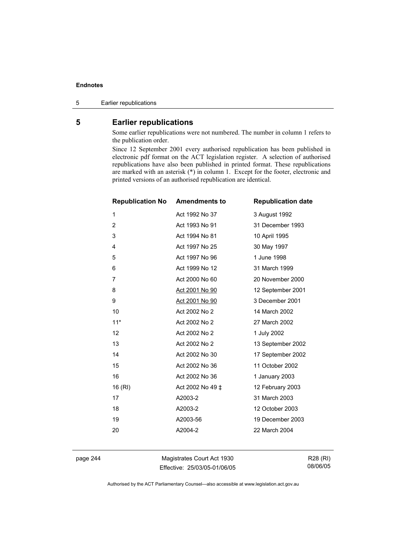5 Earlier republications

# **5 Earlier republications**

Some earlier republications were not numbered. The number in column 1 refers to the publication order.

Since 12 September 2001 every authorised republication has been published in electronic pdf format on the ACT legislation register. A selection of authorised republications have also been published in printed format. These republications are marked with an asterisk (\*) in column 1. Except for the footer, electronic and printed versions of an authorised republication are identical.

| <b>Republication No</b> | <b>Amendments to</b> | <b>Republication date</b> |
|-------------------------|----------------------|---------------------------|
| 1                       | Act 1992 No 37       | 3 August 1992             |
| $\overline{2}$          | Act 1993 No 91       | 31 December 1993          |
| 3                       | Act 1994 No 81       | 10 April 1995             |
| 4                       | Act 1997 No 25       | 30 May 1997               |
| 5                       | Act 1997 No 96       | 1 June 1998               |
| 6                       | Act 1999 No 12       | 31 March 1999             |
| 7                       | Act 2000 No 60       | 20 November 2000          |
| 8                       | Act 2001 No 90       | 12 September 2001         |
| 9                       | Act 2001 No 90       | 3 December 2001           |
| 10                      | Act 2002 No 2        | 14 March 2002             |
| $11*$                   | Act 2002 No 2        | 27 March 2002             |
| 12                      | Act 2002 No 2        | 1 July 2002               |
| 13                      | Act 2002 No 2        | 13 September 2002         |
| 14                      | Act 2002 No 30       | 17 September 2002         |
| 15                      | Act 2002 No 36       | 11 October 2002           |
| 16                      | Act 2002 No 36       | 1 January 2003            |
| 16 (RI)                 | Act 2002 No 49 ‡     | 12 February 2003          |
| 17                      | A2003-2              | 31 March 2003             |
| 18                      | A2003-2              | 12 October 2003           |
| 19                      | A2003-56             | 19 December 2003          |
| 20                      | A2004-2              | 22 March 2004             |
|                         |                      |                           |

page 244 Magistrates Court Act 1930 Effective: 25/03/05-01/06/05

R28 (RI) 08/06/05